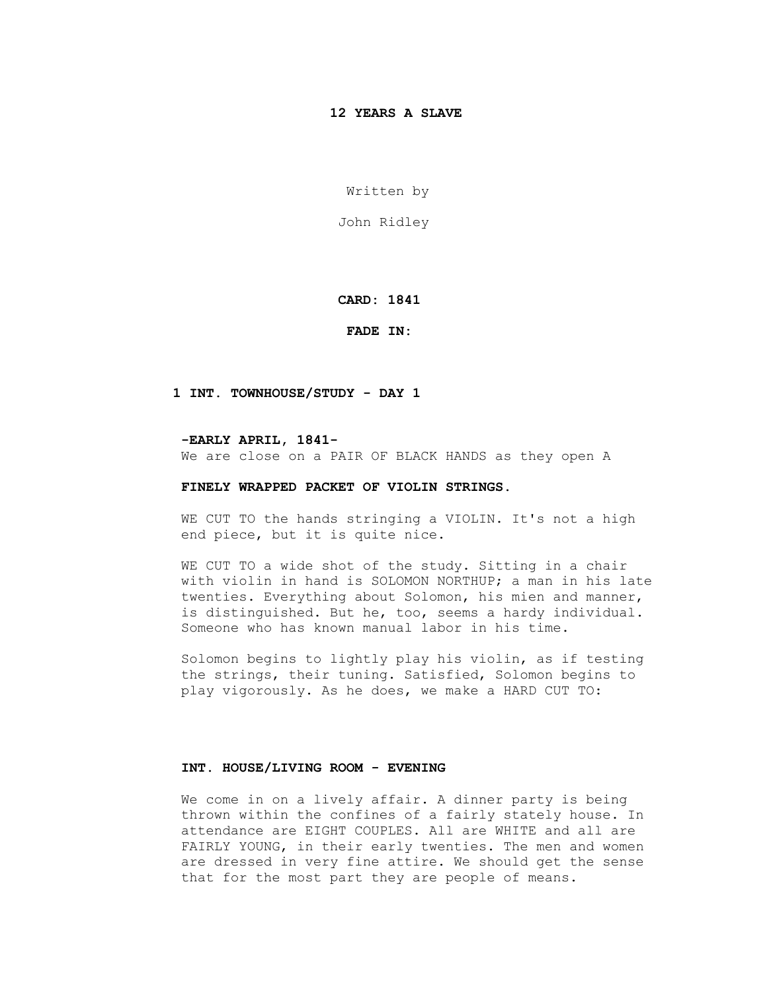# **12 YEARS A SLAVE**

Written by

John Ridley

 **CARD: 1841**

 **FADE IN:**

## **1 INT. TOWNHOUSE/STUDY - DAY 1**

 **-EARLY APRIL, 1841-** We are close on a PAIR OF BLACK HANDS as they open A

# **FINELY WRAPPED PACKET OF VIOLIN STRINGS.**

WE CUT TO the hands stringing a VIOLIN. It's not a high end piece, but it is quite nice.

WE CUT TO a wide shot of the study. Sitting in a chair with violin in hand is SOLOMON NORTHUP; a man in his late twenties. Everything about Solomon, his mien and manner, is distinguished. But he, too, seems a hardy individual. Someone who has known manual labor in his time.

 Solomon begins to lightly play his violin, as if testing the strings, their tuning. Satisfied, Solomon begins to play vigorously. As he does, we make a HARD CUT TO:

### **INT. HOUSE/LIVING ROOM - EVENING**

 We come in on a lively affair. A dinner party is being thrown within the confines of a fairly stately house. In attendance are EIGHT COUPLES. All are WHITE and all are FAIRLY YOUNG, in their early twenties. The men and women are dressed in very fine attire. We should get the sense that for the most part they are people of means.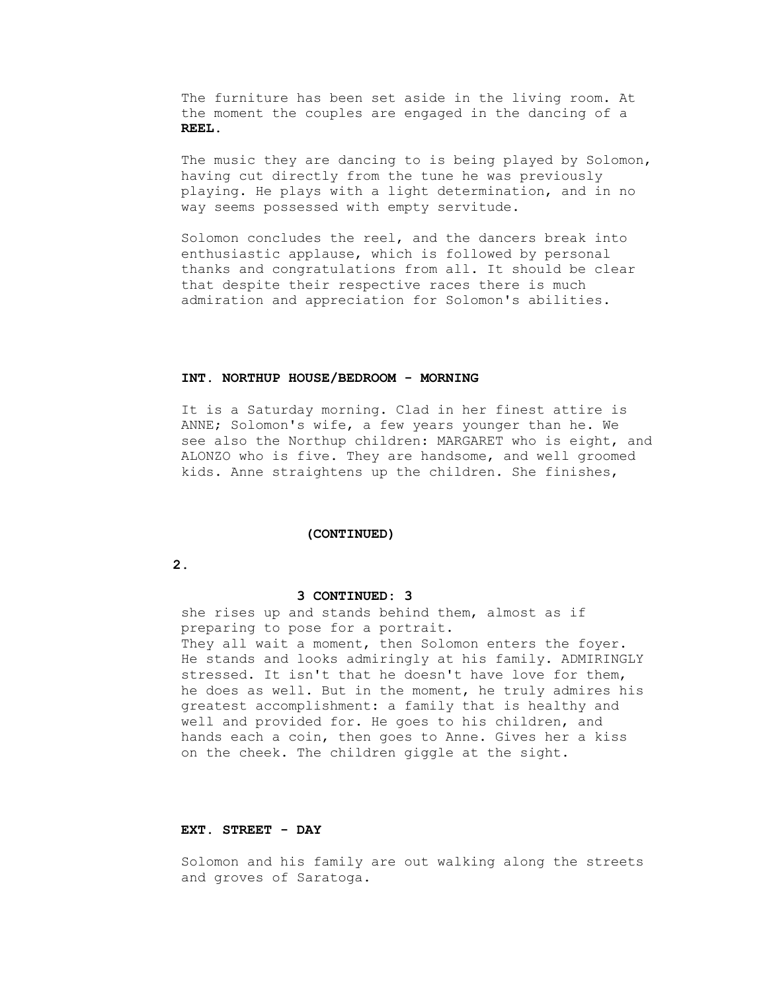The furniture has been set aside in the living room. At the moment the couples are engaged in the dancing of a  **REEL.**

 The music they are dancing to is being played by Solomon, having cut directly from the tune he was previously playing. He plays with a light determination, and in no way seems possessed with empty servitude.

 Solomon concludes the reel, and the dancers break into enthusiastic applause, which is followed by personal thanks and congratulations from all. It should be clear that despite their respective races there is much admiration and appreciation for Solomon's abilities.

# **INT. NORTHUP HOUSE/BEDROOM - MORNING**

 It is a Saturday morning. Clad in her finest attire is ANNE; Solomon's wife, a few years younger than he. We see also the Northup children: MARGARET who is eight, and ALONZO who is five. They are handsome, and well groomed kids. Anne straightens up the children. She finishes,

#### **(CONTINUED)**

 **2.**

## **3 CONTINUED: 3**

 she rises up and stands behind them, almost as if preparing to pose for a portrait. They all wait a moment, then Solomon enters the foyer. He stands and looks admiringly at his family. ADMIRINGLY stressed. It isn't that he doesn't have love for them, he does as well. But in the moment, he truly admires his greatest accomplishment: a family that is healthy and well and provided for. He goes to his children, and hands each a coin, then goes to Anne. Gives her a kiss on the cheek. The children giggle at the sight.

### **EXT. STREET - DAY**

 Solomon and his family are out walking along the streets and groves of Saratoga.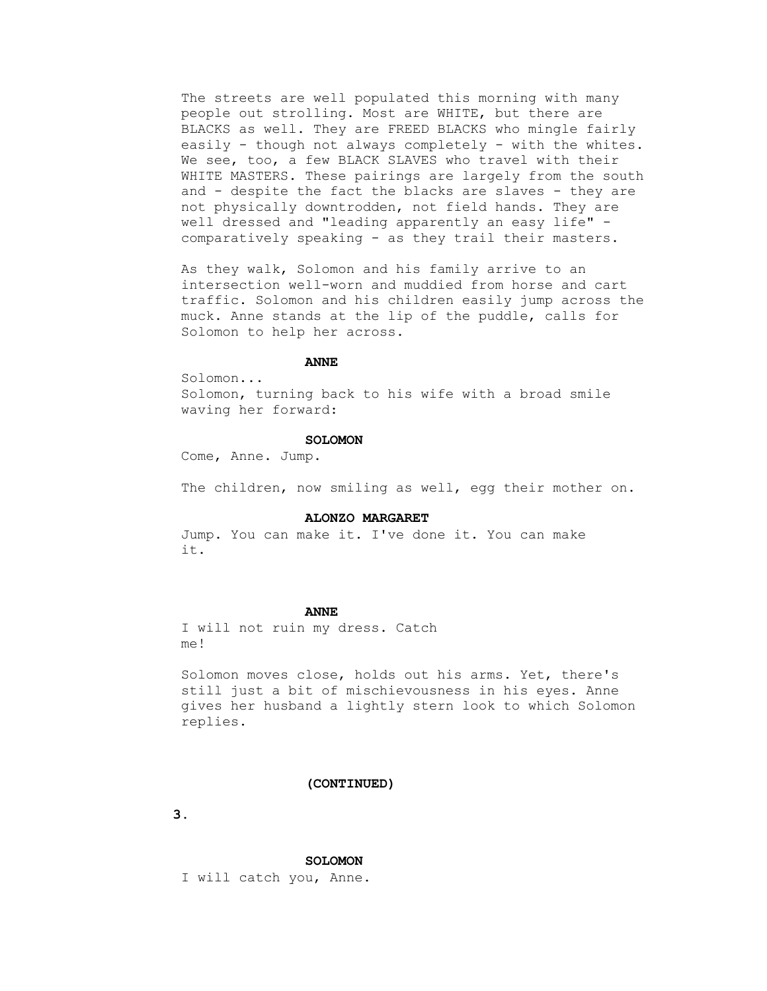The streets are well populated this morning with many people out strolling. Most are WHITE, but there are BLACKS as well. They are FREED BLACKS who mingle fairly easily - though not always completely - with the whites. We see, too, a few BLACK SLAVES who travel with their WHITE MASTERS. These pairings are largely from the south and - despite the fact the blacks are slaves - they are not physically downtrodden, not field hands. They are well dressed and "leading apparently an easy life" comparatively speaking - as they trail their masters.

 As they walk, Solomon and his family arrive to an intersection well-worn and muddied from horse and cart traffic. Solomon and his children easily jump across the muck. Anne stands at the lip of the puddle, calls for Solomon to help her across.

# *ANNE*

Solomon...

 Solomon, turning back to his wife with a broad smile waving her forward:

## **SOLOMON**

Come, Anne. Jump.

The children, now smiling as well, egg their mother on.

#### **ALONZO MARGARET**

 Jump. You can make it. I've done it. You can make it.

#### **ANNE**

 I will not ruin my dress. Catch me!

 Solomon moves close, holds out his arms. Yet, there's still just a bit of mischievousness in his eyes. Anne gives her husband a lightly stern look to which Solomon replies.

## **(CONTINUED)**

 **3.**

 **SOLOMON**

I will catch you, Anne.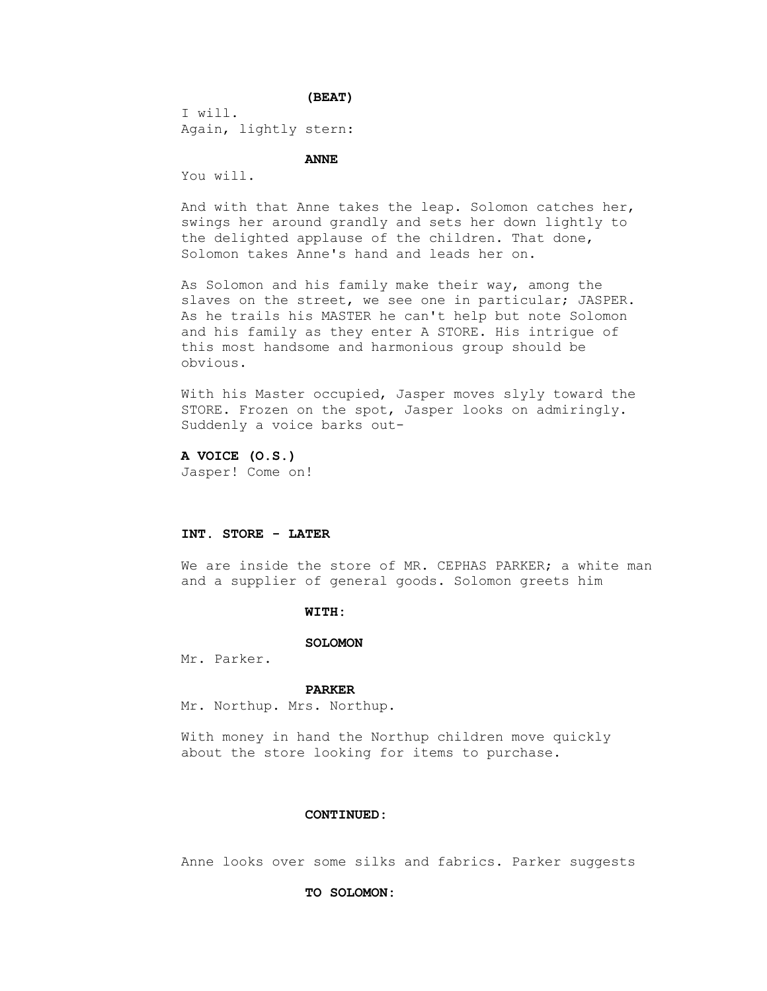**(BEAT)**

 I will. Again, lightly stern:

 **ANNE**

You will.

 And with that Anne takes the leap. Solomon catches her, swings her around grandly and sets her down lightly to the delighted applause of the children. That done, Solomon takes Anne's hand and leads her on.

 As Solomon and his family make their way, among the slaves on the street, we see one in particular; JASPER. As he trails his MASTER he can't help but note Solomon and his family as they enter A STORE. His intrigue of this most handsome and harmonious group should be obvious.

 With his Master occupied, Jasper moves slyly toward the STORE. Frozen on the spot, Jasper looks on admiringly. Suddenly a voice barks out-

 **A VOICE (O.S.)** Jasper! Come on!

# **INT. STORE - LATER**

We are inside the store of MR. CEPHAS PARKER; a white man and a supplier of general goods. Solomon greets him

## **WITH:**

#### **SOLOMON**

Mr. Parker.

#### **PARKER**

Mr. Northup. Mrs. Northup.

 With money in hand the Northup children move quickly about the store looking for items to purchase.

# **CONTINUED:**

Anne looks over some silks and fabrics. Parker suggests

### **TO SOLOMON:**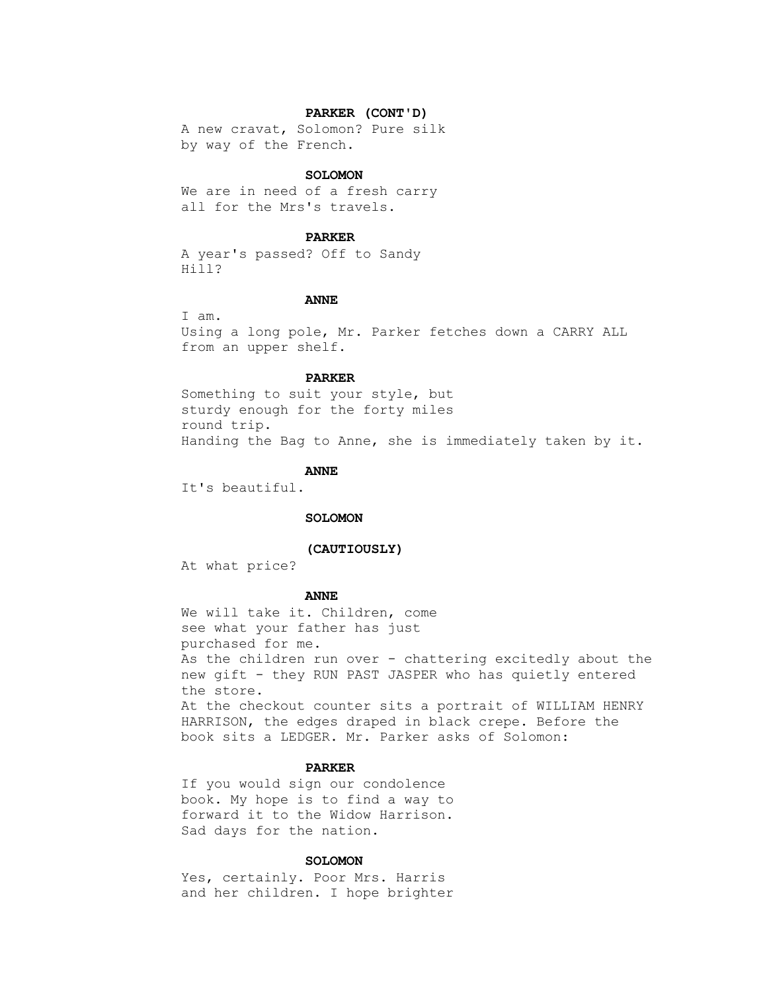#### **PARKER (CONT'D)**

 A new cravat, Solomon? Pure silk by way of the French.

#### **SOLOMON**

 We are in need of a fresh carry all for the Mrs's travels.

### **PARKER**

 A year's passed? Off to Sandy Hill?

#### **ANNE**

 I am. Using a long pole, Mr. Parker fetches down a CARRY ALL from an upper shelf.

# **PARKER**

 Something to suit your style, but sturdy enough for the forty miles round trip. Handing the Bag to Anne, she is immediately taken by it.

#### **ANNE**

It's beautiful.

#### **SOLOMON**

## **(CAUTIOUSLY)**

At what price?

#### **ANNE**

 We will take it. Children, come see what your father has just purchased for me. As the children run over - chattering excitedly about the new gift - they RUN PAST JASPER who has quietly entered the store. At the checkout counter sits a portrait of WILLIAM HENRY HARRISON, the edges draped in black crepe. Before the book sits a LEDGER. Mr. Parker asks of Solomon:

# **PARKER**

 If you would sign our condolence book. My hope is to find a way to forward it to the Widow Harrison. Sad days for the nation.

#### **SOLOMON**

 Yes, certainly. Poor Mrs. Harris and her children. I hope brighter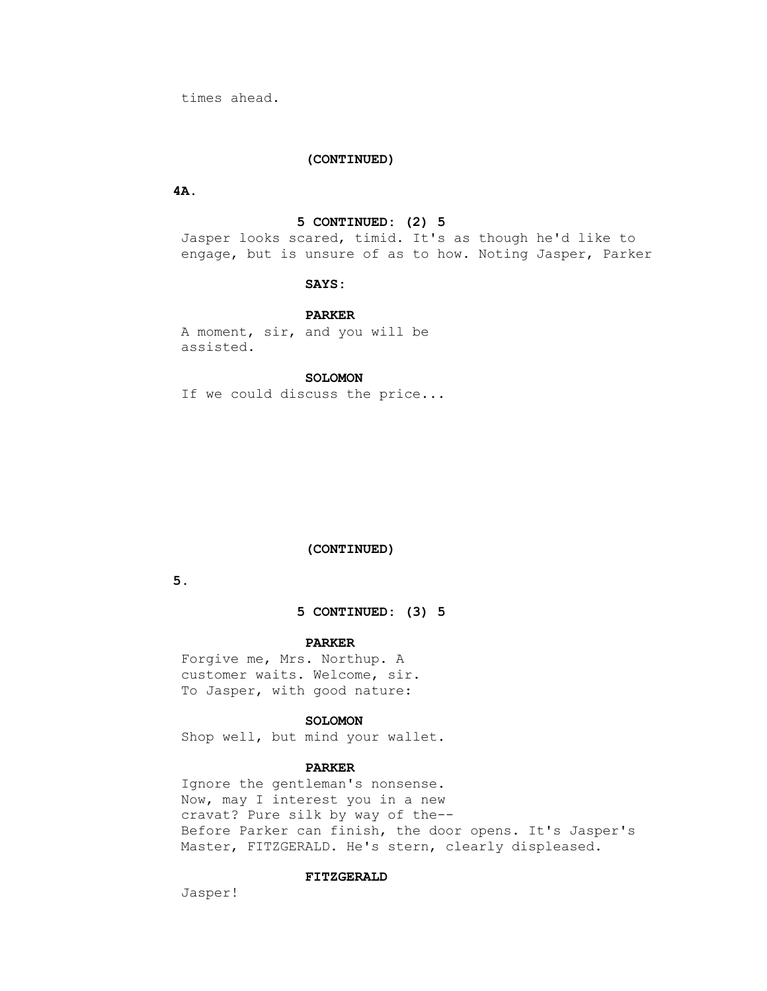times ahead.

# **(CONTINUED)**

 **4A.**

# **5 CONTINUED: (2) 5**

 Jasper looks scared, timid. It's as though he'd like to engage, but is unsure of as to how. Noting Jasper, Parker

# **SAYS:**

#### **PARKER**

 A moment, sir, and you will be assisted.

# **SOLOMON**

If we could discuss the price...

## **(CONTINUED)**

 **5.**

## **5 CONTINUED: (3) 5**

## **PARKER**

 Forgive me, Mrs. Northup. A customer waits. Welcome, sir. To Jasper, with good nature:

## **SOLOMON**

Shop well, but mind your wallet.

# **PARKER**

 Ignore the gentleman's nonsense. Now, may I interest you in a new cravat? Pure silk by way of the-- Before Parker can finish, the door opens. It's Jasper's Master, FITZGERALD. He's stern, clearly displeased.

## **FITZGERALD**

Jasper!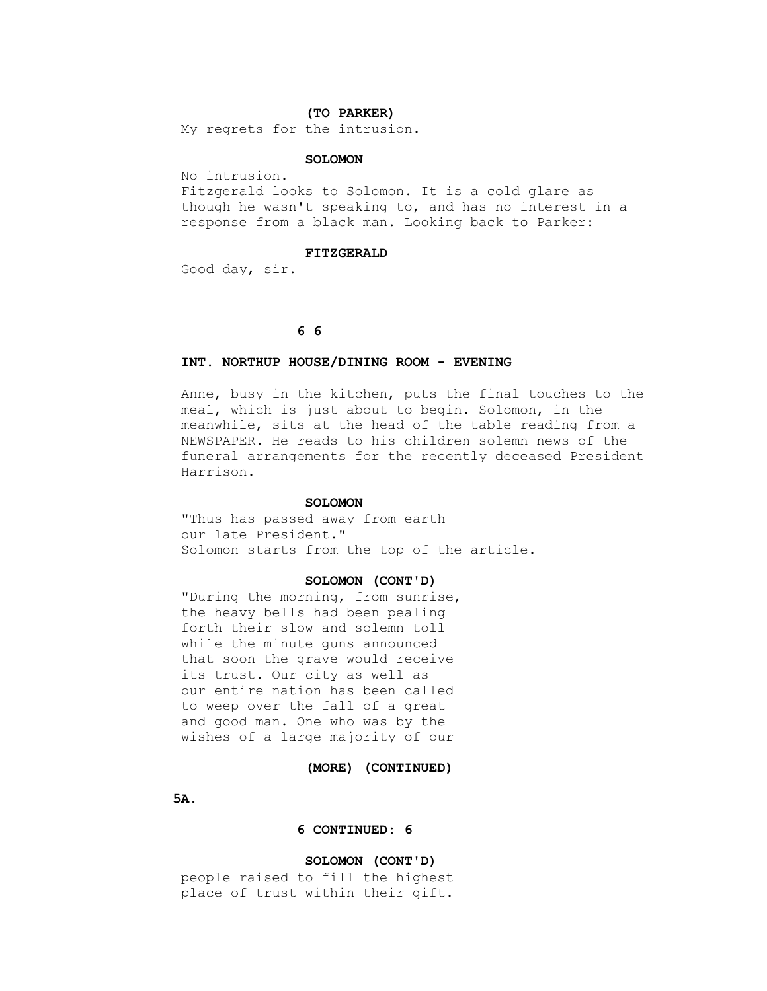#### **(TO PARKER)**

My regrets for the intrusion.

# **SOLOMON**

No intrusion.

 Fitzgerald looks to Solomon. It is a cold glare as though he wasn't speaking to, and has no interest in a response from a black man. Looking back to Parker:

#### **FITZGERALD**

Good day, sir.

# **6 6**

## **INT. NORTHUP HOUSE/DINING ROOM - EVENING**

 Anne, busy in the kitchen, puts the final touches to the meal, which is just about to begin. Solomon, in the meanwhile, sits at the head of the table reading from a NEWSPAPER. He reads to his children solemn news of the funeral arrangements for the recently deceased President Harrison.

#### **SOLOMON**

 "Thus has passed away from earth our late President." Solomon starts from the top of the article.

#### **SOLOMON (CONT'D)**

 "During the morning, from sunrise, the heavy bells had been pealing forth their slow and solemn toll while the minute guns announced that soon the grave would receive its trust. Our city as well as our entire nation has been called to weep over the fall of a great and good man. One who was by the wishes of a large majority of our

 **(MORE) (CONTINUED)**

 **5A.**

## **6 CONTINUED: 6**

## **SOLOMON (CONT'D)**

 people raised to fill the highest place of trust within their gift.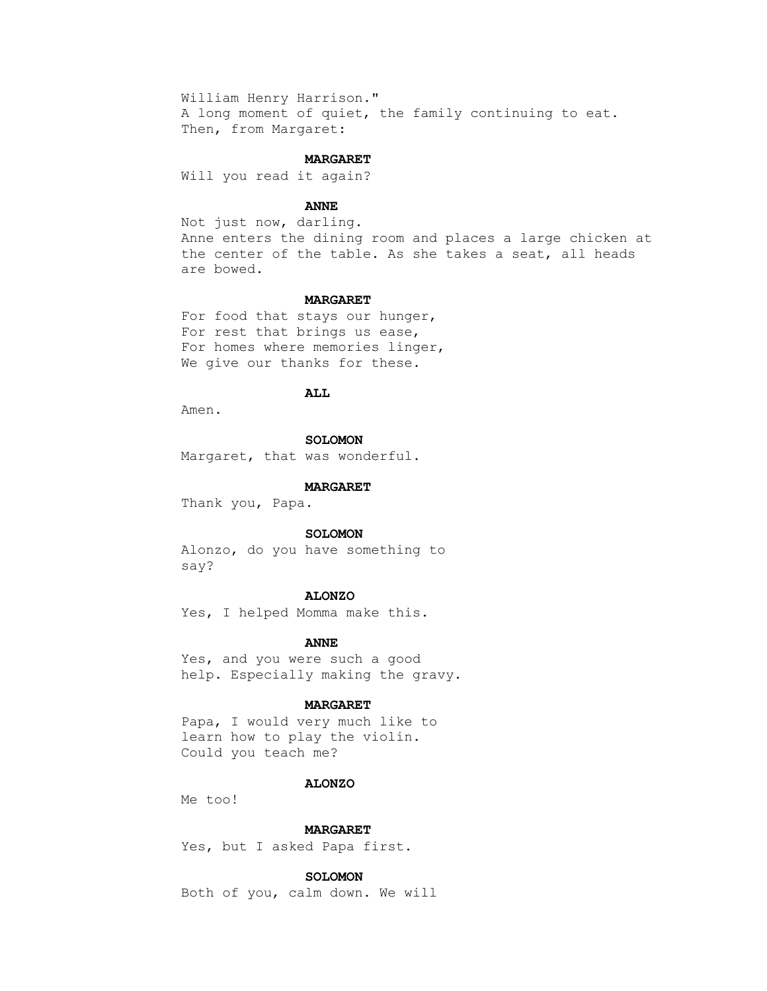William Henry Harrison." A long moment of quiet, the family continuing to eat. Then, from Margaret:

## **MARGARET**

Will you read it again?

# **ANNE**

 Not just now, darling. Anne enters the dining room and places a large chicken at the center of the table. As she takes a seat, all heads are bowed.

### **MARGARET**

 For food that stays our hunger, For rest that brings us ease, For homes where memories linger, We give our thanks for these.

# **ALL**

Amen.

 **SOLOMON**

Margaret, that was wonderful.

# **MARGARET**

Thank you, Papa.

#### **SOLOMON**

 Alonzo, do you have something to say?

## **ALONZO**

Yes, I helped Momma make this.

#### **ANNE**

 Yes, and you were such a good help. Especially making the gravy.

#### **MARGARET**

 Papa, I would very much like to learn how to play the violin. Could you teach me?

# **ALONZO**

Me too!

#### **MARGARET**

Yes, but I asked Papa first.

## **SOLOMON**

Both of you, calm down. We will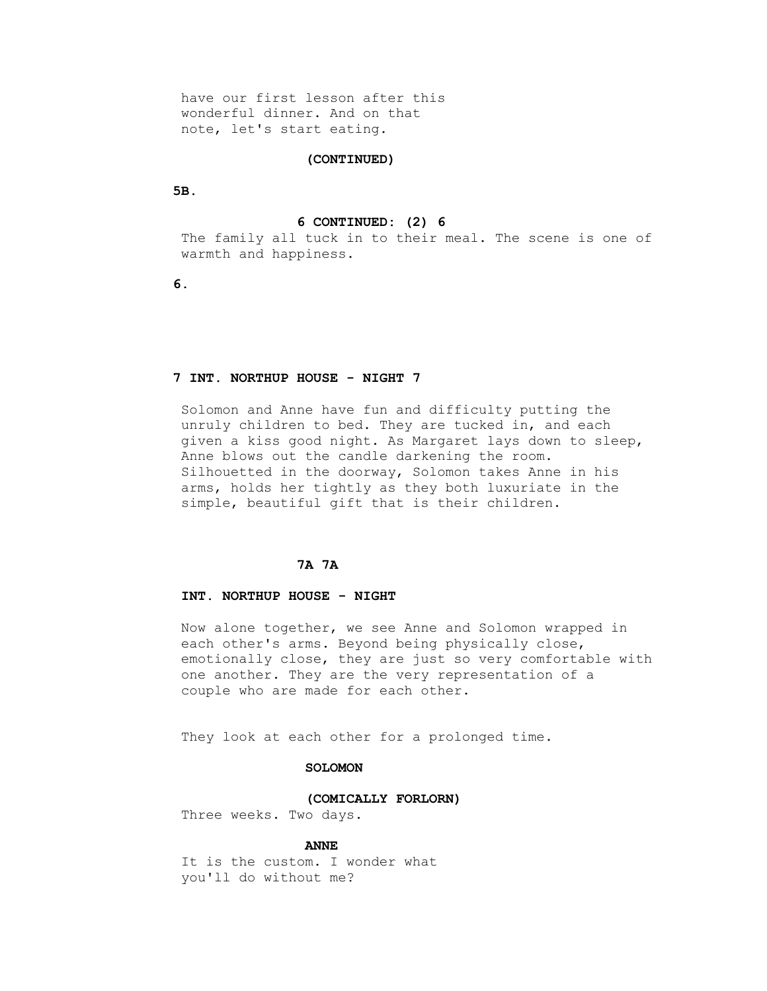have our first lesson after this wonderful dinner. And on that note, let's start eating.

## **(CONTINUED)**

 **5B.**

## **6 CONTINUED: (2) 6**

 The family all tuck in to their meal. The scene is one of warmth and happiness.

 **6.**

# **7 INT. NORTHUP HOUSE - NIGHT 7**

 Solomon and Anne have fun and difficulty putting the unruly children to bed. They are tucked in, and each given a kiss good night. As Margaret lays down to sleep, Anne blows out the candle darkening the room. Silhouetted in the doorway, Solomon takes Anne in his arms, holds her tightly as they both luxuriate in the simple, beautiful gift that is their children.

# **7A 7A**

# **INT. NORTHUP HOUSE - NIGHT**

 Now alone together, we see Anne and Solomon wrapped in each other's arms. Beyond being physically close, emotionally close, they are just so very comfortable with one another. They are the very representation of a couple who are made for each other.

They look at each other for a prolonged time.

## **SOLOMON**

## **(COMICALLY FORLORN)**

Three weeks. Two days.

# **ANNE**

 It is the custom. I wonder what you'll do without me?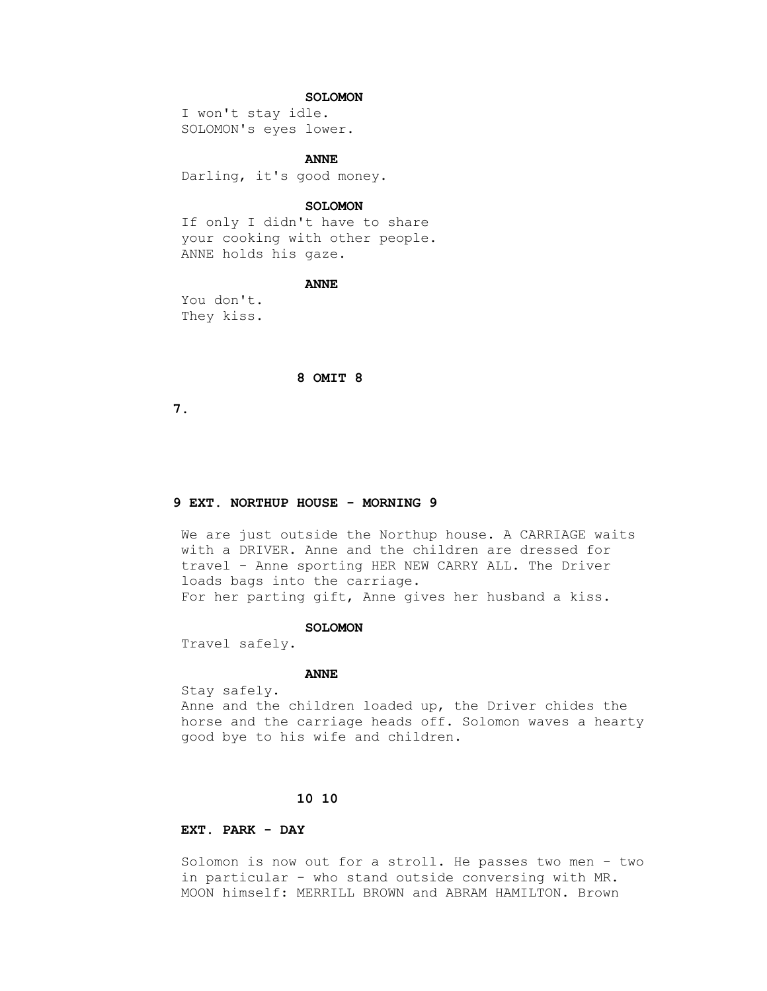# **SOLOMON**

 I won't stay idle. SOLOMON's eyes lower.

 **ANNE** 

Darling, it's good money.

### **SOLOMON**

 If only I didn't have to share your cooking with other people. ANNE holds his gaze.

# **ANNE**

 You don't. They kiss.

## **8 OMIT 8**

 **7.**

# **9 EXT. NORTHUP HOUSE - MORNING 9**

 We are just outside the Northup house. A CARRIAGE waits with a DRIVER. Anne and the children are dressed for travel - Anne sporting HER NEW CARRY ALL. The Driver loads bags into the carriage. For her parting gift, Anne gives her husband a kiss.

#### **SOLOMON**

Travel safely.

#### **ANNE**

 Stay safely. Anne and the children loaded up, the Driver chides the horse and the carriage heads off. Solomon waves a hearty good bye to his wife and children.

# **10 10**

# **EXT. PARK - DAY**

 Solomon is now out for a stroll. He passes two men - two in particular - who stand outside conversing with MR. MOON himself: MERRILL BROWN and ABRAM HAMILTON. Brown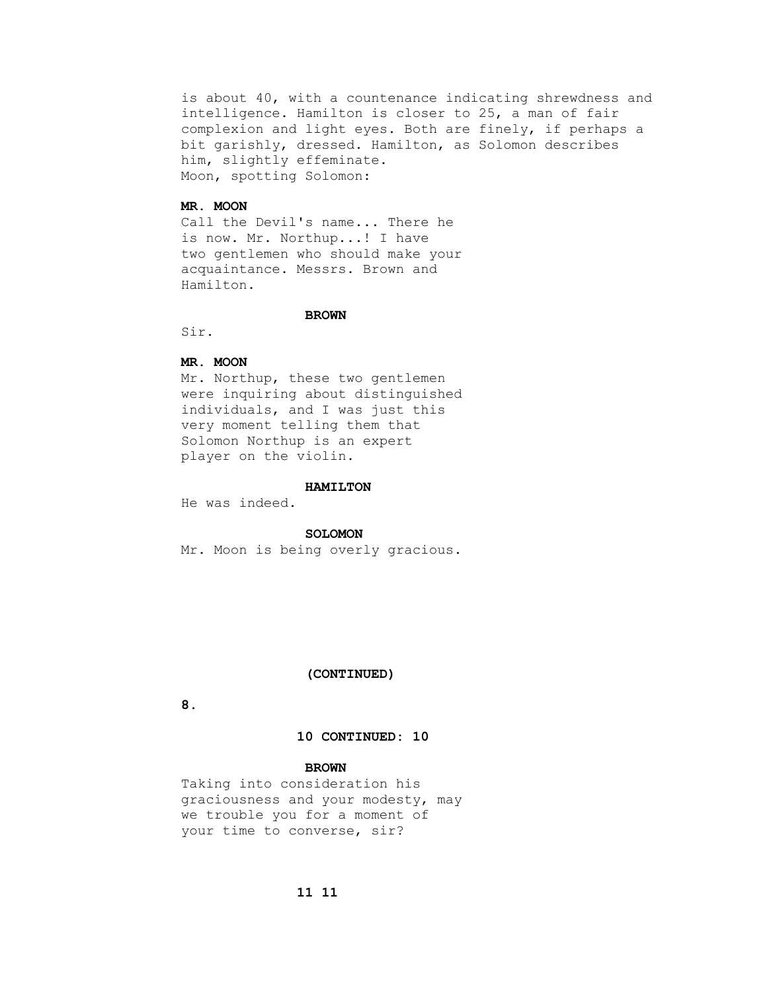is about 40, with a countenance indicating shrewdness and intelligence. Hamilton is closer to 25, a man of fair complexion and light eyes. Both are finely, if perhaps a bit garishly, dressed. Hamilton, as Solomon describes him, slightly effeminate. Moon, spotting Solomon:

# **MR. MOON**

 Call the Devil's name... There he is now. Mr. Northup...! I have two gentlemen who should make your acquaintance. Messrs. Brown and Hamilton.

# **BROWN**

Sir.

# **MR. MOON**

 Mr. Northup, these two gentlemen were inquiring about distinguished individuals, and I was just this very moment telling them that Solomon Northup is an expert player on the violin.

#### **HAMILTON**

He was indeed.

#### **SOLOMON**

Mr. Moon is being overly gracious.

# **(CONTINUED)**

 **8.**

# **10 CONTINUED: 10**

# **BROWN**

 Taking into consideration his graciousness and your modesty, may we trouble you for a moment of your time to converse, sir?

# **11 11**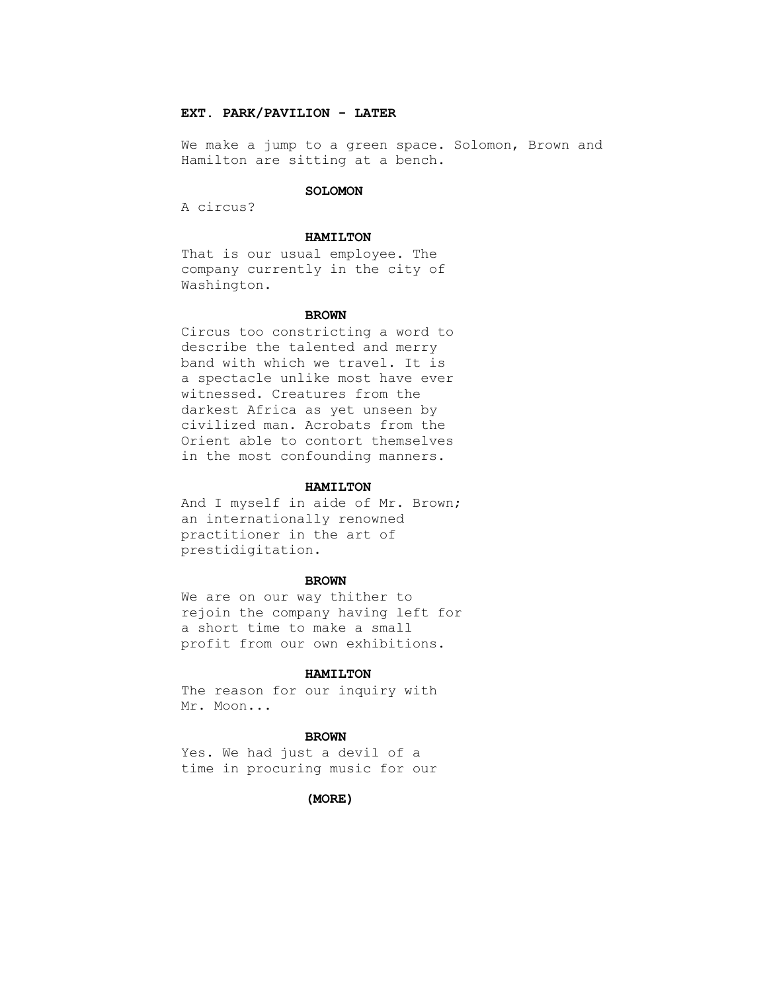# **EXT. PARK/PAVILION - LATER**

 We make a jump to a green space. Solomon, Brown and Hamilton are sitting at a bench.

#### **SOLOMON**

A circus?

#### **HAMILTON**

 That is our usual employee. The company currently in the city of Washington.

#### **BROWN**

 Circus too constricting a word to describe the talented and merry band with which we travel. It is a spectacle unlike most have ever witnessed. Creatures from the darkest Africa as yet unseen by civilized man. Acrobats from the Orient able to contort themselves in the most confounding manners.

### **HAMILTON**

 And I myself in aide of Mr. Brown; an internationally renowned practitioner in the art of prestidigitation.

#### **BROWN**

 We are on our way thither to rejoin the company having left for a short time to make a small profit from our own exhibitions.

# **HAMILTON**

 The reason for our inquiry with Mr. Moon...

#### **BROWN**

 Yes. We had just a devil of a time in procuring music for our

### **(MORE)**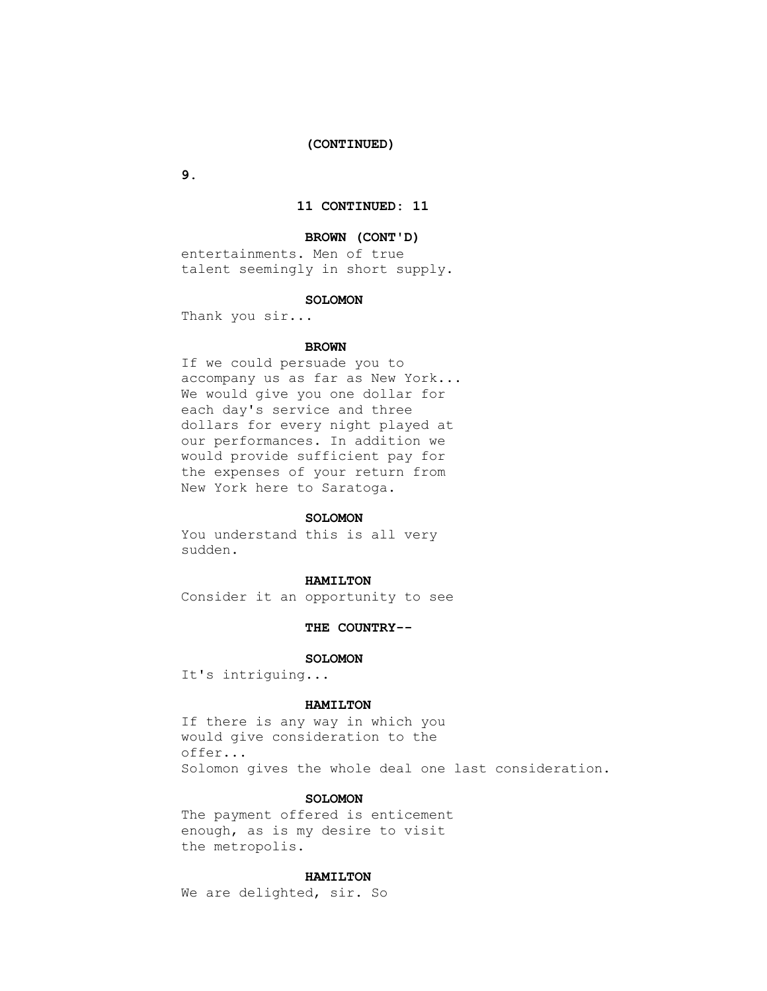# **(CONTINUED)**

 **9.**

# **11 CONTINUED: 11**

#### **BROWN (CONT'D)**

 entertainments. Men of true talent seemingly in short supply.

#### **SOLOMON**

Thank you sir...

#### **BROWN**

 If we could persuade you to accompany us as far as New York... We would give you one dollar for each day's service and three dollars for every night played at our performances. In addition we would provide sufficient pay for the expenses of your return from New York here to Saratoga.

#### **SOLOMON**

 You understand this is all very sudden.

#### **HAMILTON**

Consider it an opportunity to see

## **THE COUNTRY--**

#### **SOLOMON**

It's intriguing...

#### **HAMILTON**

 If there is any way in which you would give consideration to the offer... Solomon gives the whole deal one last consideration.

#### **SOLOMON**

 The payment offered is enticement enough, as is my desire to visit the metropolis.

## **HAMILTON**

We are delighted, sir. So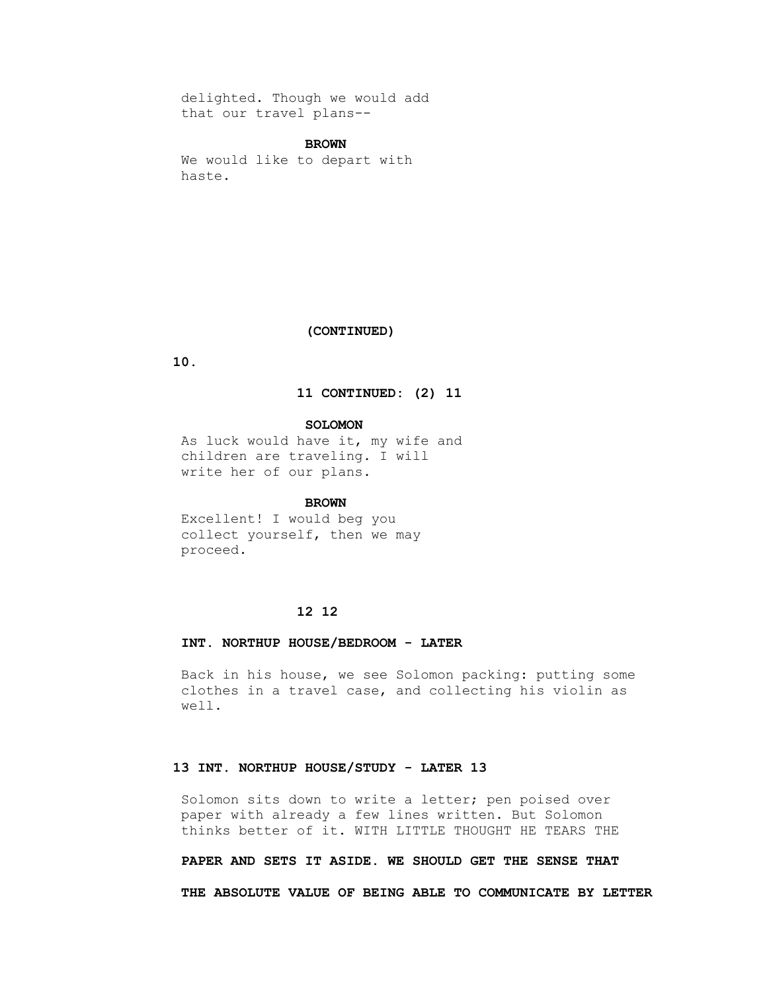delighted. Though we would add that our travel plans--

### **BROWN**

 We would like to depart with haste.

## **(CONTINUED)**

 **10.**

# **11 CONTINUED: (2) 11**

 **SOLOMON**

 As luck would have it, my wife and children are traveling. I will write her of our plans.

# **BROWN**

 Excellent! I would beg you collect yourself, then we may proceed.

## **12 12**

#### **INT. NORTHUP HOUSE/BEDROOM - LATER**

 Back in his house, we see Solomon packing: putting some clothes in a travel case, and collecting his violin as well.

# **13 INT. NORTHUP HOUSE/STUDY - LATER 13**

 Solomon sits down to write a letter; pen poised over paper with already a few lines written. But Solomon thinks better of it. WITH LITTLE THOUGHT HE TEARS THE

 **PAPER AND SETS IT ASIDE. WE SHOULD GET THE SENSE THAT**

 **THE ABSOLUTE VALUE OF BEING ABLE TO COMMUNICATE BY LETTER**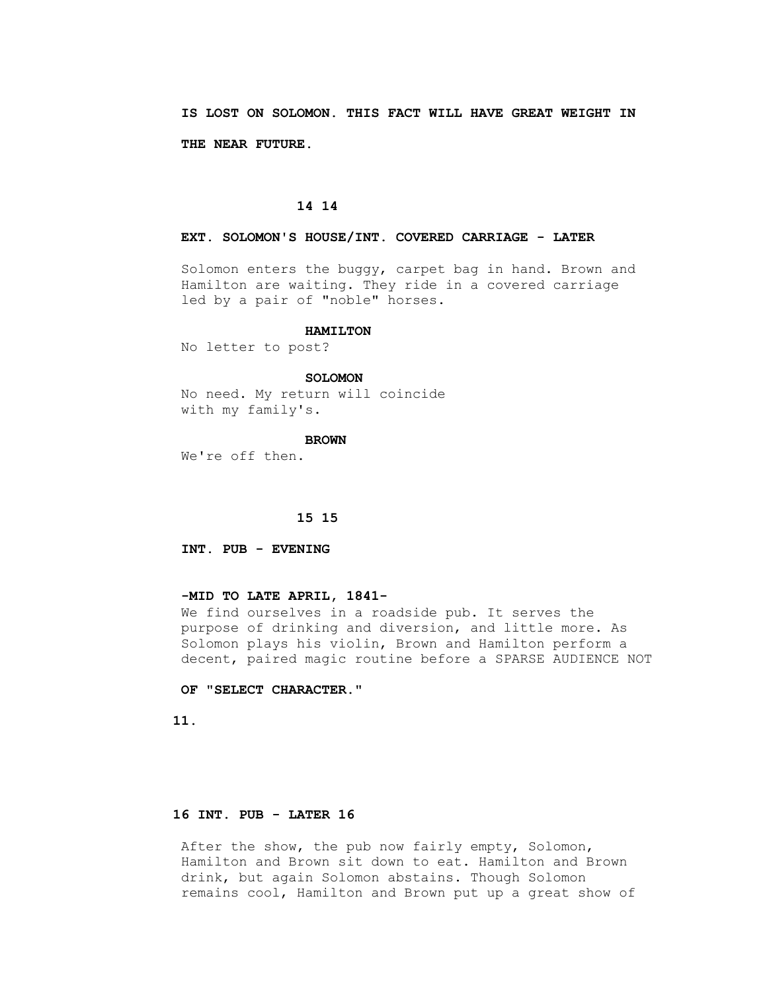**IS LOST ON SOLOMON. THIS FACT WILL HAVE GREAT WEIGHT IN THE NEAR FUTURE.**

# **14 14**

#### **EXT. SOLOMON'S HOUSE/INT. COVERED CARRIAGE - LATER**

 Solomon enters the buggy, carpet bag in hand. Brown and Hamilton are waiting. They ride in a covered carriage led by a pair of "noble" horses.

# **HAMILTON**

No letter to post?

### **SOLOMON**

 No need. My return will coincide with my family's.

#### **BROWN**

We're off then.

#### **15 15**

 **INT. PUB - EVENING**

## **-MID TO LATE APRIL, 1841-**

 We find ourselves in a roadside pub. It serves the purpose of drinking and diversion, and little more. As Solomon plays his violin, Brown and Hamilton perform a decent, paired magic routine before a SPARSE AUDIENCE NOT

# **OF "SELECT CHARACTER."**

 **11.**

# **16 INT. PUB - LATER 16**

After the show, the pub now fairly empty, Solomon, Hamilton and Brown sit down to eat. Hamilton and Brown drink, but again Solomon abstains. Though Solomon remains cool, Hamilton and Brown put up a great show of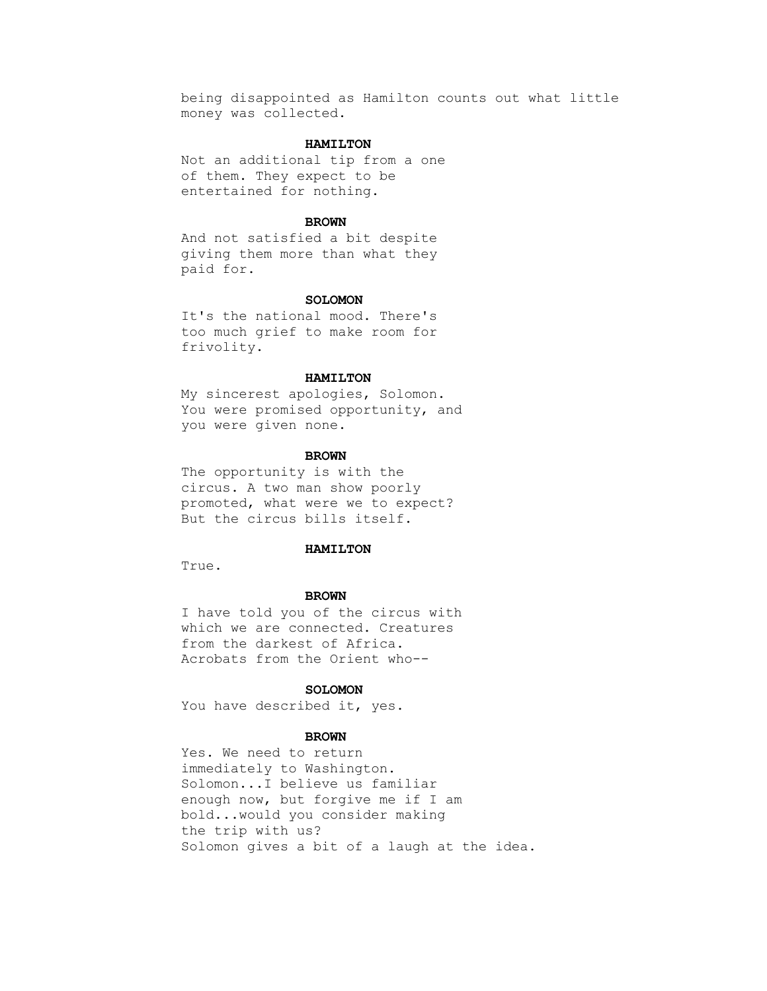being disappointed as Hamilton counts out what little money was collected.

# **HAMILTON**

 Not an additional tip from a one of them. They expect to be entertained for nothing.

### **BROWN**

 And not satisfied a bit despite giving them more than what they paid for.

#### **SOLOMON**

 It's the national mood. There's too much grief to make room for frivolity.

### **HAMILTON**

 My sincerest apologies, Solomon. You were promised opportunity, and you were given none.

#### **BROWN**

 The opportunity is with the circus. A two man show poorly promoted, what were we to expect? But the circus bills itself.

## **HAMILTON**

True.

#### **BROWN**

 I have told you of the circus with which we are connected. Creatures from the darkest of Africa. Acrobats from the Orient who--

# **SOLOMON**

You have described it, yes.

## **BROWN**

 Yes. We need to return immediately to Washington. Solomon...I believe us familiar enough now, but forgive me if I am bold...would you consider making the trip with us? Solomon gives a bit of a laugh at the idea.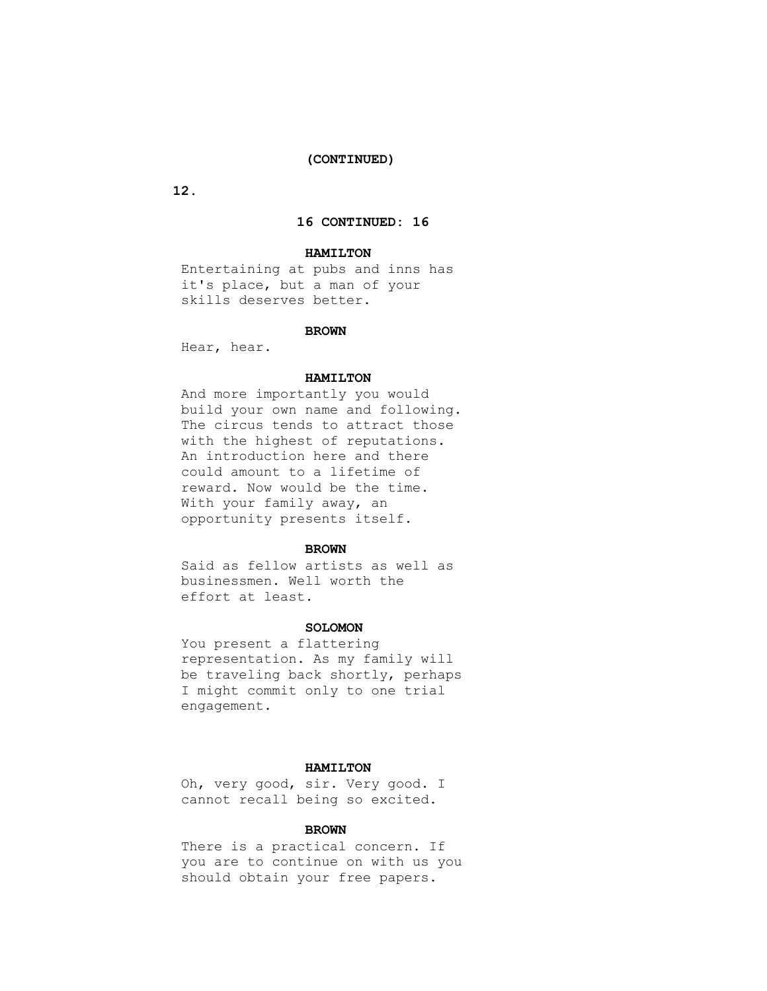# **(CONTINUED)**

 **12.**

# **16 CONTINUED: 16**

# **HAMILTON**

 Entertaining at pubs and inns has it's place, but a man of your skills deserves better.

## **BROWN**

Hear, hear.

# **HAMILTON**

 And more importantly you would build your own name and following. The circus tends to attract those with the highest of reputations. An introduction here and there could amount to a lifetime of reward. Now would be the time. With your family away, an opportunity presents itself.

## **BROWN**

 Said as fellow artists as well as businessmen. Well worth the effort at least.

## **SOLOMON**

 You present a flattering representation. As my family will be traveling back shortly, perhaps I might commit only to one trial engagement.

#### **HAMILTON**

 Oh, very good, sir. Very good. I cannot recall being so excited.

# **BROWN**

 There is a practical concern. If you are to continue on with us you should obtain your free papers.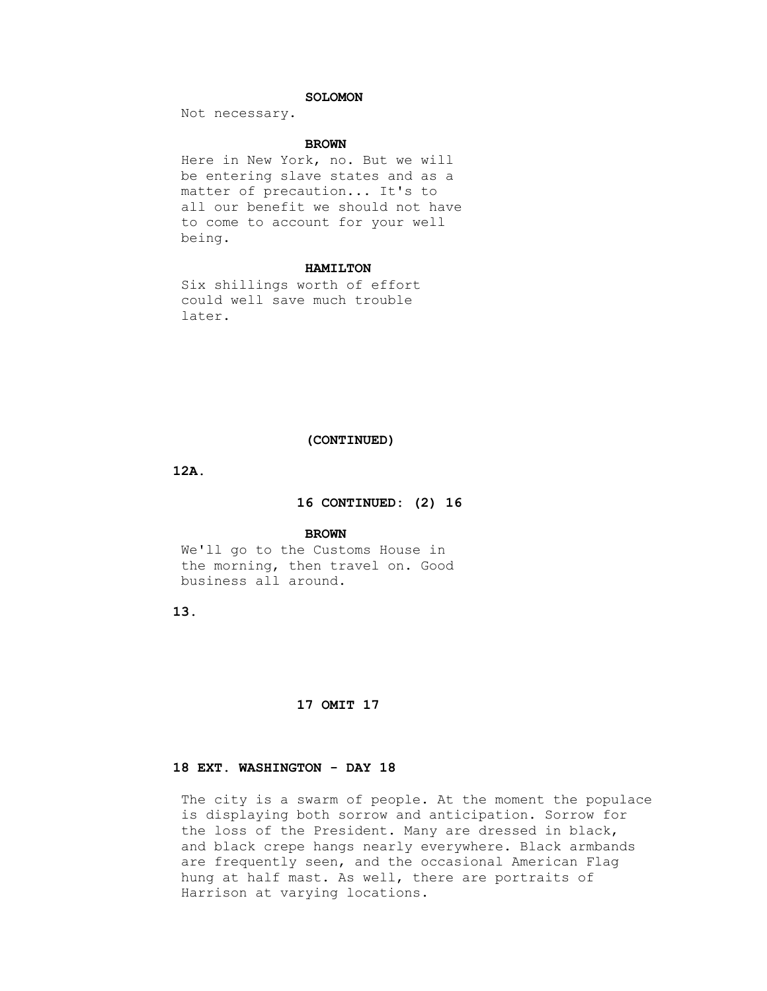# **SOLOMON**

Not necessary.

### **BROWN**

 Here in New York, no. But we will be entering slave states and as a matter of precaution... It's to all our benefit we should not have to come to account for your well being.

### **HAMILTON**

 Six shillings worth of effort could well save much trouble later.

# **(CONTINUED)**

 **12A.**

# **16 CONTINUED: (2) 16**

#### **BROWN**

 We'll go to the Customs House in the morning, then travel on. Good business all around.

 **13.**

# **17 OMIT 17**

# **18 EXT. WASHINGTON - DAY 18**

 The city is a swarm of people. At the moment the populace is displaying both sorrow and anticipation. Sorrow for the loss of the President. Many are dressed in black, and black crepe hangs nearly everywhere. Black armbands are frequently seen, and the occasional American Flag hung at half mast. As well, there are portraits of Harrison at varying locations.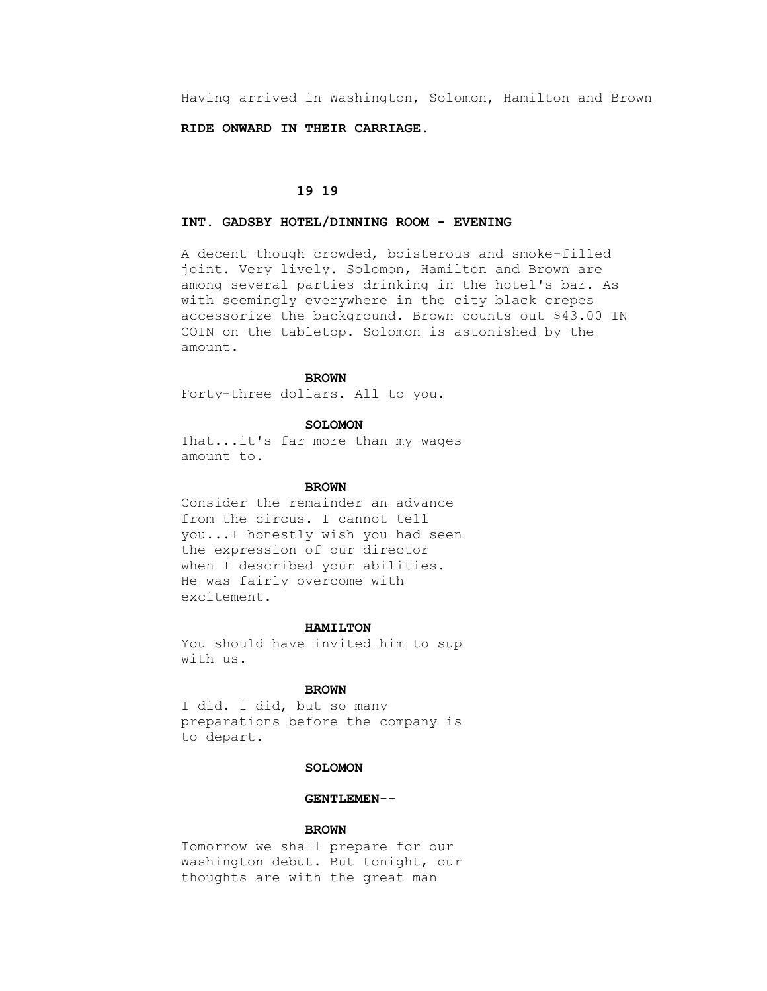Having arrived in Washington, Solomon, Hamilton and Brown

 **RIDE ONWARD IN THEIR CARRIAGE.**

# **19 19**

# **INT. GADSBY HOTEL/DINNING ROOM - EVENING**

 A decent though crowded, boisterous and smoke-filled joint. Very lively. Solomon, Hamilton and Brown are among several parties drinking in the hotel's bar. As with seemingly everywhere in the city black crepes accessorize the background. Brown counts out \$43.00 IN COIN on the tabletop. Solomon is astonished by the amount.

#### **BROWN**

Forty-three dollars. All to you.

# **SOLOMON**

 That...it's far more than my wages amount to.

#### **BROWN**

 Consider the remainder an advance from the circus. I cannot tell you...I honestly wish you had seen the expression of our director when I described your abilities. He was fairly overcome with excitement.

#### **HAMILTON**

 You should have invited him to sup with us.

## **BROWN**

 I did. I did, but so many preparations before the company is to depart.

#### **SOLOMON**

#### **GENTLEMEN--**

## **BROWN**

 Tomorrow we shall prepare for our Washington debut. But tonight, our thoughts are with the great man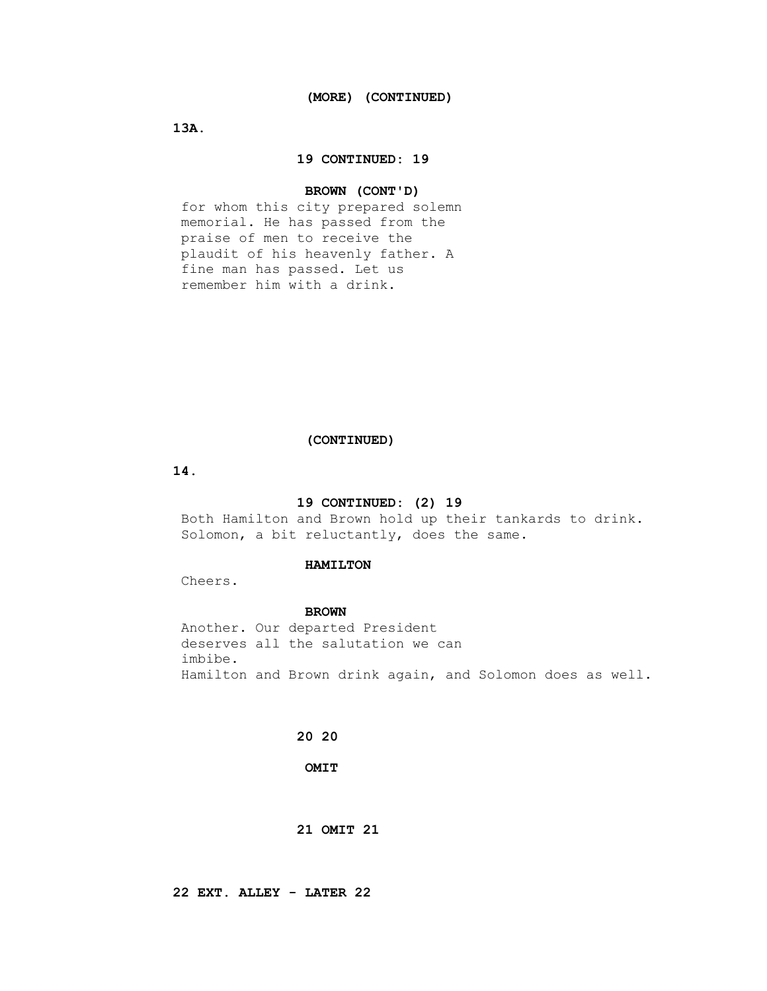**13A.**

### **19 CONTINUED: 19**

## **BROWN (CONT'D)**

 for whom this city prepared solemn memorial. He has passed from the praise of men to receive the plaudit of his heavenly father. A fine man has passed. Let us remember him with a drink.

# **(CONTINUED)**

 **14.**

## **19 CONTINUED: (2) 19**

 Both Hamilton and Brown hold up their tankards to drink. Solomon, a bit reluctantly, does the same.

#### **HAMILTON**

Cheers.

#### **BROWN**

 Another. Our departed President deserves all the salutation we can imbibe. Hamilton and Brown drink again, and Solomon does as well.

# **20 20**

 **OMIT**

# **21 OMIT 21**

 **22 EXT. ALLEY - LATER 22**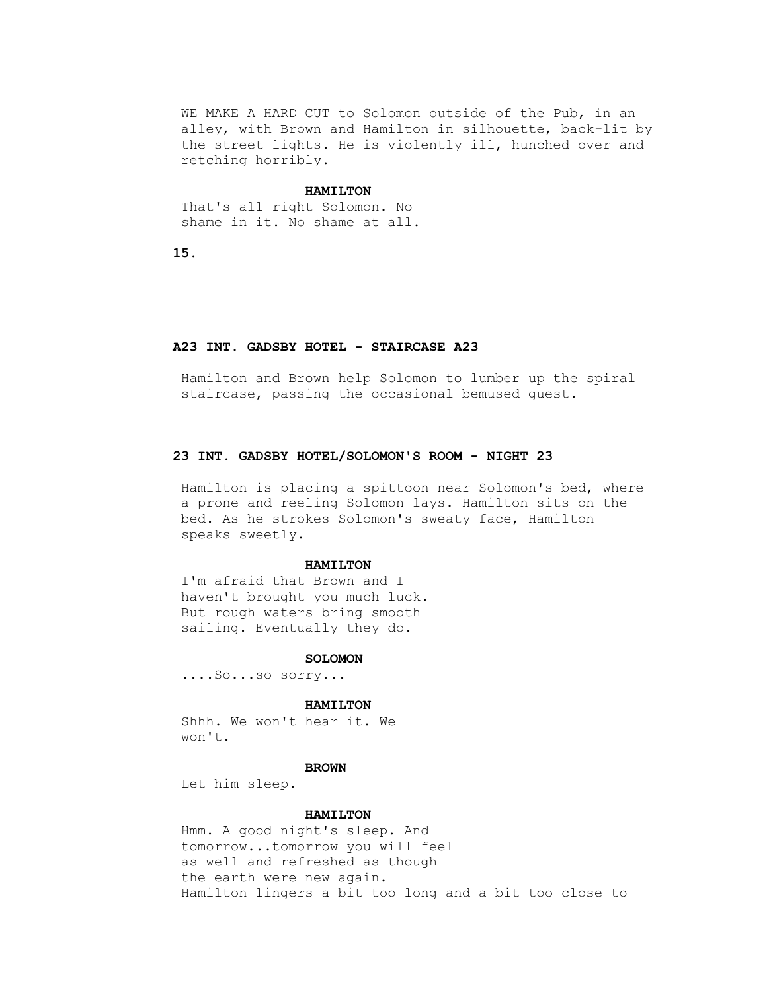WE MAKE A HARD CUT to Solomon outside of the Pub, in an alley, with Brown and Hamilton in silhouette, back-lit by the street lights. He is violently ill, hunched over and retching horribly.

#### **HAMILTON**

 That's all right Solomon. No shame in it. No shame at all.

 **15.**

#### **A23 INT. GADSBY HOTEL - STAIRCASE A23**

 Hamilton and Brown help Solomon to lumber up the spiral staircase, passing the occasional bemused guest.

# **23 INT. GADSBY HOTEL/SOLOMON'S ROOM - NIGHT 23**

 Hamilton is placing a spittoon near Solomon's bed, where a prone and reeling Solomon lays. Hamilton sits on the bed. As he strokes Solomon's sweaty face, Hamilton speaks sweetly.

#### **HAMILTON**

 I'm afraid that Brown and I haven't brought you much luck. But rough waters bring smooth sailing. Eventually they do.

#### **SOLOMON**

....So...so sorry...

#### **HAMILTON**

 Shhh. We won't hear it. We won't.

#### **BROWN**

Let him sleep.

#### **HAMILTON**

 Hmm. A good night's sleep. And tomorrow...tomorrow you will feel as well and refreshed as though the earth were new again. Hamilton lingers a bit too long and a bit too close to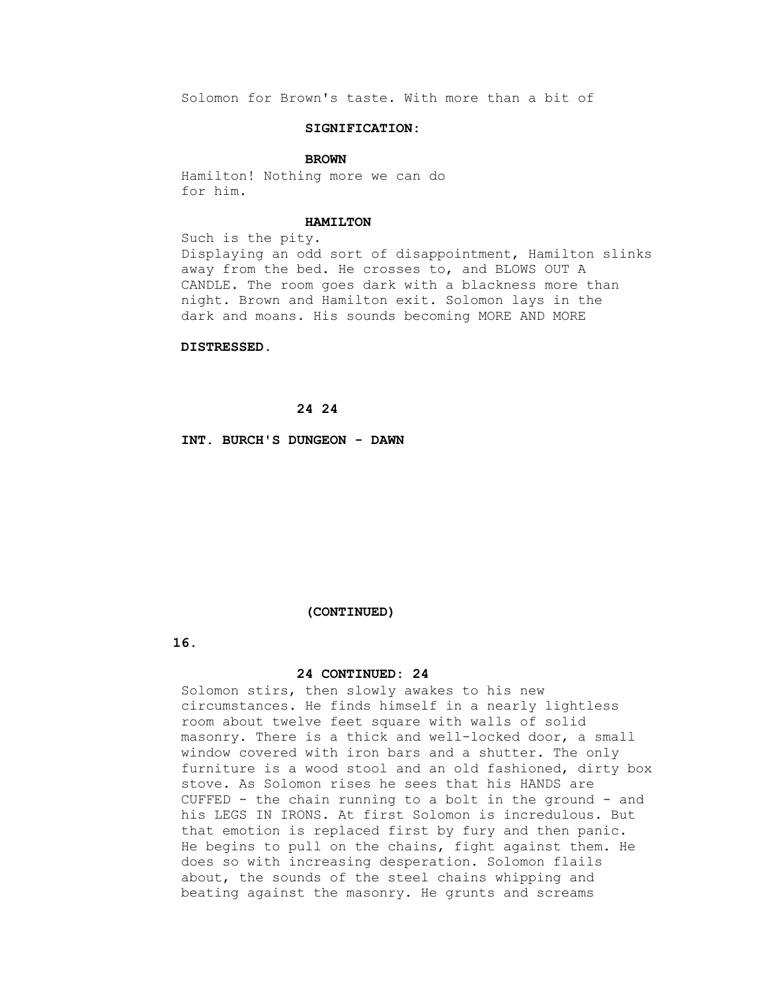Solomon for Brown's taste. With more than a bit of

### **SIGNIFICATION:**

#### **BROWN**

 Hamilton! Nothing more we can do for him.

## **HAMILTON**

 Such is the pity. Displaying an odd sort of disappointment, Hamilton slinks away from the bed. He crosses to, and BLOWS OUT A CANDLE. The room goes dark with a blackness more than night. Brown and Hamilton exit. Solomon lays in the dark and moans. His sounds becoming MORE AND MORE

#### **DISTRESSED.**

# **24 24**

 **INT. BURCH'S DUNGEON - DAWN**

#### **(CONTINUED)**

 **16.**

## **24 CONTINUED: 24**

 Solomon stirs, then slowly awakes to his new circumstances. He finds himself in a nearly lightless room about twelve feet square with walls of solid masonry. There is a thick and well-locked door, a small window covered with iron bars and a shutter. The only furniture is a wood stool and an old fashioned, dirty box stove. As Solomon rises he sees that his HANDS are CUFFED - the chain running to a bolt in the ground - and his LEGS IN IRONS. At first Solomon is incredulous. But that emotion is replaced first by fury and then panic. He begins to pull on the chains, fight against them. He does so with increasing desperation. Solomon flails about, the sounds of the steel chains whipping and beating against the masonry. He grunts and screams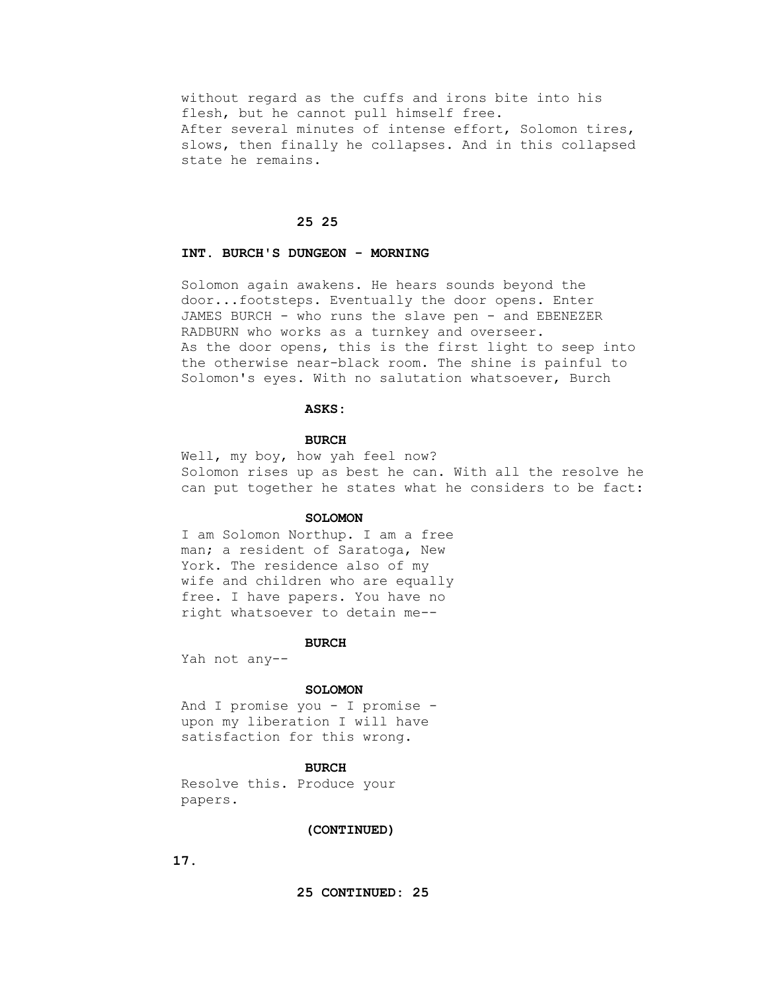without regard as the cuffs and irons bite into his flesh, but he cannot pull himself free. After several minutes of intense effort, Solomon tires, slows, then finally he collapses. And in this collapsed state he remains.

## **25 25**

# **INT. BURCH'S DUNGEON - MORNING**

 Solomon again awakens. He hears sounds beyond the door...footsteps. Eventually the door opens. Enter JAMES BURCH - who runs the slave pen - and EBENEZER RADBURN who works as a turnkey and overseer. As the door opens, this is the first light to seep into the otherwise near-black room. The shine is painful to Solomon's eyes. With no salutation whatsoever, Burch

#### **ASKS:**

# **BURCH**

 Well, my boy, how yah feel now? Solomon rises up as best he can. With all the resolve he can put together he states what he considers to be fact:

#### **SOLOMON**

 I am Solomon Northup. I am a free man; a resident of Saratoga, New York. The residence also of my wife and children who are equally free. I have papers. You have no right whatsoever to detain me--

#### **BURCH**

Yah not any--

#### **SOLOMON**

 And I promise you - I promise upon my liberation I will have satisfaction for this wrong.

### **BURCH**

 Resolve this. Produce your papers.

## **(CONTINUED)**

 **17.**

 **25 CONTINUED: 25**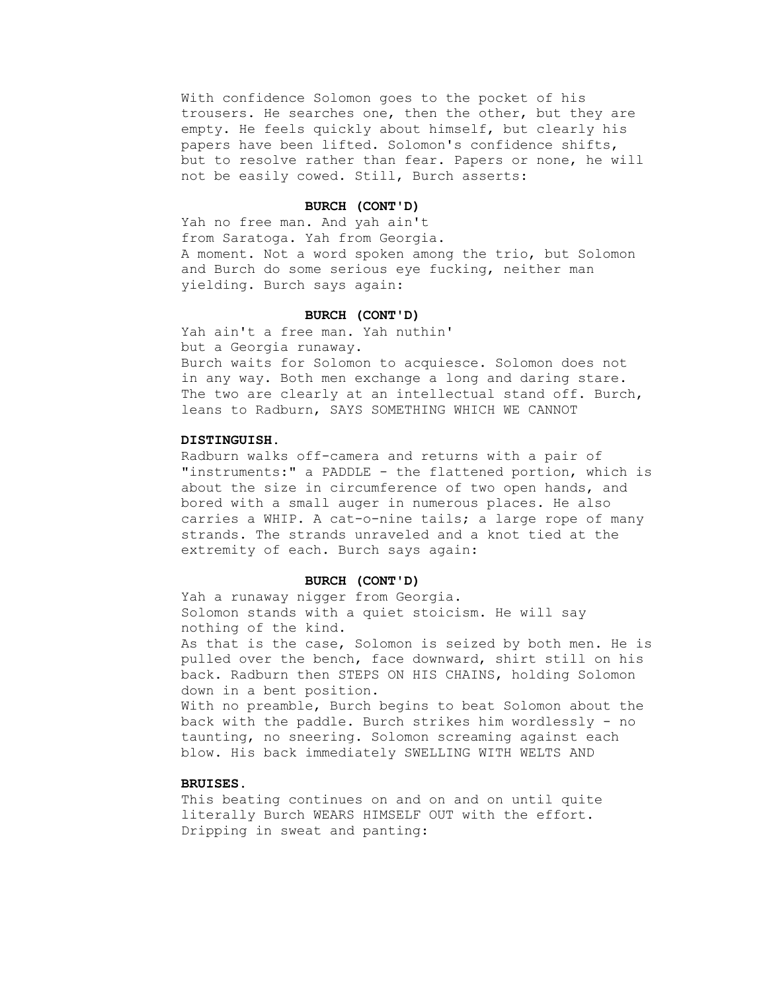With confidence Solomon goes to the pocket of his trousers. He searches one, then the other, but they are empty. He feels quickly about himself, but clearly his papers have been lifted. Solomon's confidence shifts, but to resolve rather than fear. Papers or none, he will not be easily cowed. Still, Burch asserts:

## **BURCH (CONT'D)**

 Yah no free man. And yah ain't from Saratoga. Yah from Georgia. A moment. Not a word spoken among the trio, but Solomon and Burch do some serious eye fucking, neither man yielding. Burch says again:

## **BURCH (CONT'D)**

 Yah ain't a free man. Yah nuthin' but a Georgia runaway. Burch waits for Solomon to acquiesce. Solomon does not in any way. Both men exchange a long and daring stare. The two are clearly at an intellectual stand off. Burch, leans to Radburn, SAYS SOMETHING WHICH WE CANNOT

# **DISTINGUISH.**

 Radburn walks off-camera and returns with a pair of "instruments:" a PADDLE - the flattened portion, which is about the size in circumference of two open hands, and bored with a small auger in numerous places. He also carries a WHIP. A cat-o-nine tails; a large rope of many strands. The strands unraveled and a knot tied at the extremity of each. Burch says again:

#### **BURCH (CONT'D)**

 Yah a runaway nigger from Georgia. Solomon stands with a quiet stoicism. He will say nothing of the kind.

 As that is the case, Solomon is seized by both men. He is pulled over the bench, face downward, shirt still on his back. Radburn then STEPS ON HIS CHAINS, holding Solomon down in a bent position.

 With no preamble, Burch begins to beat Solomon about the back with the paddle. Burch strikes him wordlessly - no taunting, no sneering. Solomon screaming against each blow. His back immediately SWELLING WITH WELTS AND

# **BRUISES.**

 This beating continues on and on and on until quite literally Burch WEARS HIMSELF OUT with the effort. Dripping in sweat and panting: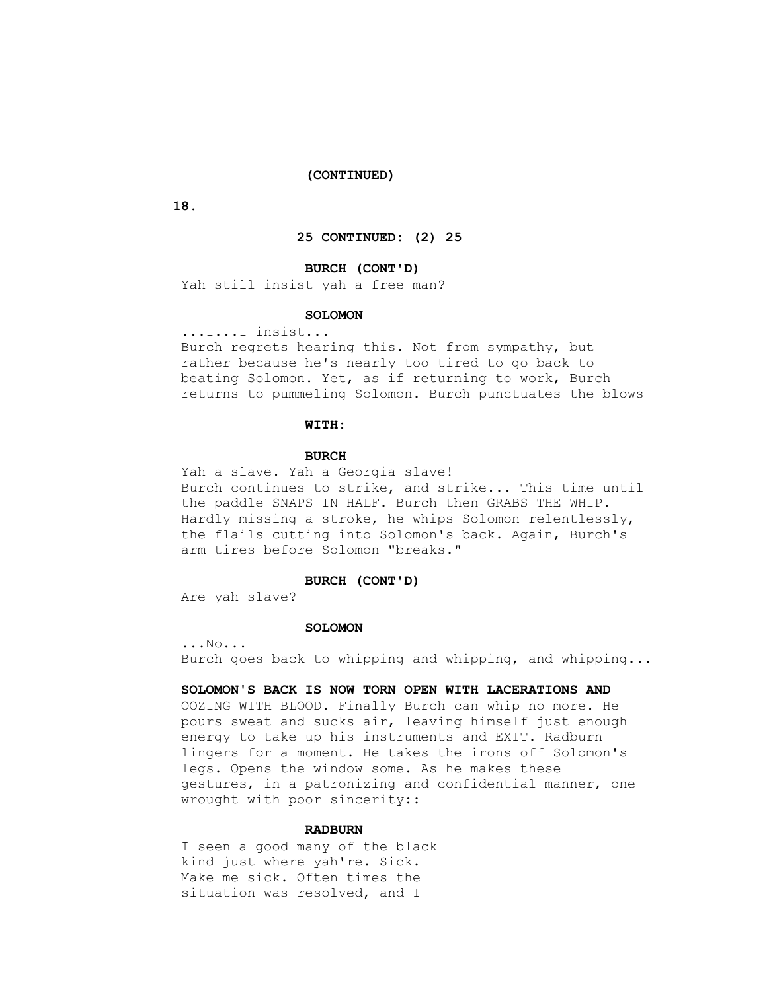#### **(CONTINUED)**

 **18.**

### **25 CONTINUED: (2) 25**

# **BURCH (CONT'D)**

Yah still insist yah a free man?

### **SOLOMON**

...I...I insist...

 Burch regrets hearing this. Not from sympathy, but rather because he's nearly too tired to go back to beating Solomon. Yet, as if returning to work, Burch returns to pummeling Solomon. Burch punctuates the blows

### **WITH:**

#### **BURCH**

 Yah a slave. Yah a Georgia slave! Burch continues to strike, and strike... This time until the paddle SNAPS IN HALF. Burch then GRABS THE WHIP. Hardly missing a stroke, he whips Solomon relentlessly, the flails cutting into Solomon's back. Again, Burch's arm tires before Solomon "breaks."

#### **BURCH (CONT'D)**

Are yah slave?

#### **SOLOMON**

 ...No... Burch goes back to whipping and whipping, and whipping...

## **SOLOMON'S BACK IS NOW TORN OPEN WITH LACERATIONS AND**

 OOZING WITH BLOOD. Finally Burch can whip no more. He pours sweat and sucks air, leaving himself just enough energy to take up his instruments and EXIT. Radburn lingers for a moment. He takes the irons off Solomon's legs. Opens the window some. As he makes these gestures, in a patronizing and confidential manner, one wrought with poor sincerity::

# **RADBURN**

 I seen a good many of the black kind just where yah're. Sick. Make me sick. Often times the situation was resolved, and I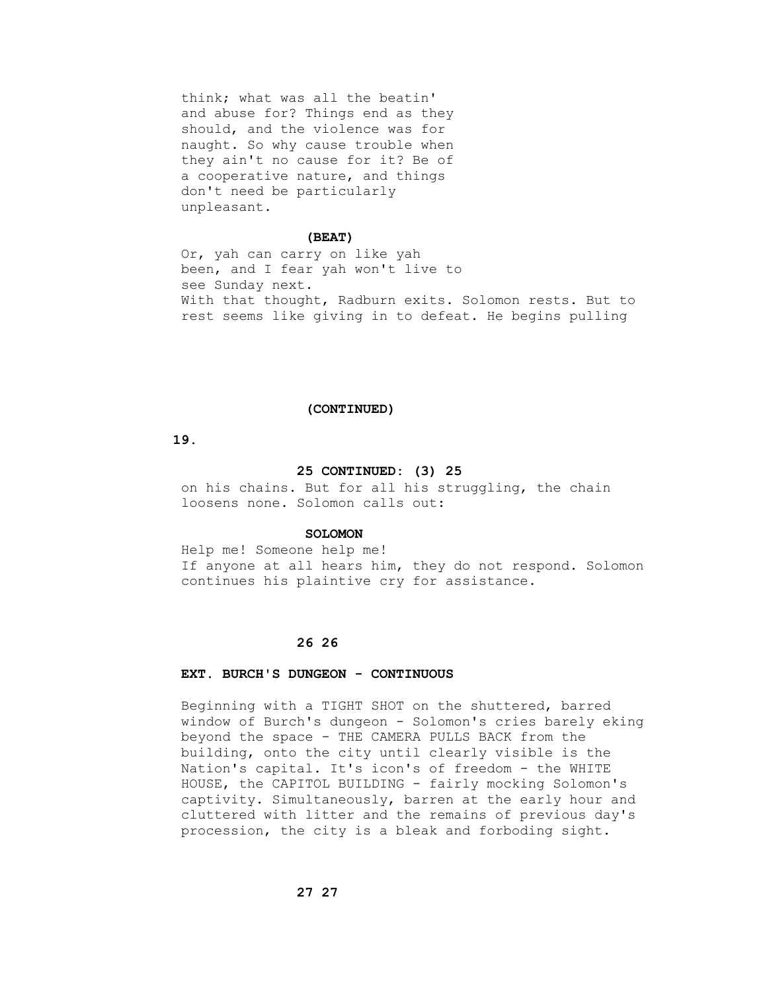think; what was all the beatin' and abuse for? Things end as they should, and the violence was for naught. So why cause trouble when they ain't no cause for it? Be of a cooperative nature, and things don't need be particularly unpleasant.

### **(BEAT)**

 Or, yah can carry on like yah been, and I fear yah won't live to see Sunday next. With that thought, Radburn exits. Solomon rests. But to rest seems like giving in to defeat. He begins pulling

#### **(CONTINUED)**

# **19.**

#### **25 CONTINUED: (3) 25**

 on his chains. But for all his struggling, the chain loosens none. Solomon calls out:

## **SOLOMON**

 Help me! Someone help me! If anyone at all hears him, they do not respond. Solomon continues his plaintive cry for assistance.

# **26 26**

# **EXT. BURCH'S DUNGEON - CONTINUOUS**

 Beginning with a TIGHT SHOT on the shuttered, barred window of Burch's dungeon - Solomon's cries barely eking beyond the space - THE CAMERA PULLS BACK from the building, onto the city until clearly visible is the Nation's capital. It's icon's of freedom - the WHITE HOUSE, the CAPITOL BUILDING - fairly mocking Solomon's captivity. Simultaneously, barren at the early hour and cluttered with litter and the remains of previous day's procession, the city is a bleak and forboding sight.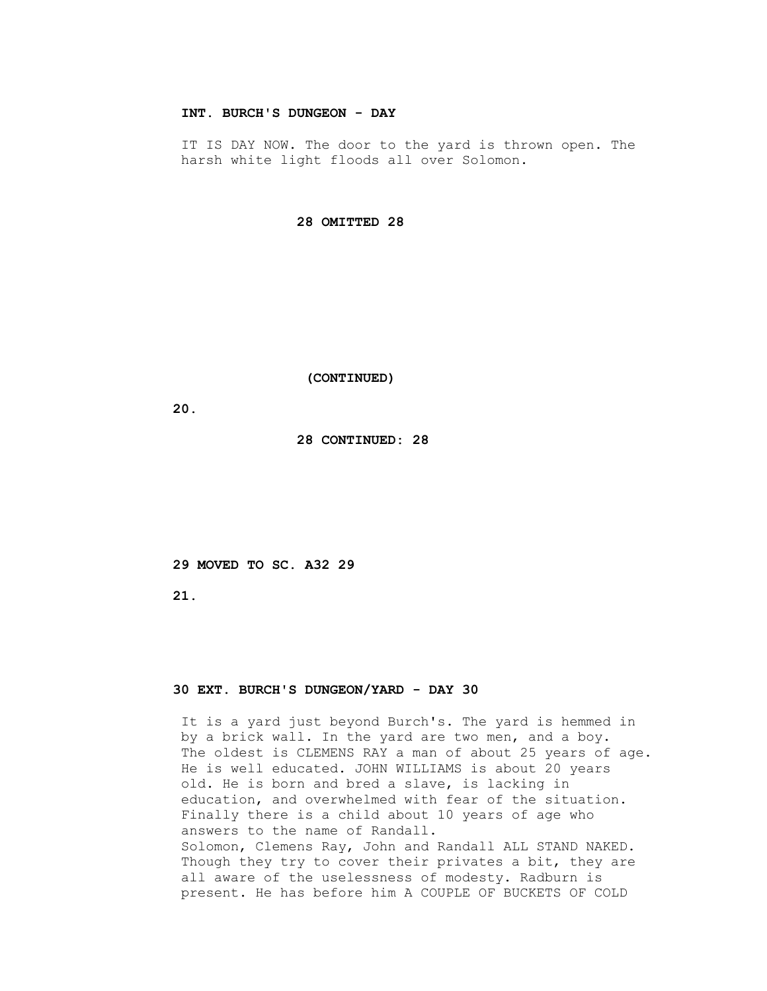# **INT. BURCH'S DUNGEON - DAY**

IT IS DAY NOW. The door to the yard is thrown open. The harsh white light floods all over Solomon.

 **28 OMITTED 28**

 **(CONTINUED)**

 **20.**

 **28 CONTINUED: 28**

 **29 MOVED TO SC. A32 29**

 **21.**

# **30 EXT. BURCH'S DUNGEON/YARD - DAY 30**

 It is a yard just beyond Burch's. The yard is hemmed in by a brick wall. In the yard are two men, and a boy. The oldest is CLEMENS RAY a man of about 25 years of age. He is well educated. JOHN WILLIAMS is about 20 years old. He is born and bred a slave, is lacking in education, and overwhelmed with fear of the situation. Finally there is a child about 10 years of age who answers to the name of Randall. Solomon, Clemens Ray, John and Randall ALL STAND NAKED. Though they try to cover their privates a bit, they are all aware of the uselessness of modesty. Radburn is present. He has before him A COUPLE OF BUCKETS OF COLD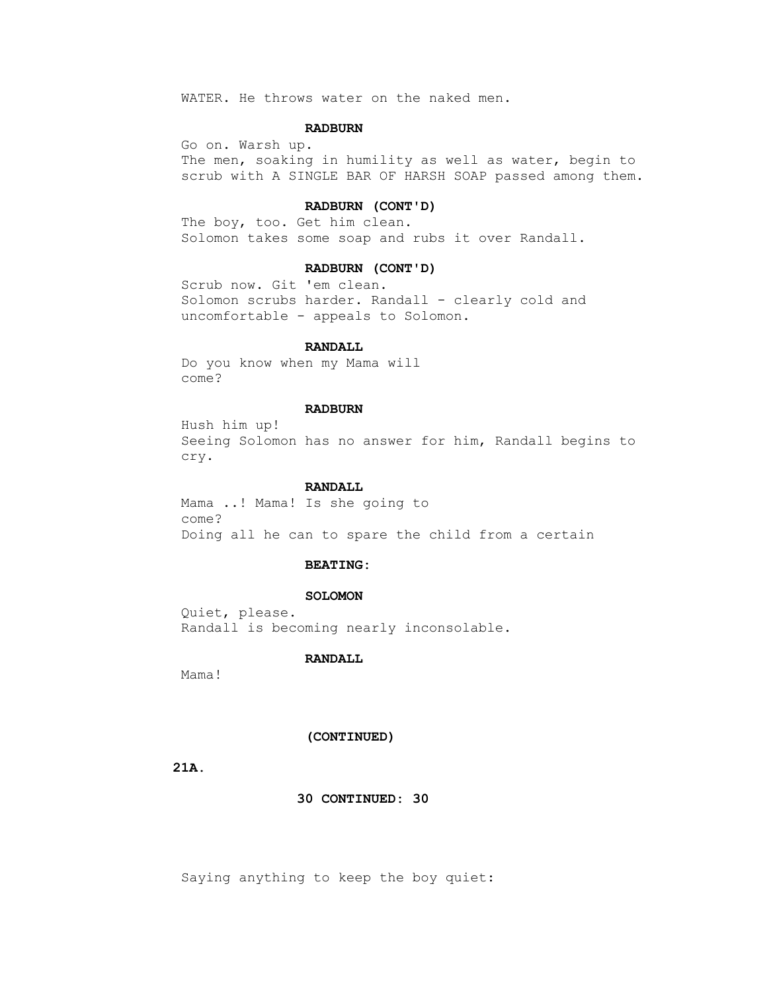WATER. He throws water on the naked men.

# **RADBURN**

 Go on. Warsh up. The men, soaking in humility as well as water, begin to scrub with A SINGLE BAR OF HARSH SOAP passed among them.

# **RADBURN (CONT'D)**

 The boy, too. Get him clean. Solomon takes some soap and rubs it over Randall.

# **RADBURN (CONT'D)**

 Scrub now. Git 'em clean. Solomon scrubs harder. Randall - clearly cold and uncomfortable - appeals to Solomon.

#### **RANDALL**

 Do you know when my Mama will come?

# **RADBURN**

 Hush him up! Seeing Solomon has no answer for him, Randall begins to cry.

# **RANDALL**

 Mama ..! Mama! Is she going to come? Doing all he can to spare the child from a certain

#### **BEATING:**

# **SOLOMON**

 Quiet, please. Randall is becoming nearly inconsolable.

# **RANDALL**

Mama!

## **(CONTINUED)**

 **21A.**

 **30 CONTINUED: 30**

Saying anything to keep the boy quiet: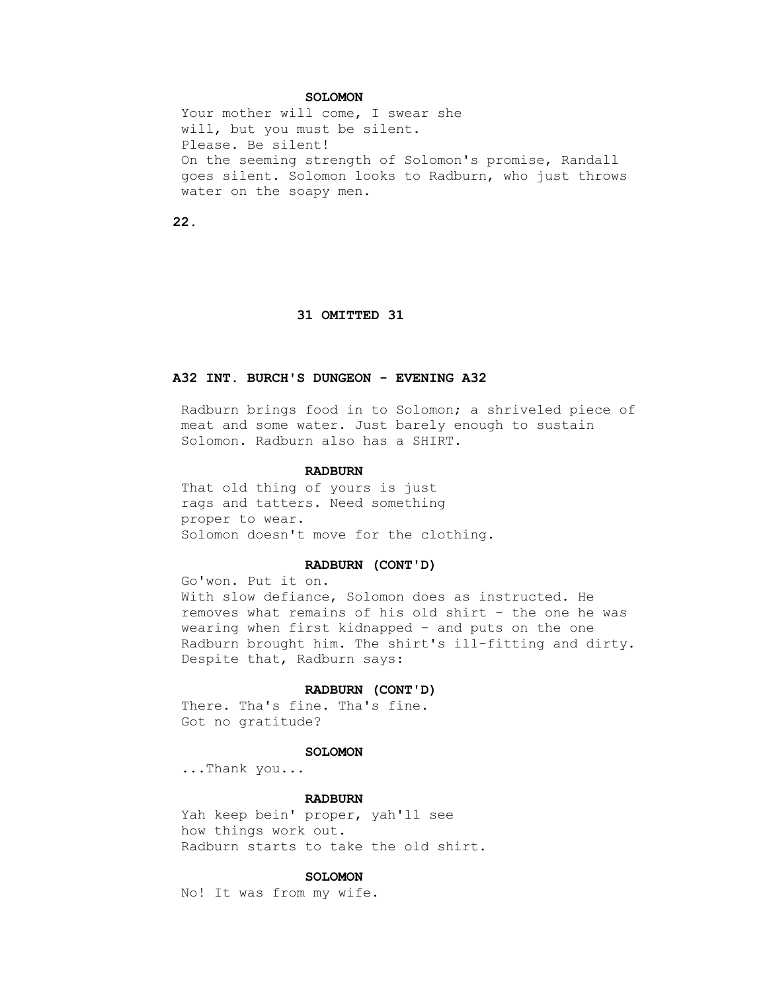# **SOLOMON**

Your mother will come, I swear she will, but you must be silent. Please. Be silent! On the seeming strength of Solomon's promise, Randall goes silent. Solomon looks to Radburn, who just throws water on the soapy men.

 **22.**

#### **31 OMITTED 31**

# **A32 INT. BURCH'S DUNGEON - EVENING A32**

 Radburn brings food in to Solomon; a shriveled piece of meat and some water. Just barely enough to sustain Solomon. Radburn also has a SHIRT.

# **RADBURN**

 That old thing of yours is just rags and tatters. Need something proper to wear. Solomon doesn't move for the clothing.

# **RADBURN (CONT'D)**

 Go'won. Put it on. With slow defiance, Solomon does as instructed. He removes what remains of his old shirt - the one he was wearing when first kidnapped - and puts on the one Radburn brought him. The shirt's ill-fitting and dirty. Despite that, Radburn says:

#### **RADBURN (CONT'D)**

 There. Tha's fine. Tha's fine. Got no gratitude?

## **SOLOMON**

...Thank you...

#### **RADBURN**

 Yah keep bein' proper, yah'll see how things work out. Radburn starts to take the old shirt.

# **SOLOMON**

No! It was from my wife.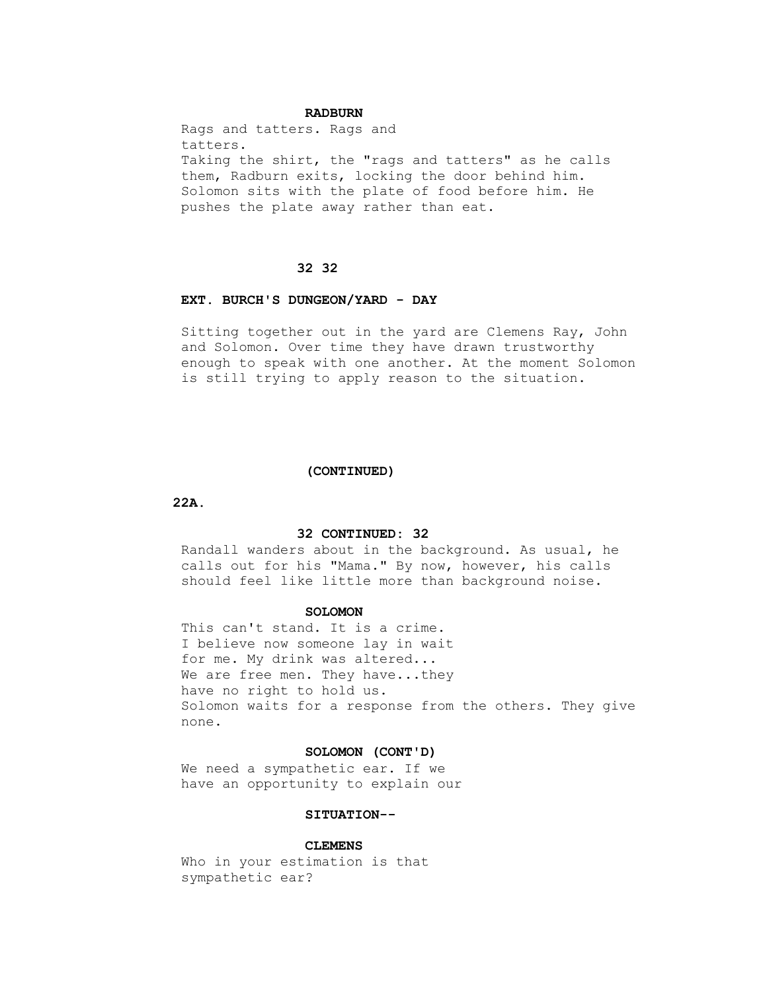# **RADBURN**

 Rags and tatters. Rags and tatters. Taking the shirt, the "rags and tatters" as he calls them, Radburn exits, locking the door behind him. Solomon sits with the plate of food before him. He pushes the plate away rather than eat.

# **32 32**

#### **EXT. BURCH'S DUNGEON/YARD - DAY**

 Sitting together out in the yard are Clemens Ray, John and Solomon. Over time they have drawn trustworthy enough to speak with one another. At the moment Solomon is still trying to apply reason to the situation.

#### **(CONTINUED)**

 **22A.**

# **32 CONTINUED: 32**

 Randall wanders about in the background. As usual, he calls out for his "Mama." By now, however, his calls should feel like little more than background noise.

#### **SOLOMON**

 This can't stand. It is a crime. I believe now someone lay in wait for me. My drink was altered... We are free men. They have...they have no right to hold us. Solomon waits for a response from the others. They give none.

## **SOLOMON (CONT'D)**

 We need a sympathetic ear. If we have an opportunity to explain our

# **SITUATION--**

#### **CLEMENS**

 Who in your estimation is that sympathetic ear?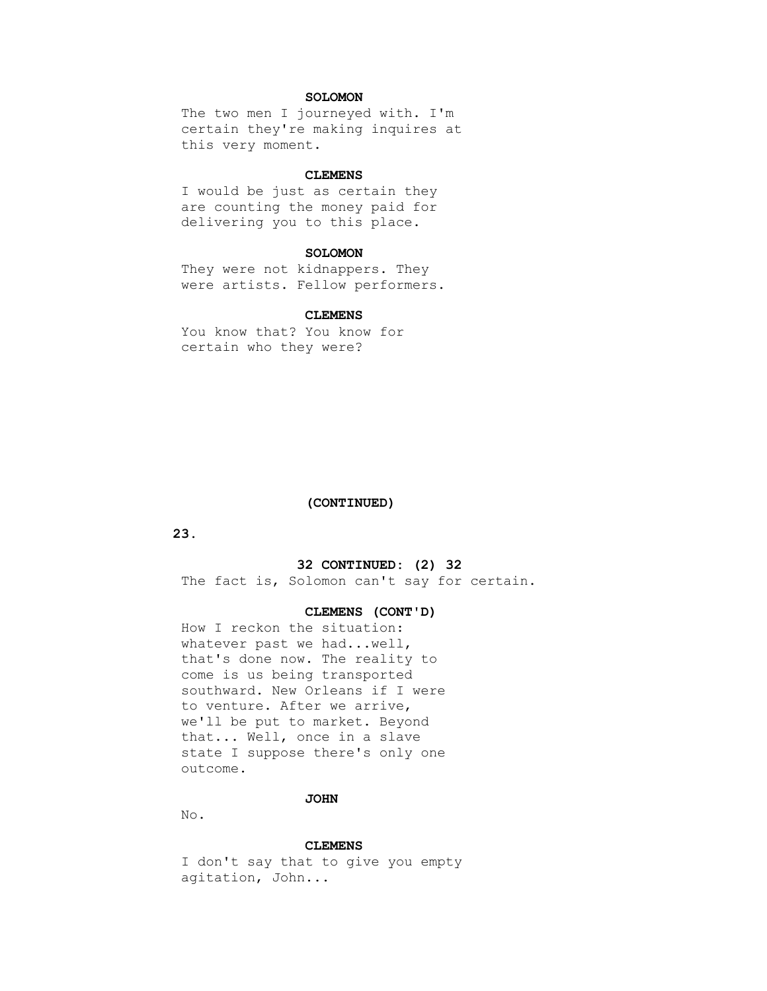# **SOLOMON**

 The two men I journeyed with. I'm certain they're making inquires at this very moment.

#### **CLEMENS**

 I would be just as certain they are counting the money paid for delivering you to this place.

# **SOLOMON**

 They were not kidnappers. They were artists. Fellow performers.

# **CLEMENS**

 You know that? You know for certain who they were?

## **(CONTINUED)**

 **23.**

# **32 CONTINUED: (2) 32**

The fact is, Solomon can't say for certain.

## **CLEMENS (CONT'D)**

 How I reckon the situation: whatever past we had...well, that's done now. The reality to come is us being transported southward. New Orleans if I were to venture. After we arrive, we'll be put to market. Beyond that... Well, once in a slave state I suppose there's only one outcome.

## **JOHN**

No.

#### **CLEMENS**

 I don't say that to give you empty agitation, John...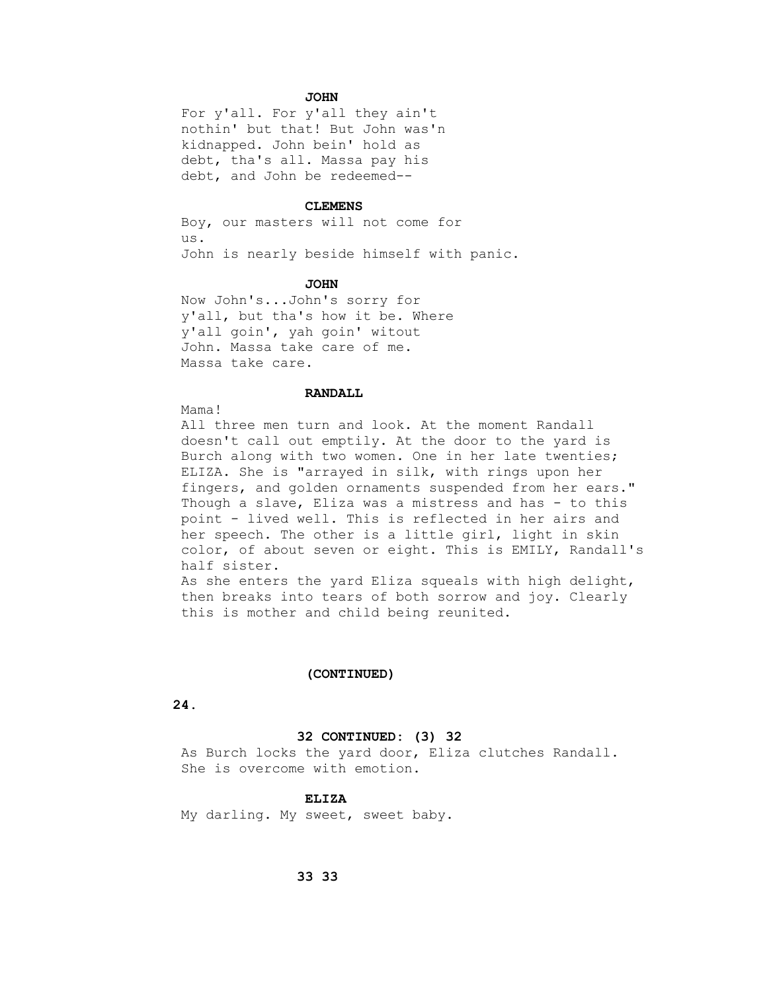# **JOHN**

 For y'all. For y'all they ain't nothin' but that! But John was'n kidnapped. John bein' hold as debt, tha's all. Massa pay his debt, and John be redeemed--

#### **CLEMENS**

 Boy, our masters will not come for us. John is nearly beside himself with panic.

#### **JOHN**

 Now John's...John's sorry for y'all, but tha's how it be. Where y'all goin', yah goin' witout John. Massa take care of me. Massa take care.

#### **RANDALL**

Mama!

 All three men turn and look. At the moment Randall doesn't call out emptily. At the door to the yard is Burch along with two women. One in her late twenties; ELIZA. She is "arrayed in silk, with rings upon her fingers, and golden ornaments suspended from her ears." Though a slave, Eliza was a mistress and has - to this point - lived well. This is reflected in her airs and her speech. The other is a little girl, light in skin color, of about seven or eight. This is EMILY, Randall's half sister. As she enters the yard Eliza squeals with high delight, then breaks into tears of both sorrow and joy. Clearly this is mother and child being reunited.

#### **(CONTINUED)**

# **24.**

#### **32 CONTINUED: (3) 32**

 As Burch locks the yard door, Eliza clutches Randall. She is overcome with emotion.

## **ELIZA**

My darling. My sweet, sweet baby.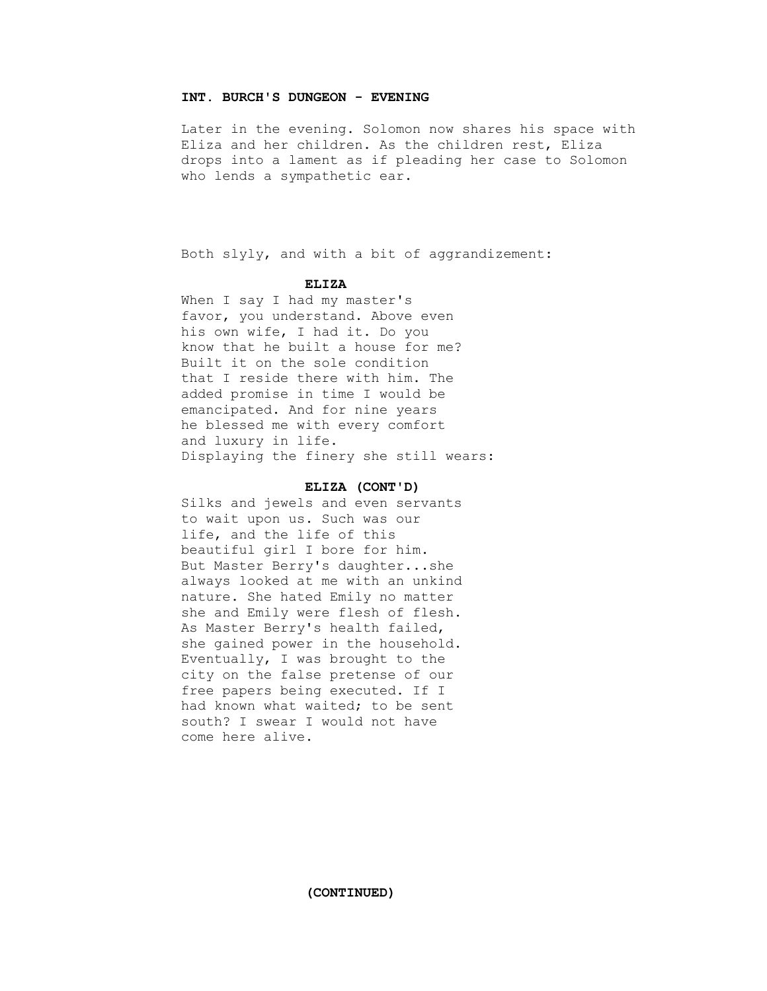# **INT. BURCH'S DUNGEON - EVENING**

 Later in the evening. Solomon now shares his space with Eliza and her children. As the children rest, Eliza drops into a lament as if pleading her case to Solomon who lends a sympathetic ear.

Both slyly, and with a bit of aggrandizement:

### **ELIZA**

 When I say I had my master's favor, you understand. Above even his own wife, I had it. Do you know that he built a house for me? Built it on the sole condition that I reside there with him. The added promise in time I would be emancipated. And for nine years he blessed me with every comfort and luxury in life. Displaying the finery she still wears:

#### **ELIZA (CONT'D)**

 Silks and jewels and even servants to wait upon us. Such was our life, and the life of this beautiful girl I bore for him. But Master Berry's daughter...she always looked at me with an unkind nature. She hated Emily no matter she and Emily were flesh of flesh. As Master Berry's health failed, she gained power in the household. Eventually, I was brought to the city on the false pretense of our free papers being executed. If I had known what waited; to be sent south? I swear I would not have come here alive.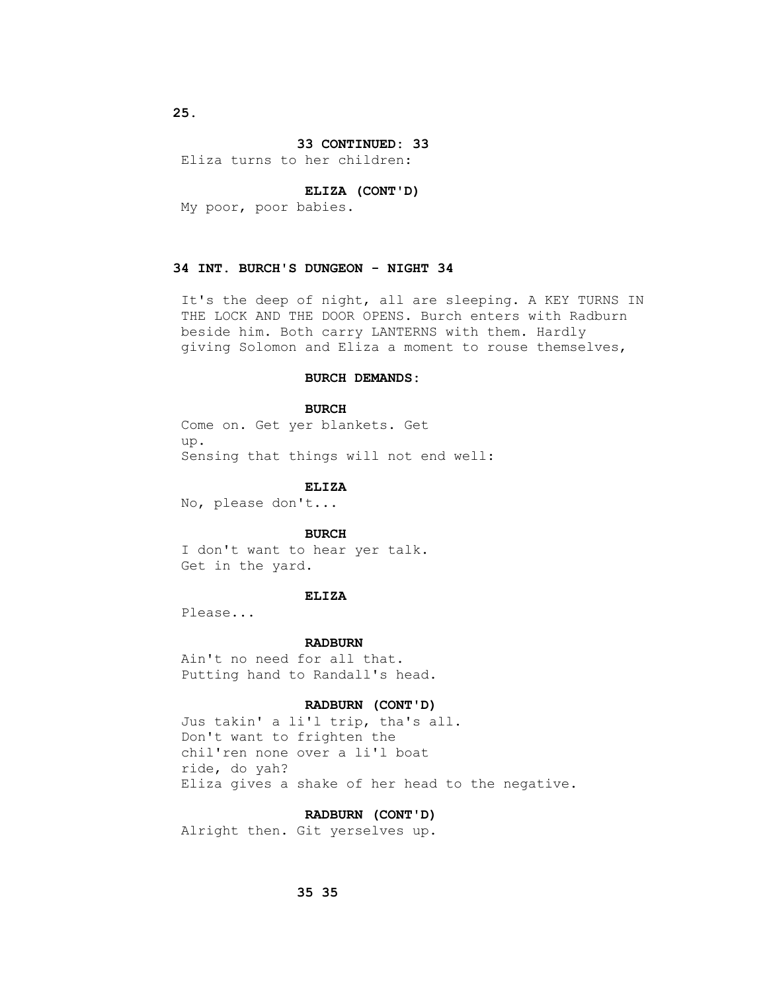# **33 CONTINUED: 33**

Eliza turns to her children:

#### **ELIZA (CONT'D)**

My poor, poor babies.

# **34 INT. BURCH'S DUNGEON - NIGHT 34**

 It's the deep of night, all are sleeping. A KEY TURNS IN THE LOCK AND THE DOOR OPENS. Burch enters with Radburn beside him. Both carry LANTERNS with them. Hardly giving Solomon and Eliza a moment to rouse themselves,

#### **BURCH DEMANDS:**

#### **BURCH**

 Come on. Get yer blankets. Get up. Sensing that things will not end well:

# **ELIZA**

No, please don't...

#### **BURCH**

 I don't want to hear yer talk. Get in the yard.

## **ELIZA**

Please...

#### **RADBURN**

 Ain't no need for all that. Putting hand to Randall's head.

## **RADBURN (CONT'D)**

 Jus takin' a li'l trip, tha's all. Don't want to frighten the chil'ren none over a li'l boat ride, do yah? Eliza gives a shake of her head to the negative.

#### **RADBURN (CONT'D)**

Alright then. Git yerselves up.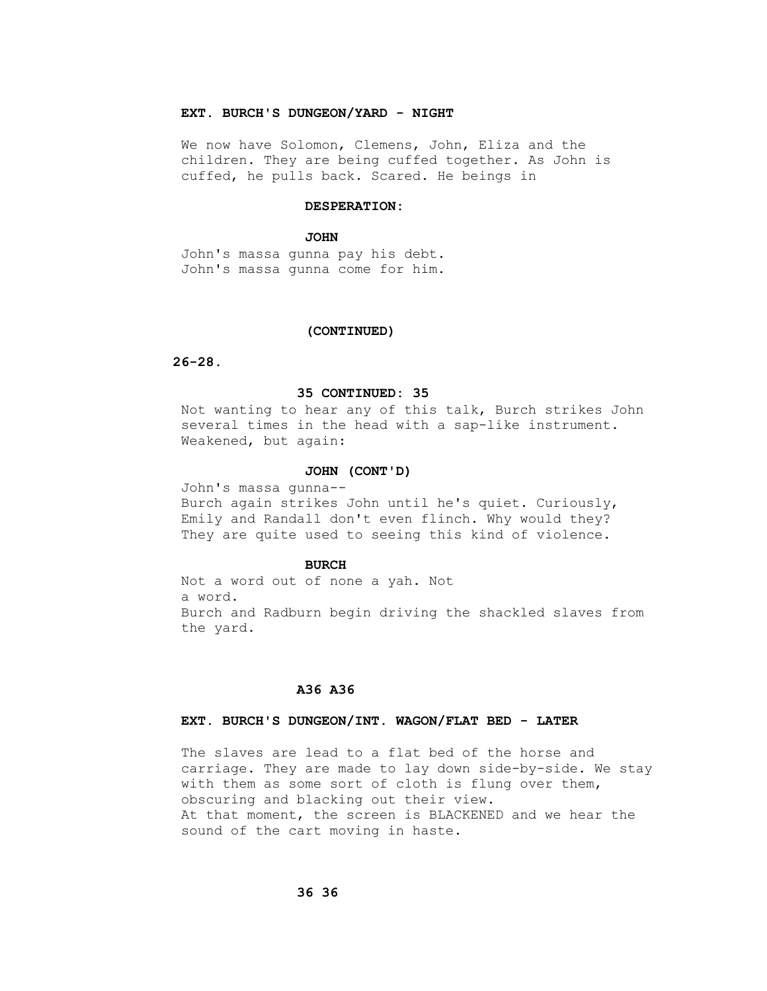# **EXT. BURCH'S DUNGEON/YARD - NIGHT**

 We now have Solomon, Clemens, John, Eliza and the children. They are being cuffed together. As John is cuffed, he pulls back. Scared. He beings in

# **DESPERATION:**

#### **JOHN**

 John's massa gunna pay his debt. John's massa gunna come for him.

#### **(CONTINUED)**

### **26-28.**

### **35 CONTINUED: 35**

 Not wanting to hear any of this talk, Burch strikes John several times in the head with a sap-like instrument. Weakened, but again:

#### **JOHN (CONT'D)**

 John's massa gunna-- Burch again strikes John until he's quiet. Curiously, Emily and Randall don't even flinch. Why would they? They are quite used to seeing this kind of violence.

#### **BURCH**

 Not a word out of none a yah. Not a word. Burch and Radburn begin driving the shackled slaves from the yard.

# **A36 A36**

## **EXT. BURCH'S DUNGEON/INT. WAGON/FLAT BED - LATER**

 The slaves are lead to a flat bed of the horse and carriage. They are made to lay down side-by-side. We stay with them as some sort of cloth is flung over them, obscuring and blacking out their view. At that moment, the screen is BLACKENED and we hear the sound of the cart moving in haste.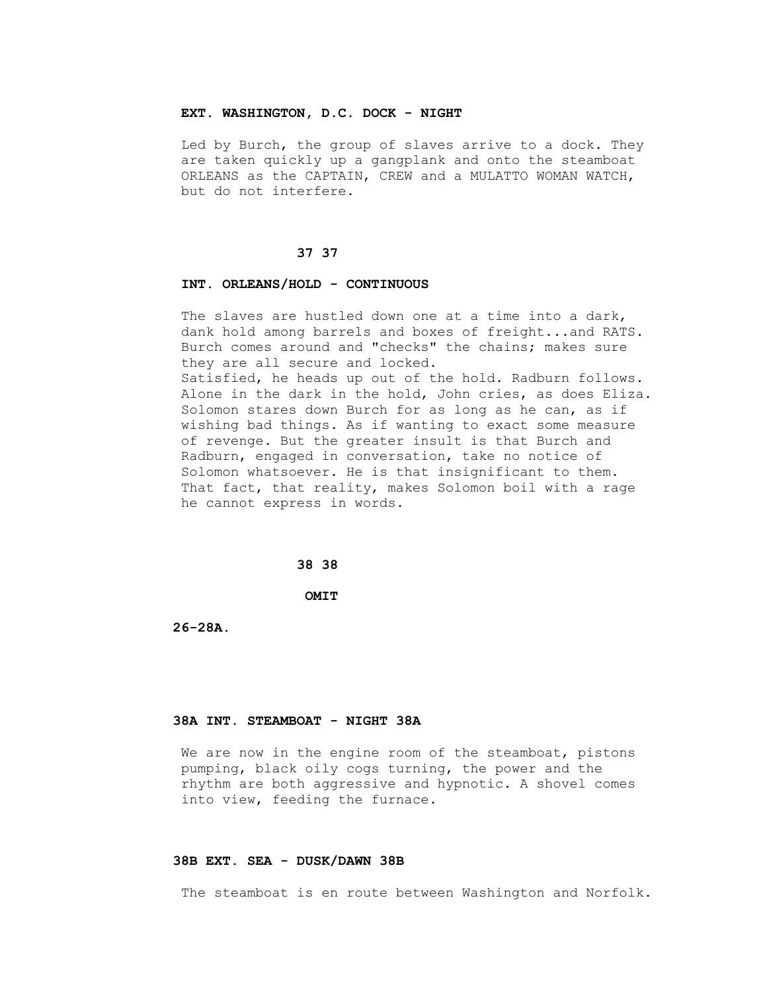### **EXT. WASHINGTON, D.C. DOCK - NIGHT**

 Led by Burch, the group of slaves arrive to a dock. They are taken quickly up a gangplank and onto the steamboat ORLEANS as the CAPTAIN, CREW and a MULATTO WOMAN WATCH, but do not interfere.

#### **37 37**

#### **INT. ORLEANS/HOLD - CONTINUOUS**

 The slaves are hustled down one at a time into a dark, dank hold among barrels and boxes of freight...and RATS. Burch comes around and "checks" the chains; makes sure they are all secure and locked.

 Satisfied, he heads up out of the hold. Radburn follows. Alone in the dark in the hold, John cries, as does Eliza. Solomon stares down Burch for as long as he can, as if wishing bad things. As if wanting to exact some measure of revenge. But the greater insult is that Burch and Radburn, engaged in conversation, take no notice of Solomon whatsoever. He is that insignificant to them. That fact, that reality, makes Solomon boil with a rage he cannot express in words.

# **38 38**

 **OMIT**

 **26-28A.**

## **38A INT. STEAMBOAT - NIGHT 38A**

We are now in the engine room of the steamboat, pistons pumping, black oily cogs turning, the power and the rhythm are both aggressive and hypnotic. A shovel comes into view, feeding the furnace.

### **38B EXT. SEA - DUSK/DAWN 38B**

The steamboat is en route between Washington and Norfolk.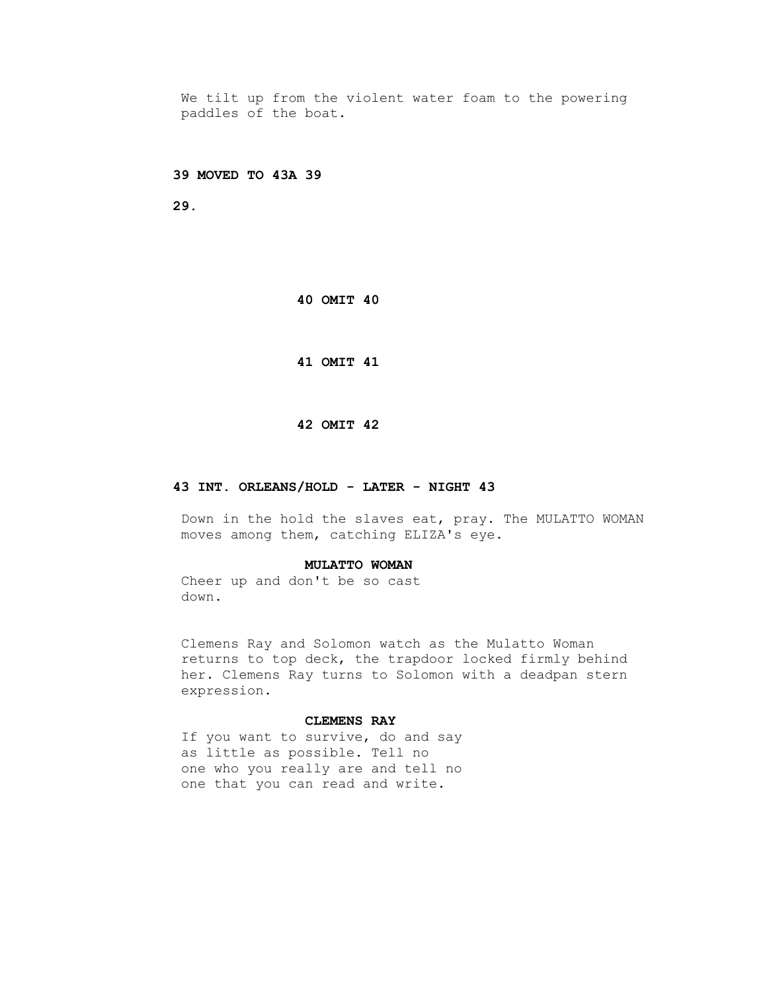We tilt up from the violent water foam to the powering paddles of the boat.

 **39 MOVED TO 43A 39** 

 **29.**

 **40 OMIT 40** 

 **41 OMIT 41**

#### **42 OMIT 42**

### **43 INT. ORLEANS/HOLD - LATER - NIGHT 43**

 Down in the hold the slaves eat, pray. The MULATTO WOMAN moves among them, catching ELIZA's eye.

#### **MULATTO WOMAN**

 Cheer up and don't be so cast down.

 Clemens Ray and Solomon watch as the Mulatto Woman returns to top deck, the trapdoor locked firmly behind her. Clemens Ray turns to Solomon with a deadpan stern expression.

#### **CLEMENS RAY**

 If you want to survive, do and say as little as possible. Tell no one who you really are and tell no one that you can read and write.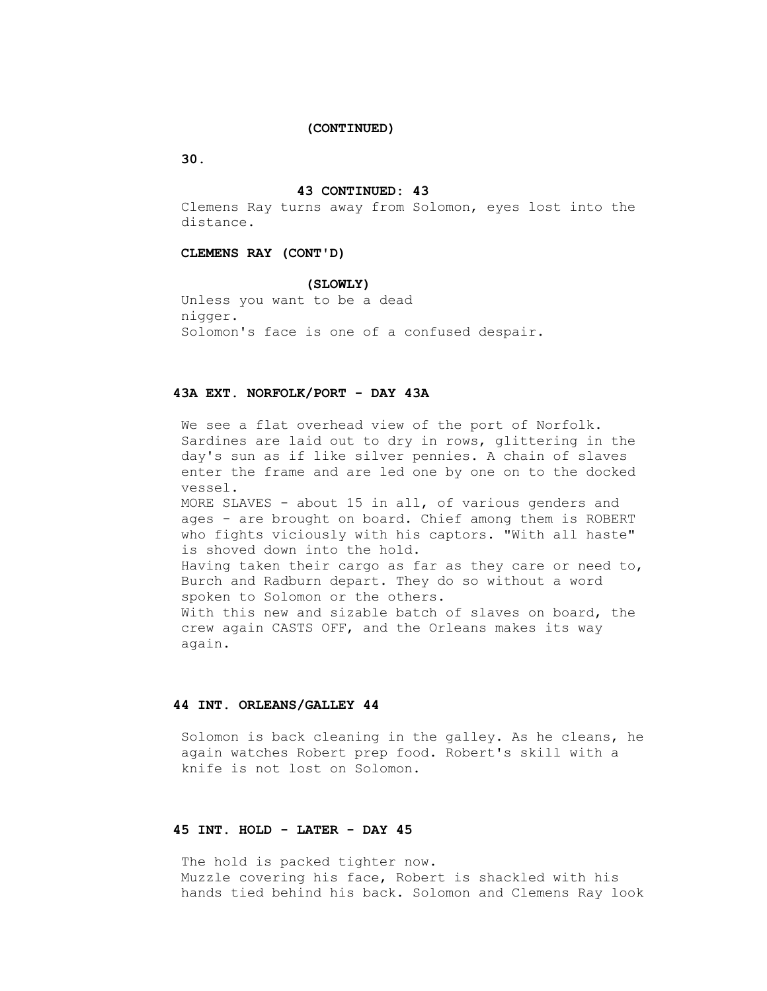#### **(CONTINUED)**

 **30.**

#### **43 CONTINUED: 43**

 Clemens Ray turns away from Solomon, eyes lost into the distance.

## **CLEMENS RAY (CONT'D)**

#### **(SLOWLY)**

 Unless you want to be a dead nigger. Solomon's face is one of a confused despair.

## **43A EXT. NORFOLK/PORT - DAY 43A**

 We see a flat overhead view of the port of Norfolk. Sardines are laid out to dry in rows, glittering in the day's sun as if like silver pennies. A chain of slaves enter the frame and are led one by one on to the docked vessel. MORE SLAVES - about 15 in all, of various genders and ages - are brought on board. Chief among them is ROBERT who fights viciously with his captors. "With all haste" is shoved down into the hold. Having taken their cargo as far as they care or need to, Burch and Radburn depart. They do so without a word spoken to Solomon or the others. With this new and sizable batch of slaves on board, the crew again CASTS OFF, and the Orleans makes its way again.

## **44 INT. ORLEANS/GALLEY 44**

 Solomon is back cleaning in the galley. As he cleans, he again watches Robert prep food. Robert's skill with a knife is not lost on Solomon.

# **45 INT. HOLD - LATER - DAY 45**

The hold is packed tighter now. Muzzle covering his face, Robert is shackled with his hands tied behind his back. Solomon and Clemens Ray look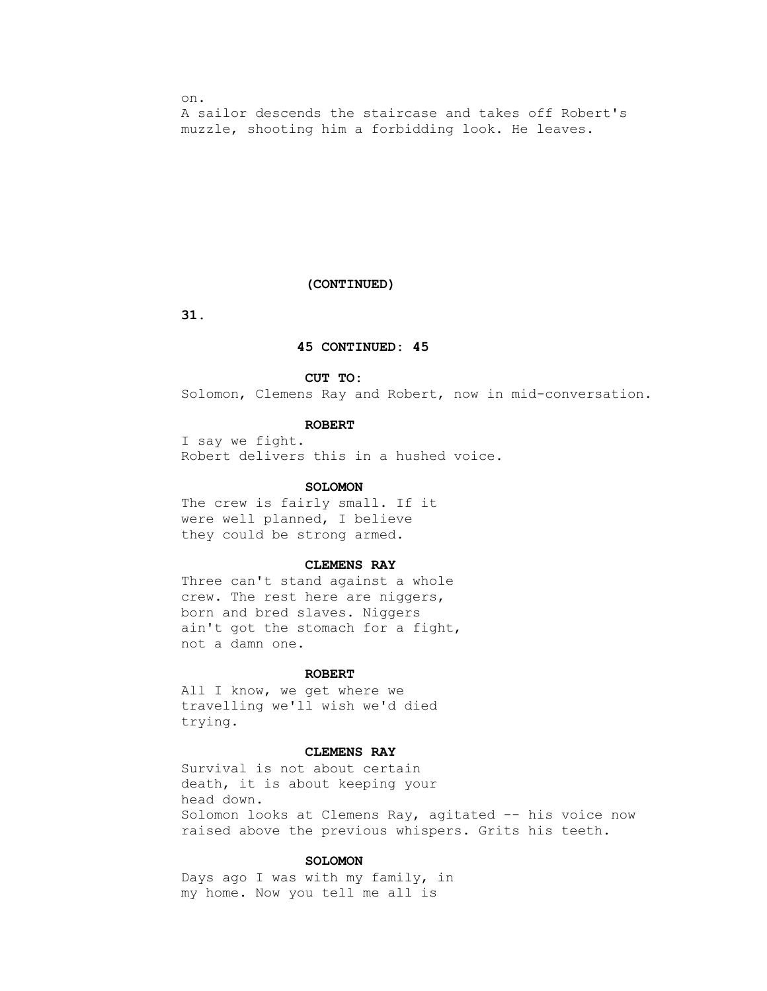on. A sailor descends the staircase and takes off Robert's muzzle, shooting him a forbidding look. He leaves.

#### **(CONTINUED)**

 **31.**

### **45 CONTINUED: 45**

#### **CUT TO:**

Solomon, Clemens Ray and Robert, now in mid-conversation.

### **ROBERT**

 I say we fight. Robert delivers this in a hushed voice.

### **SOLOMON**

 The crew is fairly small. If it were well planned, I believe they could be strong armed.

### **CLEMENS RAY**

 Three can't stand against a whole crew. The rest here are niggers, born and bred slaves. Niggers ain't got the stomach for a fight, not a damn one.

### **ROBERT**

 All I know, we get where we travelling we'll wish we'd died trying.

## **CLEMENS RAY**

 Survival is not about certain death, it is about keeping your head down. Solomon looks at Clemens Ray, agitated -- his voice now raised above the previous whispers. Grits his teeth.

### **SOLOMON**

 Days ago I was with my family, in my home. Now you tell me all is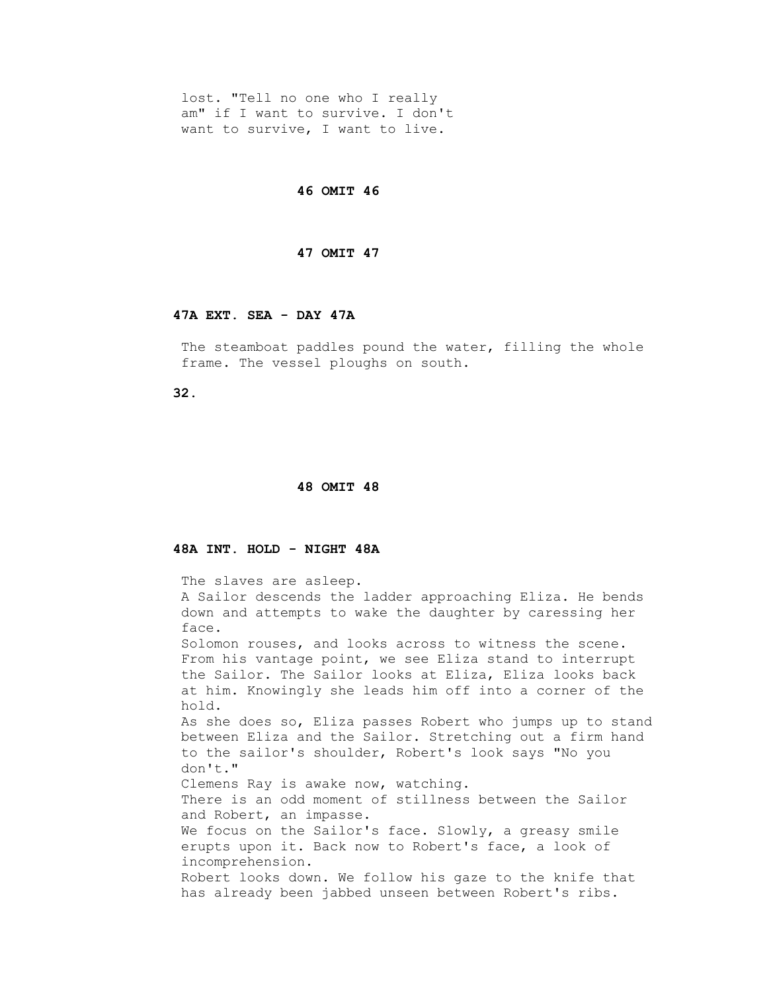lost. "Tell no one who I really am" if I want to survive. I don't want to survive, I want to live.

 **46 OMIT 46** 

### **47 OMIT 47**

### **47A EXT. SEA - DAY 47A**

The steamboat paddles pound the water, filling the whole frame. The vessel ploughs on south.

 **32.**

#### **48 OMIT 48**

## **48A INT. HOLD - NIGHT 48A**

 The slaves are asleep. A Sailor descends the ladder approaching Eliza. He bends down and attempts to wake the daughter by caressing her face. Solomon rouses, and looks across to witness the scene. From his vantage point, we see Eliza stand to interrupt the Sailor. The Sailor looks at Eliza, Eliza looks back at him. Knowingly she leads him off into a corner of the hold. As she does so, Eliza passes Robert who jumps up to stand between Eliza and the Sailor. Stretching out a firm hand to the sailor's shoulder, Robert's look says "No you don't." Clemens Ray is awake now, watching. There is an odd moment of stillness between the Sailor and Robert, an impasse. We focus on the Sailor's face. Slowly, a greasy smile erupts upon it. Back now to Robert's face, a look of incomprehension. Robert looks down. We follow his gaze to the knife that has already been jabbed unseen between Robert's ribs.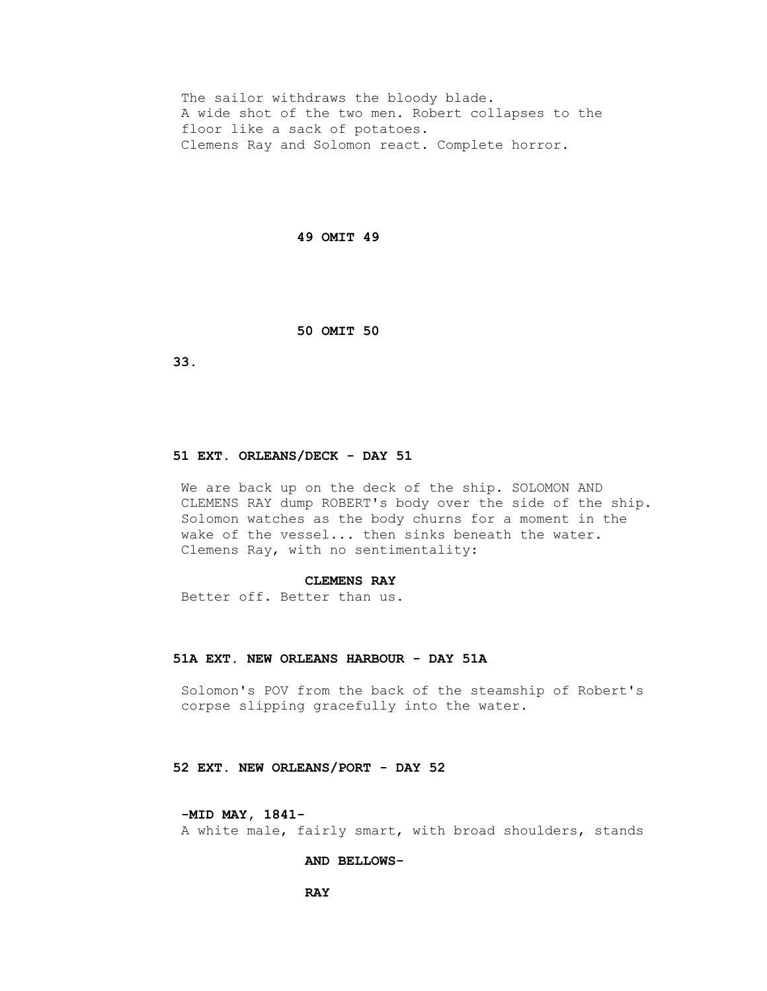The sailor withdraws the bloody blade. A wide shot of the two men. Robert collapses to the floor like a sack of potatoes. Clemens Ray and Solomon react. Complete horror.

#### **49 OMIT 49**

 **50 OMIT 50** 

 **33.**

### **51 EXT. ORLEANS/DECK - DAY 51**

 We are back up on the deck of the ship. SOLOMON AND CLEMENS RAY dump ROBERT's body over the side of the ship. Solomon watches as the body churns for a moment in the wake of the vessel... then sinks beneath the water. Clemens Ray, with no sentimentality:

#### **CLEMENS RAY**

Better off. Better than us.

### **51A EXT. NEW ORLEANS HARBOUR - DAY 51A**

 Solomon's POV from the back of the steamship of Robert's corpse slipping gracefully into the water.

#### **52 EXT. NEW ORLEANS/PORT - DAY 52**

#### **-MID MAY, 1841-**

A white male, fairly smart, with broad shoulders, stands

### **AND BELLOWS-**

*RAY*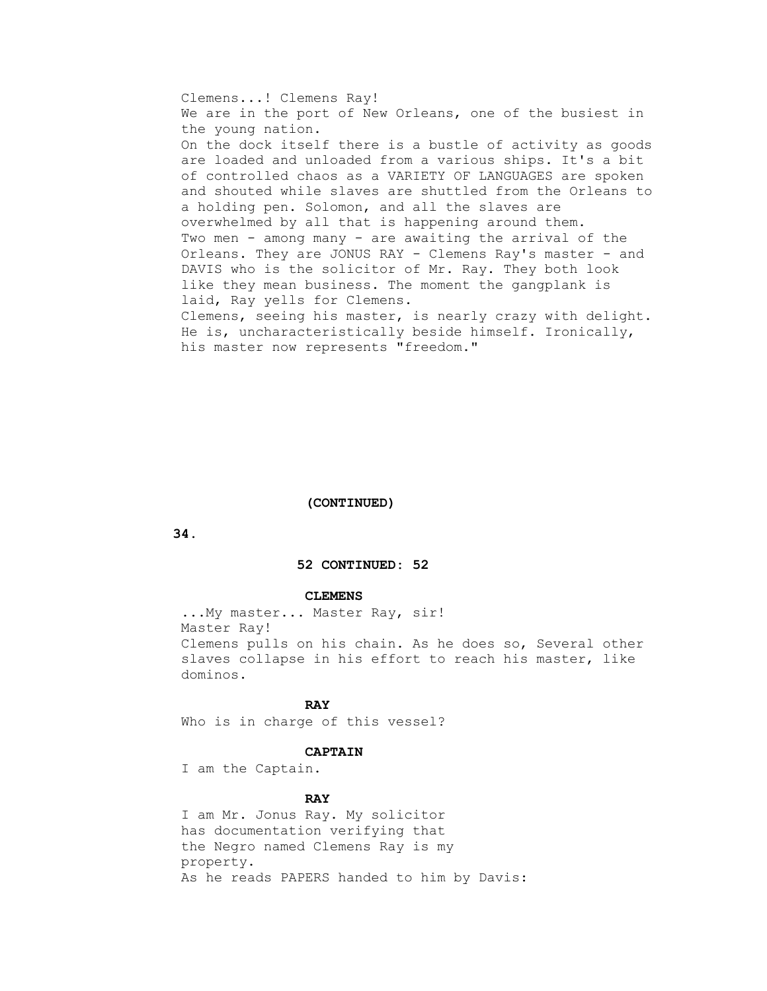Clemens...! Clemens Ray! We are in the port of New Orleans, one of the busiest in the young nation. On the dock itself there is a bustle of activity as goods are loaded and unloaded from a various ships. It's a bit of controlled chaos as a VARIETY OF LANGUAGES are spoken and shouted while slaves are shuttled from the Orleans to a holding pen. Solomon, and all the slaves are overwhelmed by all that is happening around them. Two men - among many - are awaiting the arrival of the Orleans. They are JONUS RAY - Clemens Ray's master - and DAVIS who is the solicitor of Mr. Ray. They both look like they mean business. The moment the gangplank is laid, Ray yells for Clemens. Clemens, seeing his master, is nearly crazy with delight. He is, uncharacteristically beside himself. Ironically, his master now represents "freedom."

## **(CONTINUED)**

 **34.**

### **52 CONTINUED: 52**

### **CLEMENS**

 ...My master... Master Ray, sir! Master Ray! Clemens pulls on his chain. As he does so, Several other slaves collapse in his effort to reach his master, like dominos.

## *RAY*

Who is in charge of this vessel?

#### **CAPTAIN**

I am the Captain.

## *RAY*

 I am Mr. Jonus Ray. My solicitor has documentation verifying that the Negro named Clemens Ray is my property. As he reads PAPERS handed to him by Davis: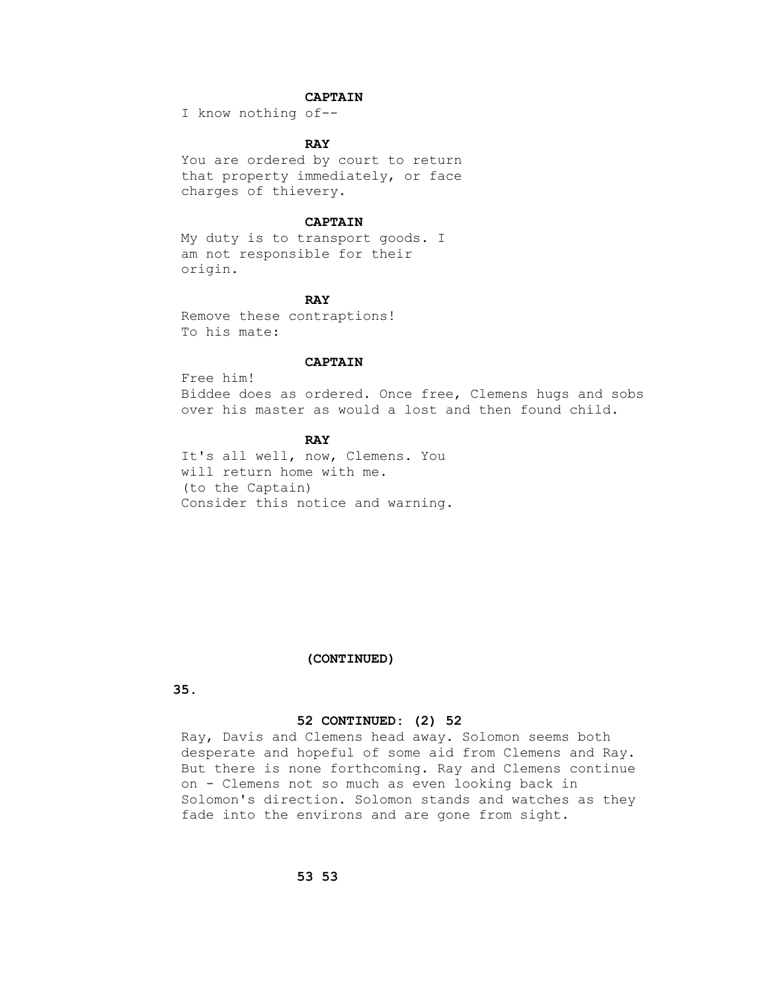# **CAPTAIN**

I know nothing of--

## *RAY*

 You are ordered by court to return that property immediately, or face charges of thievery.

### **CAPTAIN**

 My duty is to transport goods. I am not responsible for their origin.

## *RAY*

 Remove these contraptions! To his mate:

### **CAPTAIN**

 Free him! Biddee does as ordered. Once free, Clemens hugs and sobs over his master as would a lost and then found child.

# *RAY*

 It's all well, now, Clemens. You will return home with me. (to the Captain) Consider this notice and warning.

### **(CONTINUED)**

 **35.**

## **52 CONTINUED: (2) 52**

 Ray, Davis and Clemens head away. Solomon seems both desperate and hopeful of some aid from Clemens and Ray. But there is none forthcoming. Ray and Clemens continue on - Clemens not so much as even looking back in Solomon's direction. Solomon stands and watches as they fade into the environs and are gone from sight.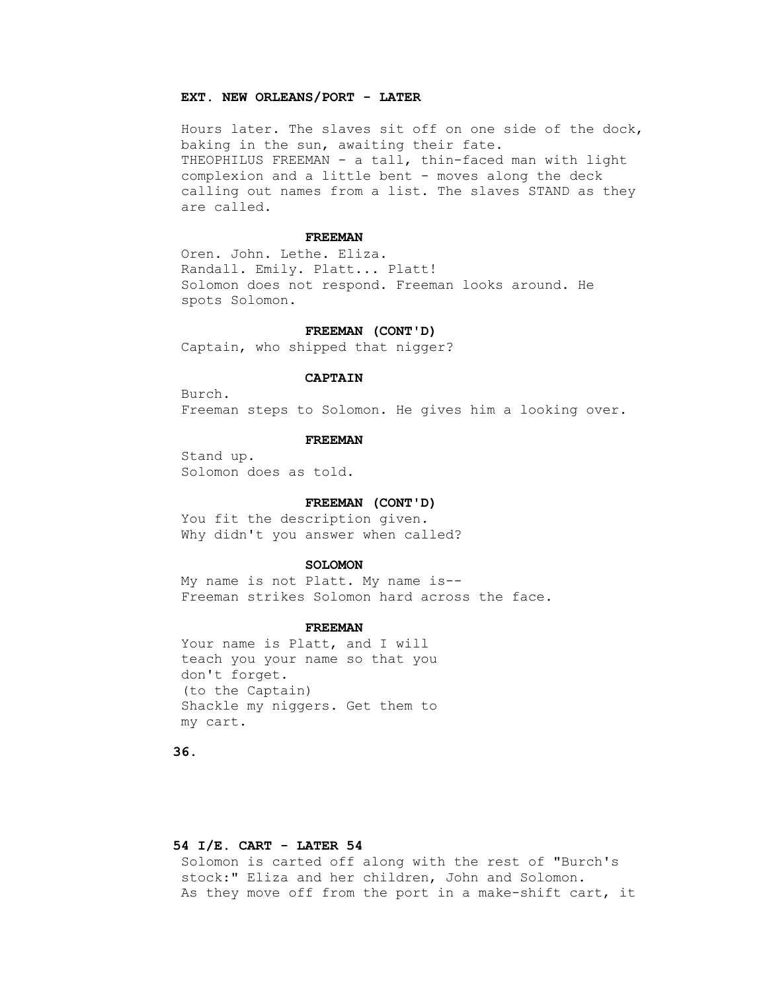### **EXT. NEW ORLEANS/PORT - LATER**

 Hours later. The slaves sit off on one side of the dock, baking in the sun, awaiting their fate. THEOPHILUS FREEMAN - a tall, thin-faced man with light complexion and a little bent - moves along the deck calling out names from a list. The slaves STAND as they are called.

#### **FREEMAN**

 Oren. John. Lethe. Eliza. Randall. Emily. Platt... Platt! Solomon does not respond. Freeman looks around. He spots Solomon.

## **FREEMAN (CONT'D)**

Captain, who shipped that nigger?

## **CAPTAIN**

 Burch. Freeman steps to Solomon. He gives him a looking over.

### **FREEMAN**

 Stand up. Solomon does as told.

### **FREEMAN (CONT'D)**

 You fit the description given. Why didn't you answer when called?

#### **SOLOMON**

 My name is not Platt. My name is-- Freeman strikes Solomon hard across the face.

#### **FREEMAN**

Your name is Platt, and I will teach you your name so that you don't forget. (to the Captain) Shackle my niggers. Get them to my cart.

 **36.**

## **54 I/E. CART - LATER 54**

 Solomon is carted off along with the rest of "Burch's stock:" Eliza and her children, John and Solomon. As they move off from the port in a make-shift cart, it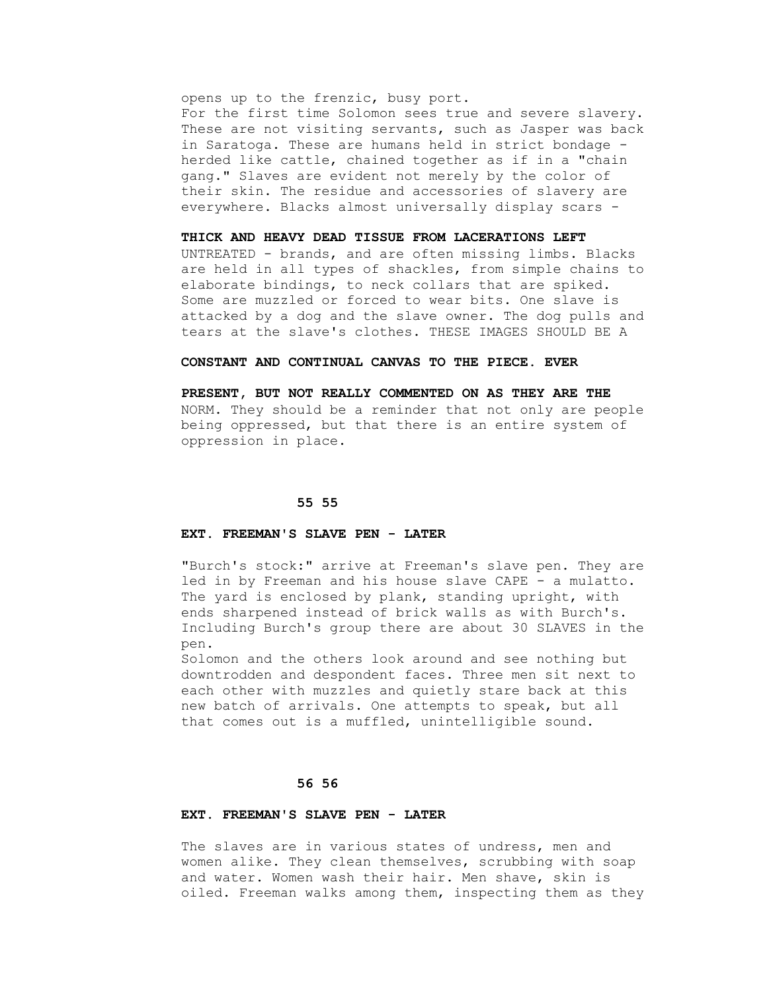opens up to the frenzic, busy port. For the first time Solomon sees true and severe slavery. These are not visiting servants, such as Jasper was back in Saratoga. These are humans held in strict bondage herded like cattle, chained together as if in a "chain gang." Slaves are evident not merely by the color of their skin. The residue and accessories of slavery are everywhere. Blacks almost universally display scars -

#### **THICK AND HEAVY DEAD TISSUE FROM LACERATIONS LEFT**

 UNTREATED - brands, and are often missing limbs. Blacks are held in all types of shackles, from simple chains to elaborate bindings, to neck collars that are spiked. Some are muzzled or forced to wear bits. One slave is attacked by a dog and the slave owner. The dog pulls and tears at the slave's clothes. THESE IMAGES SHOULD BE A

### **CONSTANT AND CONTINUAL CANVAS TO THE PIECE. EVER**

 **PRESENT, BUT NOT REALLY COMMENTED ON AS THEY ARE THE** NORM. They should be a reminder that not only are people being oppressed, but that there is an entire system of oppression in place.

### **55 55**

## **EXT. FREEMAN'S SLAVE PEN - LATER**

 "Burch's stock:" arrive at Freeman's slave pen. They are led in by Freeman and his house slave CAPE - a mulatto. The yard is enclosed by plank, standing upright, with ends sharpened instead of brick walls as with Burch's. Including Burch's group there are about 30 SLAVES in the pen.

 Solomon and the others look around and see nothing but downtrodden and despondent faces. Three men sit next to each other with muzzles and quietly stare back at this new batch of arrivals. One attempts to speak, but all that comes out is a muffled, unintelligible sound.

## **56 56**

### **EXT. FREEMAN'S SLAVE PEN - LATER**

The slaves are in various states of undress, men and women alike. They clean themselves, scrubbing with soap and water. Women wash their hair. Men shave, skin is oiled. Freeman walks among them, inspecting them as they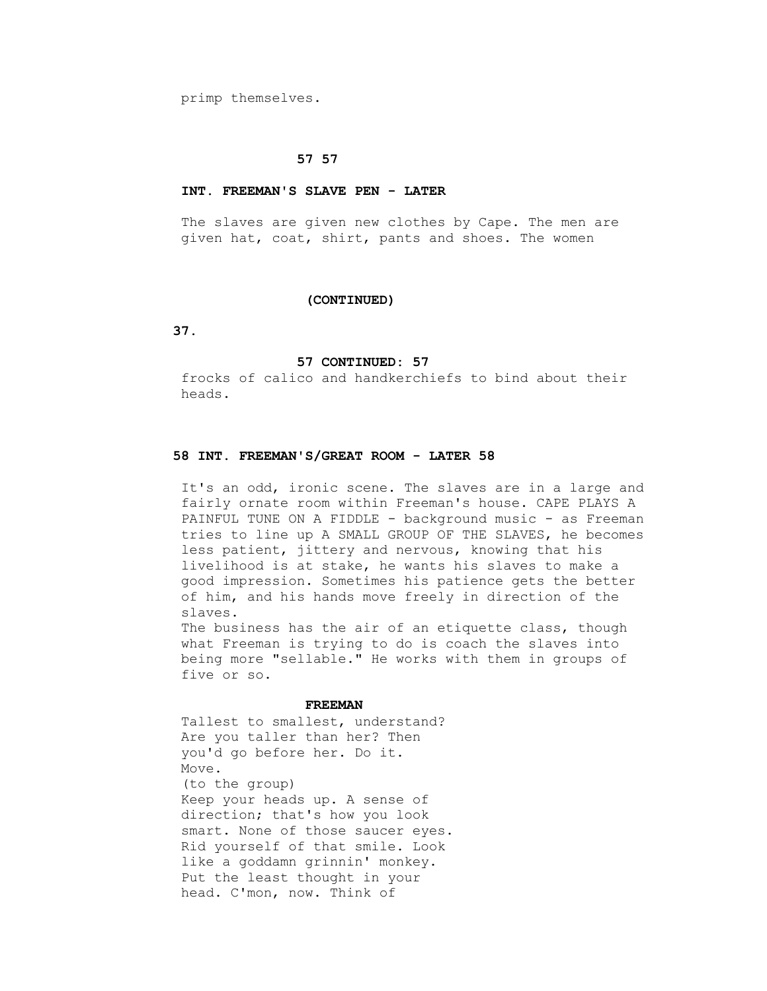primp themselves.

### **57 57**

#### **INT. FREEMAN'S SLAVE PEN - LATER**

 The slaves are given new clothes by Cape. The men are given hat, coat, shirt, pants and shoes. The women

#### **(CONTINUED)**

 **37.**

#### **57 CONTINUED: 57**

 frocks of calico and handkerchiefs to bind about their heads.

## **58 INT. FREEMAN'S/GREAT ROOM - LATER 58**

 It's an odd, ironic scene. The slaves are in a large and fairly ornate room within Freeman's house. CAPE PLAYS A PAINFUL TUNE ON A FIDDLE - background music - as Freeman tries to line up A SMALL GROUP OF THE SLAVES, he becomes less patient, jittery and nervous, knowing that his livelihood is at stake, he wants his slaves to make a good impression. Sometimes his patience gets the better of him, and his hands move freely in direction of the slaves.

The business has the air of an etiquette class, though what Freeman is trying to do is coach the slaves into being more "sellable." He works with them in groups of five or so.

#### **FREEMAN**

 Tallest to smallest, understand? Are you taller than her? Then you'd go before her. Do it. Move. (to the group) Keep your heads up. A sense of direction; that's how you look

 smart. None of those saucer eyes. Rid yourself of that smile. Look like a goddamn grinnin' monkey. Put the least thought in your head. C'mon, now. Think of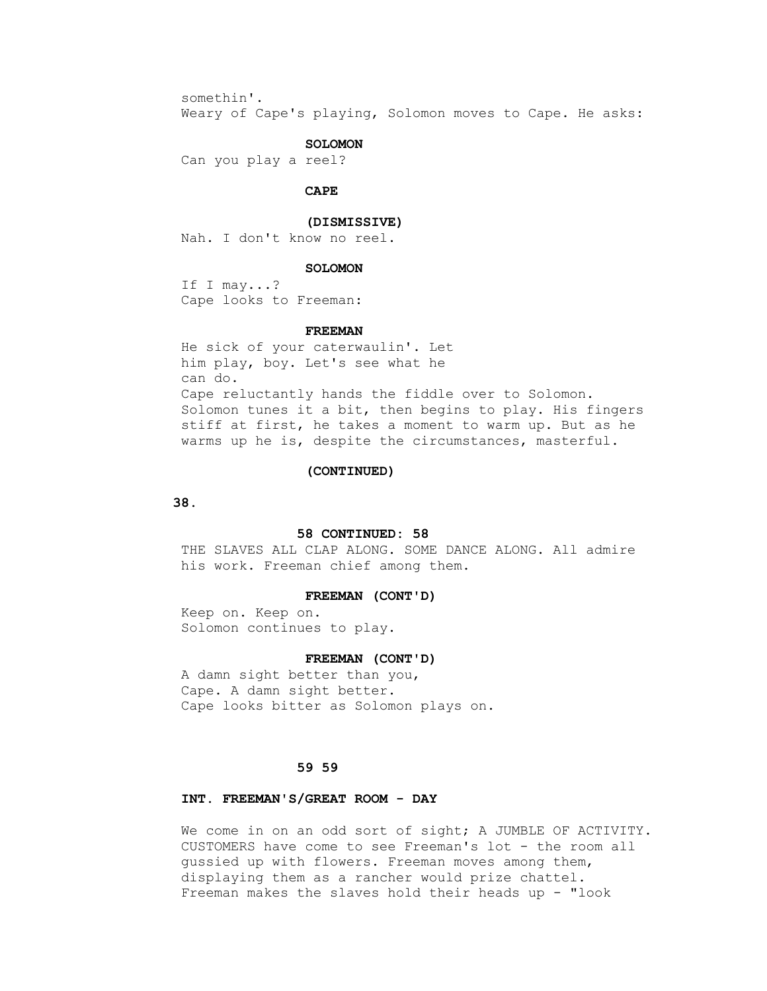somethin'.

Weary of Cape's playing, Solomon moves to Cape. He asks:

## **SOLOMON**

Can you play a reel?

### **CAPE**

#### **(DISMISSIVE)**

Nah. I don't know no reel.

#### **SOLOMON**

 If I may...? Cape looks to Freeman:

### **FREEMAN**

 He sick of your caterwaulin'. Let him play, boy. Let's see what he can do. Cape reluctantly hands the fiddle over to Solomon. Solomon tunes it a bit, then begins to play. His fingers stiff at first, he takes a moment to warm up. But as he warms up he is, despite the circumstances, masterful.

#### **(CONTINUED)**

### **38.**

## **58 CONTINUED: 58**

THE SLAVES ALL CLAP ALONG. SOME DANCE ALONG. All admire his work. Freeman chief among them.

#### **FREEMAN (CONT'D)**

 Keep on. Keep on. Solomon continues to play.

#### **FREEMAN (CONT'D)**

 A damn sight better than you, Cape. A damn sight better. Cape looks bitter as Solomon plays on.

## **59 59**

## **INT. FREEMAN'S/GREAT ROOM - DAY**

We come in on an odd sort of sight; A JUMBLE OF ACTIVITY. CUSTOMERS have come to see Freeman's lot - the room all gussied up with flowers. Freeman moves among them, displaying them as a rancher would prize chattel. Freeman makes the slaves hold their heads up  $-$  "look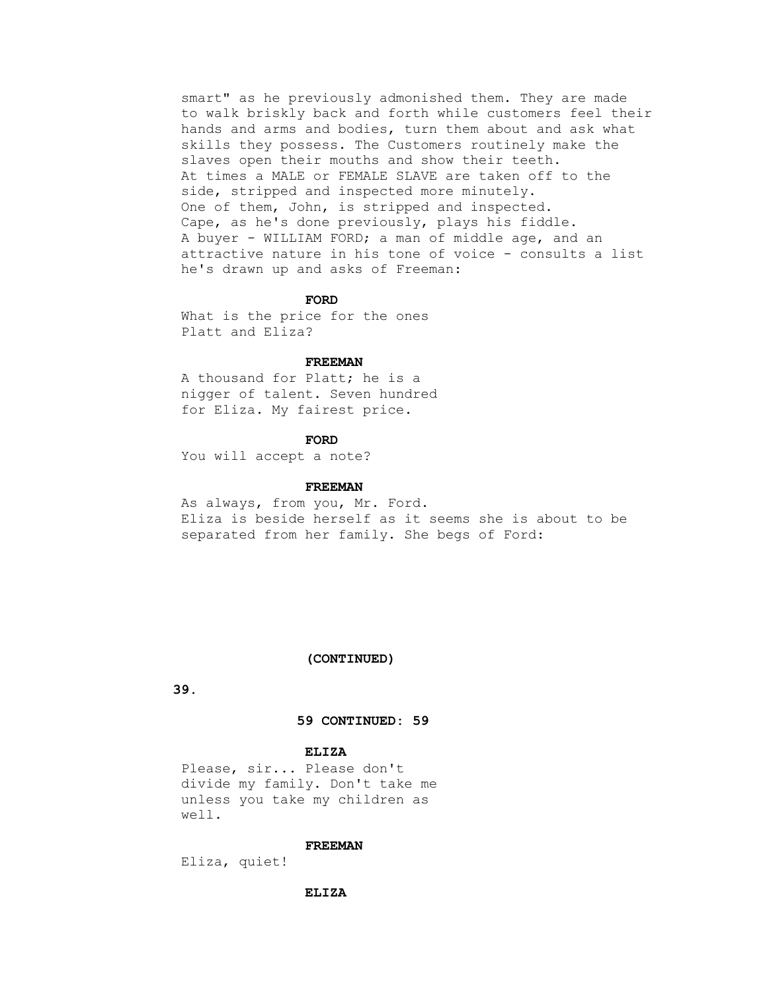smart" as he previously admonished them. They are made to walk briskly back and forth while customers feel their hands and arms and bodies, turn them about and ask what skills they possess. The Customers routinely make the slaves open their mouths and show their teeth. At times a MALE or FEMALE SLAVE are taken off to the side, stripped and inspected more minutely. One of them, John, is stripped and inspected. Cape, as he's done previously, plays his fiddle. A buyer - WILLIAM FORD; a man of middle age, and an attractive nature in his tone of voice - consults a list he's drawn up and asks of Freeman:

#### **FORD**

 What is the price for the ones Platt and Eliza?

#### **FREEMAN**

 A thousand for Platt; he is a nigger of talent. Seven hundred for Eliza. My fairest price.

#### **FORD**

You will accept a note?

### **FREEMAN**

 As always, from you, Mr. Ford. Eliza is beside herself as it seems she is about to be separated from her family. She begs of Ford:

#### **(CONTINUED)**

 **39.**

### **59 CONTINUED: 59**

# **ELIZA**

 Please, sir... Please don't divide my family. Don't take me unless you take my children as well.

#### **FREEMAN**

Eliza, quiet!

### **ELIZA**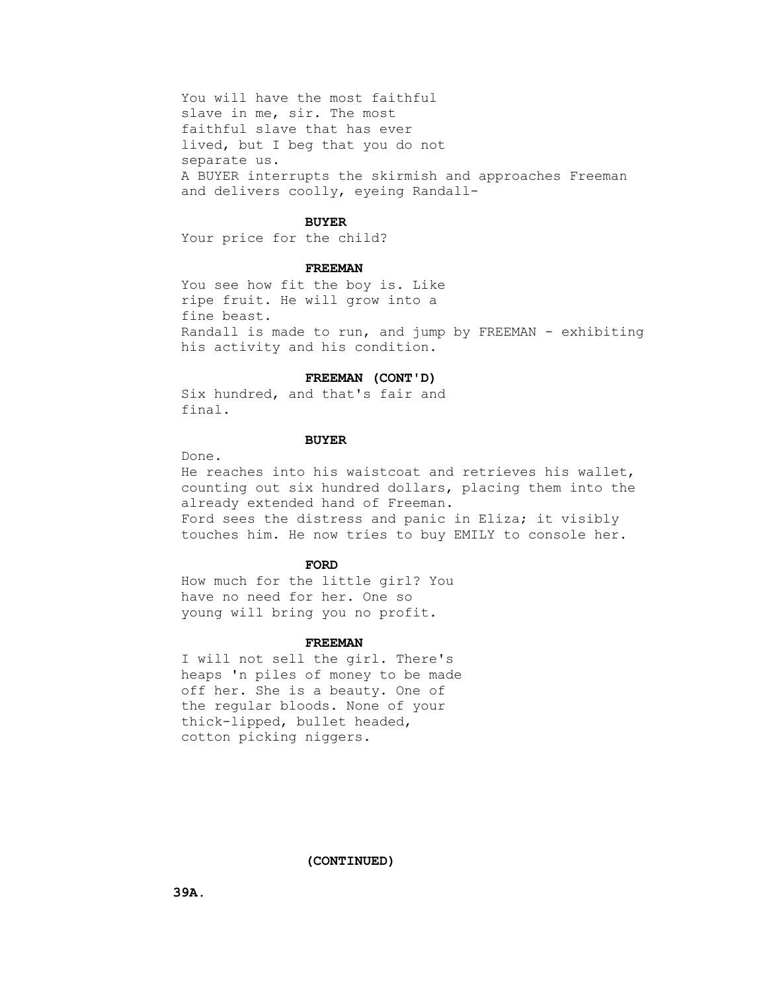You will have the most faithful slave in me, sir. The most faithful slave that has ever lived, but I beg that you do not separate us. A BUYER interrupts the skirmish and approaches Freeman and delivers coolly, eyeing Randall-

#### **BUYER**

Your price for the child?

### **FREEMAN**

 You see how fit the boy is. Like ripe fruit. He will grow into a fine beast. Randall is made to run, and jump by FREEMAN - exhibiting his activity and his condition.

### **FREEMAN (CONT'D)**

 Six hundred, and that's fair and final.

## **BUYER**

Done.

 He reaches into his waistcoat and retrieves his wallet, counting out six hundred dollars, placing them into the already extended hand of Freeman. Ford sees the distress and panic in Eliza; it visibly touches him. He now tries to buy EMILY to console her.

#### **FORD**

 How much for the little girl? You have no need for her. One so young will bring you no profit.

#### **FREEMAN**

 I will not sell the girl. There's heaps 'n piles of money to be made off her. She is a beauty. One of the regular bloods. None of your thick-lipped, bullet headed, cotton picking niggers.

 **(CONTINUED)**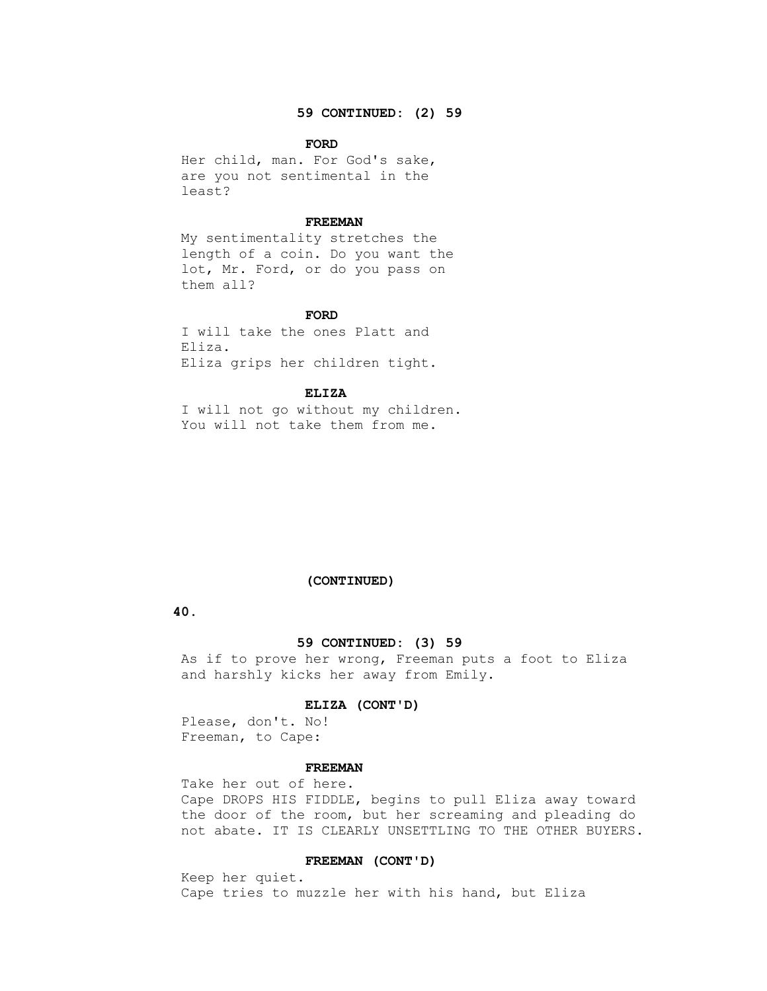## **59 CONTINUED: (2) 59**

### **FORD**

 Her child, man. For God's sake, are you not sentimental in the least?

#### **FREEMAN**

 My sentimentality stretches the length of a coin. Do you want the lot, Mr. Ford, or do you pass on them all?

### **FORD**

 I will take the ones Platt and Eliza. Eliza grips her children tight.

#### **ELIZA**

 I will not go without my children. You will not take them from me.

#### **(CONTINUED)**

 **40.**

### **59 CONTINUED: (3) 59**

 As if to prove her wrong, Freeman puts a foot to Eliza and harshly kicks her away from Emily.

### **ELIZA (CONT'D)**

 Please, don't. No! Freeman, to Cape:

#### **FREEMAN**

 Take her out of here. Cape DROPS HIS FIDDLE, begins to pull Eliza away toward the door of the room, but her screaming and pleading do not abate. IT IS CLEARLY UNSETTLING TO THE OTHER BUYERS.

## **FREEMAN (CONT'D)**

 Keep her quiet. Cape tries to muzzle her with his hand, but Eliza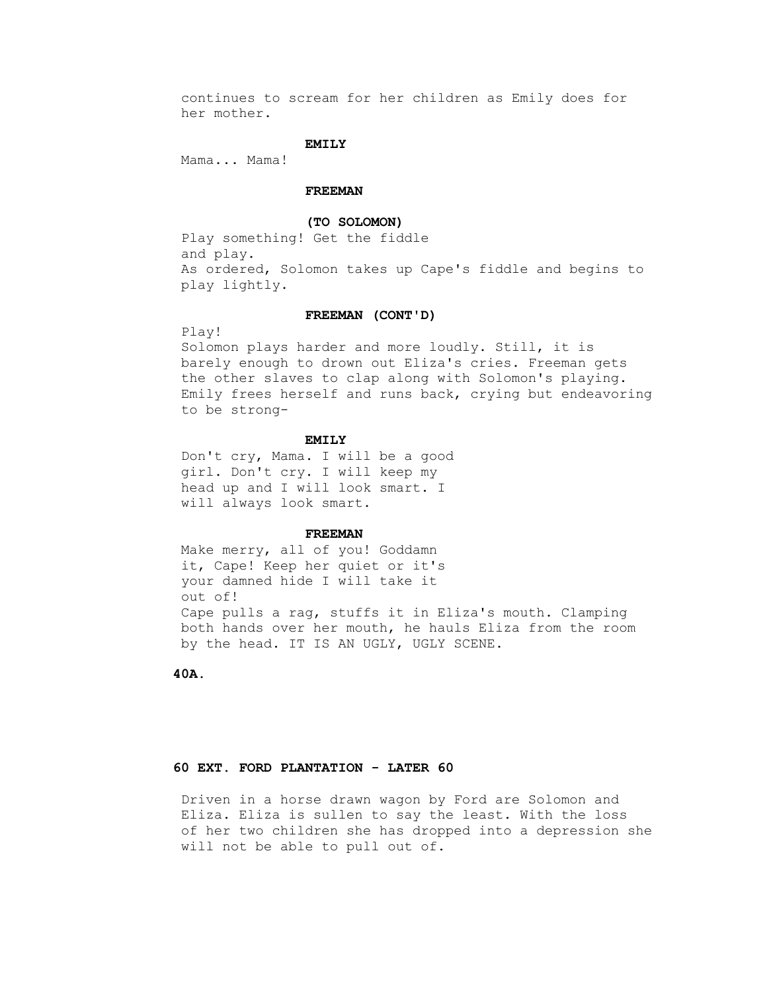continues to scream for her children as Emily does for her mother.

### **EMILY**

Mama... Mama!

### **FREEMAN**

### **(TO SOLOMON)**

 Play something! Get the fiddle and play. As ordered, Solomon takes up Cape's fiddle and begins to play lightly.

### **FREEMAN (CONT'D)**

Play!

 Solomon plays harder and more loudly. Still, it is barely enough to drown out Eliza's cries. Freeman gets the other slaves to clap along with Solomon's playing. Emily frees herself and runs back, crying but endeavoring to be strong-

## **EMILY**

 Don't cry, Mama. I will be a good girl. Don't cry. I will keep my head up and I will look smart. I will always look smart.

#### **FREEMAN**

 Make merry, all of you! Goddamn it, Cape! Keep her quiet or it's your damned hide I will take it out of! Cape pulls a rag, stuffs it in Eliza's mouth. Clamping both hands over her mouth, he hauls Eliza from the room by the head. IT IS AN UGLY, UGLY SCENE.

 **40A.**

# **60 EXT. FORD PLANTATION - LATER 60**

 Driven in a horse drawn wagon by Ford are Solomon and Eliza. Eliza is sullen to say the least. With the loss of her two children she has dropped into a depression she will not be able to pull out of.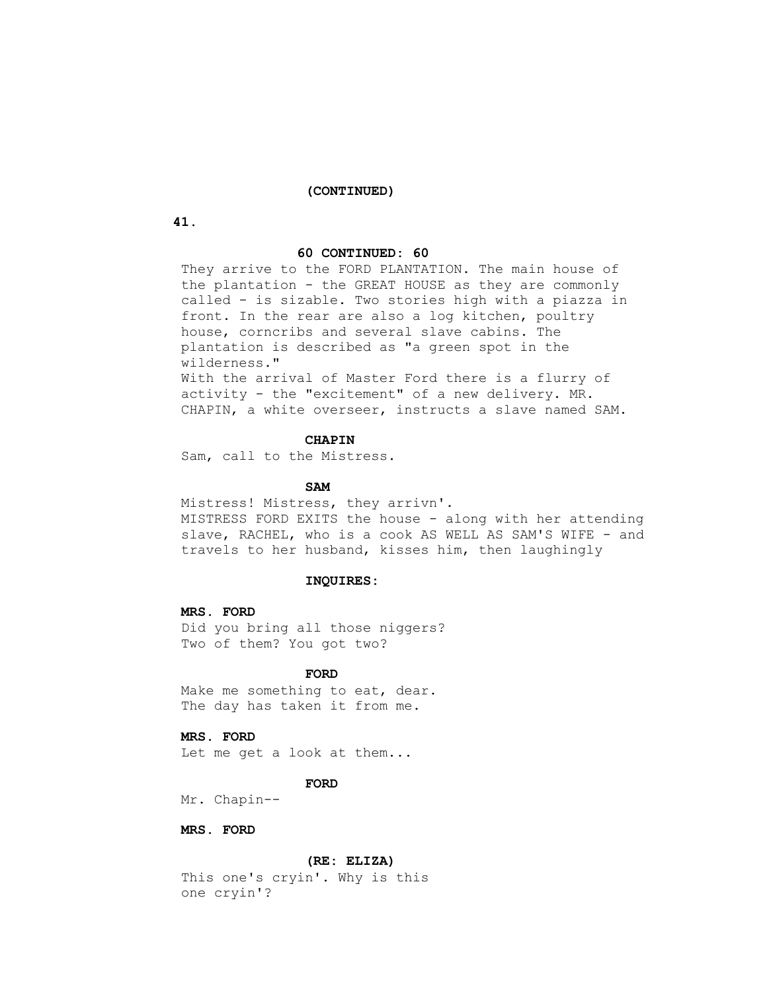#### **(CONTINUED)**

 **41.**

### **60 CONTINUED: 60**

 They arrive to the FORD PLANTATION. The main house of the plantation - the GREAT HOUSE as they are commonly called - is sizable. Two stories high with a piazza in front. In the rear are also a log kitchen, poultry house, corncribs and several slave cabins. The plantation is described as "a green spot in the wilderness."

 With the arrival of Master Ford there is a flurry of activity - the "excitement" of a new delivery. MR. CHAPIN, a white overseer, instructs a slave named SAM.

## **CHAPIN**

Sam, call to the Mistress.

## **SAM**

 Mistress! Mistress, they arrivn'. MISTRESS FORD EXITS the house - along with her attending slave, RACHEL, who is a cook AS WELL AS SAM'S WIFE - and travels to her husband, kisses him, then laughingly

#### **INQUIRES:**

### **MRS. FORD**

 Did you bring all those niggers? Two of them? You got two?

#### **FORD**

 Make me something to eat, dear. The day has taken it from me.

#### **MRS. FORD**

Let me get a look at them...

## **FORD**

Mr. Chapin--

# **MRS. FORD**

### **(RE: ELIZA)**

 This one's cryin'. Why is this one cryin'?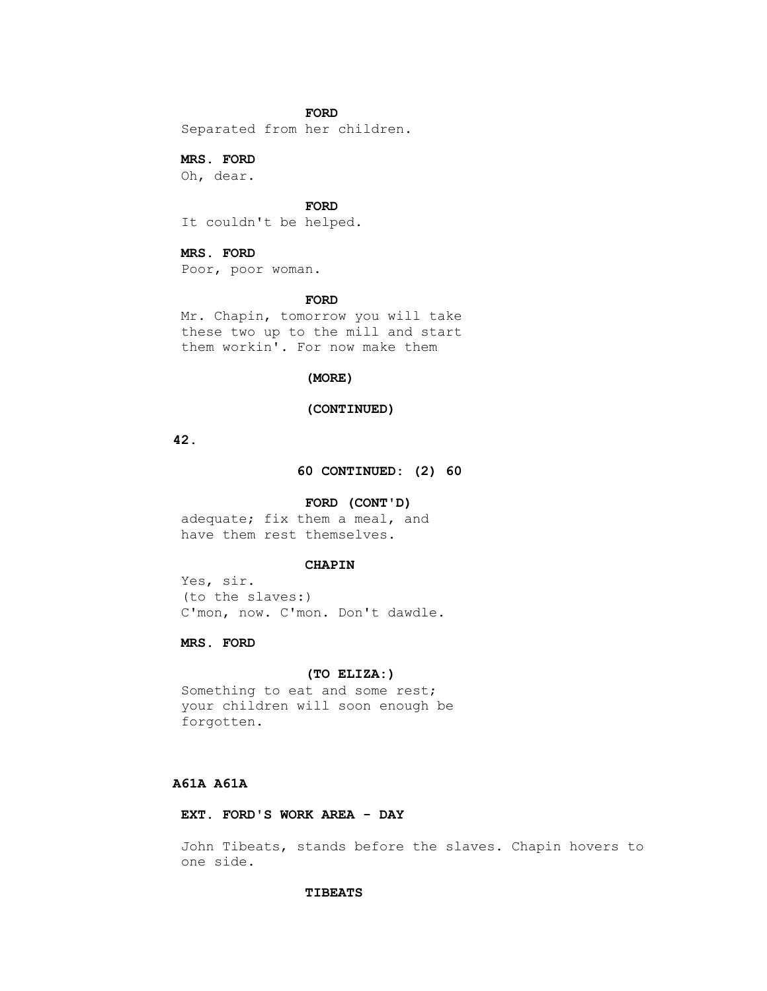## **FORD**

Separated from her children.

 **MRS. FORD**

Oh, dear.

 **FORD**

It couldn't be helped.

## **MRS. FORD**

Poor, poor woman.

#### **FORD**

 Mr. Chapin, tomorrow you will take these two up to the mill and start them workin'. For now make them

## **(MORE)**

## **(CONTINUED)**

 **42.**

 **60 CONTINUED: (2) 60**

### **FORD (CONT'D)**

 adequate; fix them a meal, and have them rest themselves.

## **CHAPIN**

 Yes, sir. (to the slaves:) C'mon, now. C'mon. Don't dawdle.

# **MRS. FORD**

## **(TO ELIZA:)**

 Something to eat and some rest; your children will soon enough be forgotten.

# **A61A A61A**

# **EXT. FORD'S WORK AREA - DAY**

 John Tibeats, stands before the slaves. Chapin hovers to one side.

#### **TIBEATS**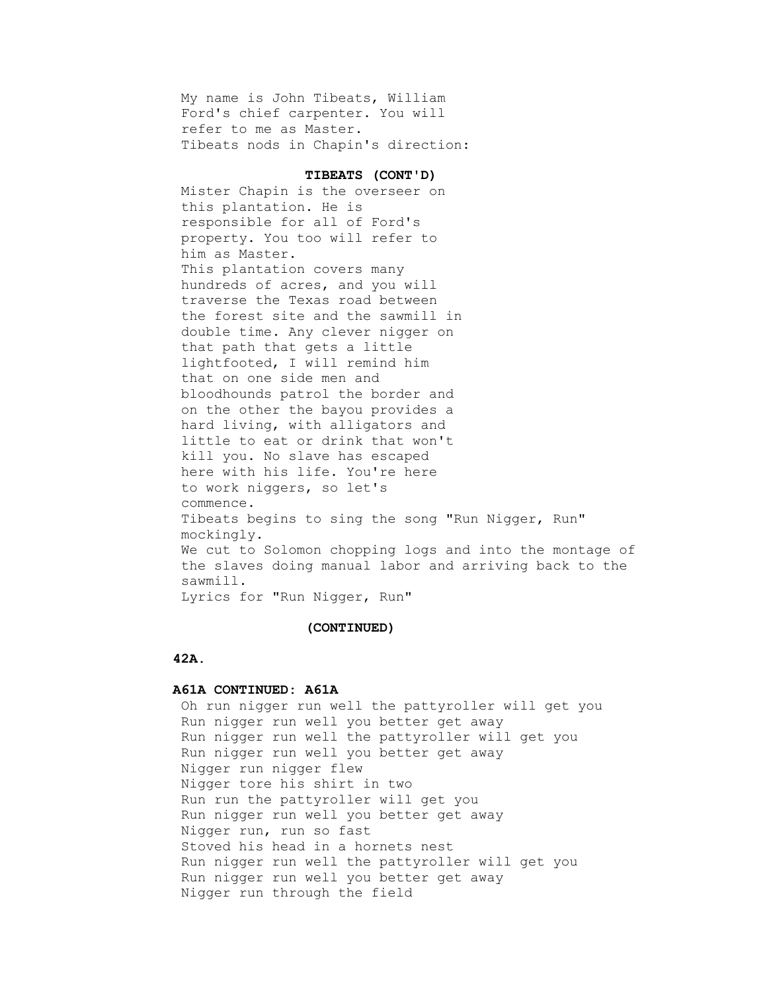My name is John Tibeats, William Ford's chief carpenter. You will refer to me as Master. Tibeats nods in Chapin's direction:

#### **TIBEATS (CONT'D)**

 Mister Chapin is the overseer on this plantation. He is responsible for all of Ford's property. You too will refer to him as Master. This plantation covers many hundreds of acres, and you will traverse the Texas road between the forest site and the sawmill in double time. Any clever nigger on that path that gets a little lightfooted, I will remind him that on one side men and bloodhounds patrol the border and on the other the bayou provides a hard living, with alligators and little to eat or drink that won't kill you. No slave has escaped here with his life. You're here to work niggers, so let's commence. Tibeats begins to sing the song "Run Nigger, Run" mockingly. We cut to Solomon chopping logs and into the montage of the slaves doing manual labor and arriving back to the sawmill. Lyrics for "Run Nigger, Run"

## **(CONTINUED)**

#### **42A.**

## **A61A CONTINUED: A61A**

 Oh run nigger run well the pattyroller will get you Run nigger run well you better get away Run nigger run well the pattyroller will get you Run nigger run well you better get away Nigger run nigger flew Nigger tore his shirt in two Run run the pattyroller will get you Run nigger run well you better get away Nigger run, run so fast Stoved his head in a hornets nest Run nigger run well the pattyroller will get you Run nigger run well you better get away Nigger run through the field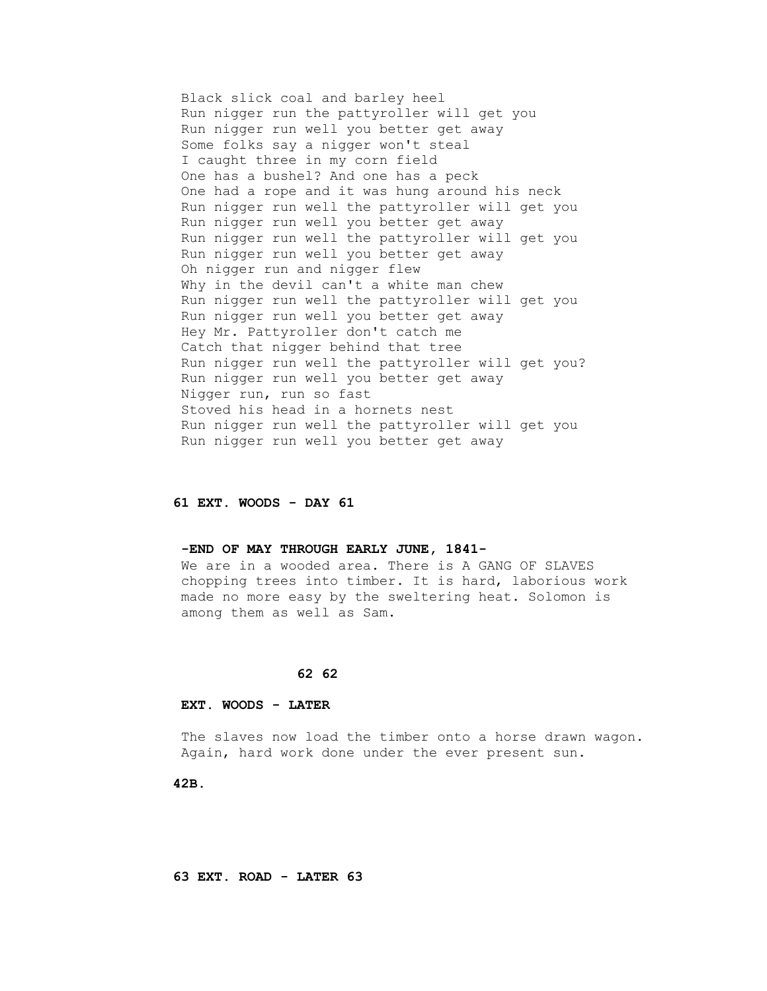Black slick coal and barley heel Run nigger run the pattyroller will get you Run nigger run well you better get away Some folks say a nigger won't steal I caught three in my corn field One has a bushel? And one has a peck One had a rope and it was hung around his neck Run nigger run well the pattyroller will get you Run nigger run well you better get away Run nigger run well the pattyroller will get you Run nigger run well you better get away Oh nigger run and nigger flew Why in the devil can't a white man chew Run nigger run well the pattyroller will get you Run nigger run well you better get away Hey Mr. Pattyroller don't catch me Catch that nigger behind that tree Run nigger run well the pattyroller will get you? Run nigger run well you better get away Nigger run, run so fast Stoved his head in a hornets nest Run nigger run well the pattyroller will get you Run nigger run well you better get away

## **61 EXT. WOODS - DAY 61**

### **-END OF MAY THROUGH EARLY JUNE, 1841-**

 We are in a wooded area. There is A GANG OF SLAVES chopping trees into timber. It is hard, laborious work made no more easy by the sweltering heat. Solomon is among them as well as Sam.

### **62 62**

# **EXT. WOODS - LATER**

 The slaves now load the timber onto a horse drawn wagon. Again, hard work done under the ever present sun.

 **42B.**

 **63 EXT. ROAD - LATER 63**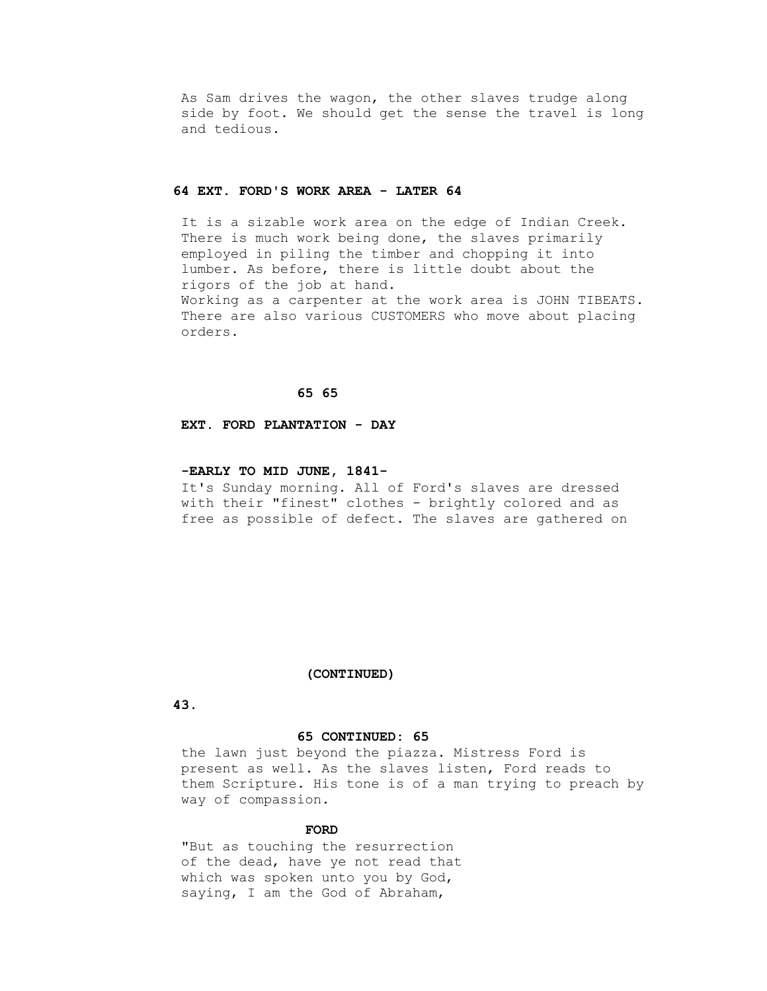As Sam drives the wagon, the other slaves trudge along side by foot. We should get the sense the travel is long and tedious.

#### **64 EXT. FORD'S WORK AREA - LATER 64**

 It is a sizable work area on the edge of Indian Creek. There is much work being done, the slaves primarily employed in piling the timber and chopping it into lumber. As before, there is little doubt about the rigors of the job at hand. Working as a carpenter at the work area is JOHN TIBEATS. There are also various CUSTOMERS who move about placing orders.

### **65 65**

#### **EXT. FORD PLANTATION - DAY**

#### **-EARLY TO MID JUNE, 1841-**

 It's Sunday morning. All of Ford's slaves are dressed with their "finest" clothes - brightly colored and as free as possible of defect. The slaves are gathered on

### **(CONTINUED)**

## **43.**

#### **65 CONTINUED: 65**

 the lawn just beyond the piazza. Mistress Ford is present as well. As the slaves listen, Ford reads to them Scripture. His tone is of a man trying to preach by way of compassion.

## *FORD*

 "But as touching the resurrection of the dead, have ye not read that which was spoken unto you by God, saying, I am the God of Abraham,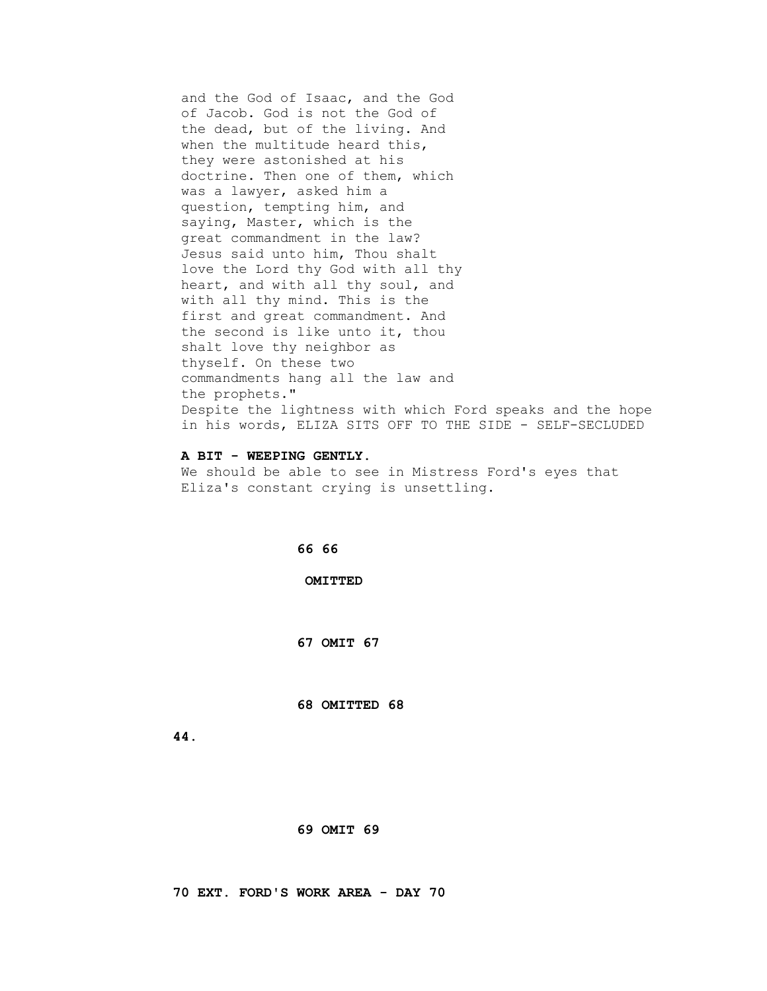and the God of Isaac, and the God of Jacob. God is not the God of the dead, but of the living. And when the multitude heard this, they were astonished at his doctrine. Then one of them, which was a lawyer, asked him a question, tempting him, and saying, Master, which is the great commandment in the law? Jesus said unto him, Thou shalt love the Lord thy God with all thy heart, and with all thy soul, and with all thy mind. This is the first and great commandment. And the second is like unto it, thou shalt love thy neighbor as thyself. On these two commandments hang all the law and the prophets." Despite the lightness with which Ford speaks and the hope in his words, ELIZA SITS OFF TO THE SIDE - SELF-SECLUDED

### **A BIT - WEEPING GENTLY.**

 We should be able to see in Mistress Ford's eyes that Eliza's constant crying is unsettling.

 **66 66**

 **OMITTED**

 **67 OMIT 67**

 **68 OMITTED 68**

 **44.**

 **69 OMIT 69**

 **70 EXT. FORD'S WORK AREA - DAY 70**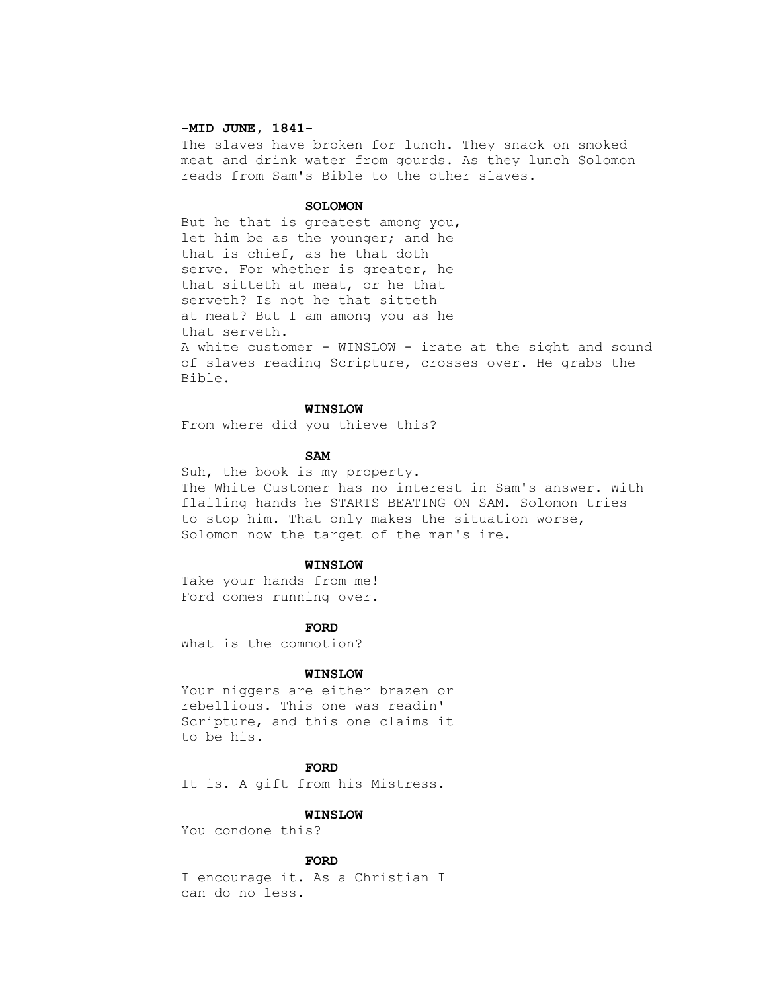#### **-MID JUNE, 1841-**

 The slaves have broken for lunch. They snack on smoked meat and drink water from gourds. As they lunch Solomon reads from Sam's Bible to the other slaves.

#### **SOLOMON**

 But he that is greatest among you, let him be as the younger; and he that is chief, as he that doth serve. For whether is greater, he that sitteth at meat, or he that serveth? Is not he that sitteth at meat? But I am among you as he that serveth. A white customer - WINSLOW - irate at the sight and sound of slaves reading Scripture, crosses over. He grabs the Bible.

#### **WINSLOW**

From where did you thieve this?

## **SAM**

 Suh, the book is my property. The White Customer has no interest in Sam's answer. With flailing hands he STARTS BEATING ON SAM. Solomon tries to stop him. That only makes the situation worse, Solomon now the target of the man's ire.

#### **WINSLOW**

 Take your hands from me! Ford comes running over.

#### **FORD**

What is the commotion?

### **WINSLOW**

 Your niggers are either brazen or rebellious. This one was readin' Scripture, and this one claims it to be his.

## *FORD*

It is. A gift from his Mistress.

### **WINSLOW**

You condone this?

#### **FORD**

 I encourage it. As a Christian I can do no less.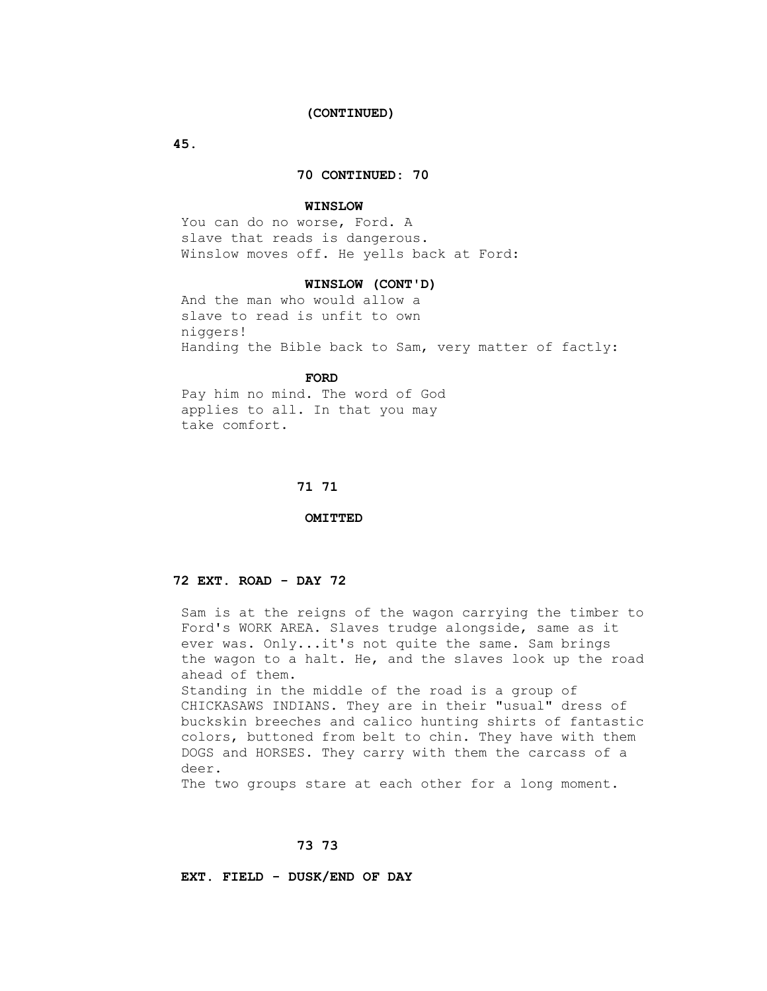#### **(CONTINUED)**

 **45.**

## **70 CONTINUED: 70**

#### **WINSLOW**

 You can do no worse, Ford. A slave that reads is dangerous. Winslow moves off. He yells back at Ford:

#### **WINSLOW (CONT'D)**

 And the man who would allow a slave to read is unfit to own niggers! Handing the Bible back to Sam, very matter of factly:

## **FORD**

 Pay him no mind. The word of God applies to all. In that you may take comfort.

#### **71 71**

 **OMITTED**

## **72 EXT. ROAD - DAY 72**

 Sam is at the reigns of the wagon carrying the timber to Ford's WORK AREA. Slaves trudge alongside, same as it ever was. Only...it's not quite the same. Sam brings the wagon to a halt. He, and the slaves look up the road ahead of them. Standing in the middle of the road is a group of CHICKASAWS INDIANS. They are in their "usual" dress of buckskin breeches and calico hunting shirts of fantastic colors, buttoned from belt to chin. They have with them DOGS and HORSES. They carry with them the carcass of a deer.

The two groups stare at each other for a long moment.

### **73 73**

 **EXT. FIELD - DUSK/END OF DAY**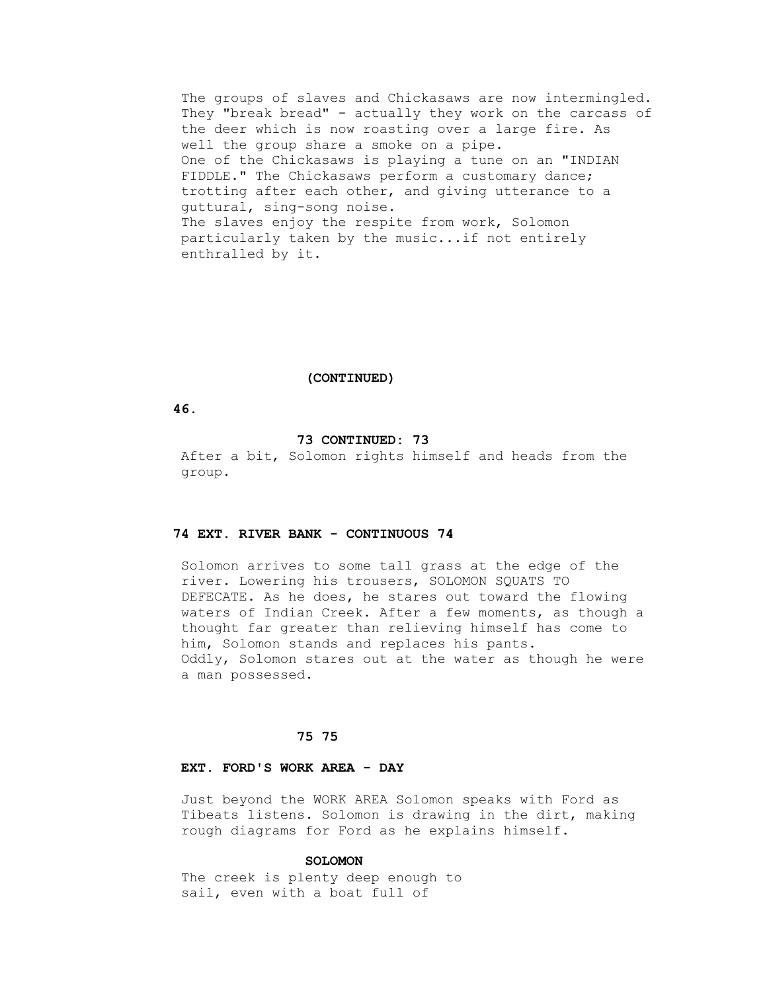The groups of slaves and Chickasaws are now intermingled. They "break bread" - actually they work on the carcass of the deer which is now roasting over a large fire. As well the group share a smoke on a pipe. One of the Chickasaws is playing a tune on an "INDIAN FIDDLE." The Chickasaws perform a customary dance; trotting after each other, and giving utterance to a guttural, sing-song noise. The slaves enjoy the respite from work, Solomon particularly taken by the music...if not entirely enthralled by it.

 **(CONTINUED)**

 **46.**

# **73 CONTINUED: 73**

 After a bit, Solomon rights himself and heads from the group.

## **74 EXT. RIVER BANK - CONTINUOUS 74**

 Solomon arrives to some tall grass at the edge of the river. Lowering his trousers, SOLOMON SQUATS TO DEFECATE. As he does, he stares out toward the flowing waters of Indian Creek. After a few moments, as though a thought far greater than relieving himself has come to him, Solomon stands and replaces his pants. Oddly, Solomon stares out at the water as though he were a man possessed.

### **75 75**

## **EXT. FORD'S WORK AREA - DAY**

 Just beyond the WORK AREA Solomon speaks with Ford as Tibeats listens. Solomon is drawing in the dirt, making rough diagrams for Ford as he explains himself.

### **SOLOMON**

 The creek is plenty deep enough to sail, even with a boat full of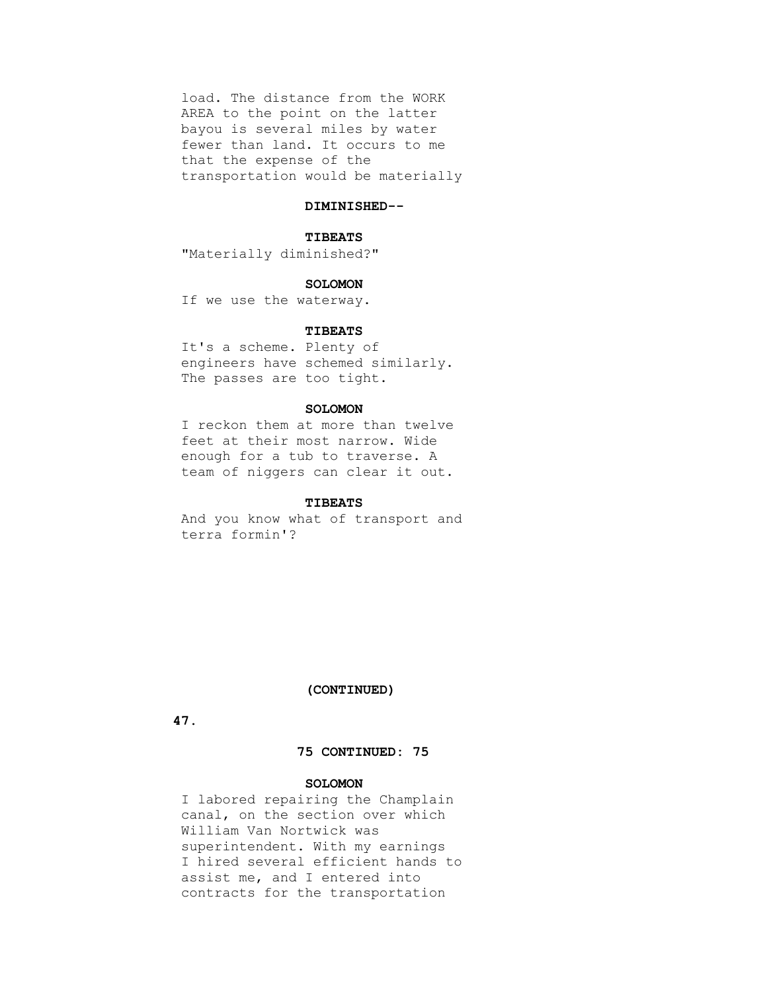load. The distance from the WORK AREA to the point on the latter bayou is several miles by water fewer than land. It occurs to me that the expense of the transportation would be materially

### **DIMINISHED--**

#### **TIBEATS**

"Materially diminished?"

#### **SOLOMON**

If we use the waterway.

### **TIBEATS**

 It's a scheme. Plenty of engineers have schemed similarly. The passes are too tight.

### **SOLOMON**

 I reckon them at more than twelve feet at their most narrow. Wide enough for a tub to traverse. A team of niggers can clear it out.

### **TIBEATS**

 And you know what of transport and terra formin'?

## **(CONTINUED)**

 **47.**

# **75 CONTINUED: 75**

## **SOLOMON**

 I labored repairing the Champlain canal, on the section over which William Van Nortwick was superintendent. With my earnings I hired several efficient hands to assist me, and I entered into contracts for the transportation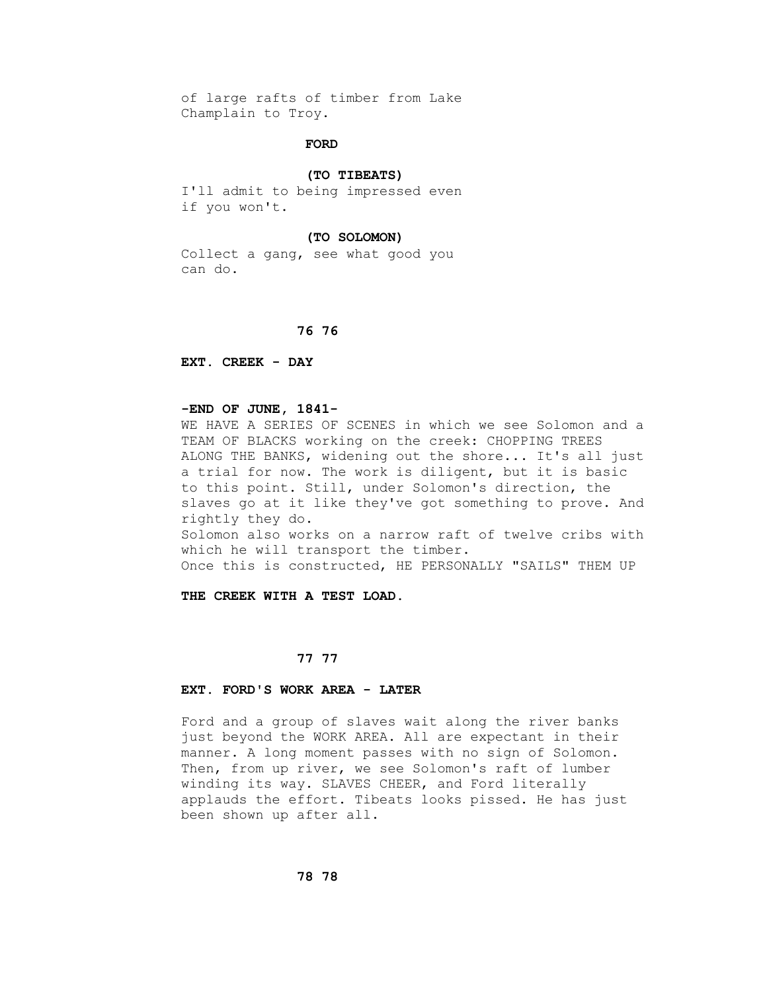of large rafts of timber from Lake Champlain to Troy.

## **FORD**

#### **(TO TIBEATS)**

 I'll admit to being impressed even if you won't.

#### **(TO SOLOMON)**

 Collect a gang, see what good you can do.

### **76 76**

 **EXT. CREEK - DAY**

### **-END OF JUNE, 1841-**

 WE HAVE A SERIES OF SCENES in which we see Solomon and a TEAM OF BLACKS working on the creek: CHOPPING TREES ALONG THE BANKS, widening out the shore... It's all just a trial for now. The work is diligent, but it is basic to this point. Still, under Solomon's direction, the slaves go at it like they've got something to prove. And rightly they do. Solomon also works on a narrow raft of twelve cribs with which he will transport the timber. Once this is constructed, HE PERSONALLY "SAILS" THEM UP

 **THE CREEK WITH A TEST LOAD.**

## **77 77**

### **EXT. FORD'S WORK AREA - LATER**

 Ford and a group of slaves wait along the river banks just beyond the WORK AREA. All are expectant in their manner. A long moment passes with no sign of Solomon. Then, from up river, we see Solomon's raft of lumber winding its way. SLAVES CHEER, and Ford literally applauds the effort. Tibeats looks pissed. He has just been shown up after all.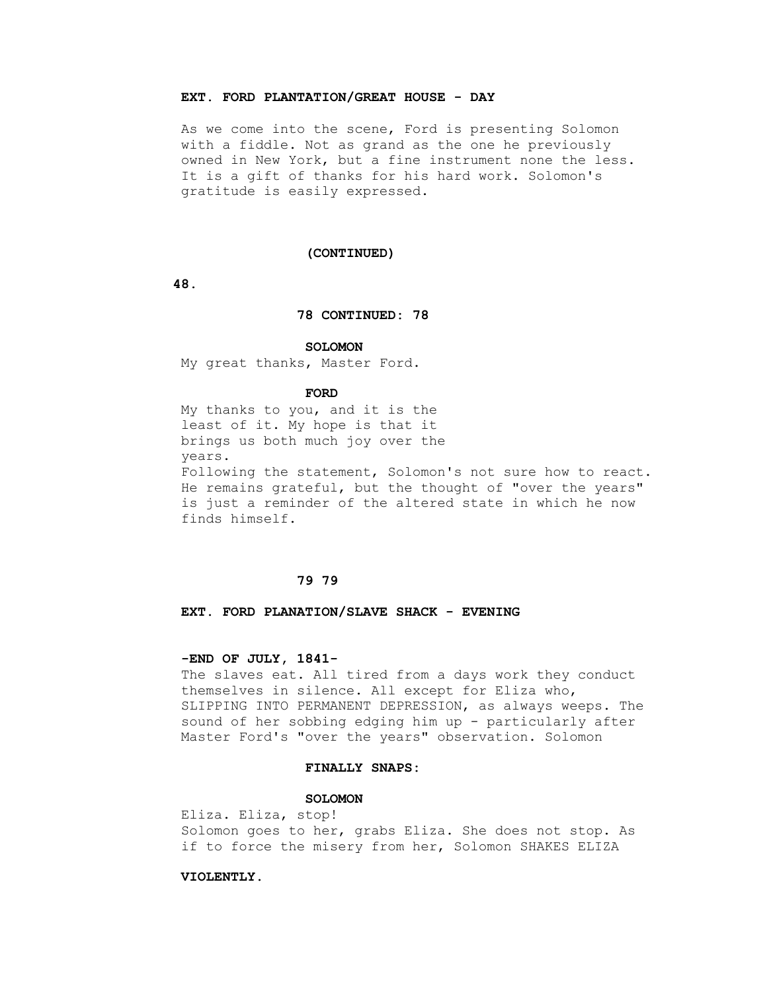## **EXT. FORD PLANTATION/GREAT HOUSE - DAY**

 As we come into the scene, Ford is presenting Solomon with a fiddle. Not as grand as the one he previously owned in New York, but a fine instrument none the less. It is a gift of thanks for his hard work. Solomon's gratitude is easily expressed.

### **(CONTINUED)**

 **48.**

#### **78 CONTINUED: 78**

#### **SOLOMON**

My great thanks, Master Ford.

#### **FORD**

 My thanks to you, and it is the least of it. My hope is that it brings us both much joy over the years.

 Following the statement, Solomon's not sure how to react. He remains grateful, but the thought of "over the years" is just a reminder of the altered state in which he now finds himself.

## **79 79**

### **EXT. FORD PLANATION/SLAVE SHACK - EVENING**

### **-END OF JULY, 1841-**

 The slaves eat. All tired from a days work they conduct themselves in silence. All except for Eliza who, SLIPPING INTO PERMANENT DEPRESSION, as always weeps. The sound of her sobbing edging him up - particularly after Master Ford's "over the years" observation. Solomon

#### **FINALLY SNAPS:**

#### **SOLOMON**

 Eliza. Eliza, stop! Solomon goes to her, grabs Eliza. She does not stop. As if to force the misery from her, Solomon SHAKES ELIZA

## **VIOLENTLY.**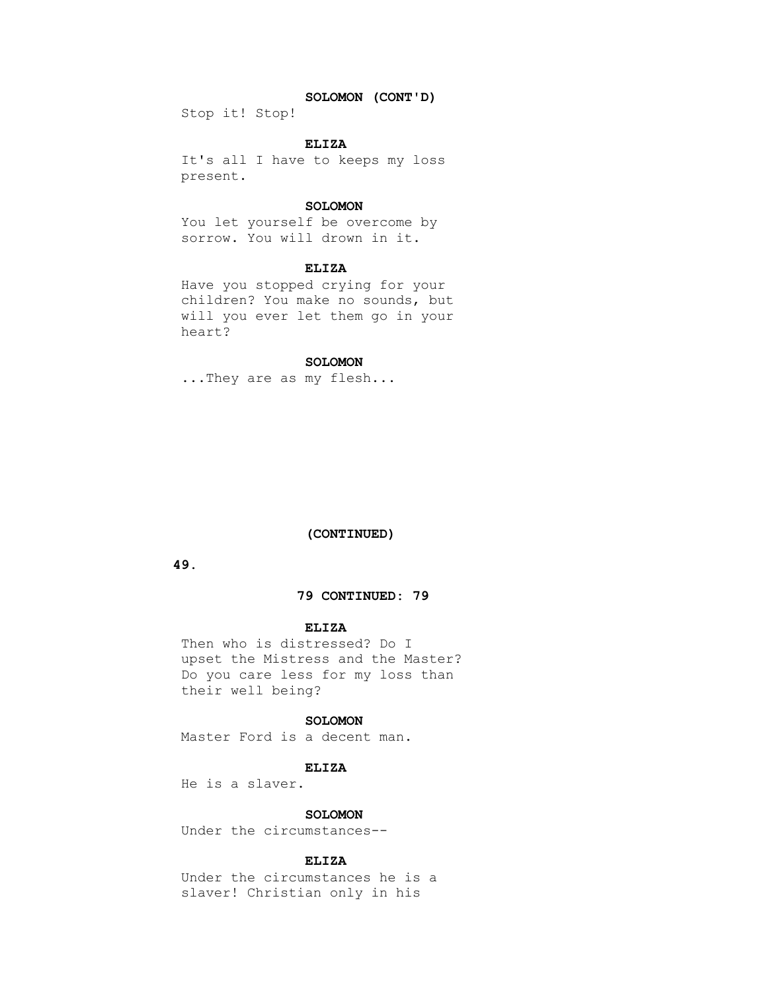## **SOLOMON (CONT'D)**

Stop it! Stop!

### **ELIZA**

 It's all I have to keeps my loss present.

### **SOLOMON**

 You let yourself be overcome by sorrow. You will drown in it.

### **ELIZA**

 Have you stopped crying for your children? You make no sounds, but will you ever let them go in your heart?

## **SOLOMON**

...They are as my flesh...

### **(CONTINUED)**

 **49.**

## **79 CONTINUED: 79**

## **ELIZA**

 Then who is distressed? Do I upset the Mistress and the Master? Do you care less for my loss than their well being?

#### **SOLOMON**

Master Ford is a decent man.

#### **ELIZA**

He is a slaver.

### **SOLOMON**

Under the circumstances--

### **ELIZA**

 Under the circumstances he is a slaver! Christian only in his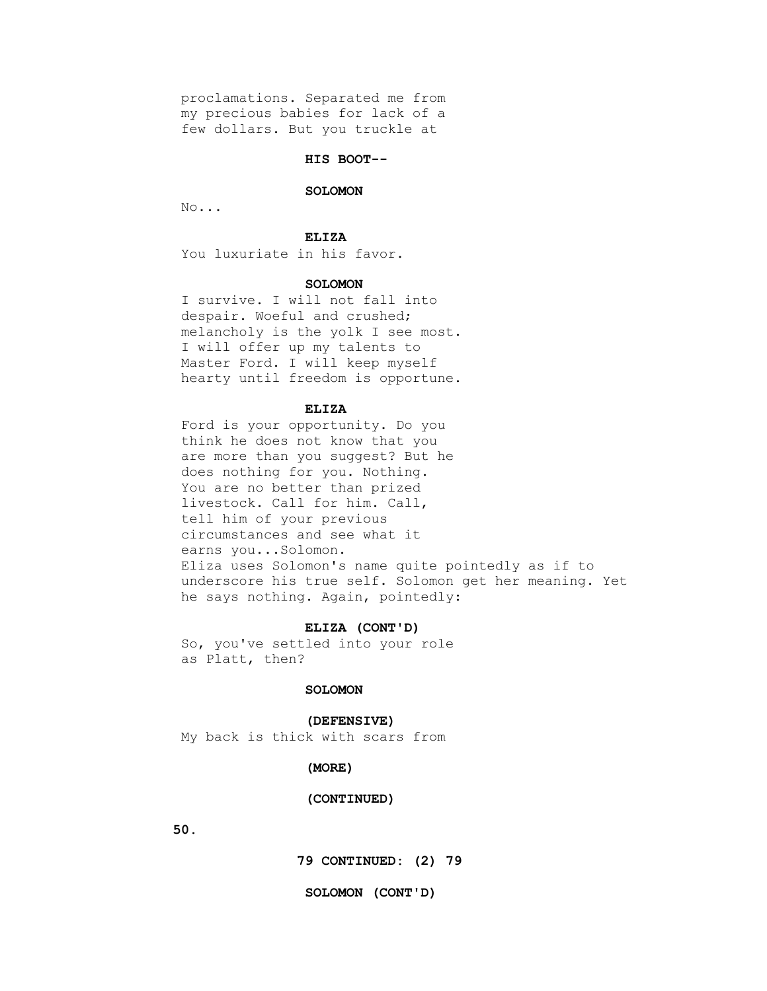proclamations. Separated me from my precious babies for lack of a few dollars. But you truckle at

### **HIS BOOT--**

#### **SOLOMON**

No...

#### **ELIZA**

You luxuriate in his favor.

### **SOLOMON**

 I survive. I will not fall into despair. Woeful and crushed; melancholy is the yolk I see most. I will offer up my talents to Master Ford. I will keep myself hearty until freedom is opportune.

#### **ELIZA**

 Ford is your opportunity. Do you think he does not know that you are more than you suggest? But he does nothing for you. Nothing. You are no better than prized livestock. Call for him. Call, tell him of your previous circumstances and see what it earns you...Solomon. Eliza uses Solomon's name quite pointedly as if to underscore his true self. Solomon get her meaning. Yet he says nothing. Again, pointedly:

## **ELIZA (CONT'D)**

 So, you've settled into your role as Platt, then?

### **SOLOMON**

### **(DEFENSIVE)**

My back is thick with scars from

#### **(MORE)**

### **(CONTINUED)**

 **50.**

 **79 CONTINUED: (2) 79**

#### **SOLOMON (CONT'D)**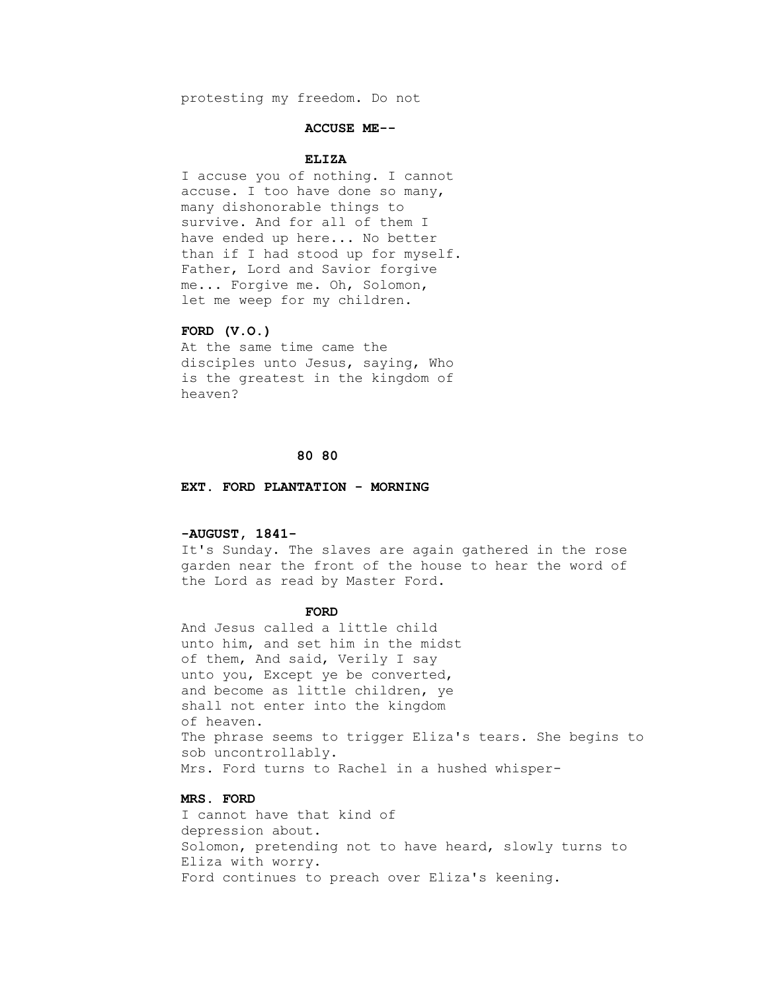protesting my freedom. Do not

#### **ACCUSE ME--**

### **ELIZA**

 I accuse you of nothing. I cannot accuse. I too have done so many, many dishonorable things to survive. And for all of them I have ended up here... No better than if I had stood up for myself. Father, Lord and Savior forgive me... Forgive me. Oh, Solomon, let me weep for my children.

### **FORD (V.O.)**

 At the same time came the disciples unto Jesus, saying, Who is the greatest in the kingdom of heaven?

#### **80 80**

#### **EXT. FORD PLANTATION - MORNING**

## **-AUGUST, 1841-**

 It's Sunday. The slaves are again gathered in the rose garden near the front of the house to hear the word of the Lord as read by Master Ford.

#### **FORD**

 And Jesus called a little child unto him, and set him in the midst of them, And said, Verily I say unto you, Except ye be converted, and become as little children, ye shall not enter into the kingdom of heaven. The phrase seems to trigger Eliza's tears. She begins to sob uncontrollably. Mrs. Ford turns to Rachel in a hushed whisper-

# **MRS. FORD**

 I cannot have that kind of depression about. Solomon, pretending not to have heard, slowly turns to Eliza with worry. Ford continues to preach over Eliza's keening.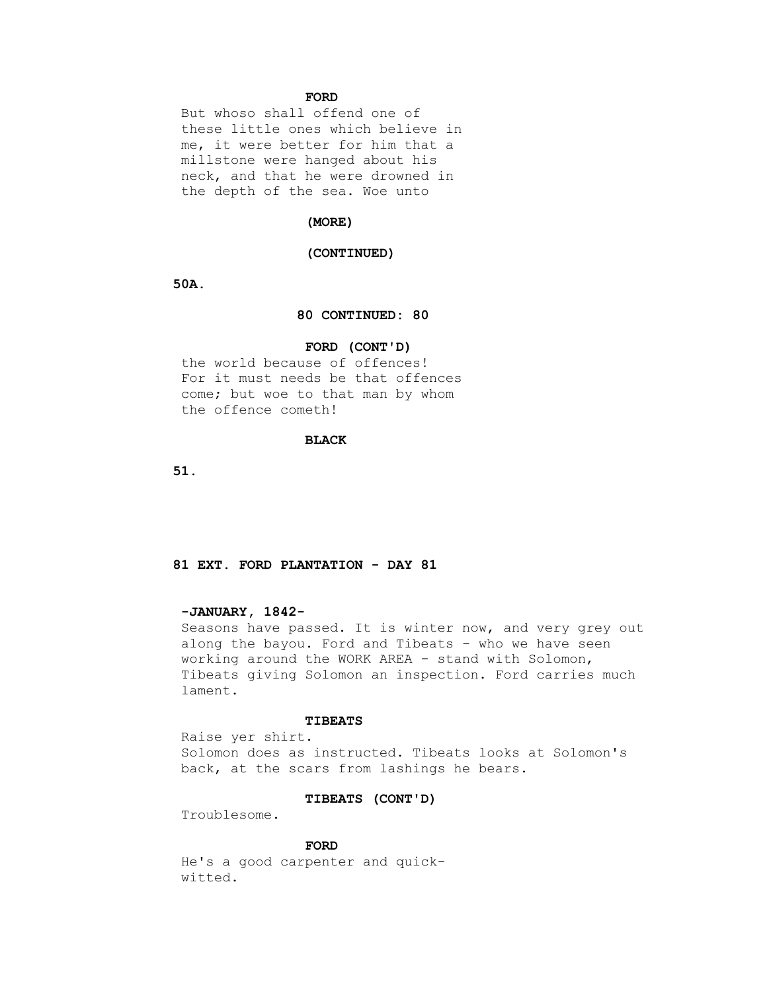### **FORD**

 But whoso shall offend one of these little ones which believe in me, it were better for him that a millstone were hanged about his neck, and that he were drowned in the depth of the sea. Woe unto

#### **(MORE)**

#### **(CONTINUED)**

 **50A.**

### **80 CONTINUED: 80**

#### **FORD (CONT'D)**

 the world because of offences! For it must needs be that offences come; but woe to that man by whom the offence cometh!

## **BLACK**

 **51.**

## **81 EXT. FORD PLANTATION - DAY 81**

## **-JANUARY, 1842-**

 Seasons have passed. It is winter now, and very grey out along the bayou. Ford and Tibeats - who we have seen working around the WORK AREA - stand with Solomon, Tibeats giving Solomon an inspection. Ford carries much lament.

## **TIBEATS**

 Raise yer shirt. Solomon does as instructed. Tibeats looks at Solomon's back, at the scars from lashings he bears.

#### **TIBEATS (CONT'D)**

Troublesome.

### **FORD**

 He's a good carpenter and quick witted.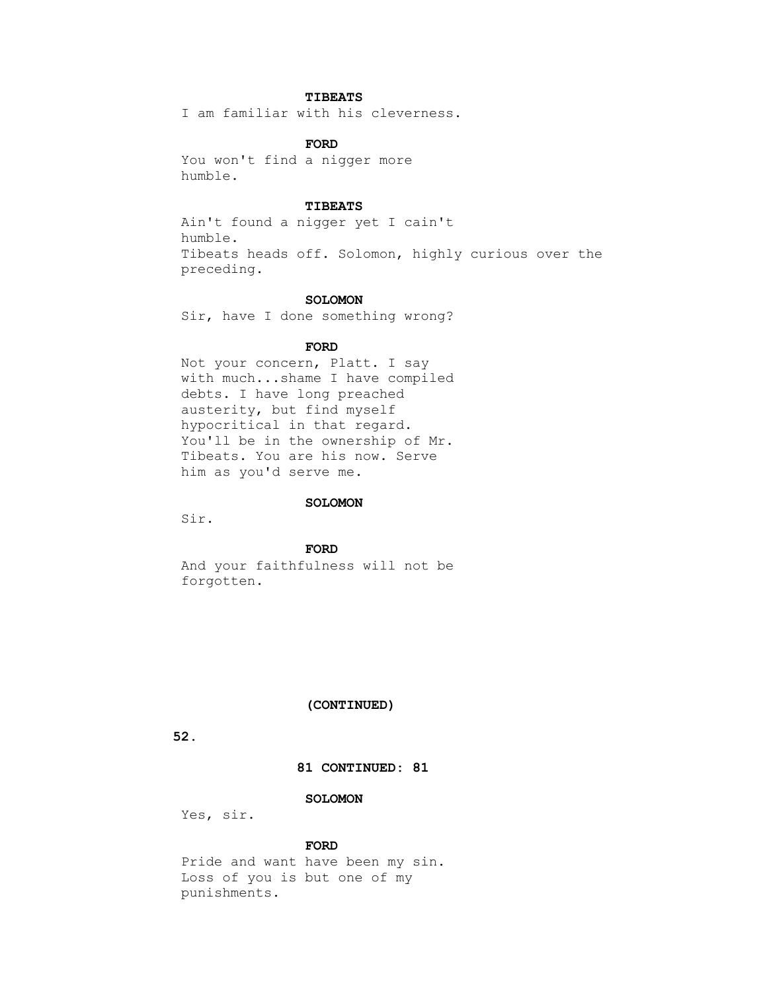# **TIBEATS**

I am familiar with his cleverness.

## **FORD**

 You won't find a nigger more humble.

### **TIBEATS**

 Ain't found a nigger yet I cain't humble. Tibeats heads off. Solomon, highly curious over the preceding.

#### **SOLOMON**

Sir, have I done something wrong?

### **FORD**

 Not your concern, Platt. I say with much...shame I have compiled debts. I have long preached austerity, but find myself hypocritical in that regard. You'll be in the ownership of Mr. Tibeats. You are his now. Serve him as you'd serve me.

#### **SOLOMON**

Sir.

 **FORD**

 And your faithfulness will not be forgotten.

### **(CONTINUED)**

 **52.**

## **81 CONTINUED: 81**

### **SOLOMON**

Yes, sir.

## **FORD**

 Pride and want have been my sin. Loss of you is but one of my punishments.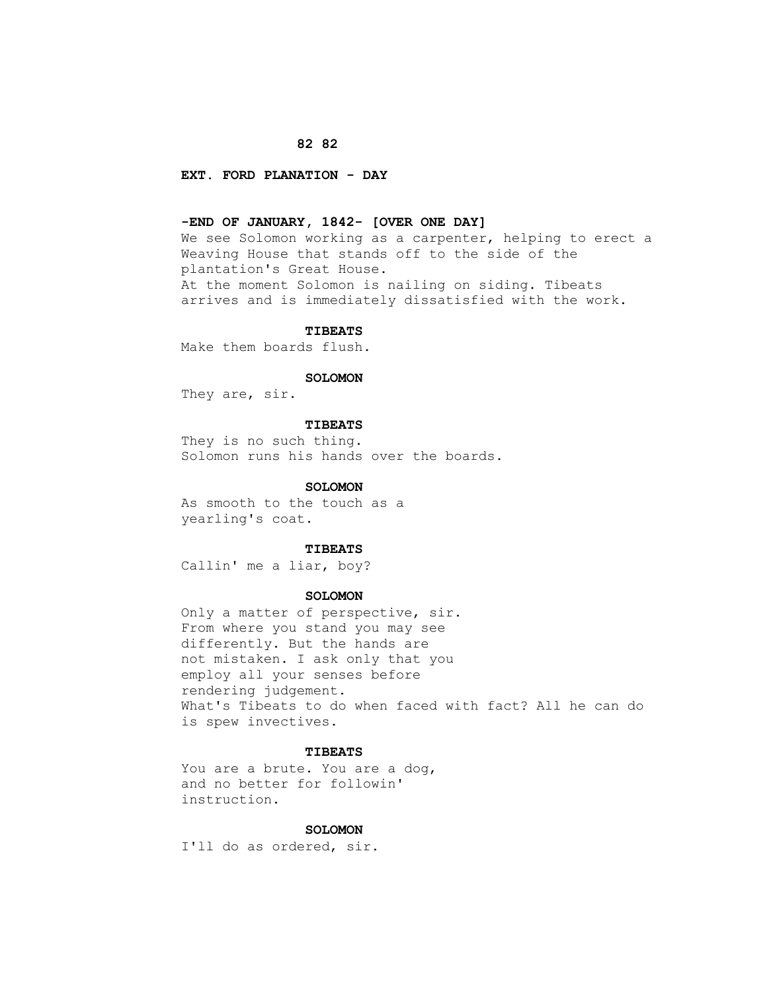## **82 82**

## **EXT. FORD PLANATION - DAY**

## **-END OF JANUARY, 1842- [OVER ONE DAY]**

 We see Solomon working as a carpenter, helping to erect a Weaving House that stands off to the side of the plantation's Great House. At the moment Solomon is nailing on siding. Tibeats arrives and is immediately dissatisfied with the work.

#### **TIBEATS**

Make them boards flush.

### **SOLOMON**

They are, sir.

## **TIBEATS**

 They is no such thing. Solomon runs his hands over the boards.

### **SOLOMON**

 As smooth to the touch as a yearling's coat.

### **TIBEATS**

Callin' me a liar, boy?

### **SOLOMON**

 Only a matter of perspective, sir. From where you stand you may see differently. But the hands are not mistaken. I ask only that you employ all your senses before rendering judgement. What's Tibeats to do when faced with fact? All he can do is spew invectives.

#### **TIBEATS**

 You are a brute. You are a dog, and no better for followin' instruction.

#### **SOLOMON**

I'll do as ordered, sir.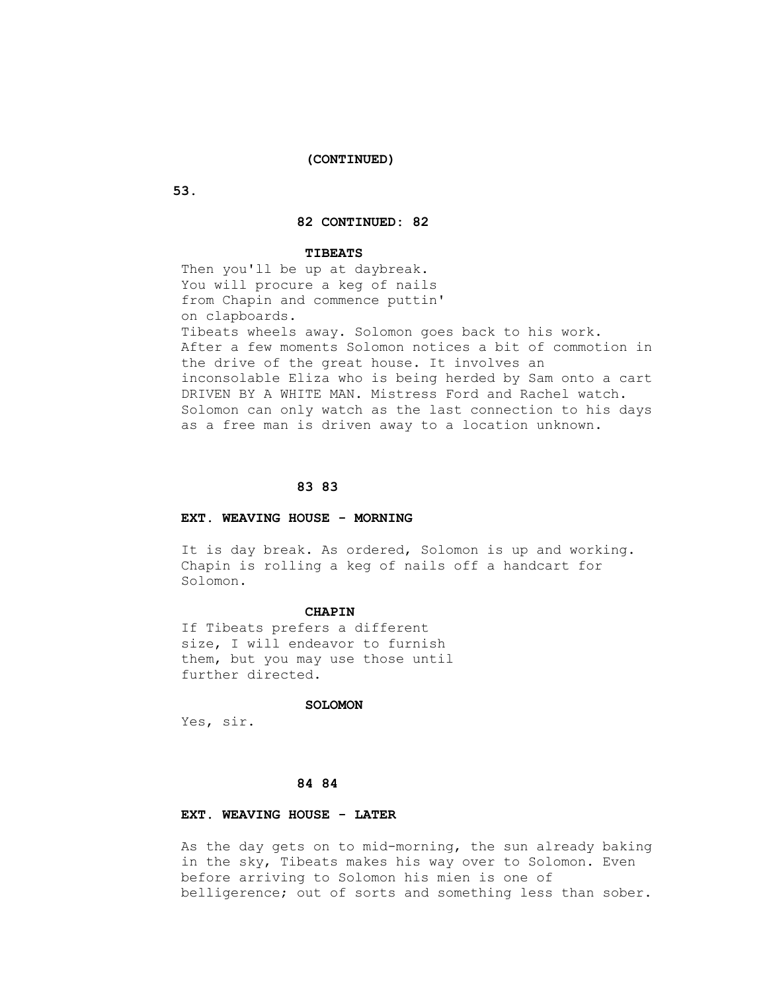## **(CONTINUED)**

 **53.**

## **82 CONTINUED: 82**

#### **TIBEATS**

 Then you'll be up at daybreak. You will procure a keg of nails from Chapin and commence puttin' on clapboards. Tibeats wheels away. Solomon goes back to his work. After a few moments Solomon notices a bit of commotion in the drive of the great house. It involves an inconsolable Eliza who is being herded by Sam onto a cart DRIVEN BY A WHITE MAN. Mistress Ford and Rachel watch. Solomon can only watch as the last connection to his days as a free man is driven away to a location unknown.

#### **83 83**

#### **EXT. WEAVING HOUSE - MORNING**

 It is day break. As ordered, Solomon is up and working. Chapin is rolling a keg of nails off a handcart for Solomon.

#### **CHAPIN**

 If Tibeats prefers a different size, I will endeavor to furnish them, but you may use those until further directed.

#### **SOLOMON**

Yes, sir.

## **84 84**

## **EXT. WEAVING HOUSE - LATER**

 As the day gets on to mid-morning, the sun already baking in the sky, Tibeats makes his way over to Solomon. Even before arriving to Solomon his mien is one of belligerence; out of sorts and something less than sober.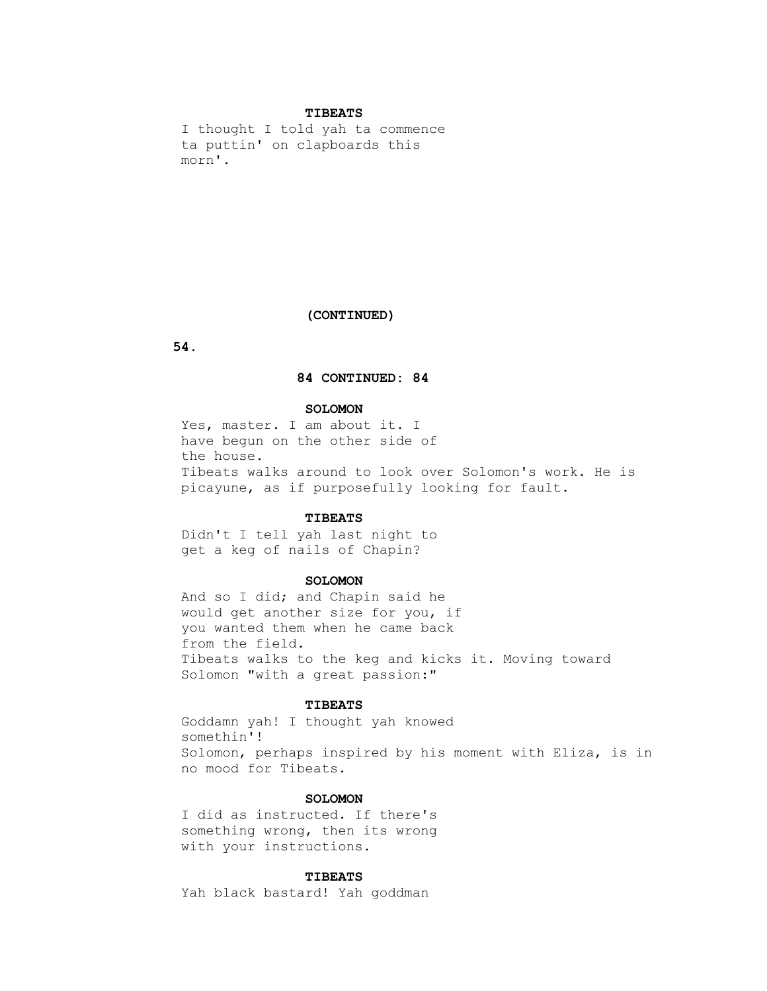#### **TIBEATS**

 I thought I told yah ta commence ta puttin' on clapboards this morn'.

### **(CONTINUED)**

 **54.**

### **84 CONTINUED: 84**

#### **SOLOMON**

Yes, master. I am about it. I have begun on the other side of the house. Tibeats walks around to look over Solomon's work. He is picayune, as if purposefully looking for fault.

#### **TIBEATS**

 Didn't I tell yah last night to get a keg of nails of Chapin?

#### **SOLOMON**

 And so I did; and Chapin said he would get another size for you, if you wanted them when he came back from the field. Tibeats walks to the keg and kicks it. Moving toward Solomon "with a great passion:"

#### **TIBEATS**

 Goddamn yah! I thought yah knowed somethin'! Solomon, perhaps inspired by his moment with Eliza, is in no mood for Tibeats.

## **SOLOMON**

 I did as instructed. If there's something wrong, then its wrong with your instructions.

## **TIBEATS**

Yah black bastard! Yah goddman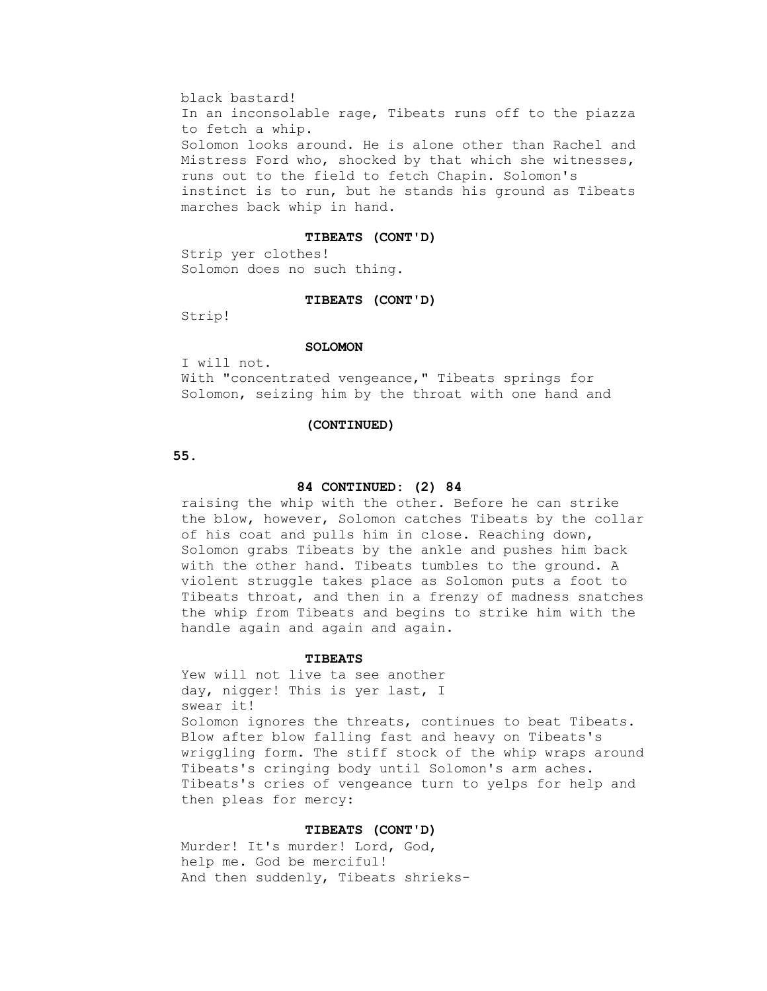black bastard! In an inconsolable rage, Tibeats runs off to the piazza to fetch a whip. Solomon looks around. He is alone other than Rachel and Mistress Ford who, shocked by that which she witnesses, runs out to the field to fetch Chapin. Solomon's instinct is to run, but he stands his ground as Tibeats marches back whip in hand.

#### **TIBEATS (CONT'D)**

 Strip yer clothes! Solomon does no such thing.

#### **TIBEATS (CONT'D)**

Strip!

#### **SOLOMON**

I will not.

 With "concentrated vengeance," Tibeats springs for Solomon, seizing him by the throat with one hand and

#### **(CONTINUED)**

 **55.**

#### **84 CONTINUED: (2) 84**

 raising the whip with the other. Before he can strike the blow, however, Solomon catches Tibeats by the collar of his coat and pulls him in close. Reaching down, Solomon grabs Tibeats by the ankle and pushes him back with the other hand. Tibeats tumbles to the ground. A violent struggle takes place as Solomon puts a foot to Tibeats throat, and then in a frenzy of madness snatches the whip from Tibeats and begins to strike him with the handle again and again and again.

#### **TIBEATS**

 Yew will not live ta see another day, nigger! This is yer last, I swear it! Solomon ignores the threats, continues to beat Tibeats. Blow after blow falling fast and heavy on Tibeats's wriggling form. The stiff stock of the whip wraps around Tibeats's cringing body until Solomon's arm aches. Tibeats's cries of vengeance turn to yelps for help and then pleas for mercy:

#### **TIBEATS (CONT'D)**

 Murder! It's murder! Lord, God, help me. God be merciful! And then suddenly, Tibeats shrieks-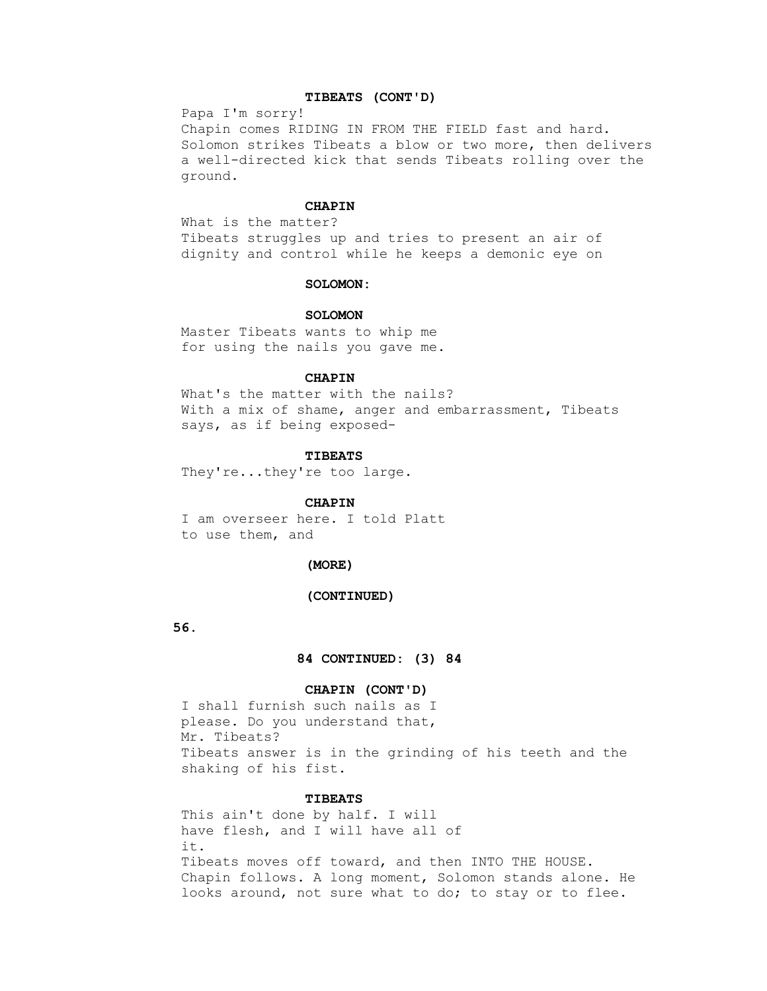## **TIBEATS (CONT'D)**

Papa I'm sorry!

 Chapin comes RIDING IN FROM THE FIELD fast and hard. Solomon strikes Tibeats a blow or two more, then delivers a well-directed kick that sends Tibeats rolling over the ground.

# **CHAPIN**

 What is the matter? Tibeats struggles up and tries to present an air of dignity and control while he keeps a demonic eye on

#### **SOLOMON:**

#### **SOLOMON**

 Master Tibeats wants to whip me for using the nails you gave me.

## **CHAPIN**

 What's the matter with the nails? With a mix of shame, anger and embarrassment, Tibeats says, as if being exposed-

#### **TIBEATS**

They're...they're too large.

## **CHAPIN**

 I am overseer here. I told Platt to use them, and

#### **(MORE)**

#### **(CONTINUED)**

 **56.**

 **84 CONTINUED: (3) 84**

# **CHAPIN (CONT'D)**

 I shall furnish such nails as I please. Do you understand that, Mr. Tibeats? Tibeats answer is in the grinding of his teeth and the shaking of his fist.

# **TIBEATS**

 This ain't done by half. I will have flesh, and I will have all of it. Tibeats moves off toward, and then INTO THE HOUSE. Chapin follows. A long moment, Solomon stands alone. He looks around, not sure what to do; to stay or to flee.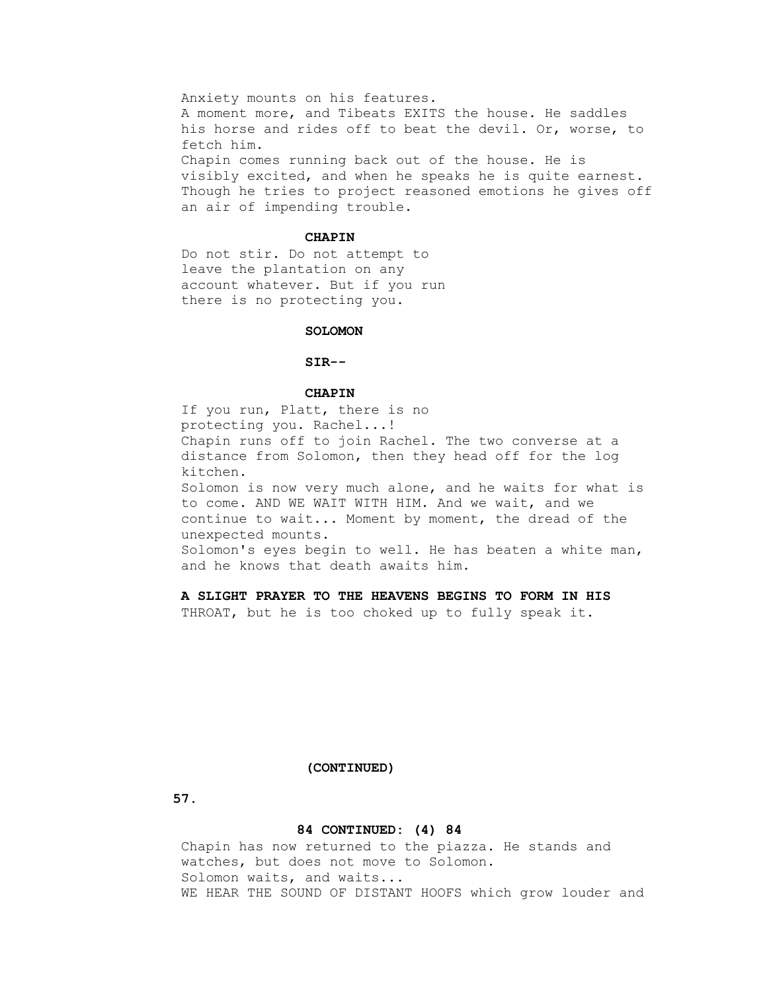Anxiety mounts on his features. A moment more, and Tibeats EXITS the house. He saddles his horse and rides off to beat the devil. Or, worse, to fetch him. Chapin comes running back out of the house. He is visibly excited, and when he speaks he is quite earnest. Though he tries to project reasoned emotions he gives off an air of impending trouble.

#### **CHAPIN**

 Do not stir. Do not attempt to leave the plantation on any account whatever. But if you run there is no protecting you.

## **SOLOMON**

## **SIR--**

#### **CHAPIN**

 If you run, Platt, there is no protecting you. Rachel...! Chapin runs off to join Rachel. The two converse at a distance from Solomon, then they head off for the log kitchen. Solomon is now very much alone, and he waits for what is to come. AND WE WAIT WITH HIM. And we wait, and we continue to wait... Moment by moment, the dread of the unexpected mounts. Solomon's eyes begin to well. He has beaten a white man, and he knows that death awaits him.

# **A SLIGHT PRAYER TO THE HEAVENS BEGINS TO FORM IN HIS**

THROAT, but he is too choked up to fully speak it.

#### **(CONTINUED)**

 **57.**

# **84 CONTINUED: (4) 84**

 Chapin has now returned to the piazza. He stands and watches, but does not move to Solomon. Solomon waits, and waits... WE HEAR THE SOUND OF DISTANT HOOFS which grow louder and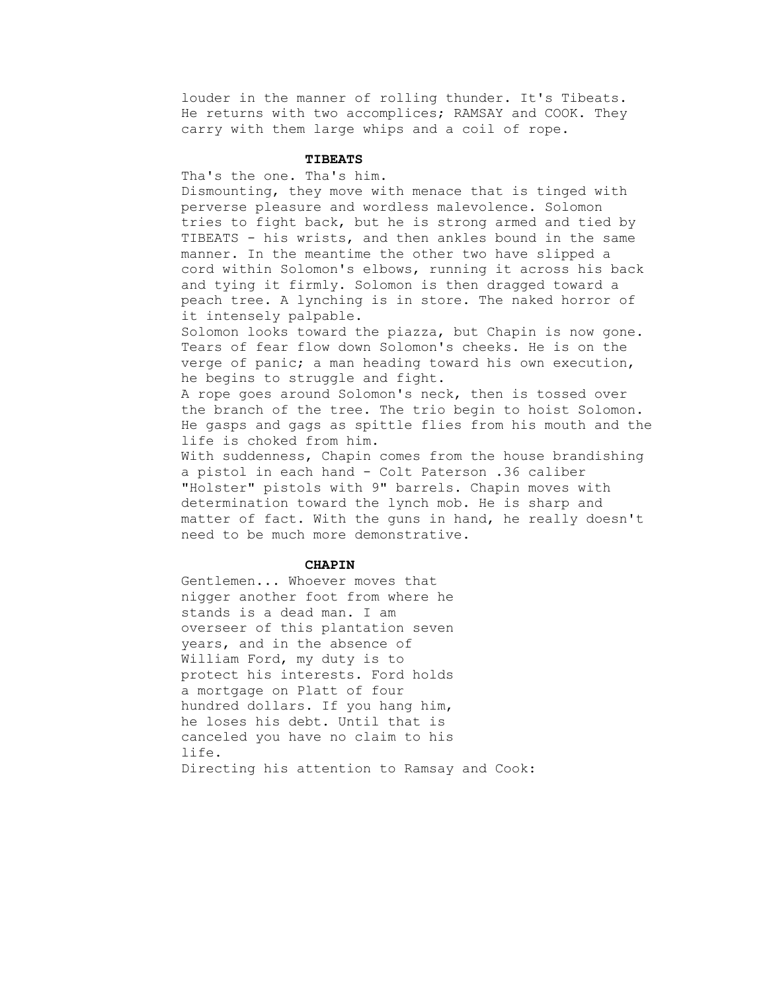louder in the manner of rolling thunder. It's Tibeats. He returns with two accomplices; RAMSAY and COOK. They carry with them large whips and a coil of rope.

# **TIBEATS**

Tha's the one. Tha's him.

 Dismounting, they move with menace that is tinged with perverse pleasure and wordless malevolence. Solomon tries to fight back, but he is strong armed and tied by TIBEATS - his wrists, and then ankles bound in the same manner. In the meantime the other two have slipped a cord within Solomon's elbows, running it across his back and tying it firmly. Solomon is then dragged toward a peach tree. A lynching is in store. The naked horror of it intensely palpable.

 Solomon looks toward the piazza, but Chapin is now gone. Tears of fear flow down Solomon's cheeks. He is on the verge of panic; a man heading toward his own execution, he begins to struggle and fight.

 A rope goes around Solomon's neck, then is tossed over the branch of the tree. The trio begin to hoist Solomon. He gasps and gags as spittle flies from his mouth and the life is choked from him.

 With suddenness, Chapin comes from the house brandishing a pistol in each hand - Colt Paterson .36 caliber "Holster" pistols with 9" barrels. Chapin moves with determination toward the lynch mob. He is sharp and matter of fact. With the guns in hand, he really doesn't need to be much more demonstrative.

#### **CHAPIN**

 Gentlemen... Whoever moves that nigger another foot from where he stands is a dead man. I am overseer of this plantation seven years, and in the absence of William Ford, my duty is to protect his interests. Ford holds a mortgage on Platt of four hundred dollars. If you hang him, he loses his debt. Until that is canceled you have no claim to his life. Directing his attention to Ramsay and Cook: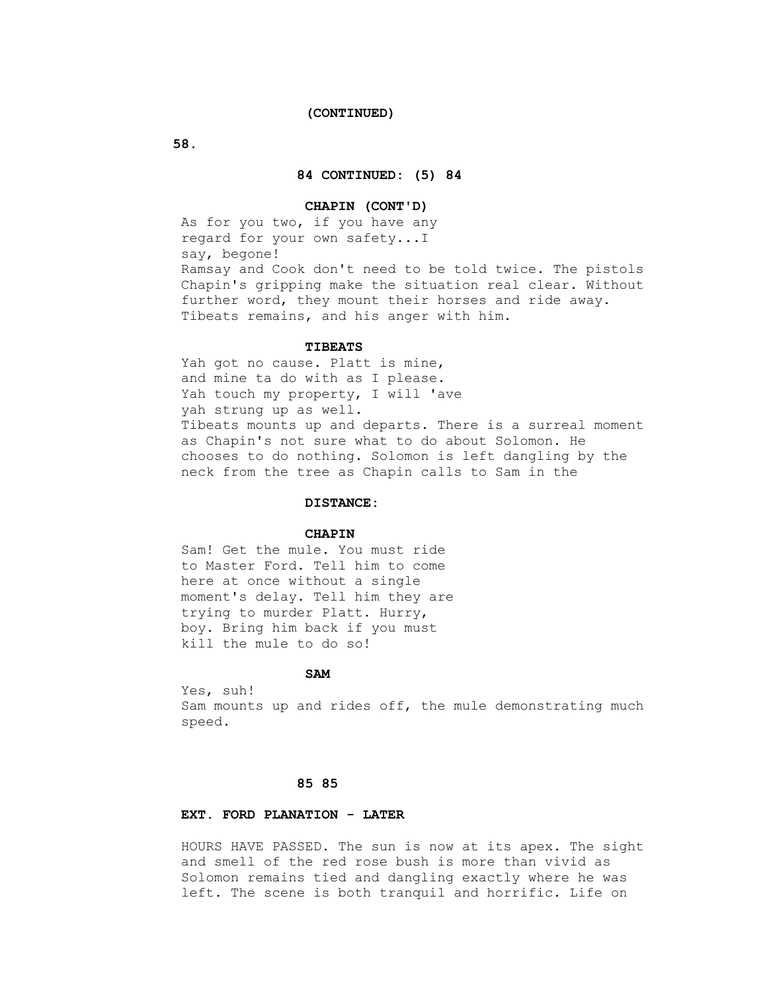#### **(CONTINUED)**

 **58.**

## **84 CONTINUED: (5) 84**

## **CHAPIN (CONT'D)**

 As for you two, if you have any regard for your own safety...I say, begone! Ramsay and Cook don't need to be told twice. The pistols Chapin's gripping make the situation real clear. Without further word, they mount their horses and ride away. Tibeats remains, and his anger with him.

#### **TIBEATS**

 Yah got no cause. Platt is mine, and mine ta do with as I please. Yah touch my property, I will 'ave yah strung up as well. Tibeats mounts up and departs. There is a surreal moment as Chapin's not sure what to do about Solomon. He chooses to do nothing. Solomon is left dangling by the neck from the tree as Chapin calls to Sam in the

# **DISTANCE:**

## **CHAPIN**

 Sam! Get the mule. You must ride to Master Ford. Tell him to come here at once without a single moment's delay. Tell him they are trying to murder Platt. Hurry, boy. Bring him back if you must kill the mule to do so!

# **SAM**

 Yes, suh! Sam mounts up and rides off, the mule demonstrating much speed.

## **85 85**

# **EXT. FORD PLANATION - LATER**

 HOURS HAVE PASSED. The sun is now at its apex. The sight and smell of the red rose bush is more than vivid as Solomon remains tied and dangling exactly where he was left. The scene is both tranquil and horrific. Life on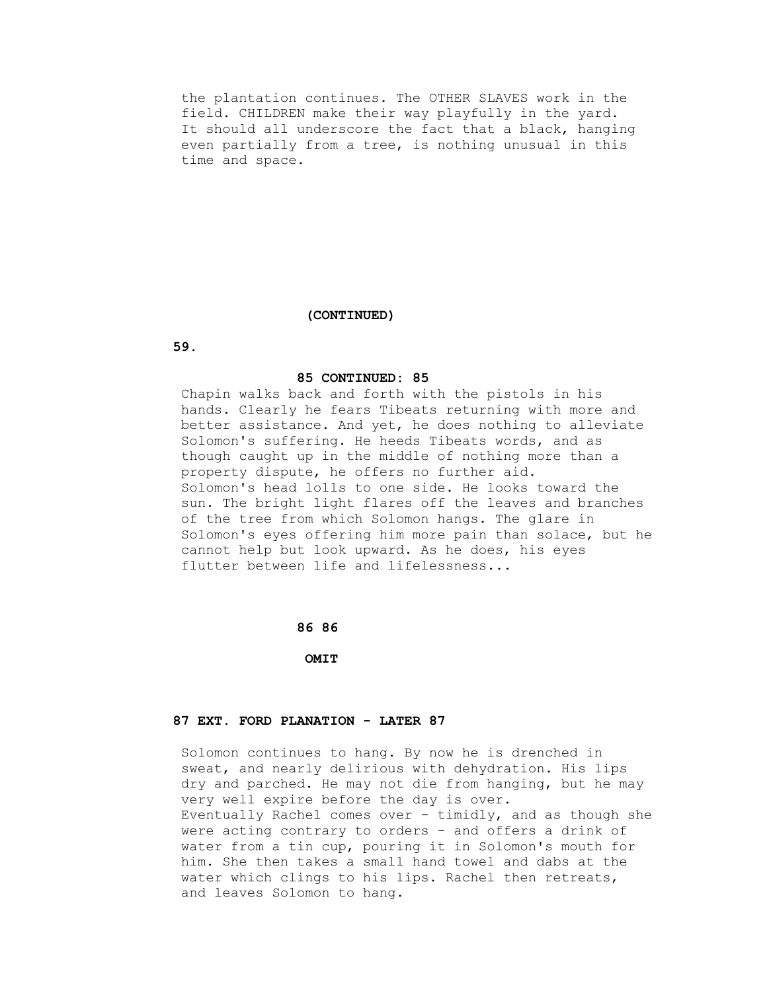the plantation continues. The OTHER SLAVES work in the field. CHILDREN make their way playfully in the yard. It should all underscore the fact that a black, hanging even partially from a tree, is nothing unusual in this time and space.

# **(CONTINUED)**

 **59.**

## **85 CONTINUED: 85**

 Chapin walks back and forth with the pistols in his hands. Clearly he fears Tibeats returning with more and better assistance. And yet, he does nothing to alleviate Solomon's suffering. He heeds Tibeats words, and as though caught up in the middle of nothing more than a property dispute, he offers no further aid. Solomon's head lolls to one side. He looks toward the sun. The bright light flares off the leaves and branches of the tree from which Solomon hangs. The glare in Solomon's eyes offering him more pain than solace, but he cannot help but look upward. As he does, his eyes flutter between life and lifelessness...

#### **86 86**

 **OMIT**

## **87 EXT. FORD PLANATION - LATER 87**

 Solomon continues to hang. By now he is drenched in sweat, and nearly delirious with dehydration. His lips dry and parched. He may not die from hanging, but he may very well expire before the day is over. Eventually Rachel comes over - timidly, and as though she were acting contrary to orders - and offers a drink of water from a tin cup, pouring it in Solomon's mouth for him. She then takes a small hand towel and dabs at the water which clings to his lips. Rachel then retreats, and leaves Solomon to hang.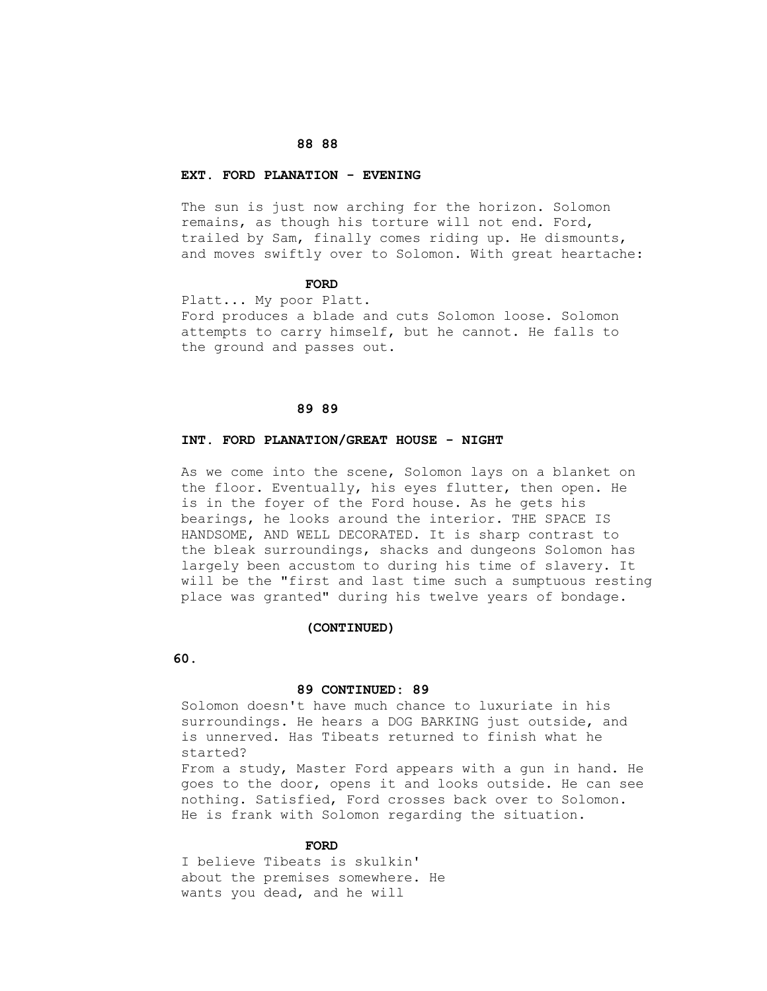### **88 88**

#### **EXT. FORD PLANATION - EVENING**

 The sun is just now arching for the horizon. Solomon remains, as though his torture will not end. Ford, trailed by Sam, finally comes riding up. He dismounts, and moves swiftly over to Solomon. With great heartache:

#### **FORD**

 Platt... My poor Platt. Ford produces a blade and cuts Solomon loose. Solomon attempts to carry himself, but he cannot. He falls to the ground and passes out.

## **89 89**

## **INT. FORD PLANATION/GREAT HOUSE - NIGHT**

 As we come into the scene, Solomon lays on a blanket on the floor. Eventually, his eyes flutter, then open. He is in the foyer of the Ford house. As he gets his bearings, he looks around the interior. THE SPACE IS HANDSOME, AND WELL DECORATED. It is sharp contrast to the bleak surroundings, shacks and dungeons Solomon has largely been accustom to during his time of slavery. It will be the "first and last time such a sumptuous resting place was granted" during his twelve years of bondage.

#### **(CONTINUED)**

 **60.**

#### **89 CONTINUED: 89**

 Solomon doesn't have much chance to luxuriate in his surroundings. He hears a DOG BARKING just outside, and is unnerved. Has Tibeats returned to finish what he started?

 From a study, Master Ford appears with a gun in hand. He goes to the door, opens it and looks outside. He can see nothing. Satisfied, Ford crosses back over to Solomon. He is frank with Solomon regarding the situation.

#### **FORD**

 I believe Tibeats is skulkin' about the premises somewhere. He wants you dead, and he will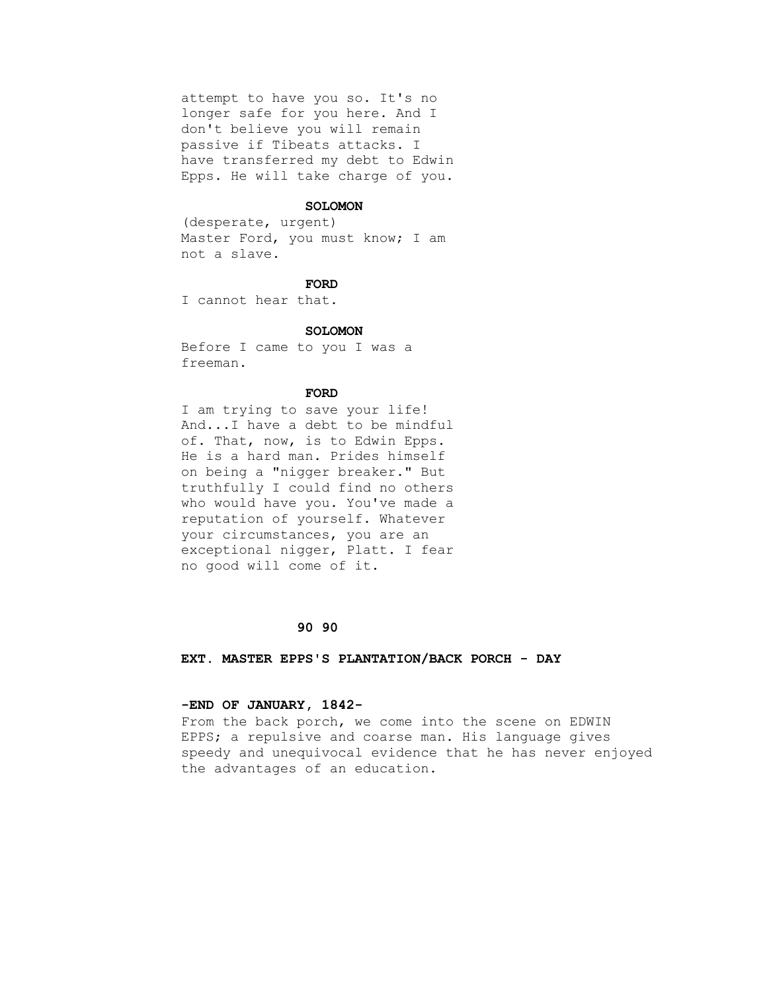attempt to have you so. It's no longer safe for you here. And I don't believe you will remain passive if Tibeats attacks. I have transferred my debt to Edwin Epps. He will take charge of you.

#### **SOLOMON**

 (desperate, urgent) Master Ford, you must know; I am not a slave.

### **FORD**

I cannot hear that.

#### **SOLOMON**

 Before I came to you I was a freeman.

### **FORD**

 I am trying to save your life! And...I have a debt to be mindful of. That, now, is to Edwin Epps. He is a hard man. Prides himself on being a "nigger breaker." But truthfully I could find no others who would have you. You've made a reputation of yourself. Whatever your circumstances, you are an exceptional nigger, Platt. I fear no good will come of it.

#### **90 90**

 **EXT. MASTER EPPS'S PLANTATION/BACK PORCH - DAY**

#### **-END OF JANUARY, 1842-**

 From the back porch, we come into the scene on EDWIN EPPS; a repulsive and coarse man. His language gives speedy and unequivocal evidence that he has never enjoyed the advantages of an education.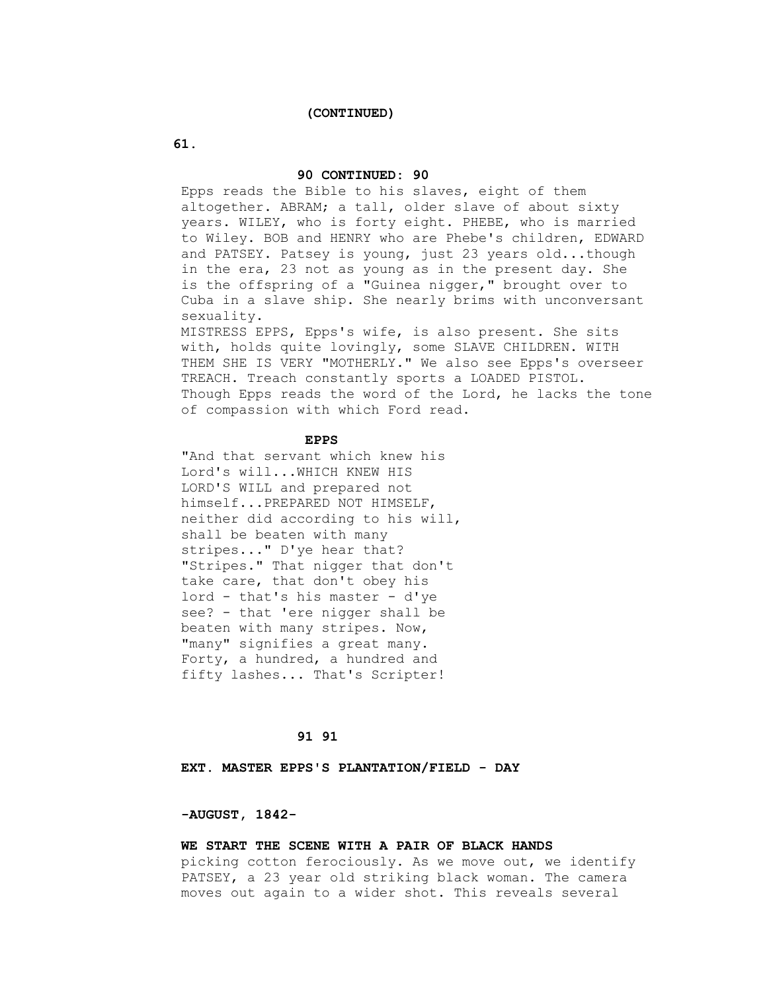#### **(CONTINUED)**

## **61.**

## **90 CONTINUED: 90**

 Epps reads the Bible to his slaves, eight of them altogether. ABRAM; a tall, older slave of about sixty years. WILEY, who is forty eight. PHEBE, who is married to Wiley. BOB and HENRY who are Phebe's children, EDWARD and PATSEY. Patsey is young, just 23 years old...though in the era, 23 not as young as in the present day. She is the offspring of a "Guinea nigger," brought over to Cuba in a slave ship. She nearly brims with unconversant sexuality.

 MISTRESS EPPS, Epps's wife, is also present. She sits with, holds quite lovingly, some SLAVE CHILDREN. WITH THEM SHE IS VERY "MOTHERLY." We also see Epps's overseer TREACH. Treach constantly sports a LOADED PISTOL. Though Epps reads the word of the Lord, he lacks the tone of compassion with which Ford read.

#### **EPPS**

 "And that servant which knew his Lord's will...WHICH KNEW HIS LORD'S WILL and prepared not himself...PREPARED NOT HIMSELF, neither did according to his will, shall be beaten with many stripes..." D'ye hear that? "Stripes." That nigger that don't take care, that don't obey his lord - that's his master - d'ye see? - that 'ere nigger shall be beaten with many stripes. Now, "many" signifies a great many. Forty, a hundred, a hundred and fifty lashes... That's Scripter!

# **91 91**

 **EXT. MASTER EPPS'S PLANTATION/FIELD - DAY**

## **-AUGUST, 1842-**

# **WE START THE SCENE WITH A PAIR OF BLACK HANDS**

 picking cotton ferociously. As we move out, we identify PATSEY, a 23 year old striking black woman. The camera moves out again to a wider shot. This reveals several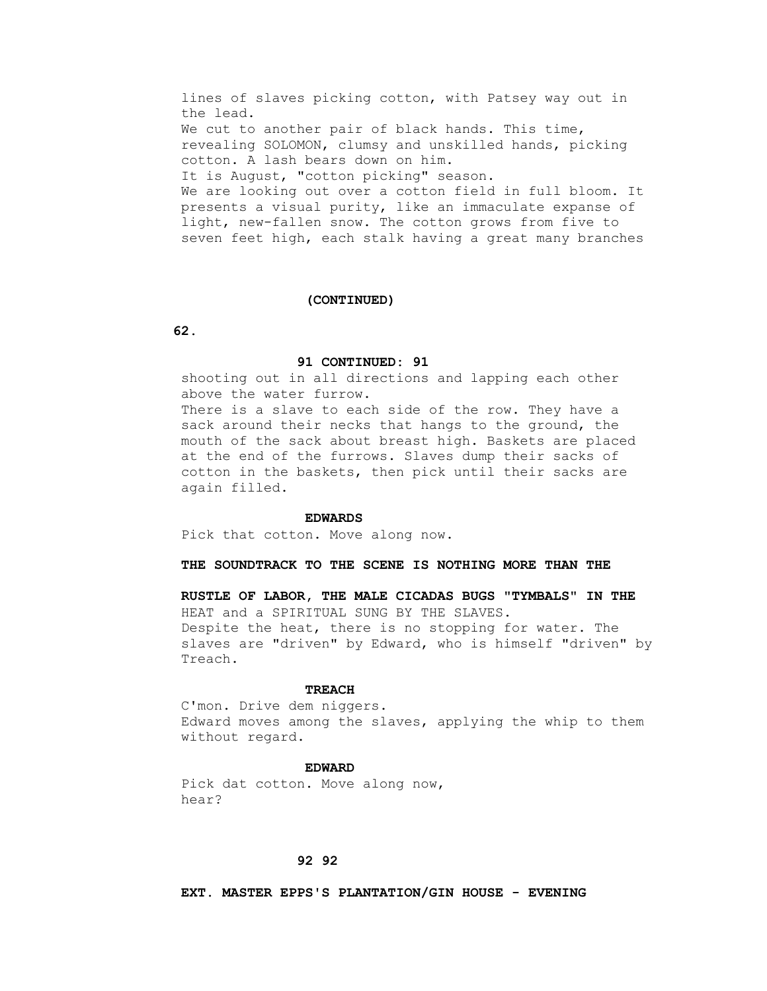lines of slaves picking cotton, with Patsey way out in the lead. We cut to another pair of black hands. This time, revealing SOLOMON, clumsy and unskilled hands, picking cotton. A lash bears down on him. It is August, "cotton picking" season. We are looking out over a cotton field in full bloom. It presents a visual purity, like an immaculate expanse of light, new-fallen snow. The cotton grows from five to seven feet high, each stalk having a great many branches

#### **(CONTINUED)**

 **62.**

## **91 CONTINUED: 91**

 shooting out in all directions and lapping each other above the water furrow.

 There is a slave to each side of the row. They have a sack around their necks that hangs to the ground, the mouth of the sack about breast high. Baskets are placed at the end of the furrows. Slaves dump their sacks of cotton in the baskets, then pick until their sacks are again filled.

#### **EDWARDS**

Pick that cotton. Move along now.

# **THE SOUNDTRACK TO THE SCENE IS NOTHING MORE THAN THE**

 **RUSTLE OF LABOR, THE MALE CICADAS BUGS "TYMBALS" IN THE** HEAT and a SPIRITUAL SUNG BY THE SLAVES. Despite the heat, there is no stopping for water. The slaves are "driven" by Edward, who is himself "driven" by Treach.

#### **TREACH**

 C'mon. Drive dem niggers. Edward moves among the slaves, applying the whip to them without regard.

#### **EDWARD**

 Pick dat cotton. Move along now, hear?

# **92 92**

 **EXT. MASTER EPPS'S PLANTATION/GIN HOUSE - EVENING**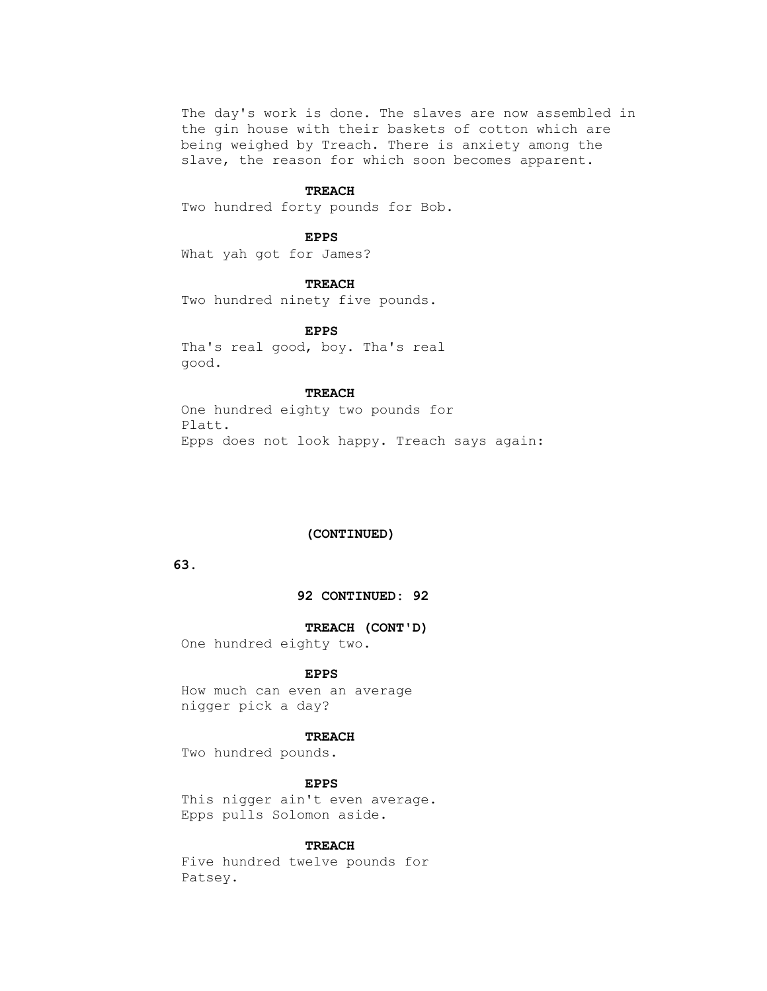The day's work is done. The slaves are now assembled in the gin house with their baskets of cotton which are being weighed by Treach. There is anxiety among the slave, the reason for which soon becomes apparent.

#### **TREACH**

Two hundred forty pounds for Bob.

#### **EPPS**

What yah got for James?

 **TREACH**

Two hundred ninety five pounds.

### **EPPS**

 Tha's real good, boy. Tha's real good.

## **TREACH**

 One hundred eighty two pounds for Platt. Epps does not look happy. Treach says again:

# **(CONTINUED)**

 **63.**

## **92 CONTINUED: 92**

#### **TREACH (CONT'D)**

One hundred eighty two.

## **EPPS**

 How much can even an average nigger pick a day?

#### **TREACH**

Two hundred pounds.

# **EPPS**

 This nigger ain't even average. Epps pulls Solomon aside.

#### **TREACH**

 Five hundred twelve pounds for Patsey.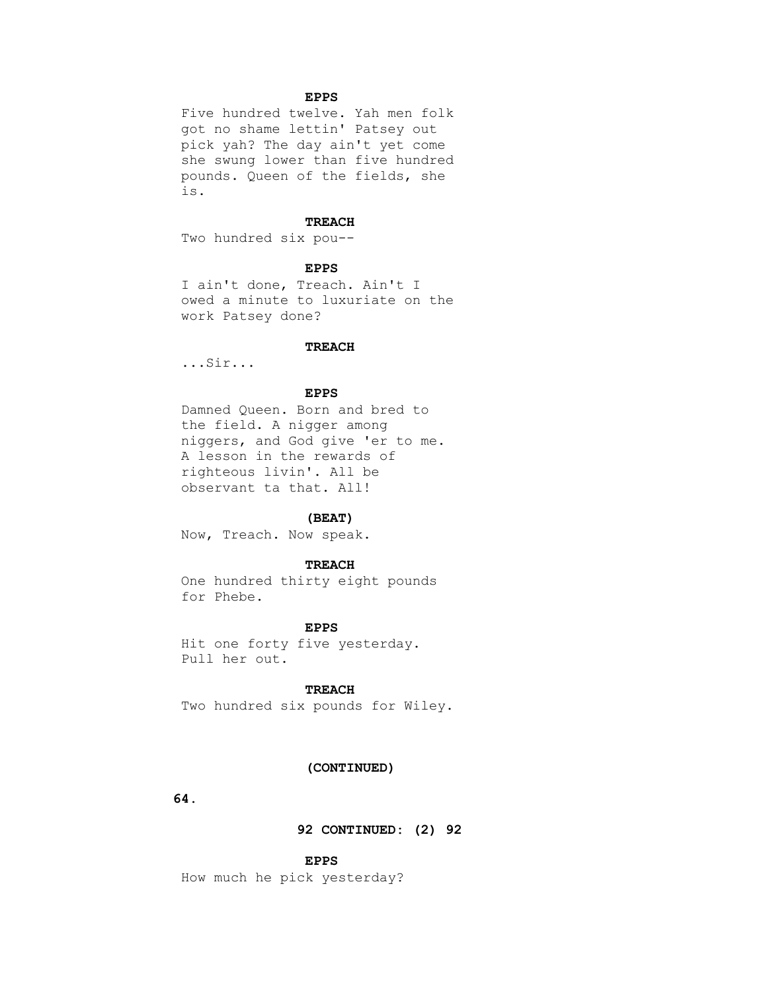# **EPPS**

 Five hundred twelve. Yah men folk got no shame lettin' Patsey out pick yah? The day ain't yet come she swung lower than five hundred pounds. Queen of the fields, she is.

# **TREACH**

Two hundred six pou--

## **EPPS**

 I ain't done, Treach. Ain't I owed a minute to luxuriate on the work Patsey done?

#### **TREACH**

...Sir...

## **EPPS**

 Damned Queen. Born and bred to the field. A nigger among niggers, and God give 'er to me. A lesson in the rewards of righteous livin'. All be observant ta that. All!

#### **(BEAT)**

Now, Treach. Now speak.

## **TREACH**

 One hundred thirty eight pounds for Phebe.

# **EPPS**

 Hit one forty five yesterday. Pull her out.

# **TREACH**

Two hundred six pounds for Wiley.

#### **(CONTINUED)**

 **64.**

 **92 CONTINUED: (2) 92**

 **EPPS**

How much he pick yesterday?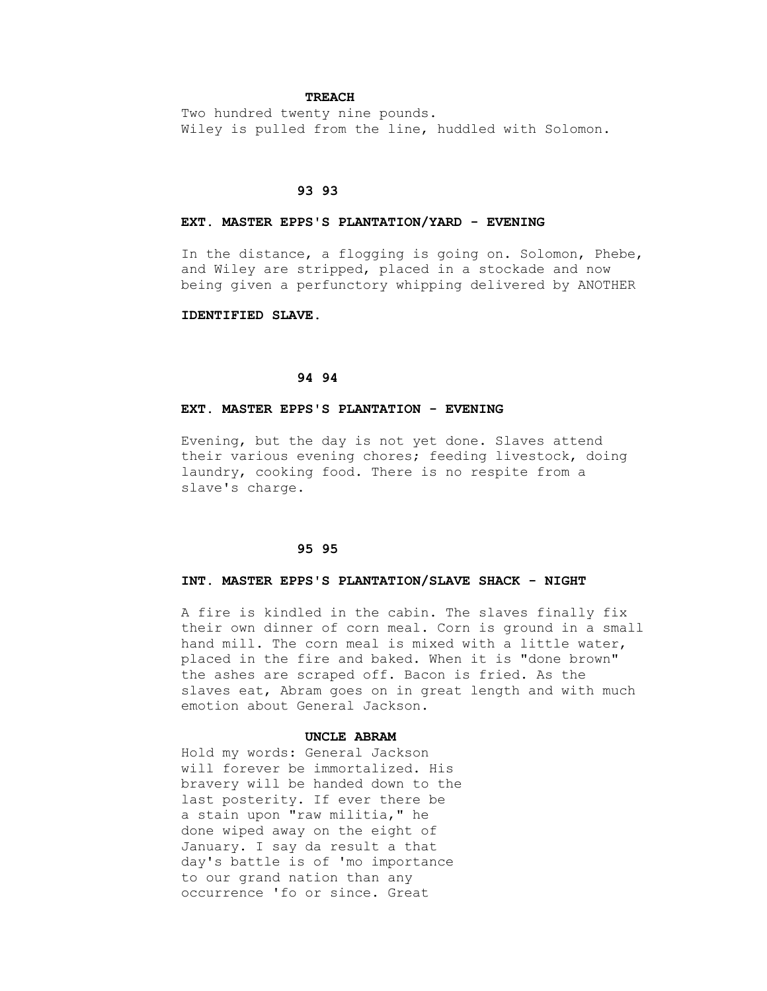## **TREACH**

 Two hundred twenty nine pounds. Wiley is pulled from the line, huddled with Solomon.

## **93 93**

## **EXT. MASTER EPPS'S PLANTATION/YARD - EVENING**

 In the distance, a flogging is going on. Solomon, Phebe, and Wiley are stripped, placed in a stockade and now being given a perfunctory whipping delivered by ANOTHER

## **IDENTIFIED SLAVE.**

# **94 94**

## **EXT. MASTER EPPS'S PLANTATION - EVENING**

 Evening, but the day is not yet done. Slaves attend their various evening chores; feeding livestock, doing laundry, cooking food. There is no respite from a slave's charge.

#### **95 95**

## **INT. MASTER EPPS'S PLANTATION/SLAVE SHACK - NIGHT**

 A fire is kindled in the cabin. The slaves finally fix their own dinner of corn meal. Corn is ground in a small hand mill. The corn meal is mixed with a little water, placed in the fire and baked. When it is "done brown" the ashes are scraped off. Bacon is fried. As the slaves eat, Abram goes on in great length and with much emotion about General Jackson.

#### **UNCLE ABRAM**

 Hold my words: General Jackson will forever be immortalized. His bravery will be handed down to the last posterity. If ever there be a stain upon "raw militia," he done wiped away on the eight of January. I say da result a that day's battle is of 'mo importance to our grand nation than any occurrence 'fo or since. Great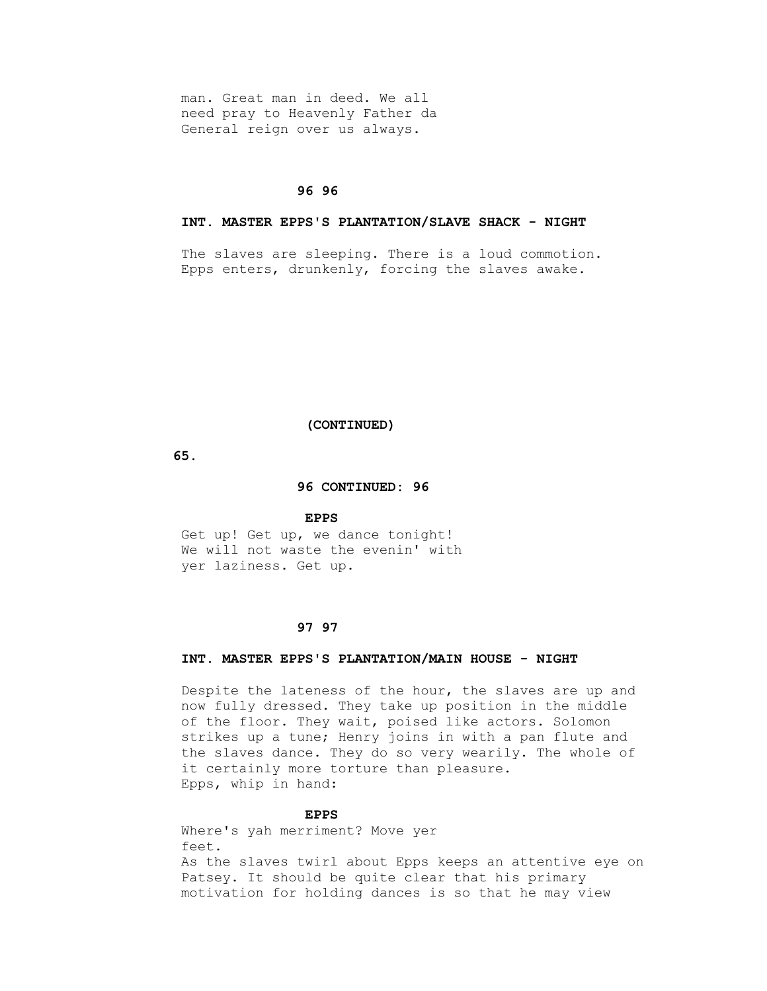man. Great man in deed. We all need pray to Heavenly Father da General reign over us always.

### **96 96**

# **INT. MASTER EPPS'S PLANTATION/SLAVE SHACK - NIGHT**

 The slaves are sleeping. There is a loud commotion. Epps enters, drunkenly, forcing the slaves awake.

#### **(CONTINUED)**

 **65.**

#### **96 CONTINUED: 96**

#### **EPPS**

Get up! Get up, we dance tonight! We will not waste the evenin' with yer laziness. Get up.

# **97 97**

## **INT. MASTER EPPS'S PLANTATION/MAIN HOUSE - NIGHT**

 Despite the lateness of the hour, the slaves are up and now fully dressed. They take up position in the middle of the floor. They wait, poised like actors. Solomon strikes up a tune; Henry joins in with a pan flute and the slaves dance. They do so very wearily. The whole of it certainly more torture than pleasure. Epps, whip in hand:

## **EPPS**

 Where's yah merriment? Move yer feet. As the slaves twirl about Epps keeps an attentive eye on Patsey. It should be quite clear that his primary motivation for holding dances is so that he may view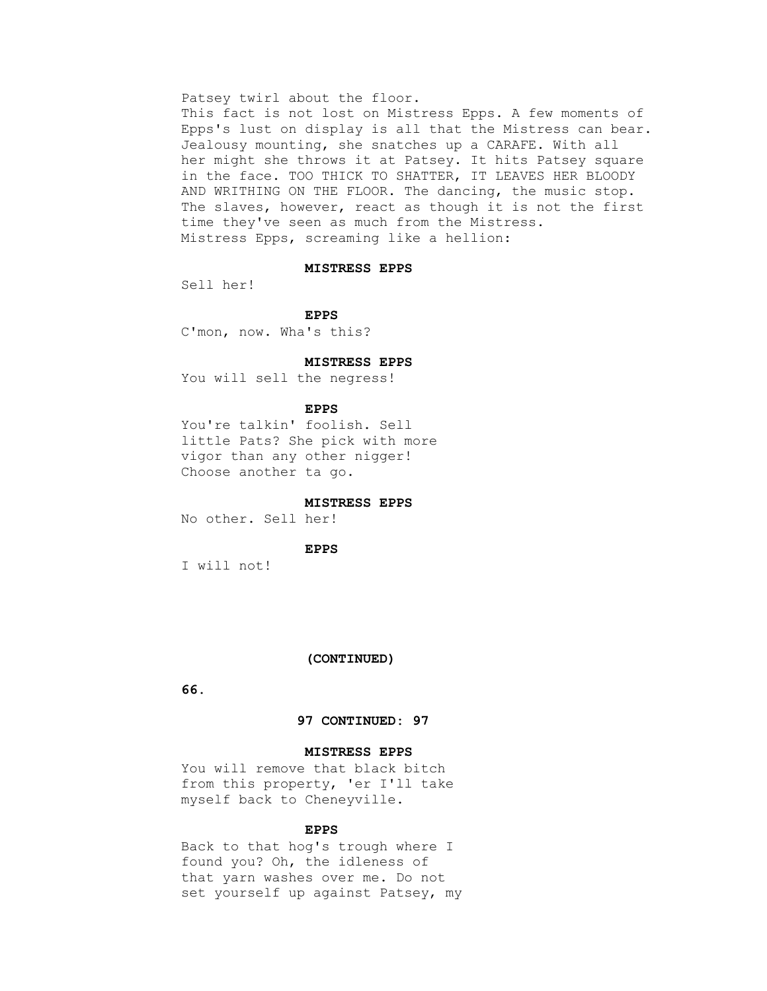#### Patsey twirl about the floor.

 This fact is not lost on Mistress Epps. A few moments of Epps's lust on display is all that the Mistress can bear. Jealousy mounting, she snatches up a CARAFE. With all her might she throws it at Patsey. It hits Patsey square in the face. TOO THICK TO SHATTER, IT LEAVES HER BLOODY AND WRITHING ON THE FLOOR. The dancing, the music stop. The slaves, however, react as though it is not the first time they've seen as much from the Mistress. Mistress Epps, screaming like a hellion:

## **MISTRESS EPPS**

Sell her!

#### **EPPS**

C'mon, now. Wha's this?

#### **MISTRESS EPPS**

You will sell the negress!

#### **EPPS**

 You're talkin' foolish. Sell little Pats? She pick with more vigor than any other nigger! Choose another ta go.

## **MISTRESS EPPS**

No other. Sell her!

## **EPPS**

I will not!

#### **(CONTINUED)**

 **66.**

## **97 CONTINUED: 97**

# **MISTRESS EPPS**

You will remove that black bitch from this property, 'er I'll take myself back to Cheneyville.

#### **EPPS**

 Back to that hog's trough where I found you? Oh, the idleness of that yarn washes over me. Do not set yourself up against Patsey, my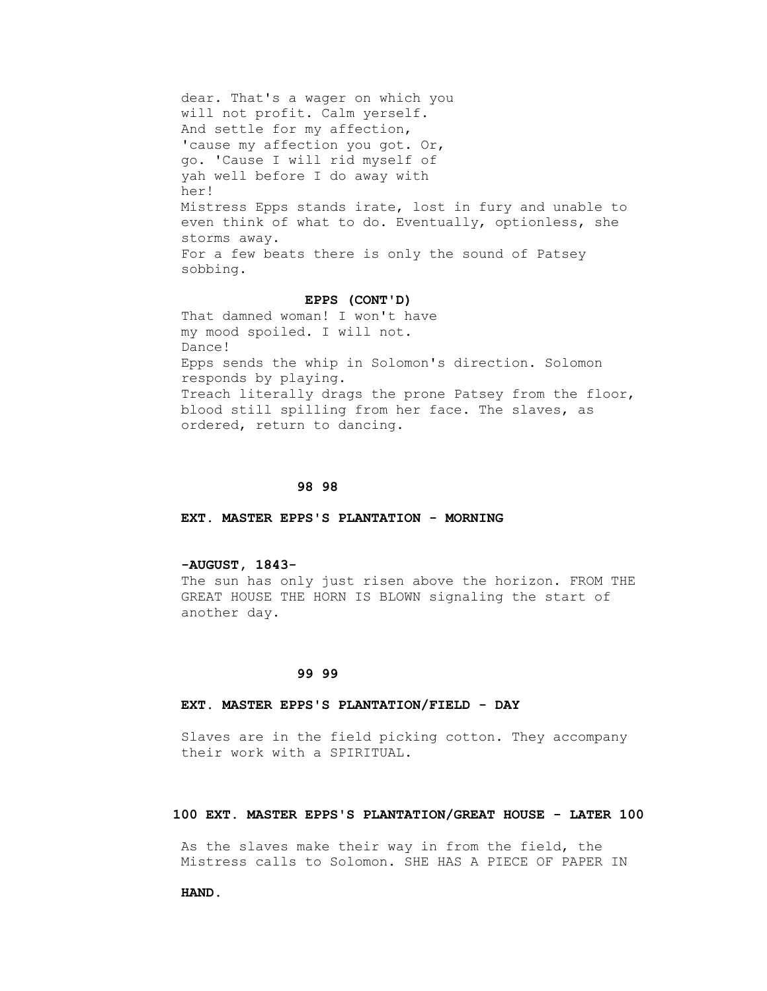dear. That's a wager on which you will not profit. Calm yerself. And settle for my affection, 'cause my affection you got. Or, go. 'Cause I will rid myself of yah well before I do away with her! Mistress Epps stands irate, lost in fury and unable to even think of what to do. Eventually, optionless, she storms away. For a few beats there is only the sound of Patsey sobbing.

#### **EPPS (CONT'D)**

 That damned woman! I won't have my mood spoiled. I will not. Dance! Epps sends the whip in Solomon's direction. Solomon responds by playing. Treach literally drags the prone Patsey from the floor, blood still spilling from her face. The slaves, as ordered, return to dancing.

#### **98 98**

 **EXT. MASTER EPPS'S PLANTATION - MORNING**

# **-AUGUST, 1843-**

 The sun has only just risen above the horizon. FROM THE GREAT HOUSE THE HORN IS BLOWN signaling the start of another day.

#### **99 99**

#### **EXT. MASTER EPPS'S PLANTATION/FIELD - DAY**

 Slaves are in the field picking cotton. They accompany their work with a SPIRITUAL.

# **100 EXT. MASTER EPPS'S PLANTATION/GREAT HOUSE - LATER 100**

 As the slaves make their way in from the field, the Mistress calls to Solomon. SHE HAS A PIECE OF PAPER IN

 **HAND.**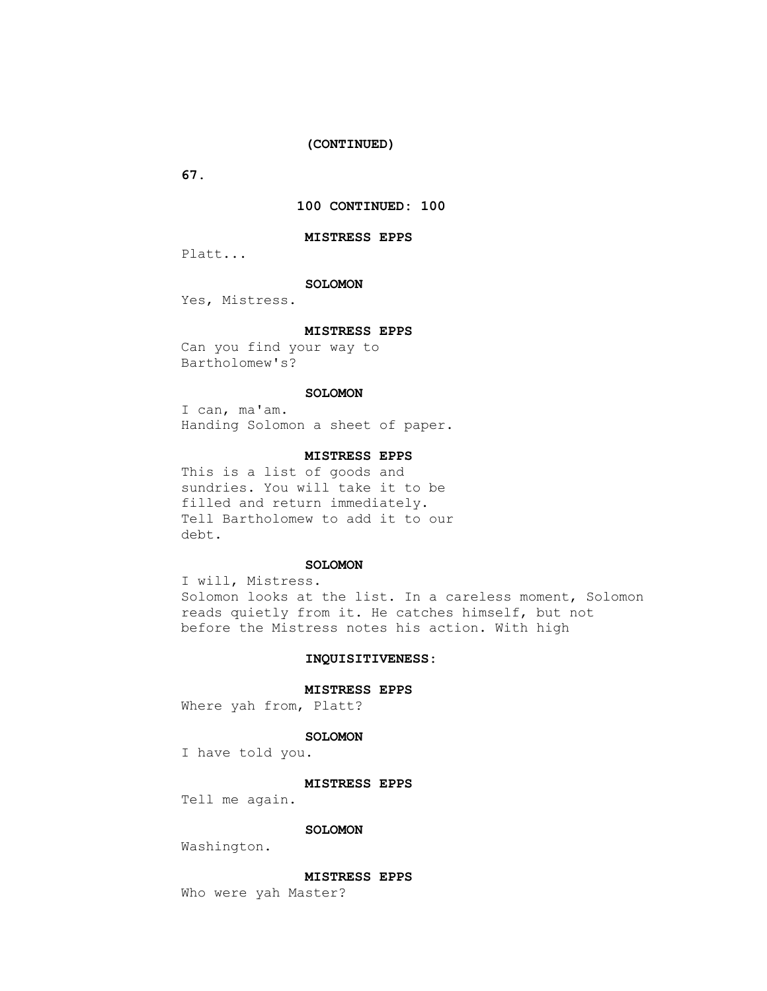## **(CONTINUED)**

 **67.**

# **100 CONTINUED: 100**

#### **MISTRESS EPPS**

Platt...

### **SOLOMON**

Yes, Mistress.

### **MISTRESS EPPS**

 Can you find your way to Bartholomew's?

### **SOLOMON**

 I can, ma'am. Handing Solomon a sheet of paper.

## **MISTRESS EPPS**

 This is a list of goods and sundries. You will take it to be filled and return immediately. Tell Bartholomew to add it to our debt.

## **SOLOMON**

 I will, Mistress. Solomon looks at the list. In a careless moment, Solomon reads quietly from it. He catches himself, but not before the Mistress notes his action. With high

## **INQUISITIVENESS:**

#### **MISTRESS EPPS**

Where yah from, Platt?

#### **SOLOMON**

I have told you.

## **MISTRESS EPPS**

Tell me again.

## **SOLOMON**

Washington.

#### **MISTRESS EPPS**

Who were yah Master?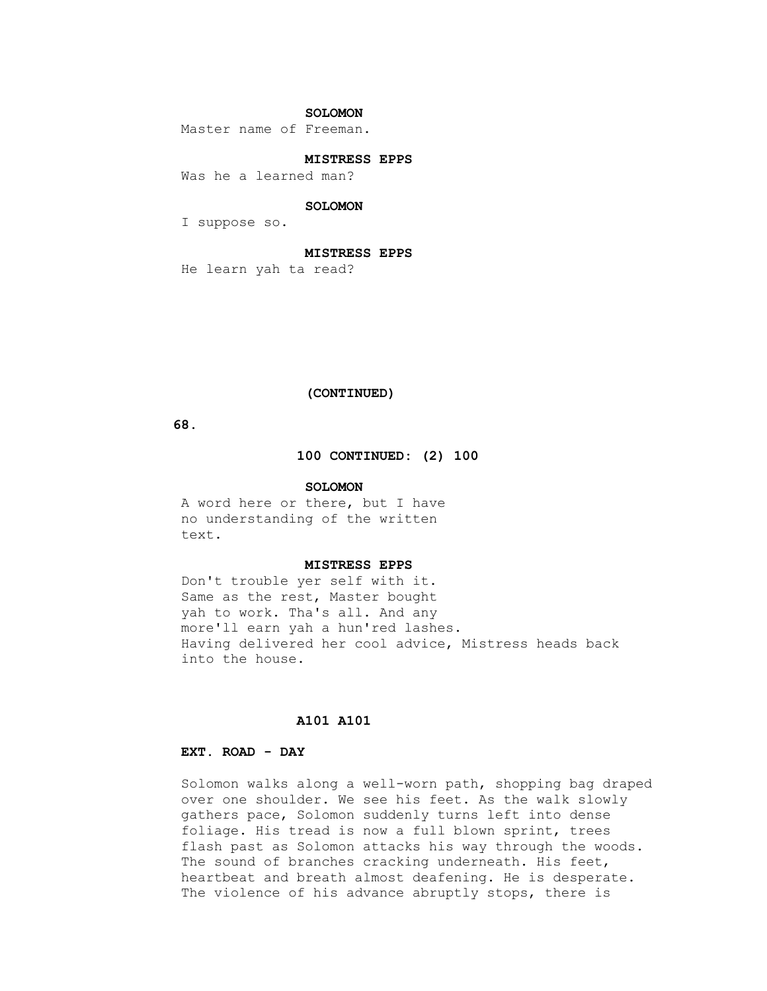# **SOLOMON**

Master name of Freeman.

## **MISTRESS EPPS**

Was he a learned man?

# **SOLOMON**

I suppose so.

# **MISTRESS EPPS**

He learn yah ta read?

## **(CONTINUED)**

 **68.**

# **100 CONTINUED: (2) 100**

#### **SOLOMON**

 A word here or there, but I have no understanding of the written text.

## **MISTRESS EPPS**

 Don't trouble yer self with it. Same as the rest, Master bought yah to work. Tha's all. And any more'll earn yah a hun'red lashes. Having delivered her cool advice, Mistress heads back into the house.

# **A101 A101**

# **EXT. ROAD - DAY**

 Solomon walks along a well-worn path, shopping bag draped over one shoulder. We see his feet. As the walk slowly gathers pace, Solomon suddenly turns left into dense foliage. His tread is now a full blown sprint, trees flash past as Solomon attacks his way through the woods. The sound of branches cracking underneath. His feet, heartbeat and breath almost deafening. He is desperate. The violence of his advance abruptly stops, there is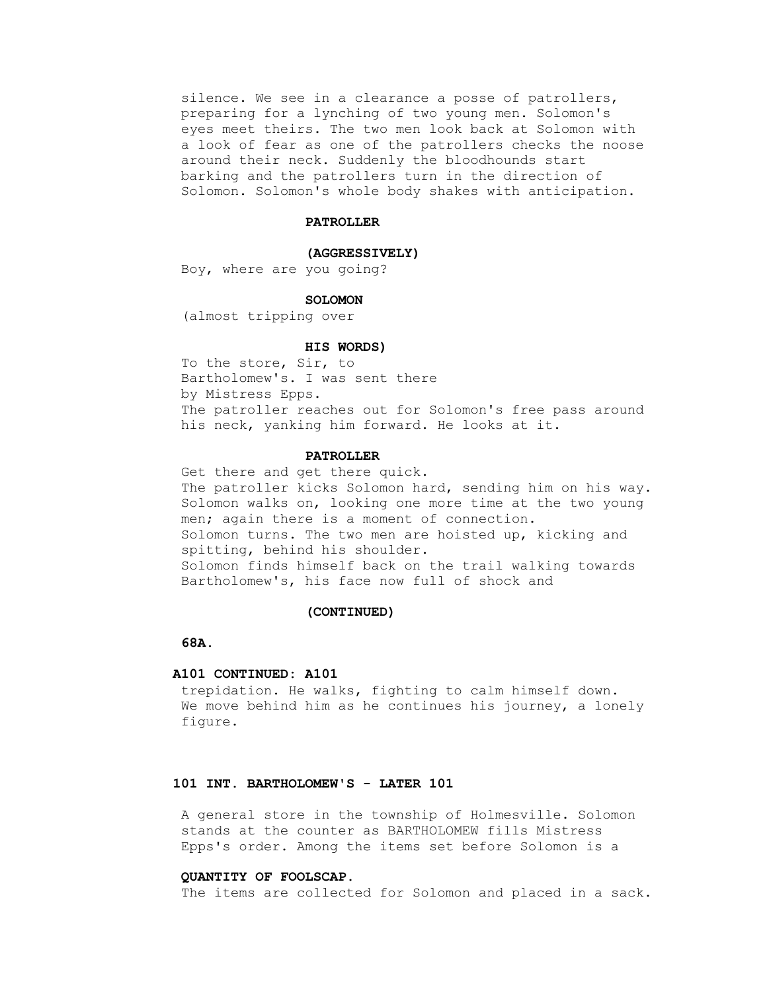silence. We see in a clearance a posse of patrollers, preparing for a lynching of two young men. Solomon's eyes meet theirs. The two men look back at Solomon with a look of fear as one of the patrollers checks the noose around their neck. Suddenly the bloodhounds start barking and the patrollers turn in the direction of Solomon. Solomon's whole body shakes with anticipation.

## **PATROLLER**

#### **(AGGRESSIVELY)**

Boy, where are you going?

#### **SOLOMON**

(almost tripping over

#### **HIS WORDS)**

 To the store, Sir, to Bartholomew's. I was sent there by Mistress Epps. The patroller reaches out for Solomon's free pass around his neck, yanking him forward. He looks at it.

#### **PATROLLER**

 Get there and get there quick. The patroller kicks Solomon hard, sending him on his way. Solomon walks on, looking one more time at the two young men; again there is a moment of connection. Solomon turns. The two men are hoisted up, kicking and spitting, behind his shoulder. Solomon finds himself back on the trail walking towards Bartholomew's, his face now full of shock and

#### **(CONTINUED)**

# **68A.**

#### **A101 CONTINUED: A101**

 trepidation. He walks, fighting to calm himself down. We move behind him as he continues his journey, a lonely figure.

# **101 INT. BARTHOLOMEW'S - LATER 101**

 A general store in the township of Holmesville. Solomon stands at the counter as BARTHOLOMEW fills Mistress Epps's order. Among the items set before Solomon is a

# **QUANTITY OF FOOLSCAP.**

The items are collected for Solomon and placed in a sack.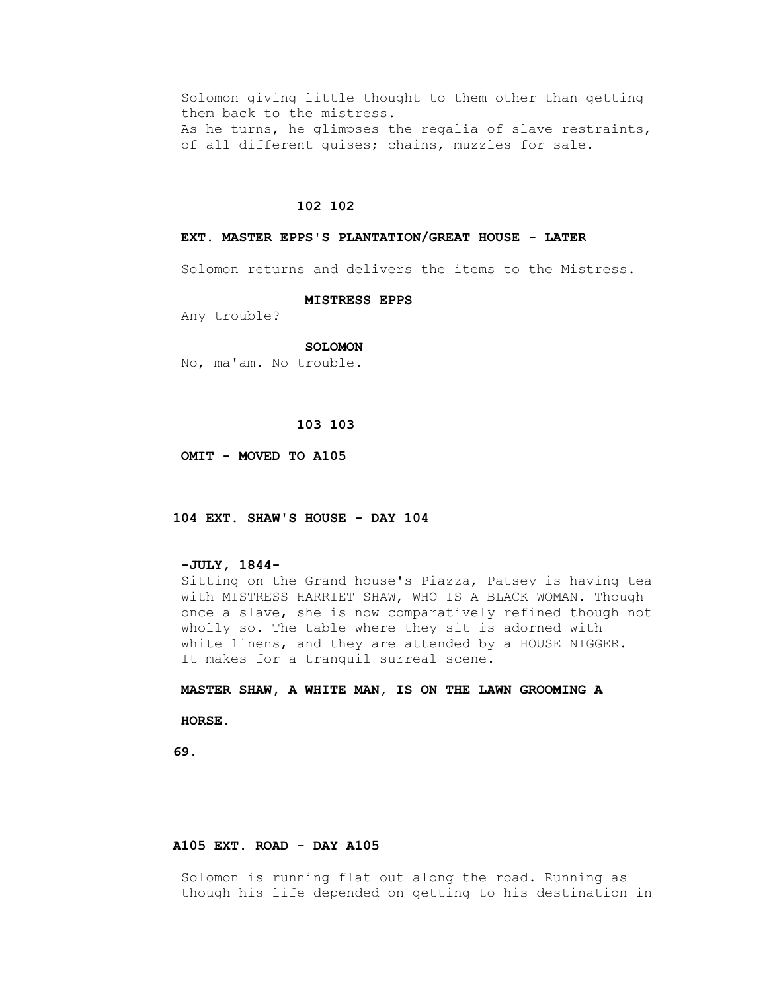Solomon giving little thought to them other than getting them back to the mistress. As he turns, he glimpses the regalia of slave restraints, of all different guises; chains, muzzles for sale.

# **102 102**

#### **EXT. MASTER EPPS'S PLANTATION/GREAT HOUSE - LATER**

Solomon returns and delivers the items to the Mistress.

#### **MISTRESS EPPS**

Any trouble?

#### **SOLOMON**

No, ma'am. No trouble.

# **103 103**

 **OMIT - MOVED TO A105**

 **104 EXT. SHAW'S HOUSE - DAY 104**

# **-JULY, 1844-**

 Sitting on the Grand house's Piazza, Patsey is having tea with MISTRESS HARRIET SHAW, WHO IS A BLACK WOMAN. Though once a slave, she is now comparatively refined though not wholly so. The table where they sit is adorned with white linens, and they are attended by a HOUSE NIGGER. It makes for a tranquil surreal scene.

 **MASTER SHAW, A WHITE MAN, IS ON THE LAWN GROOMING A**

 **HORSE.**

 **69.**

# **A105 EXT. ROAD - DAY A105**

 Solomon is running flat out along the road. Running as though his life depended on getting to his destination in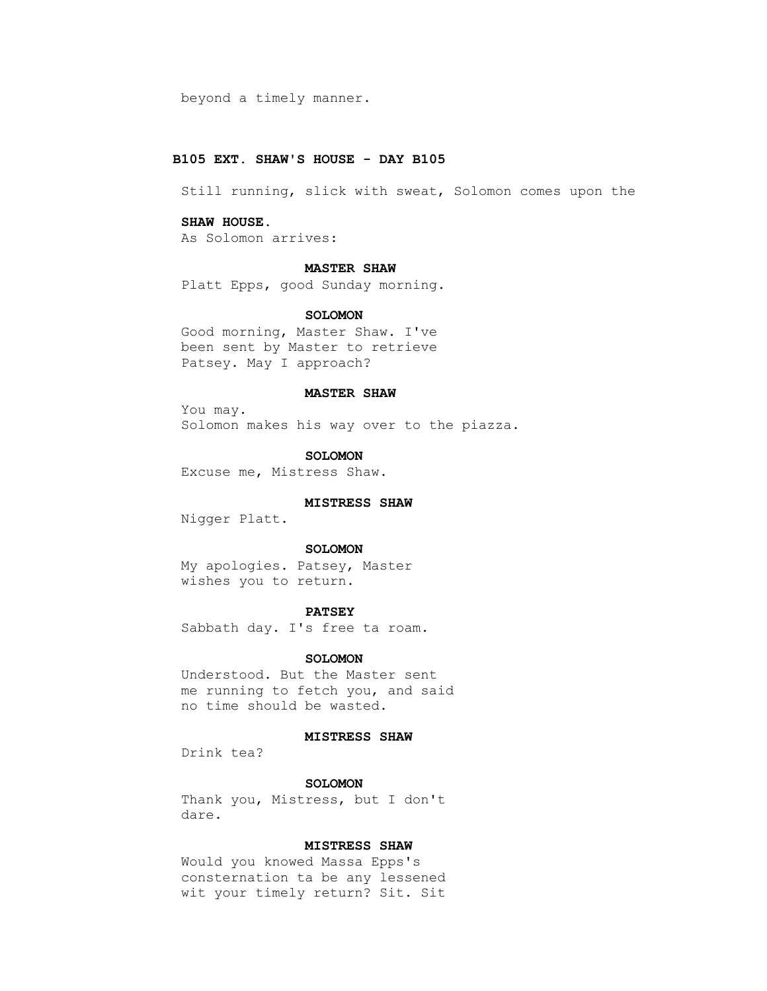beyond a timely manner.

# **B105 EXT. SHAW'S HOUSE - DAY B105**

Still running, slick with sweat, Solomon comes upon the

### **SHAW HOUSE.**

As Solomon arrives:

### **MASTER SHAW**

Platt Epps, good Sunday morning.

### **SOLOMON**

 Good morning, Master Shaw. I've been sent by Master to retrieve Patsey. May I approach?

## **MASTER SHAW**

 You may. Solomon makes his way over to the piazza.

#### **SOLOMON**

Excuse me, Mistress Shaw.

## **MISTRESS SHAW**

Nigger Platt.

## **SOLOMON**

 My apologies. Patsey, Master wishes you to return.

## **PATSEY**

Sabbath day. I's free ta roam.

#### **SOLOMON**

 Understood. But the Master sent me running to fetch you, and said no time should be wasted.

#### **MISTRESS SHAW**

Drink tea?

# **SOLOMON**

 Thank you, Mistress, but I don't dare.

## **MISTRESS SHAW**

 Would you knowed Massa Epps's consternation ta be any lessened wit your timely return? Sit. Sit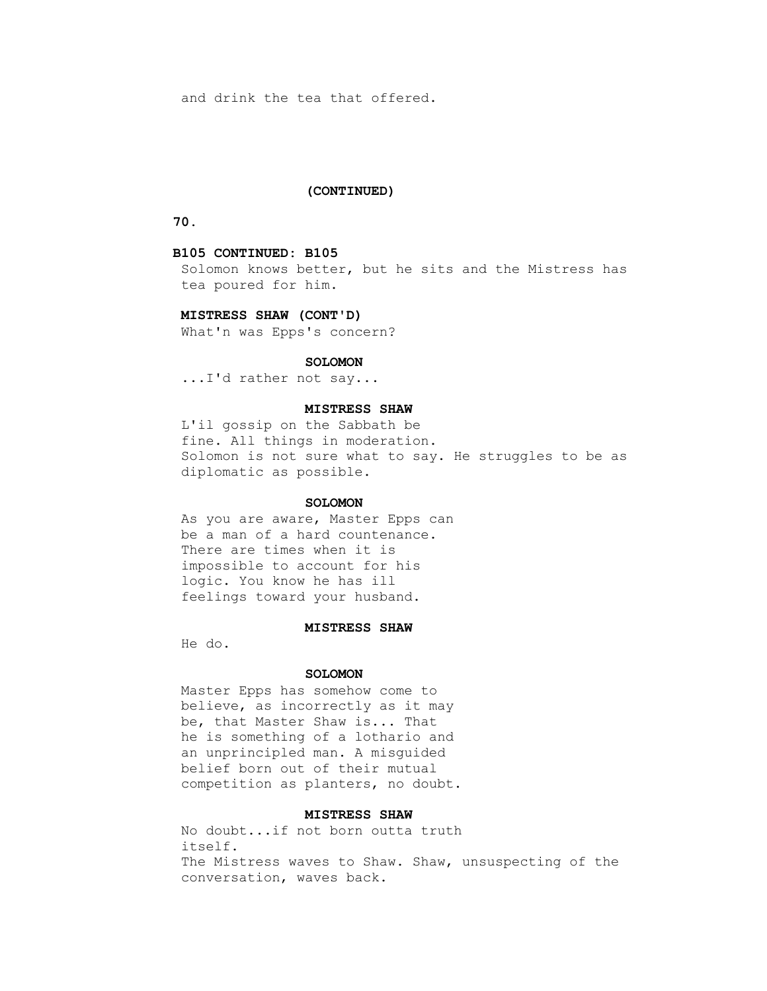and drink the tea that offered.

### **(CONTINUED)**

 **70.**

### **B105 CONTINUED: B105**

 Solomon knows better, but he sits and the Mistress has tea poured for him.

## **MISTRESS SHAW (CONT'D)**

What'n was Epps's concern?

### **SOLOMON**

...I'd rather not say...

# **MISTRESS SHAW**

 L'il gossip on the Sabbath be fine. All things in moderation. Solomon is not sure what to say. He struggles to be as diplomatic as possible.

#### **SOLOMON**

 As you are aware, Master Epps can be a man of a hard countenance. There are times when it is impossible to account for his logic. You know he has ill feelings toward your husband.

#### **MISTRESS SHAW**

He do.

#### **SOLOMON**

 Master Epps has somehow come to believe, as incorrectly as it may be, that Master Shaw is... That he is something of a lothario and an unprincipled man. A misguided belief born out of their mutual competition as planters, no doubt.

# **MISTRESS SHAW**

 No doubt...if not born outta truth itself. The Mistress waves to Shaw. Shaw, unsuspecting of the conversation, waves back.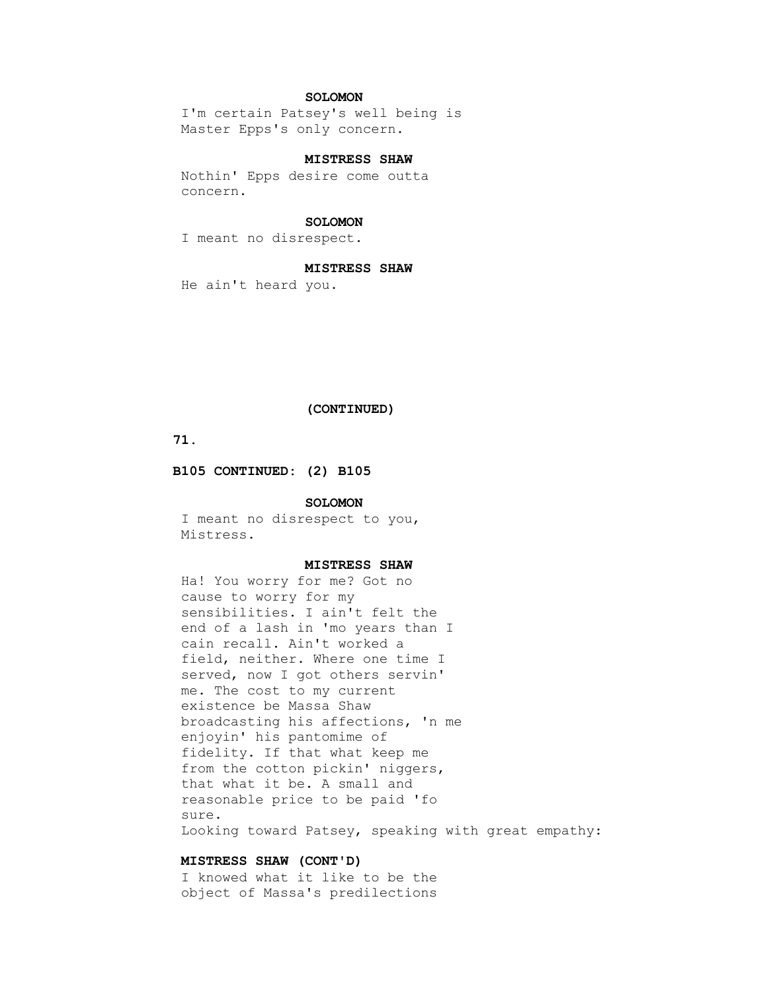# **SOLOMON**

 I'm certain Patsey's well being is Master Epps's only concern.

# **MISTRESS SHAW**

 Nothin' Epps desire come outta concern.

#### **SOLOMON**

I meant no disrespect.

### **MISTRESS SHAW**

He ain't heard you.

#### **(CONTINUED)**

# **71.**

 **B105 CONTINUED: (2) B105**

## **SOLOMON**

 I meant no disrespect to you, Mistress.

## **MISTRESS SHAW**

 Ha! You worry for me? Got no cause to worry for my sensibilities. I ain't felt the end of a lash in 'mo years than I cain recall. Ain't worked a field, neither. Where one time I served, now I got others servin' me. The cost to my current existence be Massa Shaw broadcasting his affections, 'n me enjoyin' his pantomime of fidelity. If that what keep me from the cotton pickin' niggers, that what it be. A small and reasonable price to be paid 'fo sure. Looking toward Patsey, speaking with great empathy:

## **MISTRESS SHAW (CONT'D)**

 I knowed what it like to be the object of Massa's predilections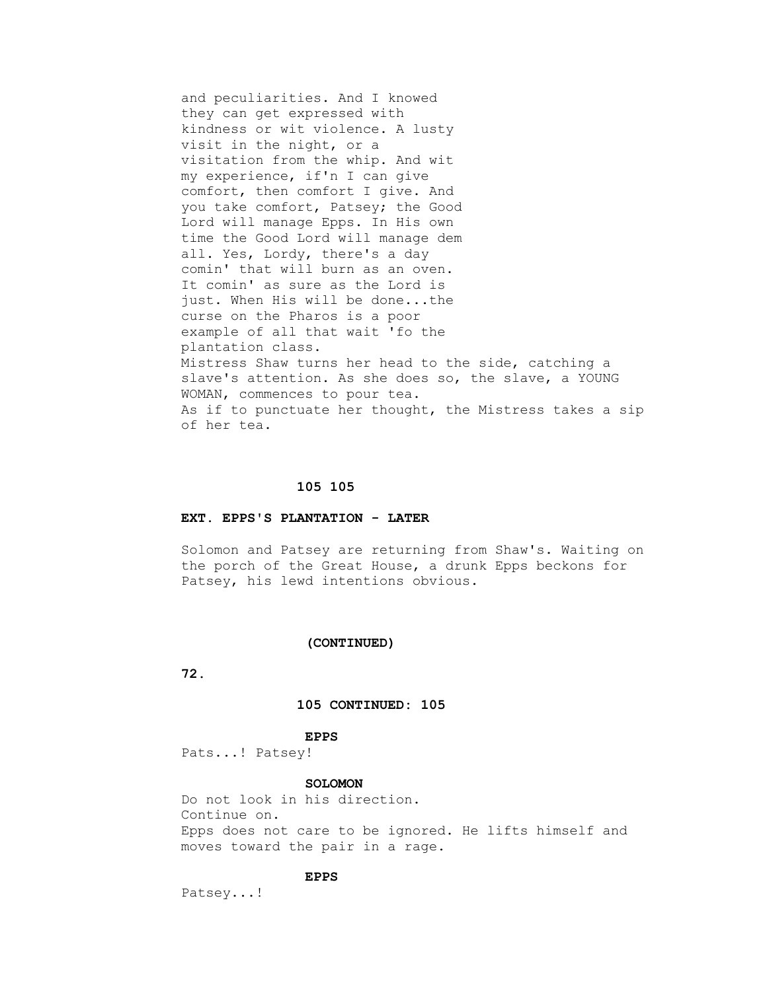and peculiarities. And I knowed they can get expressed with kindness or wit violence. A lusty visit in the night, or a visitation from the whip. And wit my experience, if'n I can give comfort, then comfort I give. And you take comfort, Patsey; the Good Lord will manage Epps. In His own time the Good Lord will manage dem all. Yes, Lordy, there's a day comin' that will burn as an oven. It comin' as sure as the Lord is just. When His will be done...the curse on the Pharos is a poor example of all that wait 'fo the plantation class. Mistress Shaw turns her head to the side, catching a slave's attention. As she does so, the slave, a YOUNG WOMAN, commences to pour tea. As if to punctuate her thought, the Mistress takes a sip of her tea.

#### **105 105**

#### **EXT. EPPS'S PLANTATION - LATER**

 Solomon and Patsey are returning from Shaw's. Waiting on the porch of the Great House, a drunk Epps beckons for Patsey, his lewd intentions obvious.

#### **(CONTINUED)**

 **72.**

## **105 CONTINUED: 105**

#### **EPPS**

Pats...! Patsey!

# **SOLOMON**

 Do not look in his direction. Continue on. Epps does not care to be ignored. He lifts himself and moves toward the pair in a rage.

# **EPPS**

Patsey...!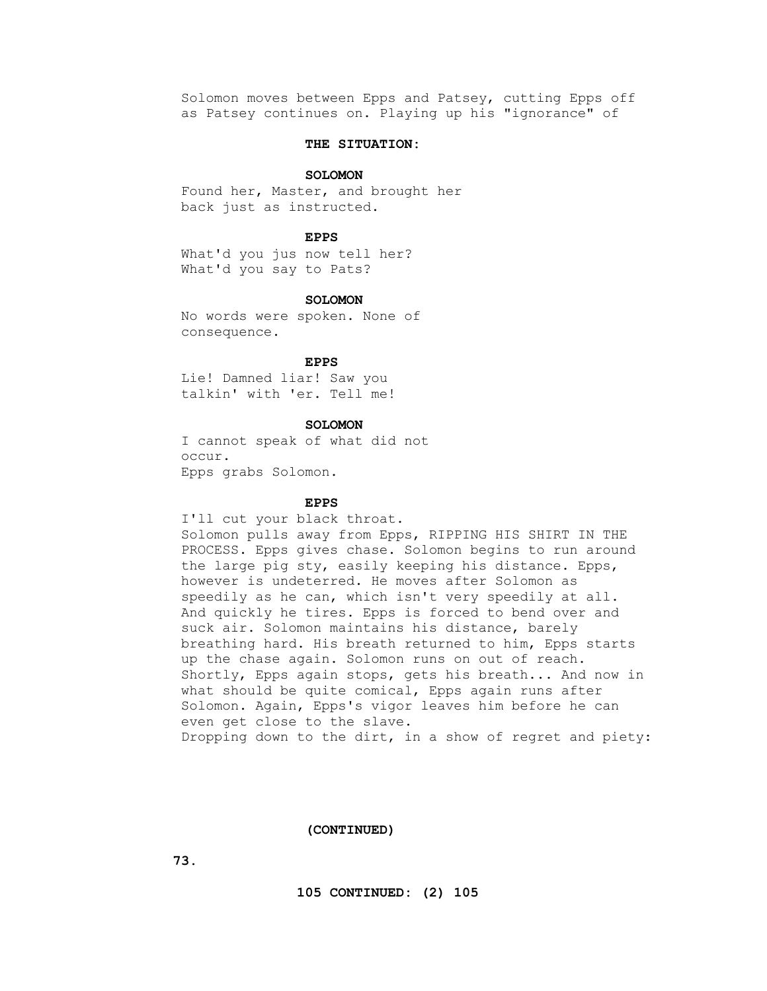Solomon moves between Epps and Patsey, cutting Epps off as Patsey continues on. Playing up his "ignorance" of

# **THE SITUATION:**

#### **SOLOMON**

 Found her, Master, and brought her back just as instructed.

#### **EPPS**

 What'd you jus now tell her? What'd you say to Pats?

#### **SOLOMON**

 No words were spoken. None of consequence.

## **EPPS**

 Lie! Damned liar! Saw you talkin' with 'er. Tell me!

# **SOLOMON**

 I cannot speak of what did not occur. Epps grabs Solomon.

# **EPPS**

I'll cut your black throat.

 Solomon pulls away from Epps, RIPPING HIS SHIRT IN THE PROCESS. Epps gives chase. Solomon begins to run around the large pig sty, easily keeping his distance. Epps, however is undeterred. He moves after Solomon as speedily as he can, which isn't very speedily at all. And quickly he tires. Epps is forced to bend over and suck air. Solomon maintains his distance, barely breathing hard. His breath returned to him, Epps starts up the chase again. Solomon runs on out of reach. Shortly, Epps again stops, gets his breath... And now in what should be quite comical, Epps again runs after Solomon. Again, Epps's vigor leaves him before he can even get close to the slave. Dropping down to the dirt, in a show of regret and piety:

#### **(CONTINUED)**

 **73.**

 **105 CONTINUED: (2) 105**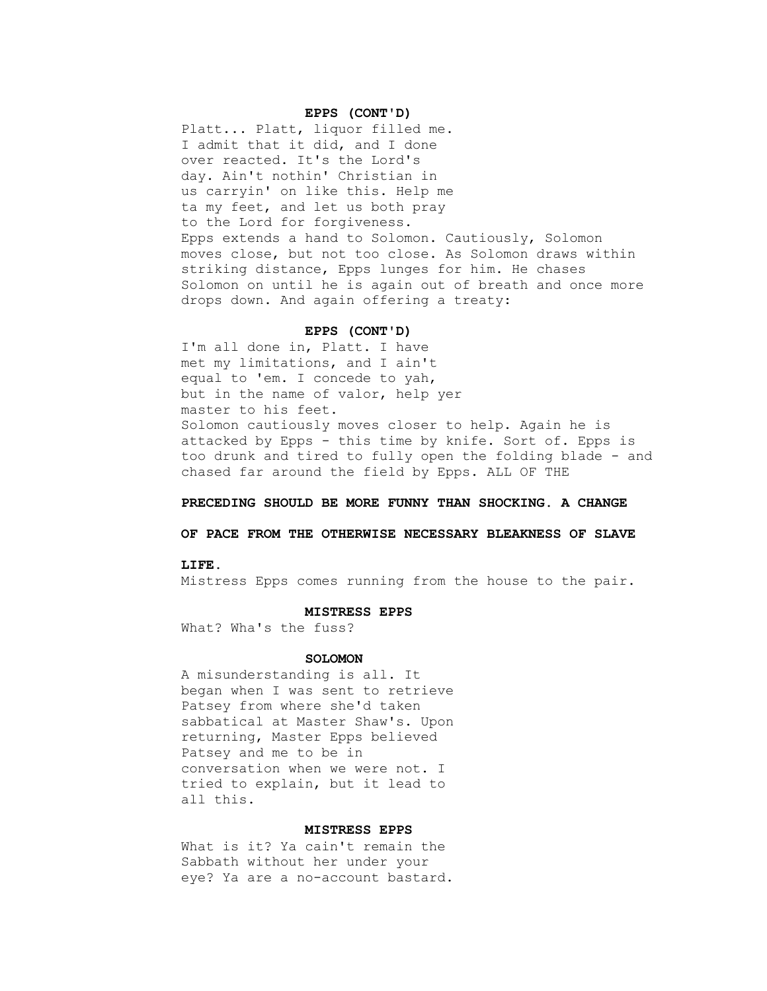#### **EPPS (CONT'D)**

 Platt... Platt, liquor filled me. I admit that it did, and I done over reacted. It's the Lord's day. Ain't nothin' Christian in us carryin' on like this. Help me ta my feet, and let us both pray to the Lord for forgiveness. Epps extends a hand to Solomon. Cautiously, Solomon moves close, but not too close. As Solomon draws within striking distance, Epps lunges for him. He chases Solomon on until he is again out of breath and once more drops down. And again offering a treaty:

## **EPPS (CONT'D)**

 I'm all done in, Platt. I have met my limitations, and I ain't equal to 'em. I concede to yah, but in the name of valor, help yer master to his feet. Solomon cautiously moves closer to help. Again he is attacked by Epps - this time by knife. Sort of. Epps is too drunk and tired to fully open the folding blade - and chased far around the field by Epps. ALL OF THE

# **PRECEDING SHOULD BE MORE FUNNY THAN SHOCKING. A CHANGE**

# **OF PACE FROM THE OTHERWISE NECESSARY BLEAKNESS OF SLAVE**

#### **LIFE.**

Mistress Epps comes running from the house to the pair.

#### **MISTRESS EPPS**

What? Wha's the fuss?

#### **SOLOMON**

 A misunderstanding is all. It began when I was sent to retrieve Patsey from where she'd taken sabbatical at Master Shaw's. Upon returning, Master Epps believed Patsey and me to be in conversation when we were not. I tried to explain, but it lead to all this.

## **MISTRESS EPPS**

 What is it? Ya cain't remain the Sabbath without her under your eye? Ya are a no-account bastard.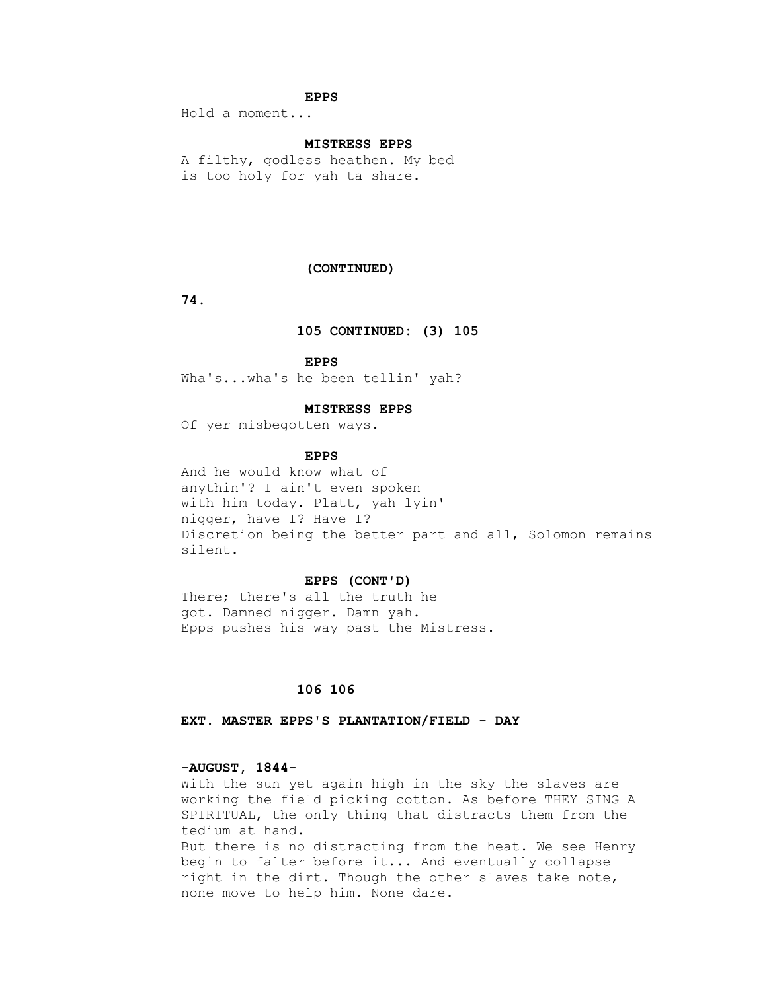### **EPPS**

Hold a moment...

# **MISTRESS EPPS**

 A filthy, godless heathen. My bed is too holy for yah ta share.

## **(CONTINUED)**

 **74.**

# **105 CONTINUED: (3) 105**

 **EPPS**

Wha's...wha's he been tellin' yah?

## **MISTRESS EPPS**

Of yer misbegotten ways.

#### **EPPS**

 And he would know what of anythin'? I ain't even spoken with him today. Platt, yah lyin' nigger, have I? Have I? Discretion being the better part and all, Solomon remains silent.

#### **EPPS (CONT'D)**

 There; there's all the truth he got. Damned nigger. Damn yah. Epps pushes his way past the Mistress.

# **106 106**

 **EXT. MASTER EPPS'S PLANTATION/FIELD - DAY**

#### **-AUGUST, 1844-**

 With the sun yet again high in the sky the slaves are working the field picking cotton. As before THEY SING A SPIRITUAL, the only thing that distracts them from the tedium at hand. But there is no distracting from the heat. We see Henry begin to falter before it... And eventually collapse right in the dirt. Though the other slaves take note, none move to help him. None dare.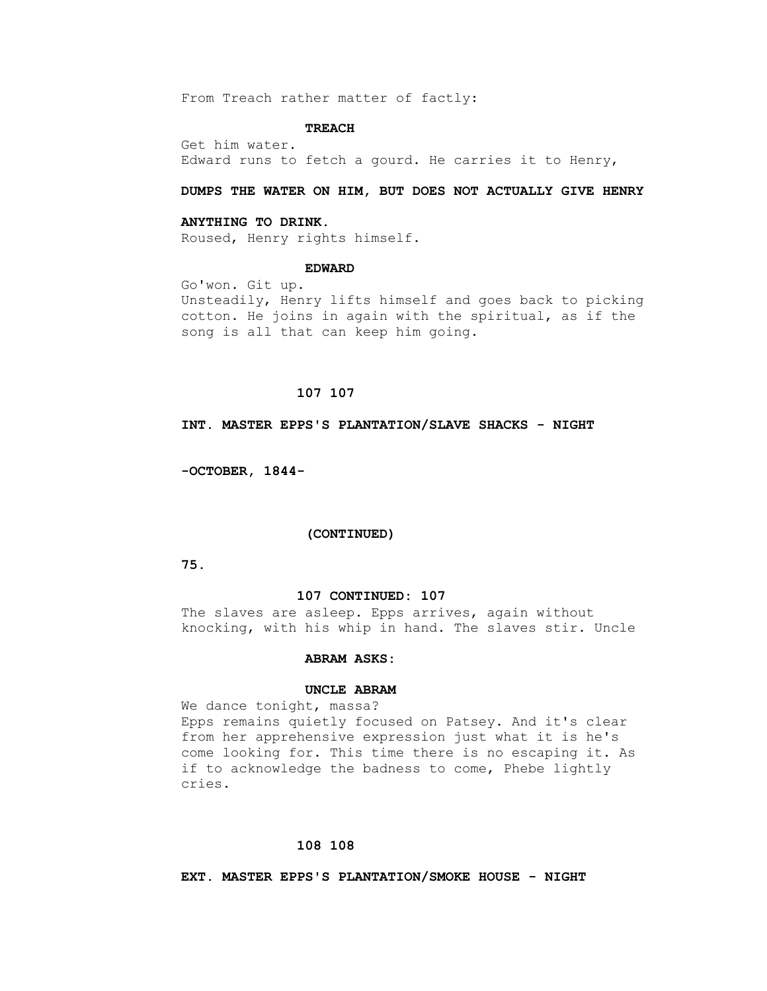From Treach rather matter of factly:

### **TREACH**

 Get him water. Edward runs to fetch a gourd. He carries it to Henry,

# **DUMPS THE WATER ON HIM, BUT DOES NOT ACTUALLY GIVE HENRY**

#### **ANYTHING TO DRINK.**

Roused, Henry rights himself.

### **EDWARD**

 Go'won. Git up. Unsteadily, Henry lifts himself and goes back to picking cotton. He joins in again with the spiritual, as if the song is all that can keep him going.

# **107 107**

 **INT. MASTER EPPS'S PLANTATION/SLAVE SHACKS - NIGHT**

 **-OCTOBER, 1844-**

#### **(CONTINUED)**

 **75.**

## **107 CONTINUED: 107**

The slaves are asleep. Epps arrives, again without knocking, with his whip in hand. The slaves stir. Uncle

## **ABRAM ASKS:**

# **UNCLE ABRAM**

 We dance tonight, massa? Epps remains quietly focused on Patsey. And it's clear from her apprehensive expression just what it is he's come looking for. This time there is no escaping it. As if to acknowledge the badness to come, Phebe lightly cries.

## **108 108**

 **EXT. MASTER EPPS'S PLANTATION/SMOKE HOUSE - NIGHT**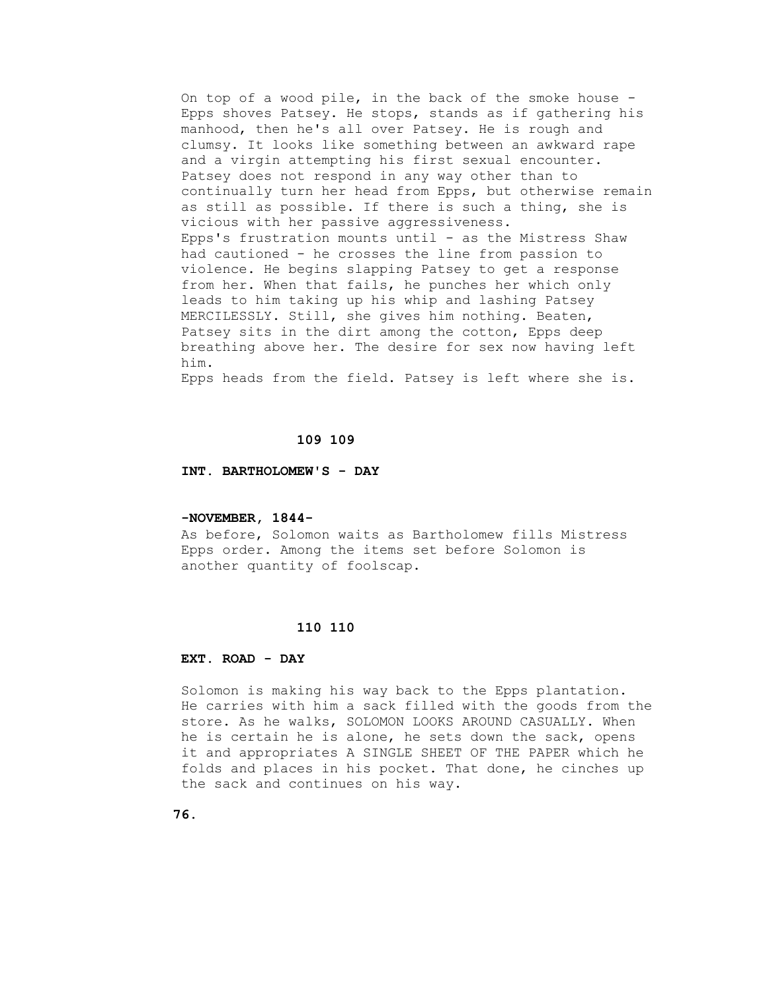On top of a wood pile, in the back of the smoke house - Epps shoves Patsey. He stops, stands as if gathering his manhood, then he's all over Patsey. He is rough and clumsy. It looks like something between an awkward rape and a virgin attempting his first sexual encounter. Patsey does not respond in any way other than to continually turn her head from Epps, but otherwise remain as still as possible. If there is such a thing, she is vicious with her passive aggressiveness. Epps's frustration mounts until - as the Mistress Shaw had cautioned - he crosses the line from passion to violence. He begins slapping Patsey to get a response from her. When that fails, he punches her which only leads to him taking up his whip and lashing Patsey MERCILESSLY. Still, she gives him nothing. Beaten, Patsey sits in the dirt among the cotton, Epps deep breathing above her. The desire for sex now having left him.

Epps heads from the field. Patsey is left where she is.

### **109 109**

 **INT. BARTHOLOMEW'S - DAY**

#### **-NOVEMBER, 1844-**

 As before, Solomon waits as Bartholomew fills Mistress Epps order. Among the items set before Solomon is another quantity of foolscap.

## **110 110**

#### **EXT. ROAD - DAY**

 Solomon is making his way back to the Epps plantation. He carries with him a sack filled with the goods from the store. As he walks, SOLOMON LOOKS AROUND CASUALLY. When he is certain he is alone, he sets down the sack, opens it and appropriates A SINGLE SHEET OF THE PAPER which he folds and places in his pocket. That done, he cinches up the sack and continues on his way.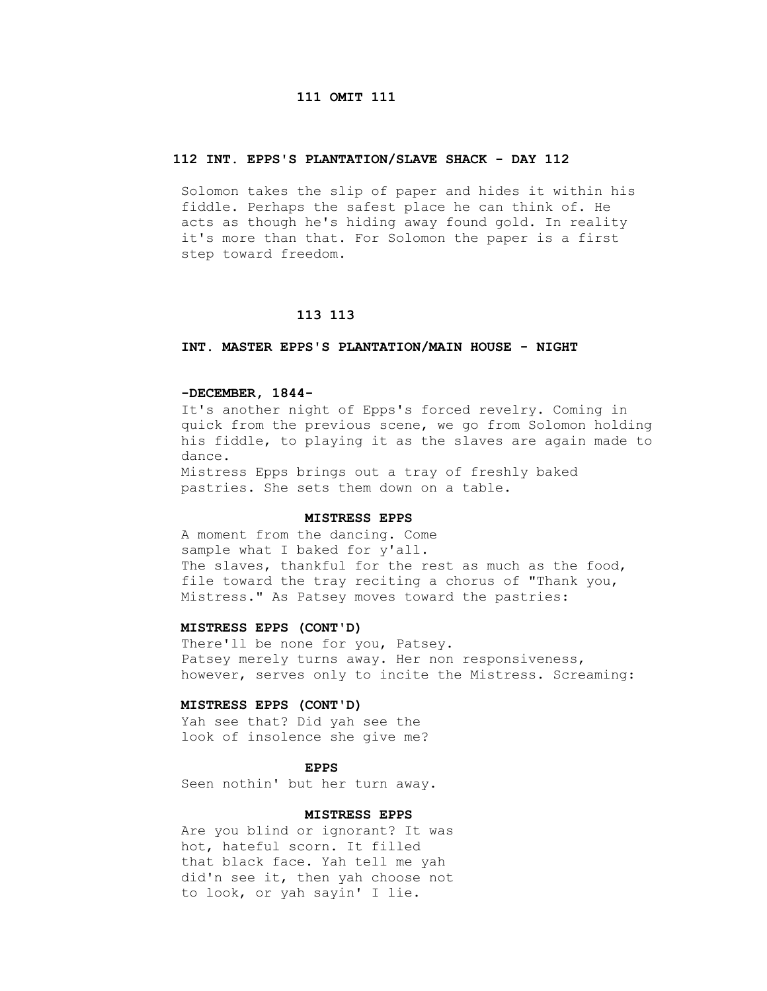# **111 OMIT 111**

## **112 INT. EPPS'S PLANTATION/SLAVE SHACK - DAY 112**

 Solomon takes the slip of paper and hides it within his fiddle. Perhaps the safest place he can think of. He acts as though he's hiding away found gold. In reality it's more than that. For Solomon the paper is a first step toward freedom.

#### **113 113**

#### **INT. MASTER EPPS'S PLANTATION/MAIN HOUSE - NIGHT**

## **-DECEMBER, 1844-**

 It's another night of Epps's forced revelry. Coming in quick from the previous scene, we go from Solomon holding his fiddle, to playing it as the slaves are again made to dance. Mistress Epps brings out a tray of freshly baked

pastries. She sets them down on a table.

#### **MISTRESS EPPS**

 A moment from the dancing. Come sample what I baked for y'all. The slaves, thankful for the rest as much as the food, file toward the tray reciting a chorus of "Thank you, Mistress." As Patsey moves toward the pastries:

# **MISTRESS EPPS (CONT'D)**

 There'll be none for you, Patsey. Patsey merely turns away. Her non responsiveness, however, serves only to incite the Mistress. Screaming:

## **MISTRESS EPPS (CONT'D)**

 Yah see that? Did yah see the look of insolence she give me?

**EPPS** 

Seen nothin' but her turn away.

# **MISTRESS EPPS**

 Are you blind or ignorant? It was hot, hateful scorn. It filled that black face. Yah tell me yah did'n see it, then yah choose not to look, or yah sayin' I lie.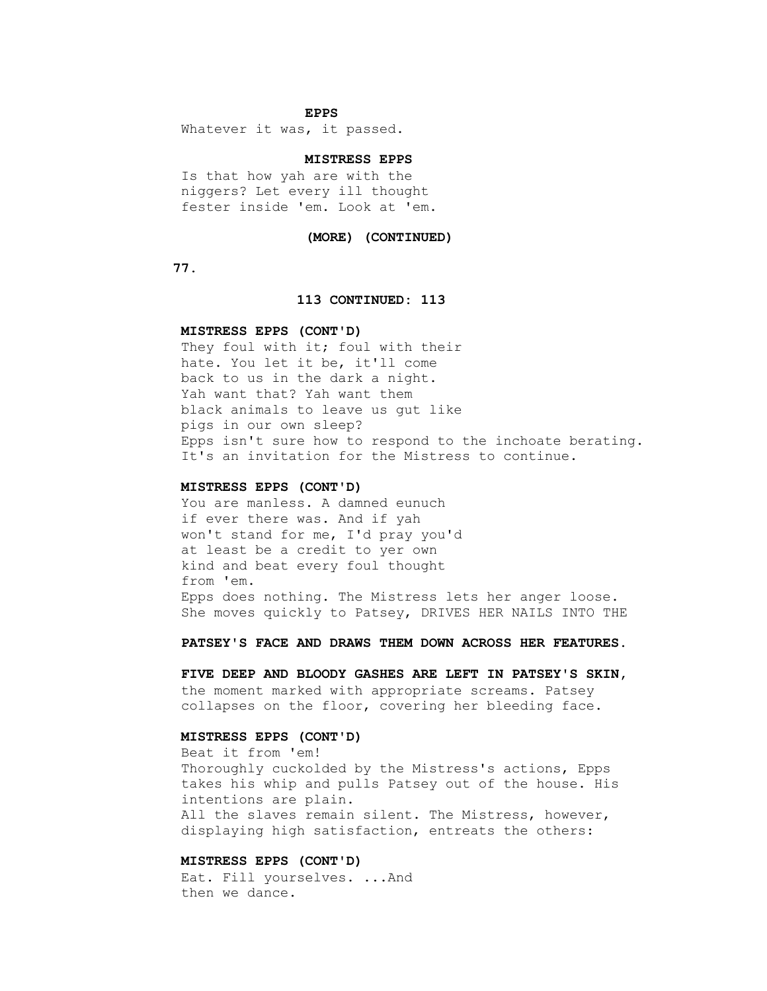# **EPPS**

Whatever it was, it passed.

# **MISTRESS EPPS**

 Is that how yah are with the niggers? Let every ill thought fester inside 'em. Look at 'em.

#### **(MORE) (CONTINUED)**

 **77.**

#### **113 CONTINUED: 113**

## **MISTRESS EPPS (CONT'D)**

They foul with it; foul with their hate. You let it be, it'll come back to us in the dark a night. Yah want that? Yah want them black animals to leave us gut like pigs in our own sleep? Epps isn't sure how to respond to the inchoate berating. It's an invitation for the Mistress to continue.

#### **MISTRESS EPPS (CONT'D)**

 You are manless. A damned eunuch if ever there was. And if yah won't stand for me, I'd pray you'd at least be a credit to yer own kind and beat every foul thought from 'em. Epps does nothing. The Mistress lets her anger loose. She moves quickly to Patsey, DRIVES HER NAILS INTO THE

 **PATSEY'S FACE AND DRAWS THEM DOWN ACROSS HER FEATURES.**

 **FIVE DEEP AND BLOODY GASHES ARE LEFT IN PATSEY'S SKIN,** the moment marked with appropriate screams. Patsey collapses on the floor, covering her bleeding face.

# **MISTRESS EPPS (CONT'D)**

 Beat it from 'em! Thoroughly cuckolded by the Mistress's actions, Epps takes his whip and pulls Patsey out of the house. His intentions are plain. All the slaves remain silent. The Mistress, however, displaying high satisfaction, entreats the others:

# **MISTRESS EPPS (CONT'D)**

 Eat. Fill yourselves. ...And then we dance.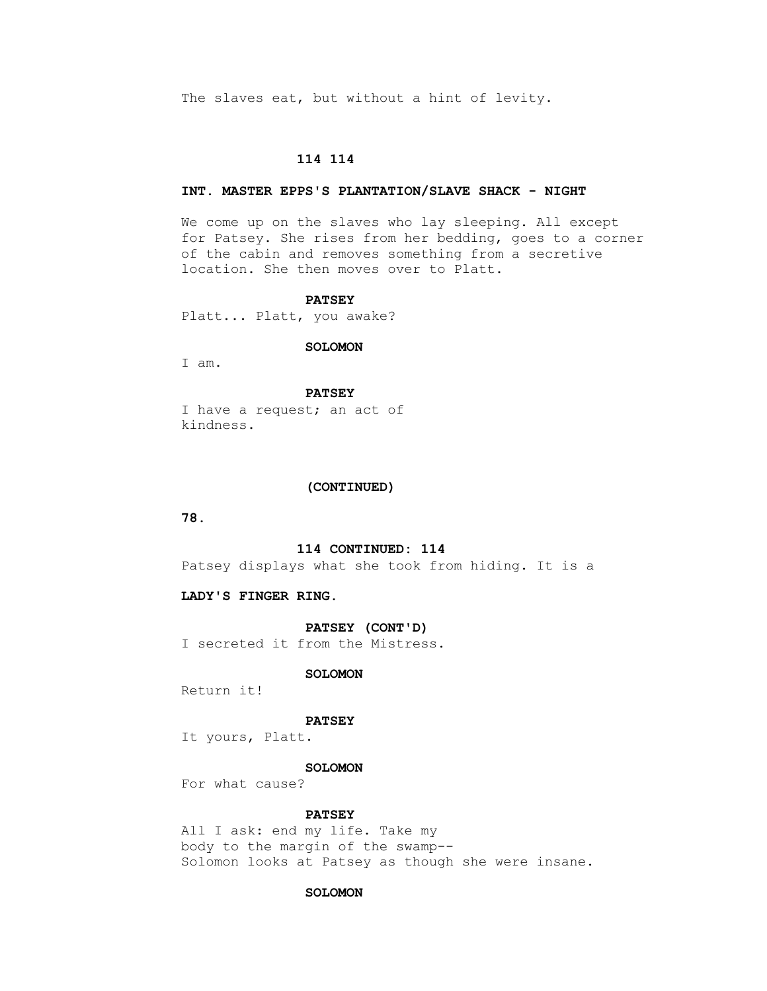The slaves eat, but without a hint of levity.

# **114 114**

## **INT. MASTER EPPS'S PLANTATION/SLAVE SHACK - NIGHT**

 We come up on the slaves who lay sleeping. All except for Patsey. She rises from her bedding, goes to a corner of the cabin and removes something from a secretive location. She then moves over to Platt.

#### **PATSEY**

Platt... Platt, you awake?

#### **SOLOMON**

I am.

 **PATSEY** I have a request; an act of kindness.

#### **(CONTINUED)**

 **78.**

## **114 CONTINUED: 114**

Patsey displays what she took from hiding. It is a

# **LADY'S FINGER RING.**

#### **PATSEY (CONT'D)**

I secreted it from the Mistress.

#### **SOLOMON**

Return it!

#### **PATSEY**

It yours, Platt.

#### **SOLOMON**

For what cause?

# **PATSEY**

 All I ask: end my life. Take my body to the margin of the swamp-- Solomon looks at Patsey as though she were insane.

#### **SOLOMON**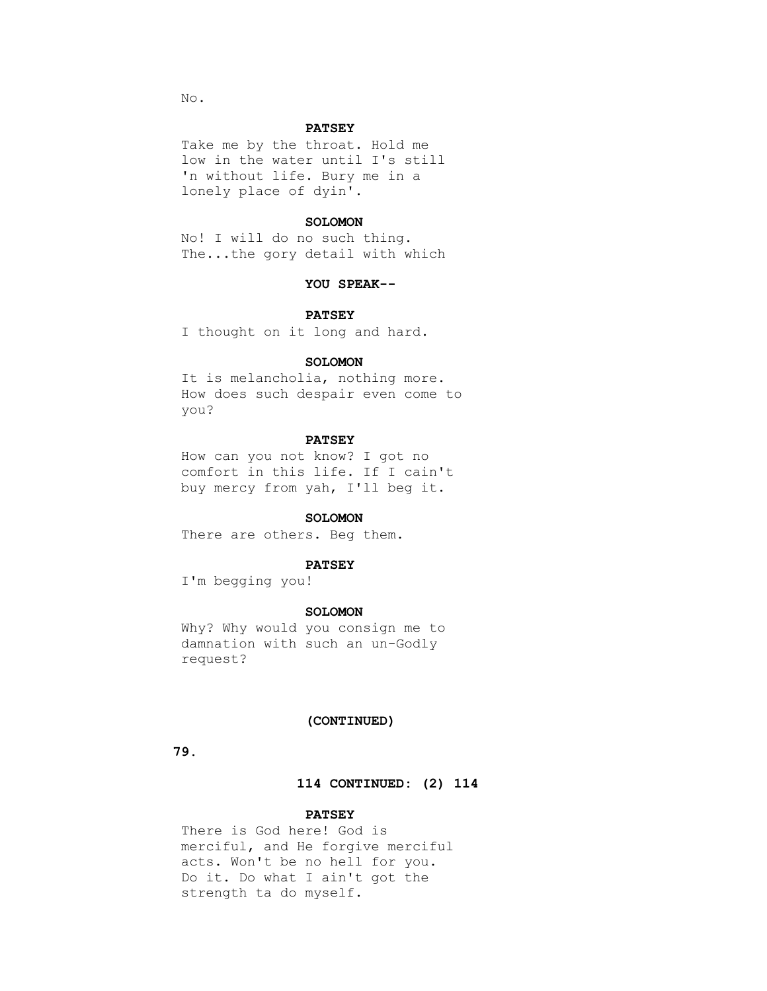No.

### **PATSEY**

 Take me by the throat. Hold me low in the water until I's still 'n without life. Bury me in a lonely place of dyin'.

## **SOLOMON**

 No! I will do no such thing. The...the gory detail with which

### **YOU SPEAK--**

#### **PATSEY**

I thought on it long and hard.

### **SOLOMON**

 It is melancholia, nothing more. How does such despair even come to you?

# **PATSEY**

 How can you not know? I got no comfort in this life. If I cain't buy mercy from yah, I'll beg it.

#### **SOLOMON**

There are others. Beg them.

# **PATSEY**

I'm begging you!

#### **SOLOMON**

 Why? Why would you consign me to damnation with such an un-Godly request?

## **(CONTINUED)**

 **79.**

# **114 CONTINUED: (2) 114**

# **PATSEY**

 There is God here! God is merciful, and He forgive merciful acts. Won't be no hell for you. Do it. Do what I ain't got the strength ta do myself.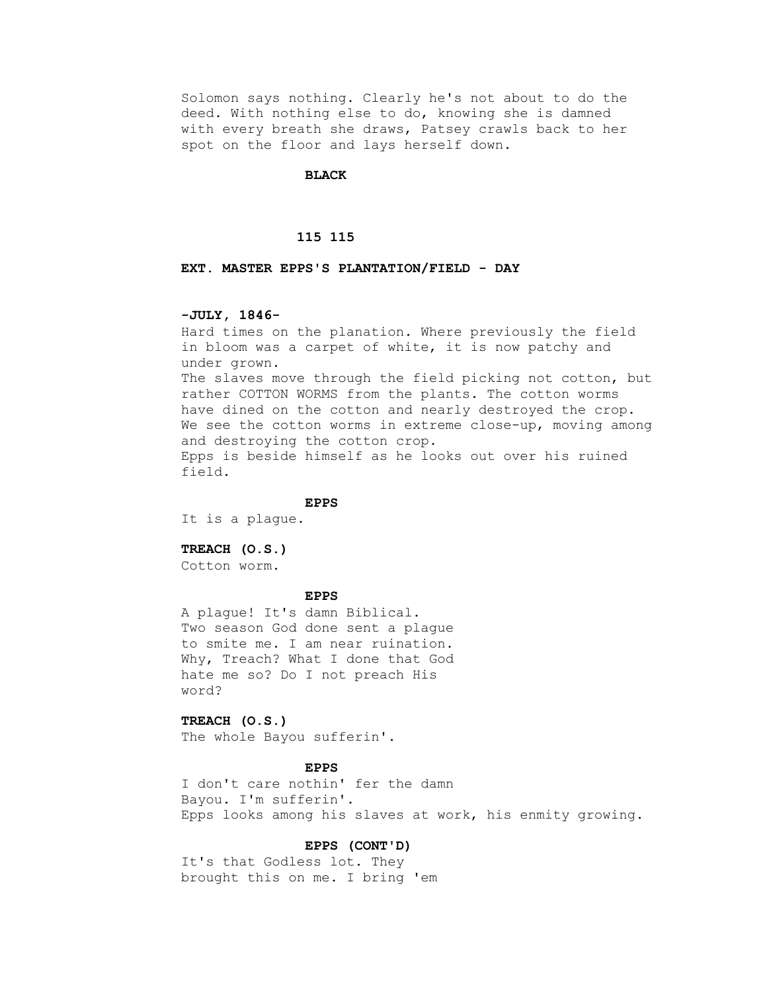Solomon says nothing. Clearly he's not about to do the deed. With nothing else to do, knowing she is damned with every breath she draws, Patsey crawls back to her spot on the floor and lays herself down.

### **BLACK**

#### **115 115**

# **EXT. MASTER EPPS'S PLANTATION/FIELD - DAY**

# **-JULY, 1846-**

 Hard times on the planation. Where previously the field in bloom was a carpet of white, it is now patchy and under grown. The slaves move through the field picking not cotton, but rather COTTON WORMS from the plants. The cotton worms have dined on the cotton and nearly destroyed the crop. We see the cotton worms in extreme close-up, moving among and destroying the cotton crop. Epps is beside himself as he looks out over his ruined field.

#### **EPPS**

It is a plague.

## **TREACH (O.S.)**

Cotton worm.

#### **EPPS**

 A plague! It's damn Biblical. Two season God done sent a plague to smite me. I am near ruination. Why, Treach? What I done that God hate me so? Do I not preach His word?

# **TREACH (O.S.)**

The whole Bayou sufferin'.

 **EPPS**

 I don't care nothin' fer the damn Bayou. I'm sufferin'. Epps looks among his slaves at work, his enmity growing.

# **EPPS (CONT'D)**

 It's that Godless lot. They brought this on me. I bring 'em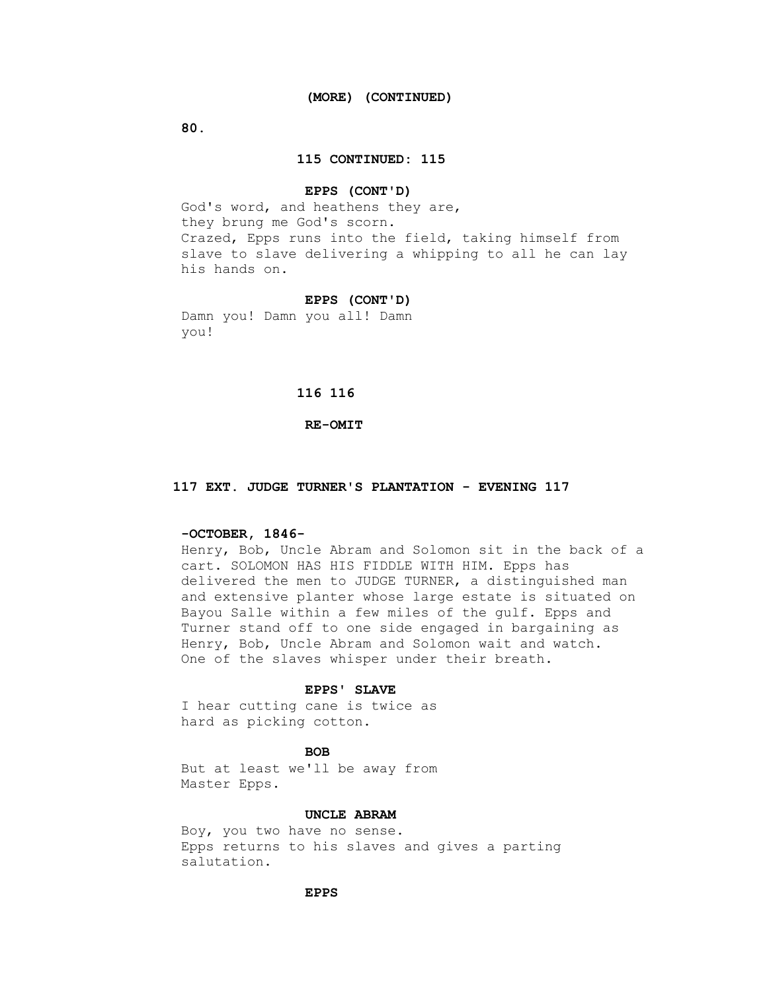**80.**

### **115 CONTINUED: 115**

#### **EPPS (CONT'D)**

 God's word, and heathens they are, they brung me God's scorn. Crazed, Epps runs into the field, taking himself from slave to slave delivering a whipping to all he can lay his hands on.

#### **EPPS (CONT'D)**

 Damn you! Damn you all! Damn you!

# **116 116**

### **RE-OMIT**

# **117 EXT. JUDGE TURNER'S PLANTATION - EVENING 117**

# **-OCTOBER, 1846-**

 Henry, Bob, Uncle Abram and Solomon sit in the back of a cart. SOLOMON HAS HIS FIDDLE WITH HIM. Epps has delivered the men to JUDGE TURNER, a distinguished man and extensive planter whose large estate is situated on Bayou Salle within a few miles of the gulf. Epps and Turner stand off to one side engaged in bargaining as Henry, Bob, Uncle Abram and Solomon wait and watch. One of the slaves whisper under their breath.

## **EPPS' SLAVE**

 I hear cutting cane is twice as hard as picking cotton.

# **BOB**

 But at least we'll be away from Master Epps.

#### **UNCLE ABRAM**

 Boy, you two have no sense. Epps returns to his slaves and gives a parting salutation.

## **EPPS**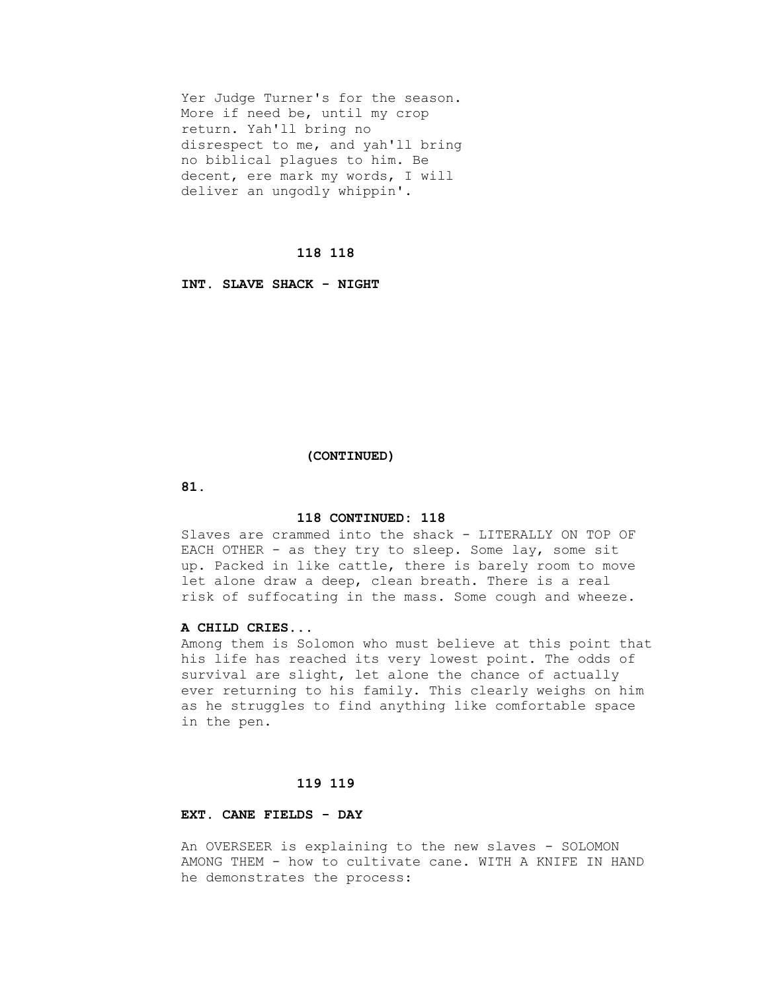Yer Judge Turner's for the season. More if need be, until my crop return. Yah'll bring no disrespect to me, and yah'll bring no biblical plagues to him. Be decent, ere mark my words, I will deliver an ungodly whippin'.

## **118 118**

 **INT. SLAVE SHACK - NIGHT**

#### **(CONTINUED)**

 **81.**

#### **118 CONTINUED: 118**

 Slaves are crammed into the shack - LITERALLY ON TOP OF EACH OTHER - as they try to sleep. Some lay, some sit up. Packed in like cattle, there is barely room to move let alone draw a deep, clean breath. There is a real risk of suffocating in the mass. Some cough and wheeze.

# **A CHILD CRIES...**

 Among them is Solomon who must believe at this point that his life has reached its very lowest point. The odds of survival are slight, let alone the chance of actually ever returning to his family. This clearly weighs on him as he struggles to find anything like comfortable space in the pen.

# **119 119**

# **EXT. CANE FIELDS - DAY**

 An OVERSEER is explaining to the new slaves - SOLOMON AMONG THEM - how to cultivate cane. WITH A KNIFE IN HAND he demonstrates the process: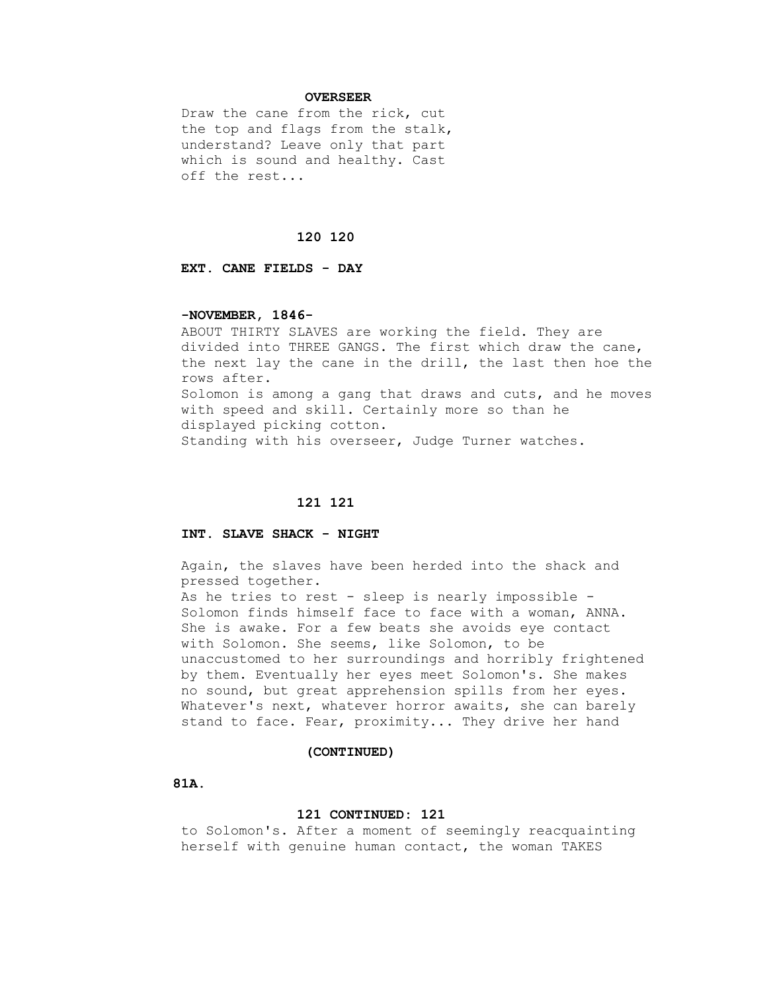## **OVERSEER**

 Draw the cane from the rick, cut the top and flags from the stalk, understand? Leave only that part which is sound and healthy. Cast off the rest...

#### **120 120**

 **EXT. CANE FIELDS - DAY**

## **-NOVEMBER, 1846-**

 ABOUT THIRTY SLAVES are working the field. They are divided into THREE GANGS. The first which draw the cane, the next lay the cane in the drill, the last then hoe the rows after. Solomon is among a gang that draws and cuts, and he moves with speed and skill. Certainly more so than he displayed picking cotton. Standing with his overseer, Judge Turner watches.

## **121 121**

# **INT. SLAVE SHACK - NIGHT**

 Again, the slaves have been herded into the shack and pressed together. As he tries to rest - sleep is nearly impossible - Solomon finds himself face to face with a woman, ANNA. She is awake. For a few beats she avoids eye contact with Solomon. She seems, like Solomon, to be unaccustomed to her surroundings and horribly frightened by them. Eventually her eyes meet Solomon's. She makes no sound, but great apprehension spills from her eyes. Whatever's next, whatever horror awaits, she can barely

stand to face. Fear, proximity... They drive her hand

#### **(CONTINUED)**

 **81A.**

## **121 CONTINUED: 121**

 to Solomon's. After a moment of seemingly reacquainting herself with genuine human contact, the woman TAKES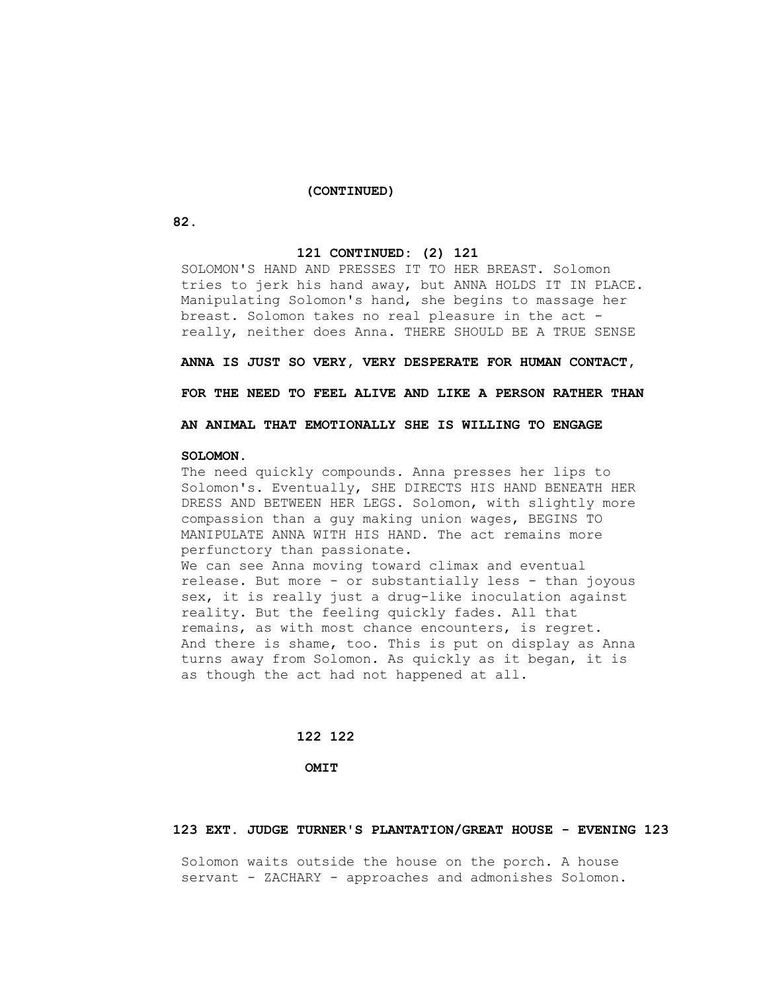## **(CONTINUED)**

 **82.**

## **121 CONTINUED: (2) 121**

 SOLOMON'S HAND AND PRESSES IT TO HER BREAST. Solomon tries to jerk his hand away, but ANNA HOLDS IT IN PLACE. Manipulating Solomon's hand, she begins to massage her breast. Solomon takes no real pleasure in the act really, neither does Anna. THERE SHOULD BE A TRUE SENSE

 **ANNA IS JUST SO VERY, VERY DESPERATE FOR HUMAN CONTACT,**

 **FOR THE NEED TO FEEL ALIVE AND LIKE A PERSON RATHER THAN**

 **AN ANIMAL THAT EMOTIONALLY SHE IS WILLING TO ENGAGE**

## **SOLOMON.**

 The need quickly compounds. Anna presses her lips to Solomon's. Eventually, SHE DIRECTS HIS HAND BENEATH HER DRESS AND BETWEEN HER LEGS. Solomon, with slightly more compassion than a guy making union wages, BEGINS TO MANIPULATE ANNA WITH HIS HAND. The act remains more perfunctory than passionate. We can see Anna moving toward climax and eventual release. But more - or substantially less - than joyous sex, it is really just a drug-like inoculation against reality. But the feeling quickly fades. All that remains, as with most chance encounters, is regret. And there is shame, too. This is put on display as Anna turns away from Solomon. As quickly as it began, it is

#### **122 122**

as though the act had not happened at all.

 **OMIT**

#### **123 EXT. JUDGE TURNER'S PLANTATION/GREAT HOUSE - EVENING 123**

 Solomon waits outside the house on the porch. A house servant - ZACHARY - approaches and admonishes Solomon.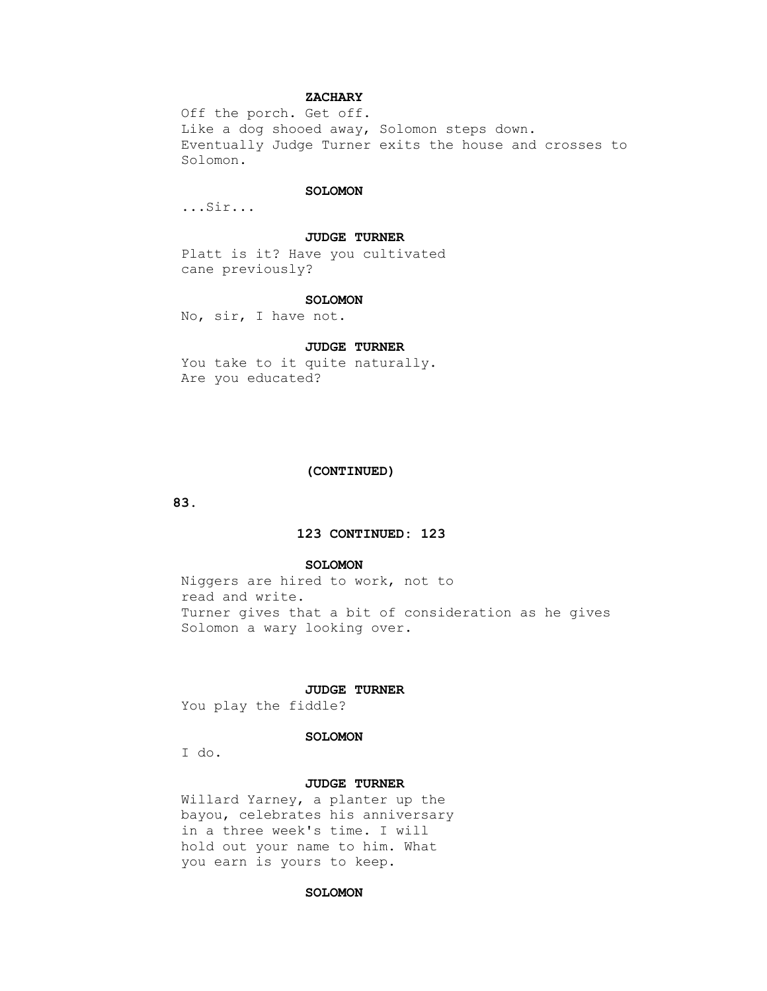# **ZACHARY**

 Off the porch. Get off. Like a dog shooed away, Solomon steps down. Eventually Judge Turner exits the house and crosses to Solomon.

## **SOLOMON**

...Sir...

#### **JUDGE TURNER**

 Platt is it? Have you cultivated cane previously?

#### **SOLOMON**

No, sir, I have not.

# **JUDGE TURNER**

You take to it quite naturally. Are you educated?

#### **(CONTINUED)**

 **83.**

# **123 CONTINUED: 123**

## **SOLOMON**

 Niggers are hired to work, not to read and write. Turner gives that a bit of consideration as he gives Solomon a wary looking over.

# **JUDGE TURNER**

You play the fiddle?

# **SOLOMON**

I do.

## **JUDGE TURNER**

 Willard Yarney, a planter up the bayou, celebrates his anniversary in a three week's time. I will hold out your name to him. What you earn is yours to keep.

## **SOLOMON**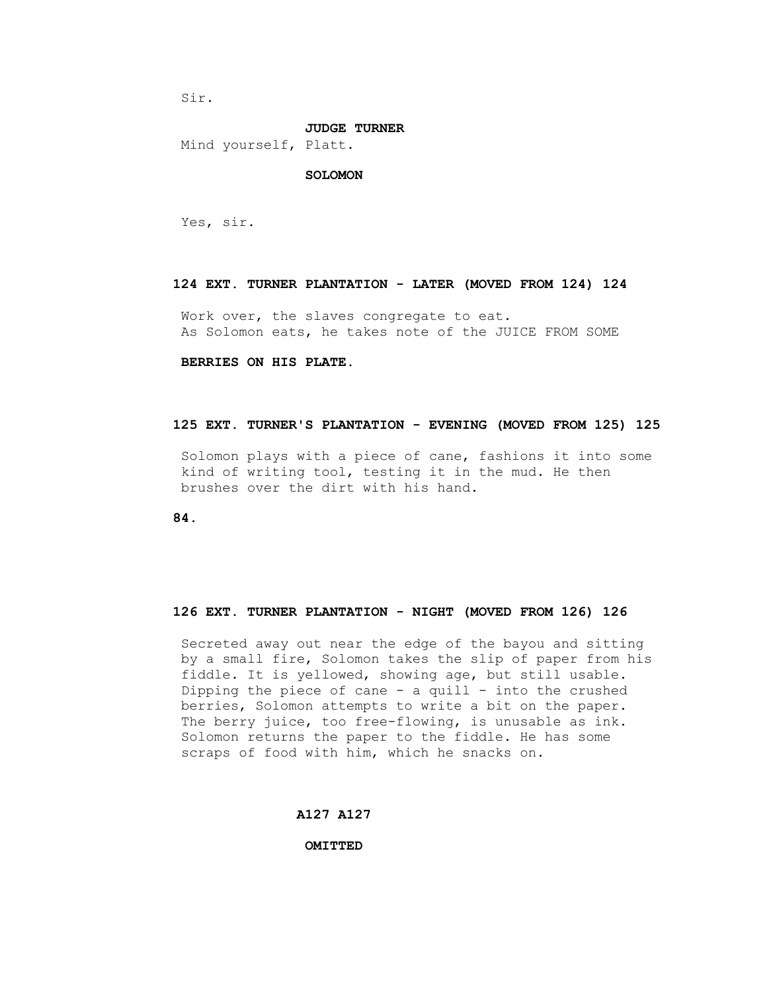Sir.

#### **JUDGE TURNER**

Mind yourself, Platt.

### **SOLOMON**

Yes, sir.

# **124 EXT. TURNER PLANTATION - LATER (MOVED FROM 124) 124**

 Work over, the slaves congregate to eat. As Solomon eats, he takes note of the JUICE FROM SOME

# **BERRIES ON HIS PLATE.**

#### **125 EXT. TURNER'S PLANTATION - EVENING (MOVED FROM 125) 125**

 Solomon plays with a piece of cane, fashions it into some kind of writing tool, testing it in the mud. He then brushes over the dirt with his hand.

 **84.**

# **126 EXT. TURNER PLANTATION - NIGHT (MOVED FROM 126) 126**

 Secreted away out near the edge of the bayou and sitting by a small fire, Solomon takes the slip of paper from his fiddle. It is yellowed, showing age, but still usable. Dipping the piece of cane  $-$  a quill  $-$  into the crushed berries, Solomon attempts to write a bit on the paper. The berry juice, too free-flowing, is unusable as ink. Solomon returns the paper to the fiddle. He has some scraps of food with him, which he snacks on.

# **A127 A127**

 **OMITTED**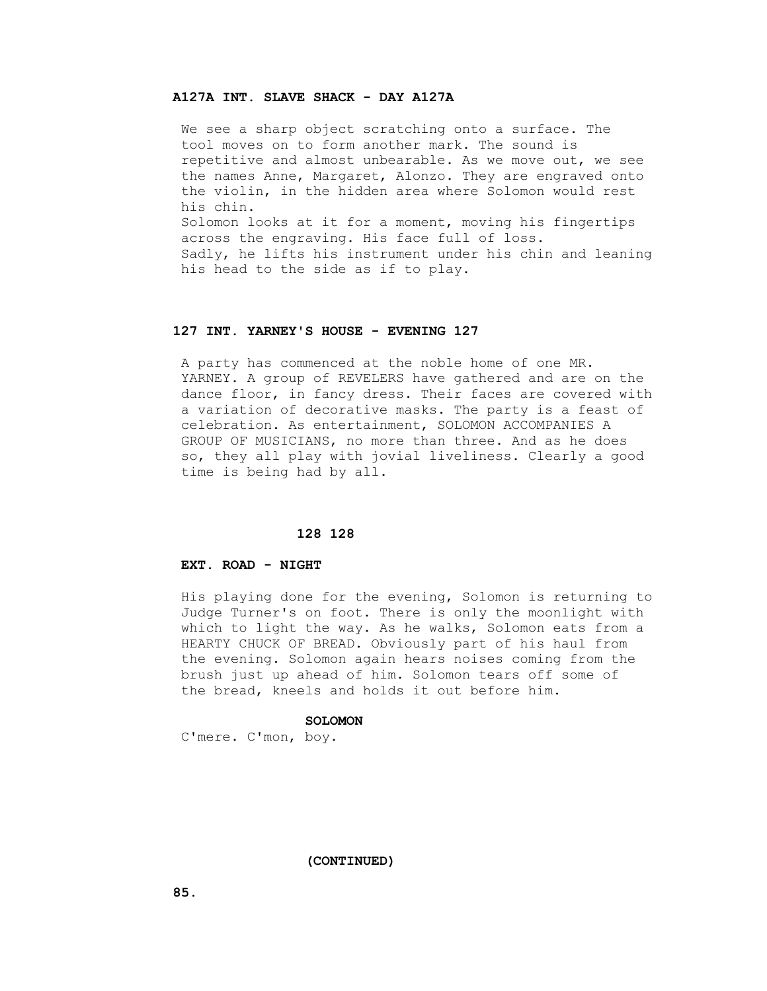# **A127A INT. SLAVE SHACK - DAY A127A**

 We see a sharp object scratching onto a surface. The tool moves on to form another mark. The sound is repetitive and almost unbearable. As we move out, we see the names Anne, Margaret, Alonzo. They are engraved onto the violin, in the hidden area where Solomon would rest his chin. Solomon looks at it for a moment, moving his fingertips across the engraving. His face full of loss. Sadly, he lifts his instrument under his chin and leaning his head to the side as if to play.

# **127 INT. YARNEY'S HOUSE - EVENING 127**

 A party has commenced at the noble home of one MR. YARNEY. A group of REVELERS have gathered and are on the dance floor, in fancy dress. Their faces are covered with a variation of decorative masks. The party is a feast of celebration. As entertainment, SOLOMON ACCOMPANIES A GROUP OF MUSICIANS, no more than three. And as he does so, they all play with jovial liveliness. Clearly a good time is being had by all.

# **128 128**

## **EXT. ROAD - NIGHT**

 His playing done for the evening, Solomon is returning to Judge Turner's on foot. There is only the moonlight with which to light the way. As he walks, Solomon eats from a HEARTY CHUCK OF BREAD. Obviously part of his haul from the evening. Solomon again hears noises coming from the brush just up ahead of him. Solomon tears off some of the bread, kneels and holds it out before him.

# **SOLOMON**

C'mere. C'mon, boy.

 **(CONTINUED)**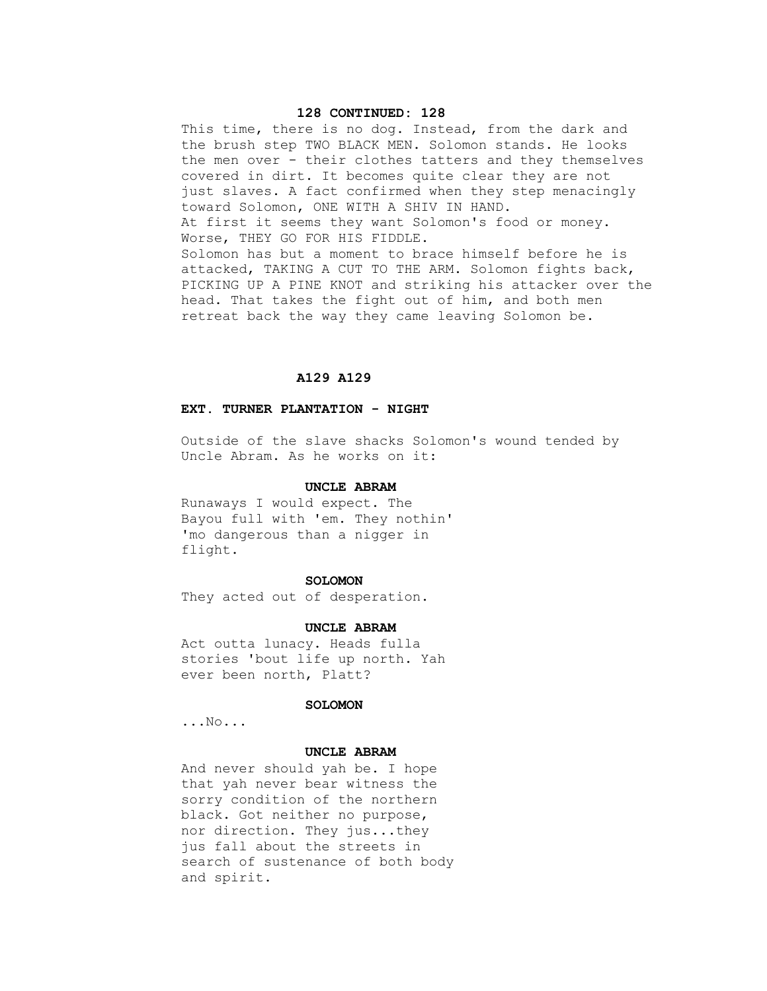# **128 CONTINUED: 128**

This time, there is no dog. Instead, from the dark and the brush step TWO BLACK MEN. Solomon stands. He looks the men over - their clothes tatters and they themselves covered in dirt. It becomes quite clear they are not just slaves. A fact confirmed when they step menacingly toward Solomon, ONE WITH A SHIV IN HAND. At first it seems they want Solomon's food or money. Worse, THEY GO FOR HIS FIDDLE. Solomon has but a moment to brace himself before he is attacked, TAKING A CUT TO THE ARM. Solomon fights back, PICKING UP A PINE KNOT and striking his attacker over the head. That takes the fight out of him, and both men retreat back the way they came leaving Solomon be.

# **A129 A129**

# **EXT. TURNER PLANTATION - NIGHT**

 Outside of the slave shacks Solomon's wound tended by Uncle Abram. As he works on it:

# **UNCLE ABRAM**

 Runaways I would expect. The Bayou full with 'em. They nothin' 'mo dangerous than a nigger in flight.

#### **SOLOMON**

They acted out of desperation.

## **UNCLE ABRAM**

 Act outta lunacy. Heads fulla stories 'bout life up north. Yah ever been north, Platt?

# **SOLOMON**

...No...

## **UNCLE ABRAM**

 And never should yah be. I hope that yah never bear witness the sorry condition of the northern black. Got neither no purpose, nor direction. They jus...they jus fall about the streets in search of sustenance of both body and spirit.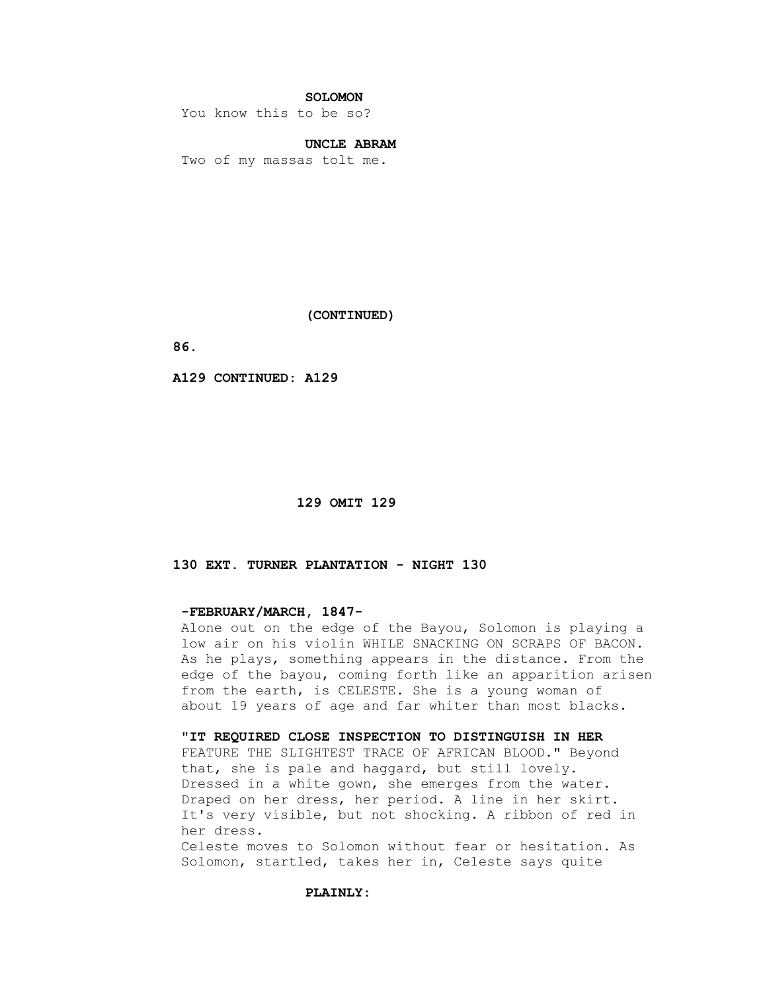# **SOLOMON**

You know this to be so?

# **UNCLE ABRAM**

Two of my massas tolt me.

 **(CONTINUED)**

 **86.**

 **A129 CONTINUED: A129**

## **129 OMIT 129**

# **130 EXT. TURNER PLANTATION - NIGHT 130**

## **-FEBRUARY/MARCH, 1847-**

 Alone out on the edge of the Bayou, Solomon is playing a low air on his violin WHILE SNACKING ON SCRAPS OF BACON. As he plays, something appears in the distance. From the edge of the bayou, coming forth like an apparition arisen from the earth, is CELESTE. She is a young woman of about 19 years of age and far whiter than most blacks.

# **"IT REQUIRED CLOSE INSPECTION TO DISTINGUISH IN HER**

 FEATURE THE SLIGHTEST TRACE OF AFRICAN BLOOD." Beyond that, she is pale and haggard, but still lovely. Dressed in a white gown, she emerges from the water. Draped on her dress, her period. A line in her skirt. It's very visible, but not shocking. A ribbon of red in her dress.

 Celeste moves to Solomon without fear or hesitation. As Solomon, startled, takes her in, Celeste says quite

# **PLAINLY:**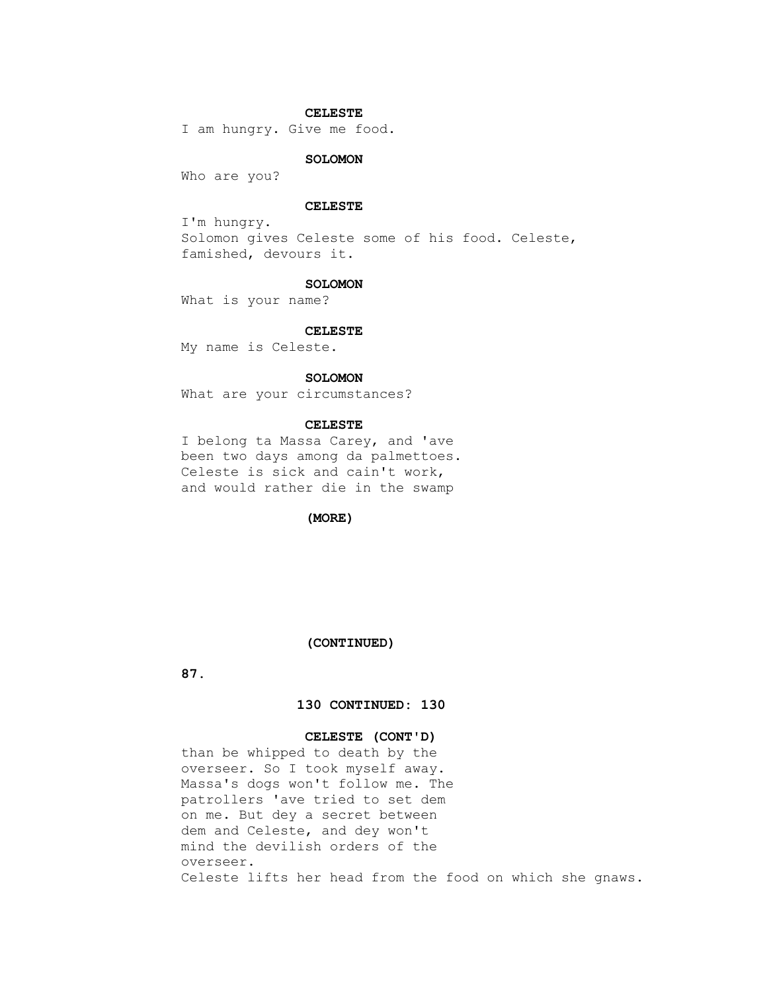# **CELESTE**

I am hungry. Give me food.

# **SOLOMON**

Who are you?

# **CELESTE**

 I'm hungry. Solomon gives Celeste some of his food. Celeste, famished, devours it.

#### **SOLOMON**

What is your name?

# **CELESTE**

My name is Celeste.

# **SOLOMON**

What are your circumstances?

# **CELESTE**

 I belong ta Massa Carey, and 'ave been two days among da palmettoes. Celeste is sick and cain't work, and would rather die in the swamp

 **(MORE)**

#### **(CONTINUED)**

 **87.**

# **130 CONTINUED: 130**

# **CELESTE (CONT'D)**

 than be whipped to death by the overseer. So I took myself away. Massa's dogs won't follow me. The patrollers 'ave tried to set dem on me. But dey a secret between dem and Celeste, and dey won't mind the devilish orders of the overseer. Celeste lifts her head from the food on which she gnaws.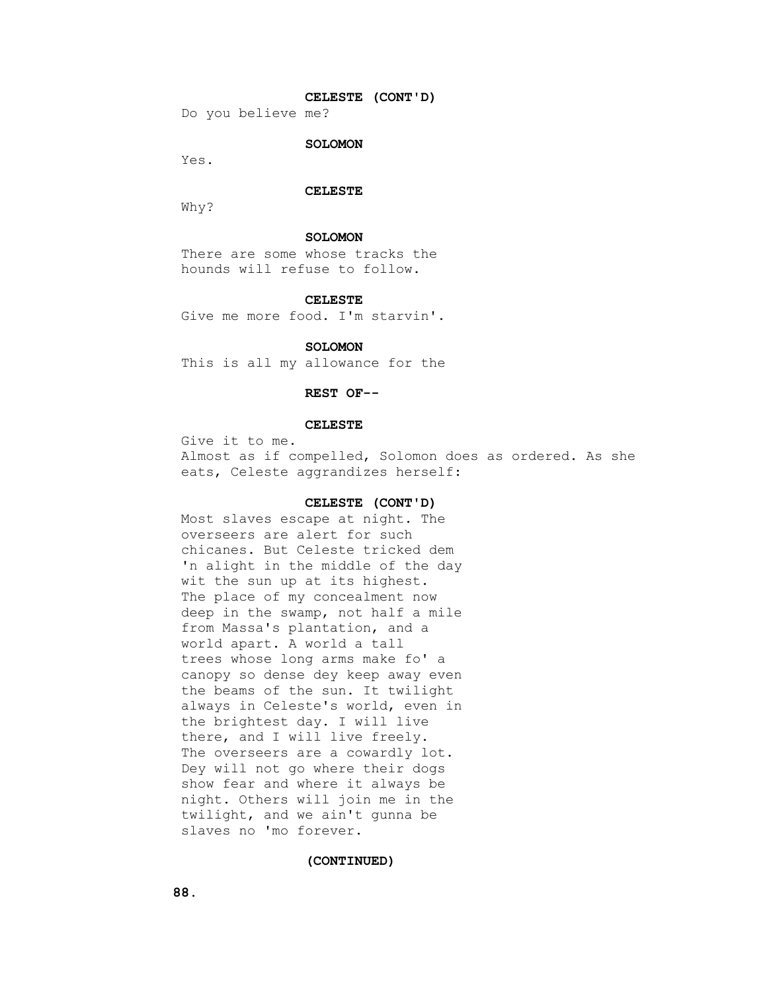# **CELESTE (CONT'D)**

Do you believe me?

# **SOLOMON**

Yes.

#### **CELESTE**

Why?

### **SOLOMON**

 There are some whose tracks the hounds will refuse to follow.

#### **CELESTE**

Give me more food. I'm starvin'.

## **SOLOMON**

This is all my allowance for the

# **REST OF--**

#### **CELESTE**

 Give it to me. Almost as if compelled, Solomon does as ordered. As she eats, Celeste aggrandizes herself:

# **CELESTE (CONT'D)**

 Most slaves escape at night. The overseers are alert for such chicanes. But Celeste tricked dem 'n alight in the middle of the day wit the sun up at its highest. The place of my concealment now deep in the swamp, not half a mile from Massa's plantation, and a world apart. A world a tall trees whose long arms make fo' a canopy so dense dey keep away even the beams of the sun. It twilight always in Celeste's world, even in the brightest day. I will live there, and I will live freely. The overseers are a cowardly lot. Dey will not go where their dogs show fear and where it always be night. Others will join me in the twilight, and we ain't gunna be slaves no 'mo forever.

#### **(CONTINUED)**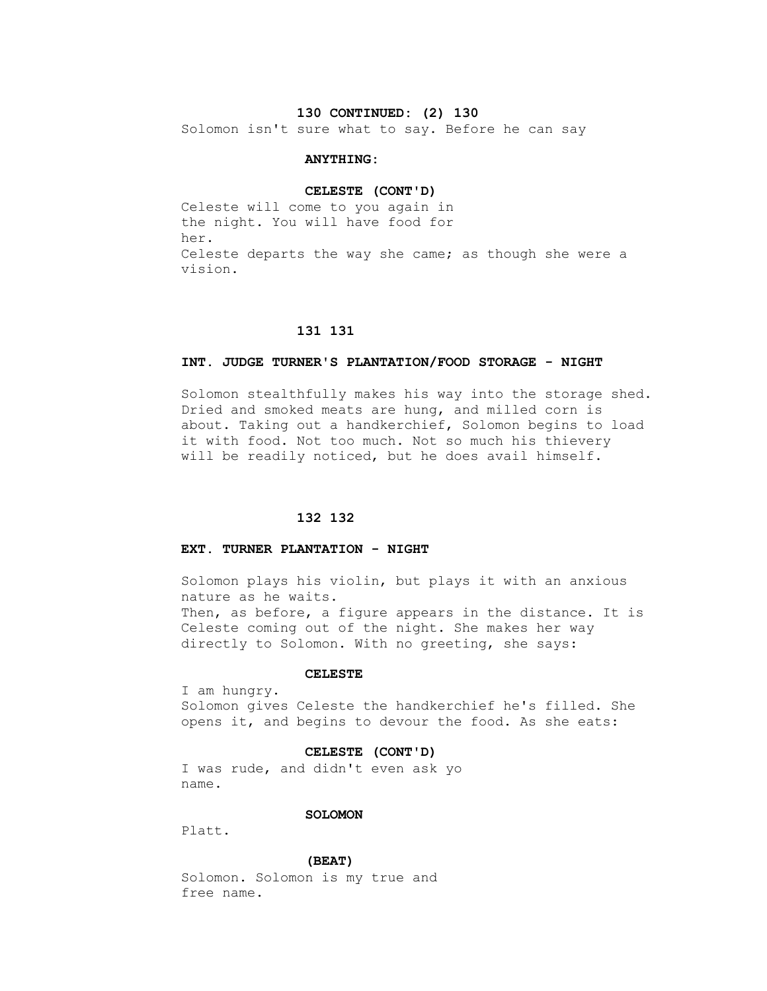# **130 CONTINUED: (2) 130**

Solomon isn't sure what to say. Before he can say

# **ANYTHING:**

#### **CELESTE (CONT'D)**

 Celeste will come to you again in the night. You will have food for her. Celeste departs the way she came; as though she were a vision.

# **131 131**

## **INT. JUDGE TURNER'S PLANTATION/FOOD STORAGE - NIGHT**

 Solomon stealthfully makes his way into the storage shed. Dried and smoked meats are hung, and milled corn is about. Taking out a handkerchief, Solomon begins to load it with food. Not too much. Not so much his thievery will be readily noticed, but he does avail himself.

# **132 132**

# **EXT. TURNER PLANTATION - NIGHT**

 Solomon plays his violin, but plays it with an anxious nature as he waits. Then, as before, a figure appears in the distance. It is Celeste coming out of the night. She makes her way directly to Solomon. With no greeting, she says:

# **CELESTE**

 I am hungry. Solomon gives Celeste the handkerchief he's filled. She opens it, and begins to devour the food. As she eats:

#### **CELESTE (CONT'D)**

 I was rude, and didn't even ask yo name.

# **SOLOMON**

Platt.

#### **(BEAT)**

 Solomon. Solomon is my true and free name.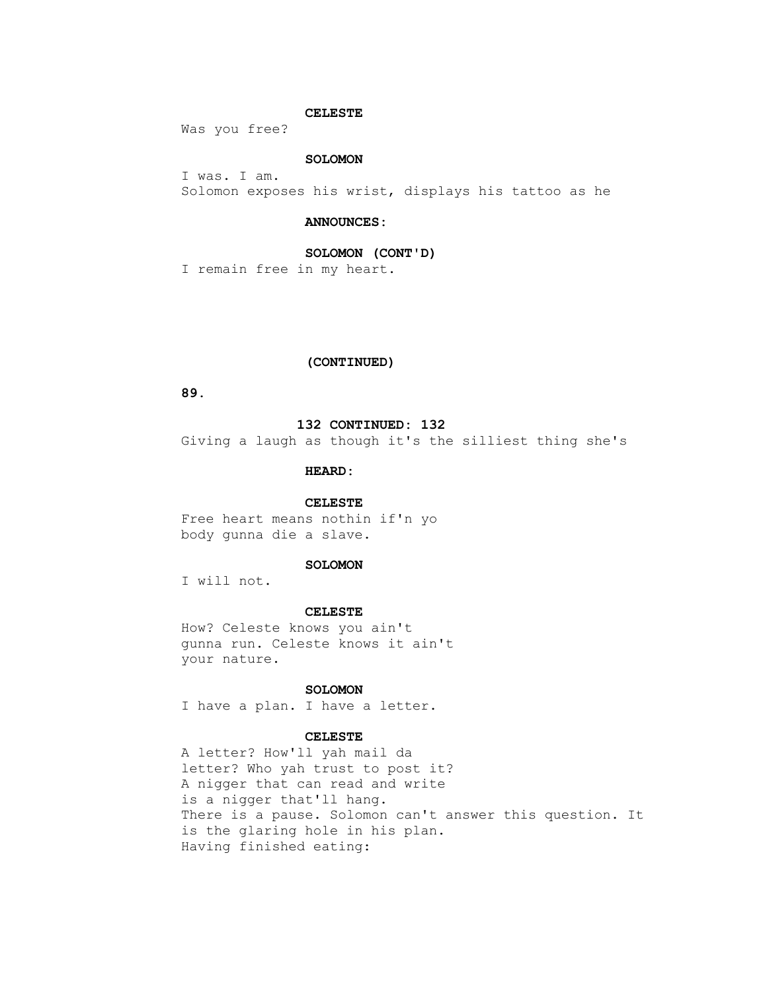# **CELESTE**

Was you free?

# **SOLOMON**

 I was. I am. Solomon exposes his wrist, displays his tattoo as he

## **ANNOUNCES:**

# **SOLOMON (CONT'D)**

I remain free in my heart.

# **(CONTINUED)**

 **89.**

## **132 CONTINUED: 132**

Giving a laugh as though it's the silliest thing she's

# **HEARD:**

## **CELESTE**

 Free heart means nothin if'n yo body gunna die a slave.

# **SOLOMON**

I will not.

#### **CELESTE**

 How? Celeste knows you ain't gunna run. Celeste knows it ain't your nature.

# **SOLOMON**

I have a plan. I have a letter.

## **CELESTE**

 A letter? How'll yah mail da letter? Who yah trust to post it? A nigger that can read and write is a nigger that'll hang. There is a pause. Solomon can't answer this question. It is the glaring hole in his plan. Having finished eating: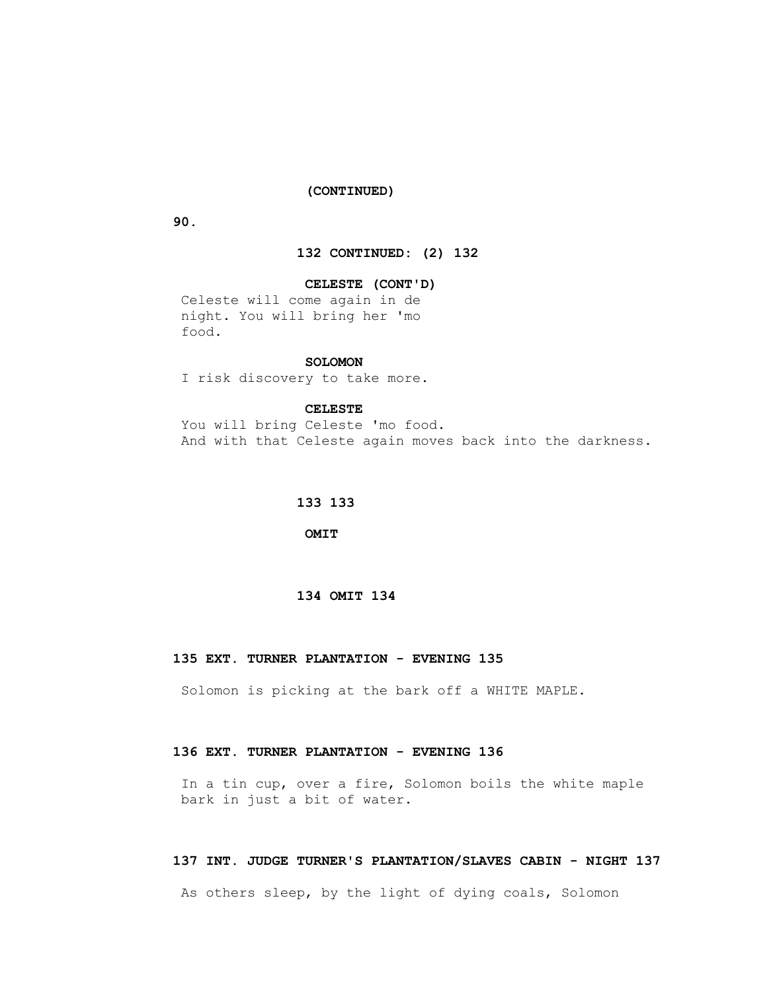## **(CONTINUED)**

 **90.**

# **132 CONTINUED: (2) 132**

# **CELESTE (CONT'D)**

 Celeste will come again in de night. You will bring her 'mo food.

# **SOLOMON**

I risk discovery to take more.

## **CELESTE**

 You will bring Celeste 'mo food. And with that Celeste again moves back into the darkness.

# **133 133**

 **OMIT**

# **134 OMIT 134**

# **135 EXT. TURNER PLANTATION - EVENING 135**

Solomon is picking at the bark off a WHITE MAPLE.

# **136 EXT. TURNER PLANTATION - EVENING 136**

 In a tin cup, over a fire, Solomon boils the white maple bark in just a bit of water.

## **137 INT. JUDGE TURNER'S PLANTATION/SLAVES CABIN - NIGHT 137**

As others sleep, by the light of dying coals, Solomon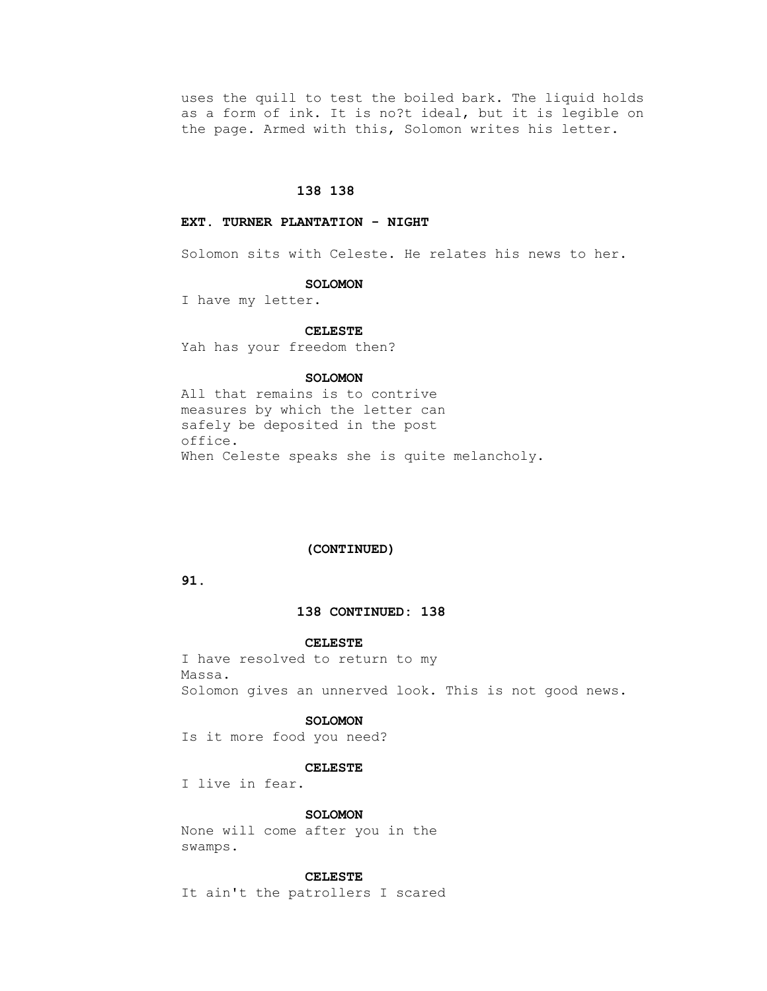uses the quill to test the boiled bark. The liquid holds as a form of ink. It is no?t ideal, but it is legible on the page. Armed with this, Solomon writes his letter.

# **138 138**

# **EXT. TURNER PLANTATION - NIGHT**

Solomon sits with Celeste. He relates his news to her.

#### **SOLOMON**

I have my letter.

#### **CELESTE**

Yah has your freedom then?

# **SOLOMON**

 All that remains is to contrive measures by which the letter can safely be deposited in the post office. When Celeste speaks she is quite melancholy.

# **(CONTINUED)**

# **91.**

# **138 CONTINUED: 138**

#### **CELESTE**

 I have resolved to return to my Massa. Solomon gives an unnerved look. This is not good news.

#### **SOLOMON**

Is it more food you need?

## **CELESTE**

I live in fear.

# **SOLOMON**

 None will come after you in the swamps.

# **CELESTE**

It ain't the patrollers I scared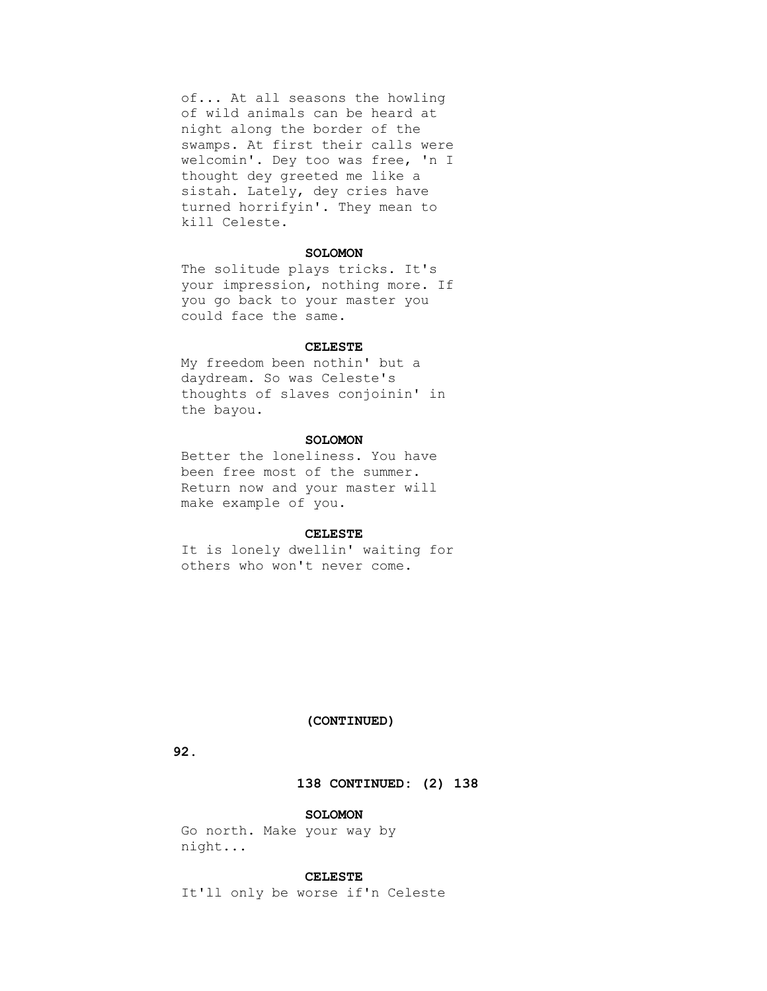of... At all seasons the howling of wild animals can be heard at night along the border of the swamps. At first their calls were welcomin'. Dey too was free, 'n I thought dey greeted me like a sistah. Lately, dey cries have turned horrifyin'. They mean to kill Celeste.

# **SOLOMON**

 The solitude plays tricks. It's your impression, nothing more. If you go back to your master you could face the same.

### **CELESTE**

 My freedom been nothin' but a daydream. So was Celeste's thoughts of slaves conjoinin' in the bayou.

# **SOLOMON**

 Better the loneliness. You have been free most of the summer. Return now and your master will make example of you.

## **CELESTE**

 It is lonely dwellin' waiting for others who won't never come.

# **(CONTINUED)**

# **92.**

# **138 CONTINUED: (2) 138**

# **SOLOMON**

 Go north. Make your way by night...

## **CELESTE**

It'll only be worse if'n Celeste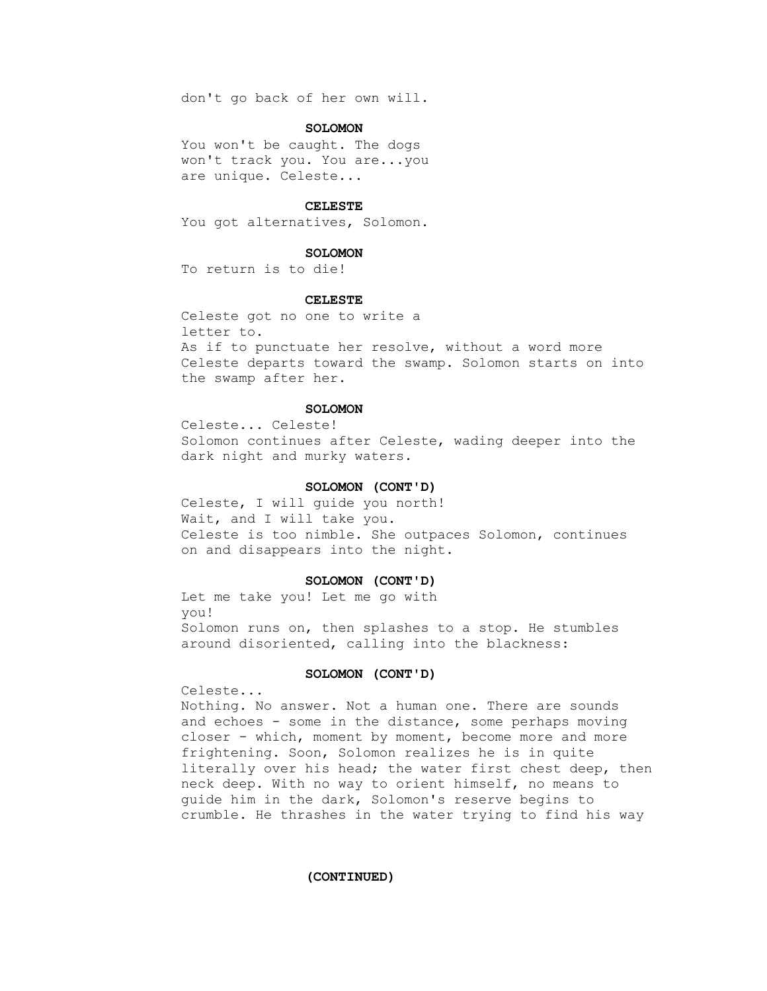don't go back of her own will.

## **SOLOMON**

You won't be caught. The dogs won't track you. You are...you are unique. Celeste...

#### **CELESTE**

You got alternatives, Solomon.

#### **SOLOMON**

To return is to die!

### **CELESTE**

 Celeste got no one to write a letter to. As if to punctuate her resolve, without a word more Celeste departs toward the swamp. Solomon starts on into the swamp after her.

## **SOLOMON**

 Celeste... Celeste! Solomon continues after Celeste, wading deeper into the dark night and murky waters.

#### **SOLOMON (CONT'D)**

 Celeste, I will guide you north! Wait, and I will take you. Celeste is too nimble. She outpaces Solomon, continues on and disappears into the night.

#### **SOLOMON (CONT'D)**

 Let me take you! Let me go with you! Solomon runs on, then splashes to a stop. He stumbles around disoriented, calling into the blackness:

# **SOLOMON (CONT'D)**

Celeste...

 Nothing. No answer. Not a human one. There are sounds and echoes - some in the distance, some perhaps moving closer - which, moment by moment, become more and more frightening. Soon, Solomon realizes he is in quite literally over his head; the water first chest deep, then neck deep. With no way to orient himself, no means to guide him in the dark, Solomon's reserve begins to crumble. He thrashes in the water trying to find his way

 **(CONTINUED)**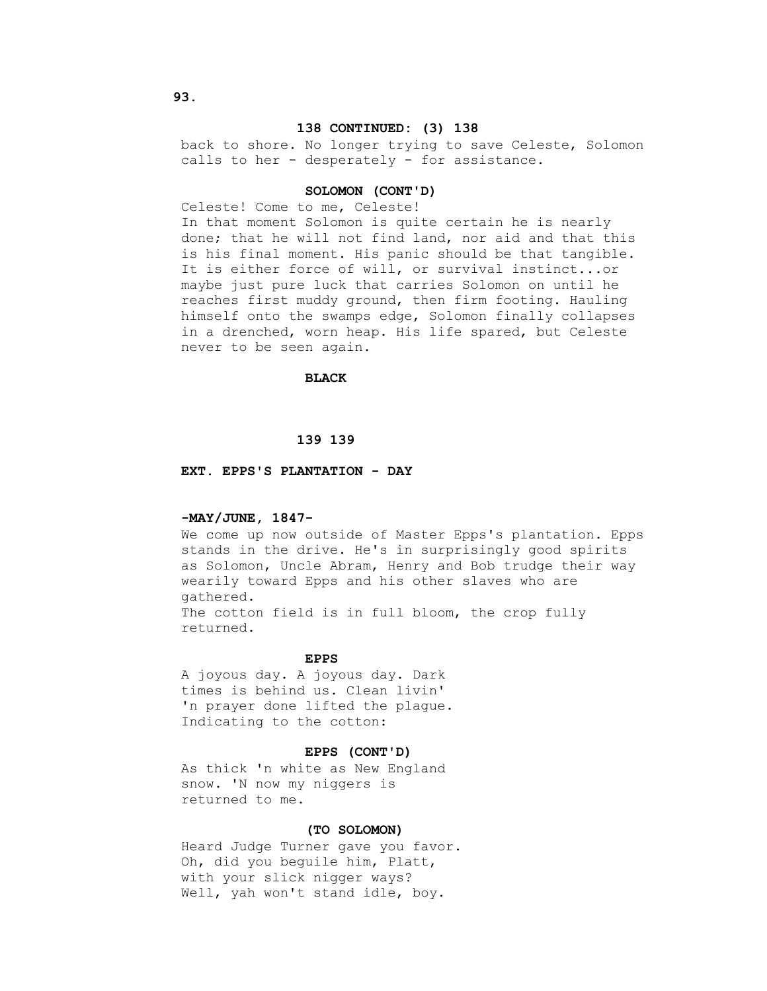## **138 CONTINUED: (3) 138**

 back to shore. No longer trying to save Celeste, Solomon calls to her - desperately - for assistance.

#### **SOLOMON (CONT'D)**

Celeste! Come to me, Celeste!

 In that moment Solomon is quite certain he is nearly done; that he will not find land, nor aid and that this is his final moment. His panic should be that tangible. It is either force of will, or survival instinct...or maybe just pure luck that carries Solomon on until he reaches first muddy ground, then firm footing. Hauling himself onto the swamps edge, Solomon finally collapses in a drenched, worn heap. His life spared, but Celeste never to be seen again.

# **BLACK**

# **139 139**

## **EXT. EPPS'S PLANTATION - DAY**

#### **-MAY/JUNE, 1847-**

 We come up now outside of Master Epps's plantation. Epps stands in the drive. He's in surprisingly good spirits as Solomon, Uncle Abram, Henry and Bob trudge their way wearily toward Epps and his other slaves who are gathered. The cotton field is in full bloom, the crop fully returned.

#### **EPPS**

 A joyous day. A joyous day. Dark times is behind us. Clean livin' 'n prayer done lifted the plague. Indicating to the cotton:

#### **EPPS (CONT'D)**

 As thick 'n white as New England snow. 'N now my niggers is returned to me.

#### **(TO SOLOMON)**

 Heard Judge Turner gave you favor. Oh, did you beguile him, Platt, with your slick nigger ways? Well, yah won't stand idle, boy.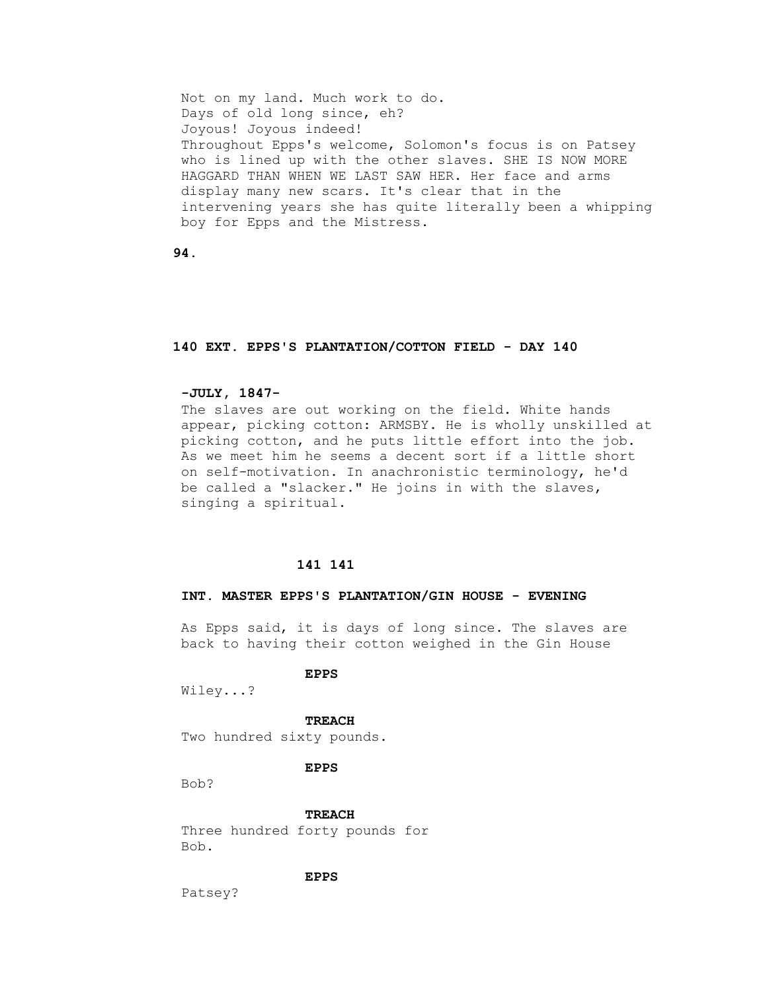Not on my land. Much work to do. Days of old long since, eh? Joyous! Joyous indeed! Throughout Epps's welcome, Solomon's focus is on Patsey who is lined up with the other slaves. SHE IS NOW MORE HAGGARD THAN WHEN WE LAST SAW HER. Her face and arms display many new scars. It's clear that in the intervening years she has quite literally been a whipping boy for Epps and the Mistress.

 **94.**

#### **140 EXT. EPPS'S PLANTATION/COTTON FIELD - DAY 140**

# **-JULY, 1847-**

 The slaves are out working on the field. White hands appear, picking cotton: ARMSBY. He is wholly unskilled at picking cotton, and he puts little effort into the job. As we meet him he seems a decent sort if a little short on self-motivation. In anachronistic terminology, he'd be called a "slacker." He joins in with the slaves, singing a spiritual.

# **141 141**

# **INT. MASTER EPPS'S PLANTATION/GIN HOUSE - EVENING**

 As Epps said, it is days of long since. The slaves are back to having their cotton weighed in the Gin House

# **EPPS**

Wiley...?

 **TREACH**

Two hundred sixty pounds.

# **EPPS**

Bob?

 **TREACH**

 Three hundred forty pounds for Bob.

# **EPPS**

Patsey?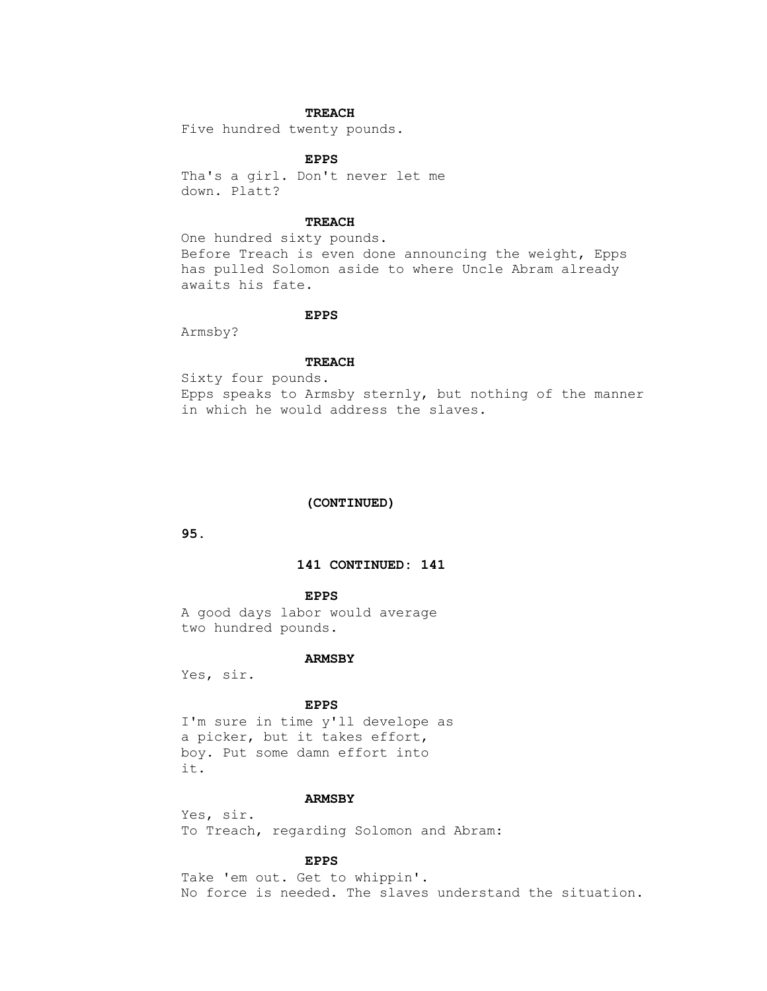# **TREACH**

Five hundred twenty pounds.

# **EPPS**

 Tha's a girl. Don't never let me down. Platt?

# **TREACH**

 One hundred sixty pounds. Before Treach is even done announcing the weight, Epps has pulled Solomon aside to where Uncle Abram already awaits his fate.

# **EPPS**

Armsby?

# **TREACH**

 Sixty four pounds. Epps speaks to Armsby sternly, but nothing of the manner in which he would address the slaves.

# **(CONTINUED)**

 **95.**

# **141 CONTINUED: 141**

#### **EPPS**

 A good days labor would average two hundred pounds.

# **ARMSBY**

Yes, sir.

# **EPPS**

 I'm sure in time y'll develope as a picker, but it takes effort, boy. Put some damn effort into it.

## **ARMSBY**

 Yes, sir. To Treach, regarding Solomon and Abram:

# **EPPS**

 Take 'em out. Get to whippin'. No force is needed. The slaves understand the situation.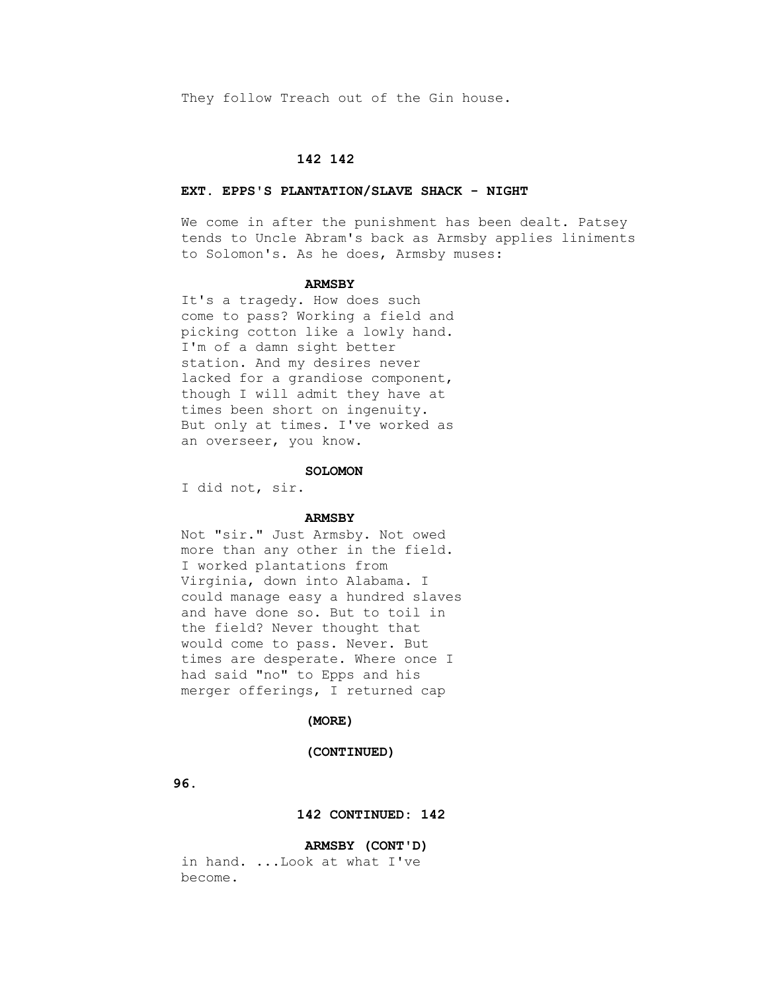They follow Treach out of the Gin house.

# **142 142**

#### **EXT. EPPS'S PLANTATION/SLAVE SHACK - NIGHT**

We come in after the punishment has been dealt. Patsey tends to Uncle Abram's back as Armsby applies liniments to Solomon's. As he does, Armsby muses:

#### **ARMSBY**

 It's a tragedy. How does such come to pass? Working a field and picking cotton like a lowly hand. I'm of a damn sight better station. And my desires never lacked for a grandiose component, though I will admit they have at times been short on ingenuity. But only at times. I've worked as an overseer, you know.

#### **SOLOMON**

I did not, sir.

#### **ARMSBY**

 Not "sir." Just Armsby. Not owed more than any other in the field. I worked plantations from Virginia, down into Alabama. I could manage easy a hundred slaves and have done so. But to toil in the field? Never thought that would come to pass. Never. But times are desperate. Where once I had said "no" to Epps and his merger offerings, I returned cap

# **(MORE)**

#### **(CONTINUED)**

 **96.**

# **142 CONTINUED: 142**

# **ARMSBY (CONT'D)**

 in hand. ...Look at what I've become.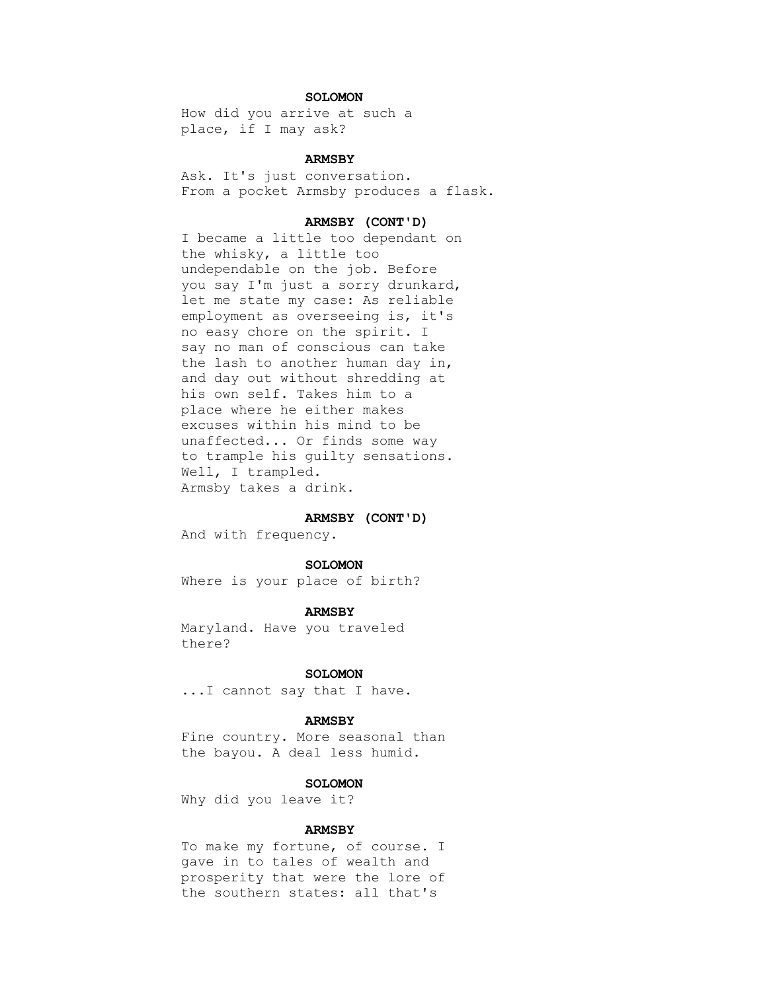# **SOLOMON**

 How did you arrive at such a place, if I may ask?

# **ARMSBY**

 Ask. It's just conversation. From a pocket Armsby produces a flask.

# **ARMSBY (CONT'D)**

 I became a little too dependant on the whisky, a little too undependable on the job. Before you say I'm just a sorry drunkard, let me state my case: As reliable employment as overseeing is, it's no easy chore on the spirit. I say no man of conscious can take the lash to another human day in, and day out without shredding at his own self. Takes him to a place where he either makes excuses within his mind to be unaffected... Or finds some way to trample his guilty sensations. Well, I trampled. Armsby takes a drink.

# **ARMSBY (CONT'D)**

And with frequency.

#### **SOLOMON**

Where is your place of birth?

## **ARMSBY**

 Maryland. Have you traveled there?

# **SOLOMON**

...I cannot say that I have.

## **ARMSBY**

 Fine country. More seasonal than the bayou. A deal less humid.

#### **SOLOMON**

Why did you leave it?

# **ARMSBY**

 To make my fortune, of course. I gave in to tales of wealth and prosperity that were the lore of the southern states: all that's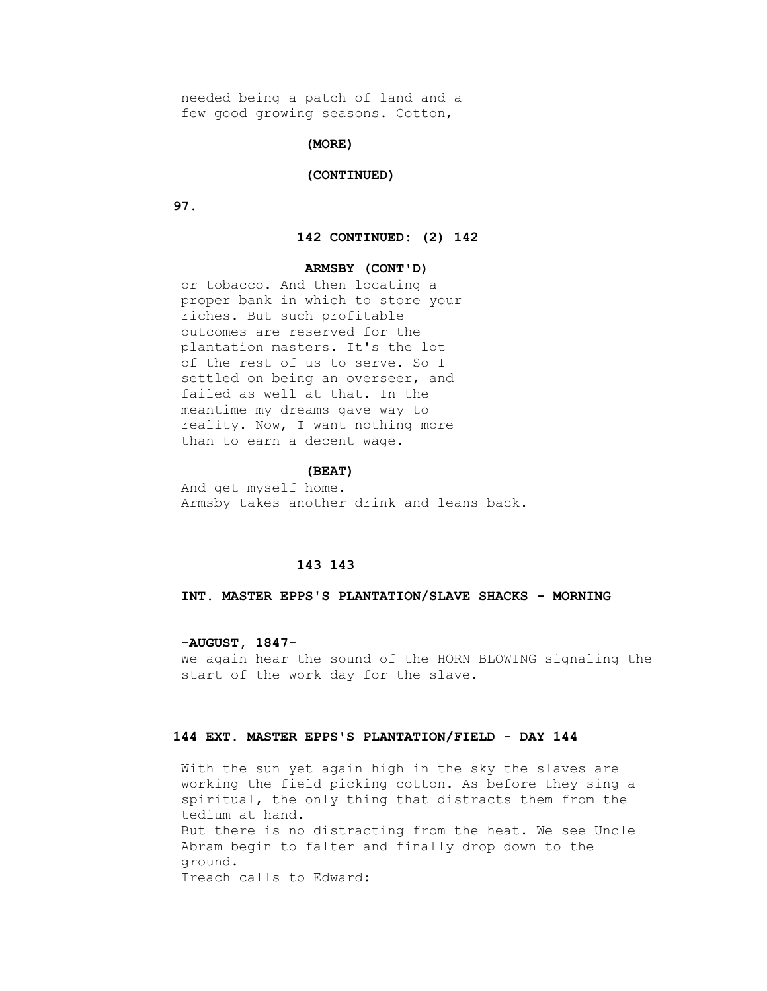needed being a patch of land and a few good growing seasons. Cotton,

## **(MORE)**

### **(CONTINUED)**

 **97.**

## **142 CONTINUED: (2) 142**

# **ARMSBY (CONT'D)**

 or tobacco. And then locating a proper bank in which to store your riches. But such profitable outcomes are reserved for the plantation masters. It's the lot of the rest of us to serve. So I settled on being an overseer, and failed as well at that. In the meantime my dreams gave way to reality. Now, I want nothing more than to earn a decent wage.

#### **(BEAT)**

 And get myself home. Armsby takes another drink and leans back.

# **143 143**

#### **INT. MASTER EPPS'S PLANTATION/SLAVE SHACKS - MORNING**

 **-AUGUST, 1847-** We again hear the sound of the HORN BLOWING signaling the start of the work day for the slave.

# **144 EXT. MASTER EPPS'S PLANTATION/FIELD - DAY 144**

 With the sun yet again high in the sky the slaves are working the field picking cotton. As before they sing a spiritual, the only thing that distracts them from the tedium at hand. But there is no distracting from the heat. We see Uncle Abram begin to falter and finally drop down to the ground. Treach calls to Edward: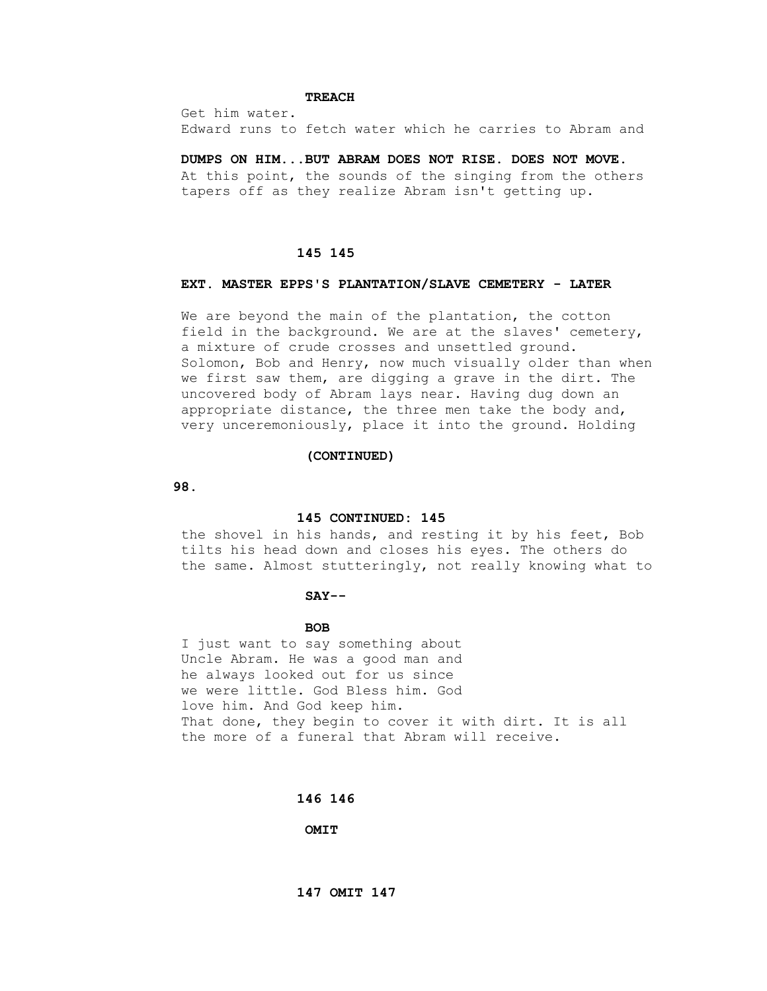# **TREACH**

 Get him water. Edward runs to fetch water which he carries to Abram and

 **DUMPS ON HIM...BUT ABRAM DOES NOT RISE. DOES NOT MOVE.** At this point, the sounds of the singing from the others tapers off as they realize Abram isn't getting up.

# **145 145**

# **EXT. MASTER EPPS'S PLANTATION/SLAVE CEMETERY - LATER**

We are beyond the main of the plantation, the cotton field in the background. We are at the slaves' cemetery, a mixture of crude crosses and unsettled ground. Solomon, Bob and Henry, now much visually older than when we first saw them, are digging a grave in the dirt. The uncovered body of Abram lays near. Having dug down an appropriate distance, the three men take the body and, very unceremoniously, place it into the ground. Holding

### **(CONTINUED)**

 **98.**

#### **145 CONTINUED: 145**

 the shovel in his hands, and resting it by his feet, Bob tilts his head down and closes his eyes. The others do the same. Almost stutteringly, not really knowing what to

# **SAY--**

# **BOB**

 I just want to say something about Uncle Abram. He was a good man and he always looked out for us since we were little. God Bless him. God love him. And God keep him. That done, they begin to cover it with dirt. It is all the more of a funeral that Abram will receive.

## **146 146**

 **OMIT**

 **147 OMIT 147**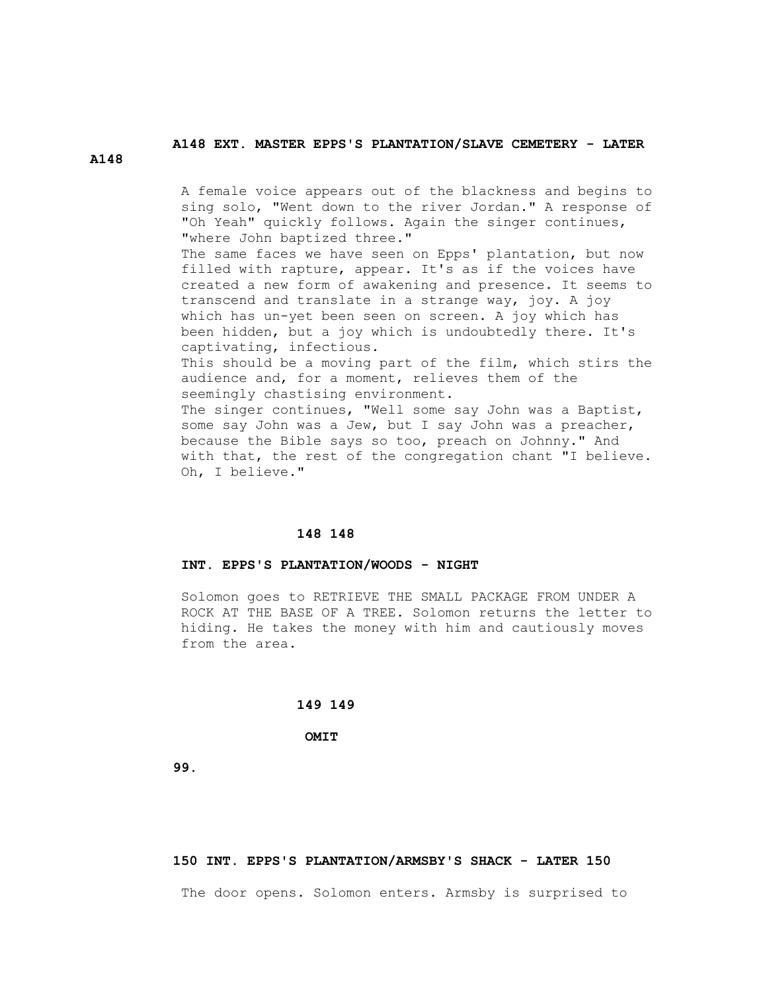# **A148 EXT. MASTER EPPS'S PLANTATION/SLAVE CEMETERY - LATER**

**A148**

 A female voice appears out of the blackness and begins to sing solo, "Went down to the river Jordan." A response of "Oh Yeah" quickly follows. Again the singer continues, "where John baptized three."

The same faces we have seen on Epps' plantation, but now filled with rapture, appear. It's as if the voices have created a new form of awakening and presence. It seems to transcend and translate in a strange way, joy. A joy which has un-yet been seen on screen. A joy which has been hidden, but a joy which is undoubtedly there. It's captivating, infectious.

 This should be a moving part of the film, which stirs the audience and, for a moment, relieves them of the seemingly chastising environment.

 The singer continues, "Well some say John was a Baptist, some say John was a Jew, but I say John was a preacher, because the Bible says so too, preach on Johnny." And with that, the rest of the congregation chant "I believe. Oh, I believe."

# **148 148**

## **INT. EPPS'S PLANTATION/WOODS - NIGHT**

 Solomon goes to RETRIEVE THE SMALL PACKAGE FROM UNDER A ROCK AT THE BASE OF A TREE. Solomon returns the letter to hiding. He takes the money with him and cautiously moves from the area.

## **149 149**

 **OMIT**

 **99.**

#### **150 INT. EPPS'S PLANTATION/ARMSBY'S SHACK - LATER 150**

The door opens. Solomon enters. Armsby is surprised to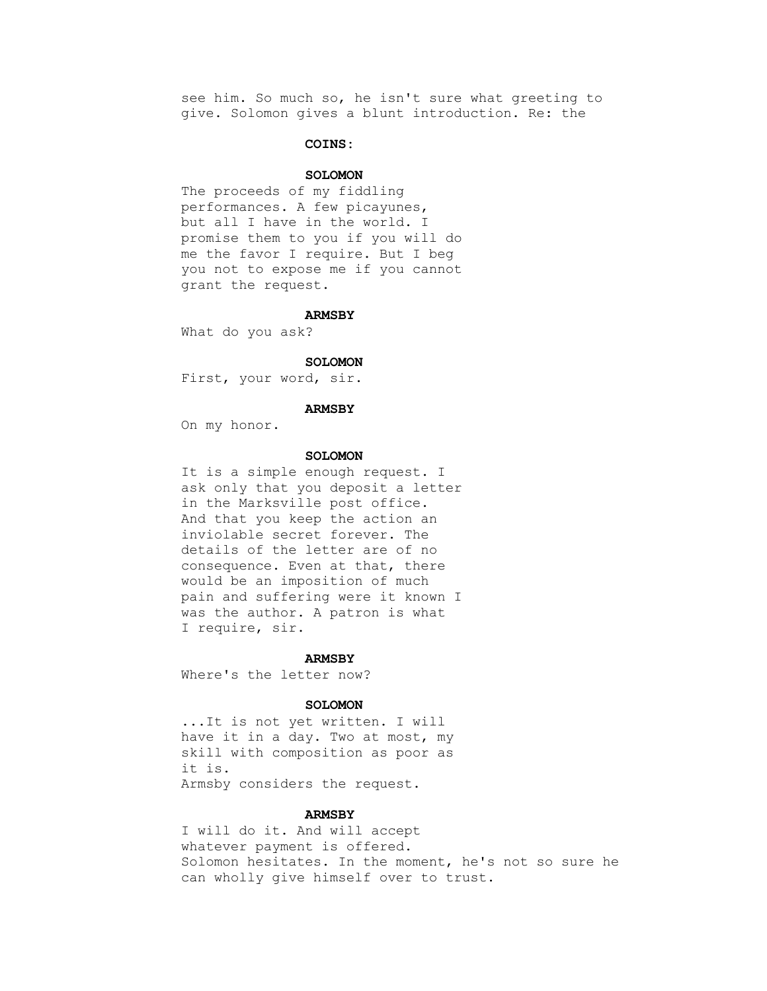see him. So much so, he isn't sure what greeting to give. Solomon gives a blunt introduction. Re: the

# **COINS:**

# **SOLOMON**

 The proceeds of my fiddling performances. A few picayunes, but all I have in the world. I promise them to you if you will do me the favor I require. But I beg you not to expose me if you cannot grant the request.

#### **ARMSBY**

What do you ask?

#### **SOLOMON**

First, your word, sir.

#### **ARMSBY**

On my honor.

## **SOLOMON**

 It is a simple enough request. I ask only that you deposit a letter in the Marksville post office. And that you keep the action an inviolable secret forever. The details of the letter are of no consequence. Even at that, there would be an imposition of much pain and suffering were it known I was the author. A patron is what I require, sir.

#### **ARMSBY**

Where's the letter now?

## **SOLOMON**

 ...It is not yet written. I will have it in a day. Two at most, my skill with composition as poor as it is. Armsby considers the request.

 **ARMSBY**

 I will do it. And will accept whatever payment is offered. Solomon hesitates. In the moment, he's not so sure he can wholly give himself over to trust.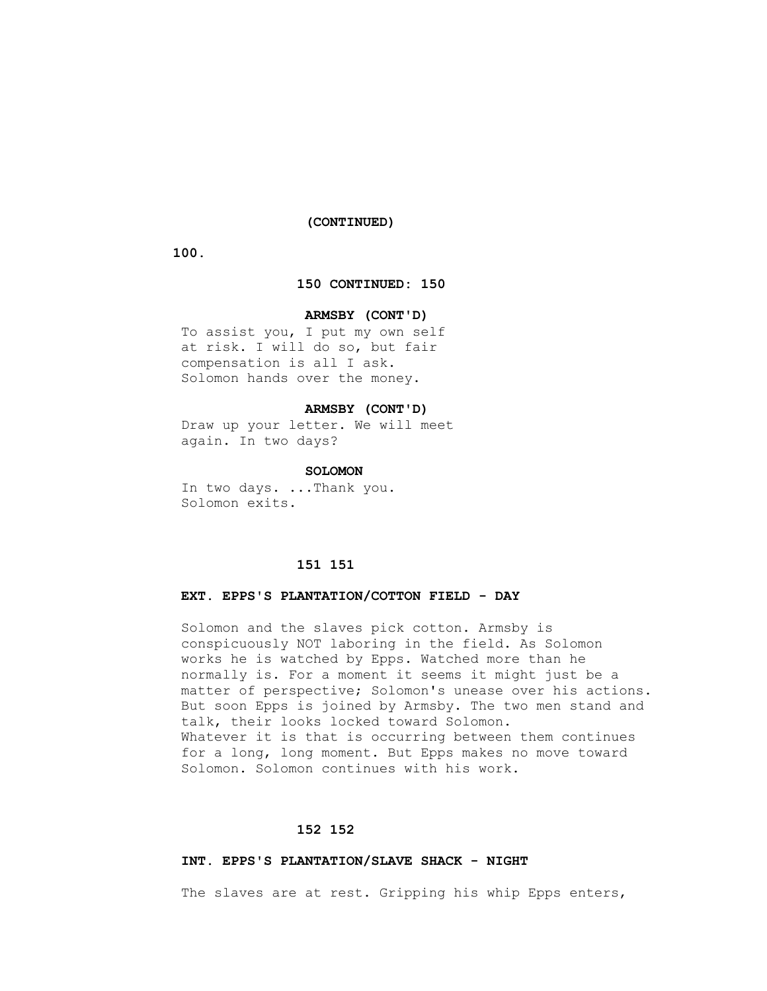# **(CONTINUED)**

 **100.**

# **150 CONTINUED: 150**

# **ARMSBY (CONT'D)**

 To assist you, I put my own self at risk. I will do so, but fair compensation is all I ask. Solomon hands over the money.

## **ARMSBY (CONT'D)**

 Draw up your letter. We will meet again. In two days?

## **SOLOMON**

 In two days. ...Thank you. Solomon exits.

# **151 151**

# **EXT. EPPS'S PLANTATION/COTTON FIELD - DAY**

 Solomon and the slaves pick cotton. Armsby is conspicuously NOT laboring in the field. As Solomon works he is watched by Epps. Watched more than he normally is. For a moment it seems it might just be a matter of perspective; Solomon's unease over his actions. But soon Epps is joined by Armsby. The two men stand and talk, their looks locked toward Solomon. Whatever it is that is occurring between them continues for a long, long moment. But Epps makes no move toward Solomon. Solomon continues with his work.

# **152 152**

## **INT. EPPS'S PLANTATION/SLAVE SHACK - NIGHT**

The slaves are at rest. Gripping his whip Epps enters,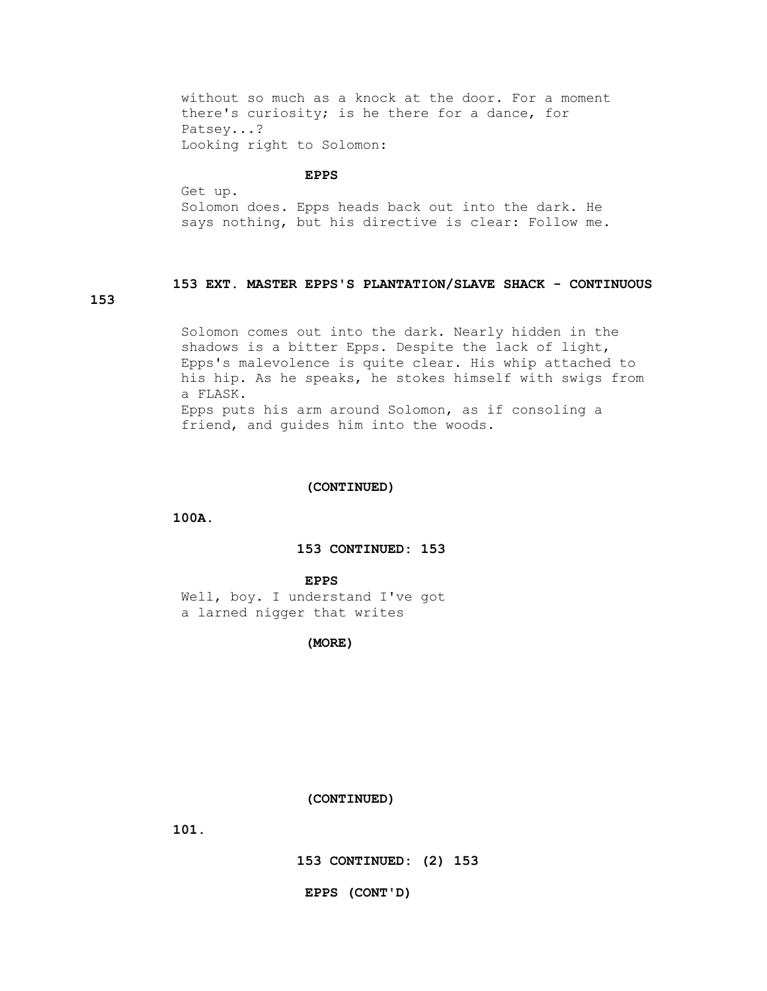without so much as a knock at the door. For a moment there's curiosity; is he there for a dance, for Patsey...? Looking right to Solomon:

#### **EPPS**

 Get up. Solomon does. Epps heads back out into the dark. He says nothing, but his directive is clear: Follow me.

# **153 EXT. MASTER EPPS'S PLANTATION/SLAVE SHACK - CONTINUOUS**

**153**

 Solomon comes out into the dark. Nearly hidden in the shadows is a bitter Epps. Despite the lack of light, Epps's malevolence is quite clear. His whip attached to his hip. As he speaks, he stokes himself with swigs from a FLASK. Epps puts his arm around Solomon, as if consoling a friend, and guides him into the woods.

## **(CONTINUED)**

 **100A.**

# **153 CONTINUED: 153**

## **EPPS**

 Well, boy. I understand I've got a larned nigger that writes

 **(MORE)**

#### **(CONTINUED)**

 **101.**

 **153 CONTINUED: (2) 153**

 **EPPS (CONT'D)**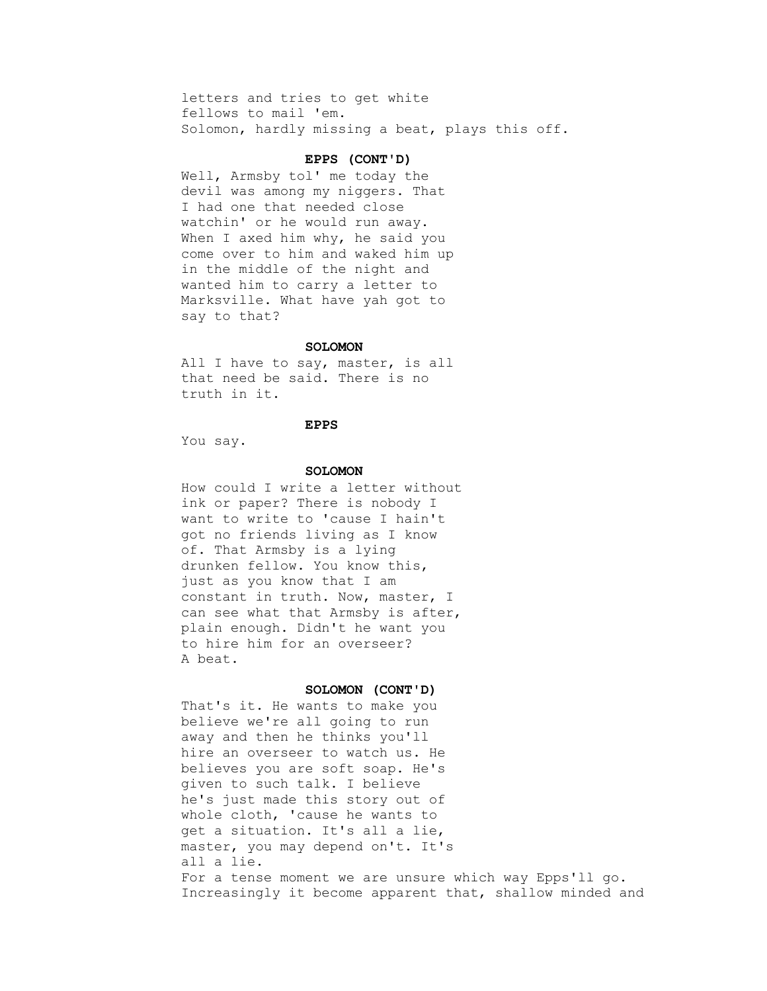letters and tries to get white fellows to mail 'em. Solomon, hardly missing a beat, plays this off.

# **EPPS (CONT'D)**

 Well, Armsby tol' me today the devil was among my niggers. That I had one that needed close watchin' or he would run away. When I axed him why, he said you come over to him and waked him up in the middle of the night and wanted him to carry a letter to Marksville. What have yah got to say to that?

### **SOLOMON**

All I have to say, master, is all that need be said. There is no truth in it.

### **EPPS**

You say.

#### **SOLOMON**

 How could I write a letter without ink or paper? There is nobody I want to write to 'cause I hain't got no friends living as I know of. That Armsby is a lying drunken fellow. You know this, just as you know that I am constant in truth. Now, master, I can see what that Armsby is after, plain enough. Didn't he want you to hire him for an overseer? A beat.

#### **SOLOMON (CONT'D)**

 That's it. He wants to make you believe we're all going to run away and then he thinks you'll hire an overseer to watch us. He believes you are soft soap. He's given to such talk. I believe he's just made this story out of whole cloth, 'cause he wants to get a situation. It's all a lie, master, you may depend on't. It's all a lie. For a tense moment we are unsure which way Epps'll go. Increasingly it become apparent that, shallow minded and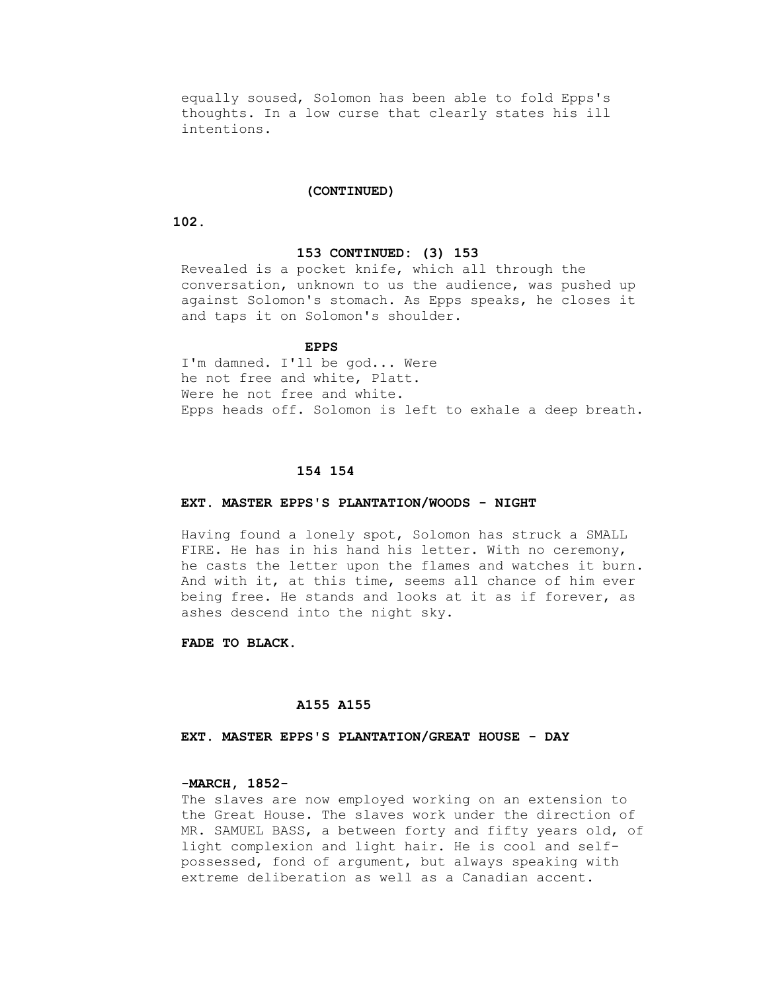equally soused, Solomon has been able to fold Epps's thoughts. In a low curse that clearly states his ill intentions.

## **(CONTINUED)**

 **102.**

#### **153 CONTINUED: (3) 153**

 Revealed is a pocket knife, which all through the conversation, unknown to us the audience, was pushed up against Solomon's stomach. As Epps speaks, he closes it and taps it on Solomon's shoulder.

## **EPPS**

 I'm damned. I'll be god... Were he not free and white, Platt. Were he not free and white. Epps heads off. Solomon is left to exhale a deep breath.

### **154 154**

# **EXT. MASTER EPPS'S PLANTATION/WOODS - NIGHT**

 Having found a lonely spot, Solomon has struck a SMALL FIRE. He has in his hand his letter. With no ceremony, he casts the letter upon the flames and watches it burn. And with it, at this time, seems all chance of him ever being free. He stands and looks at it as if forever, as ashes descend into the night sky.

 **FADE TO BLACK.**

## **A155 A155**

 **EXT. MASTER EPPS'S PLANTATION/GREAT HOUSE - DAY**

# **-MARCH, 1852-**

 The slaves are now employed working on an extension to the Great House. The slaves work under the direction of MR. SAMUEL BASS, a between forty and fifty years old, of light complexion and light hair. He is cool and self possessed, fond of argument, but always speaking with extreme deliberation as well as a Canadian accent.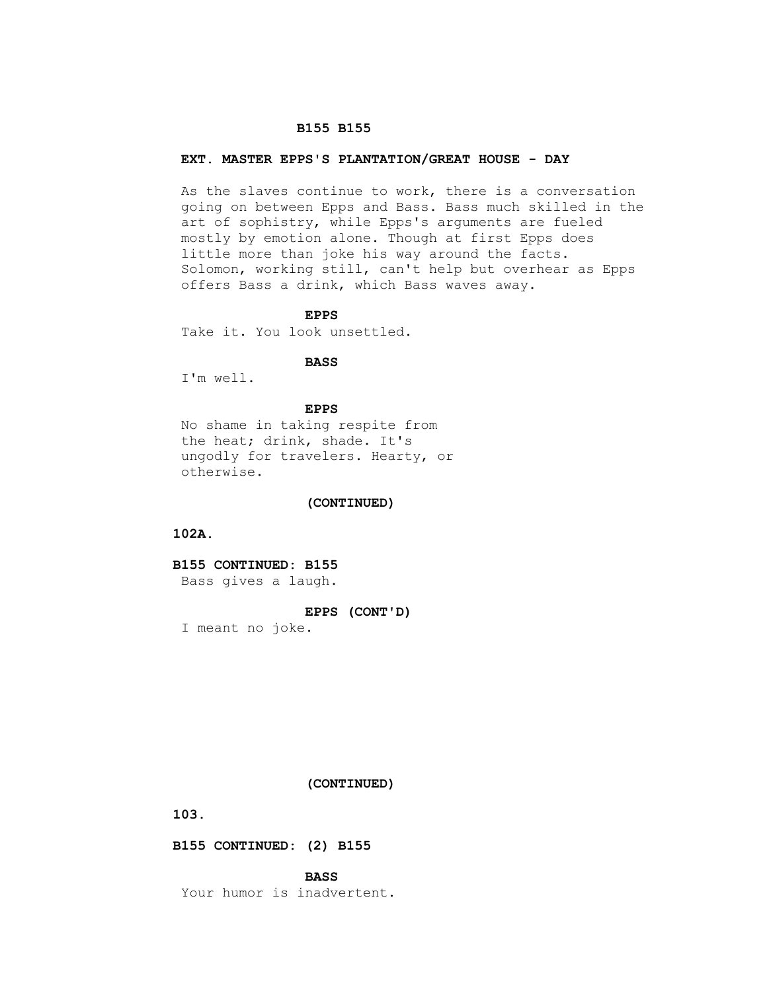#### **B155 B155**

# **EXT. MASTER EPPS'S PLANTATION/GREAT HOUSE - DAY**

 As the slaves continue to work, there is a conversation going on between Epps and Bass. Bass much skilled in the art of sophistry, while Epps's arguments are fueled mostly by emotion alone. Though at first Epps does little more than joke his way around the facts. Solomon, working still, can't help but overhear as Epps offers Bass a drink, which Bass waves away.

# **EPPS**

Take it. You look unsettled.

# **BASS**

I'm well.

#### **EPPS**

 No shame in taking respite from the heat; drink, shade. It's ungodly for travelers. Hearty, or otherwise.

## **(CONTINUED)**

 **102A.**

# **B155 CONTINUED: B155**

Bass gives a laugh.

# **EPPS (CONT'D)**

I meant no joke.

# **(CONTINUED)**

 **103.**

# **B155 CONTINUED: (2) B155**

 **BASS**

Your humor is inadvertent.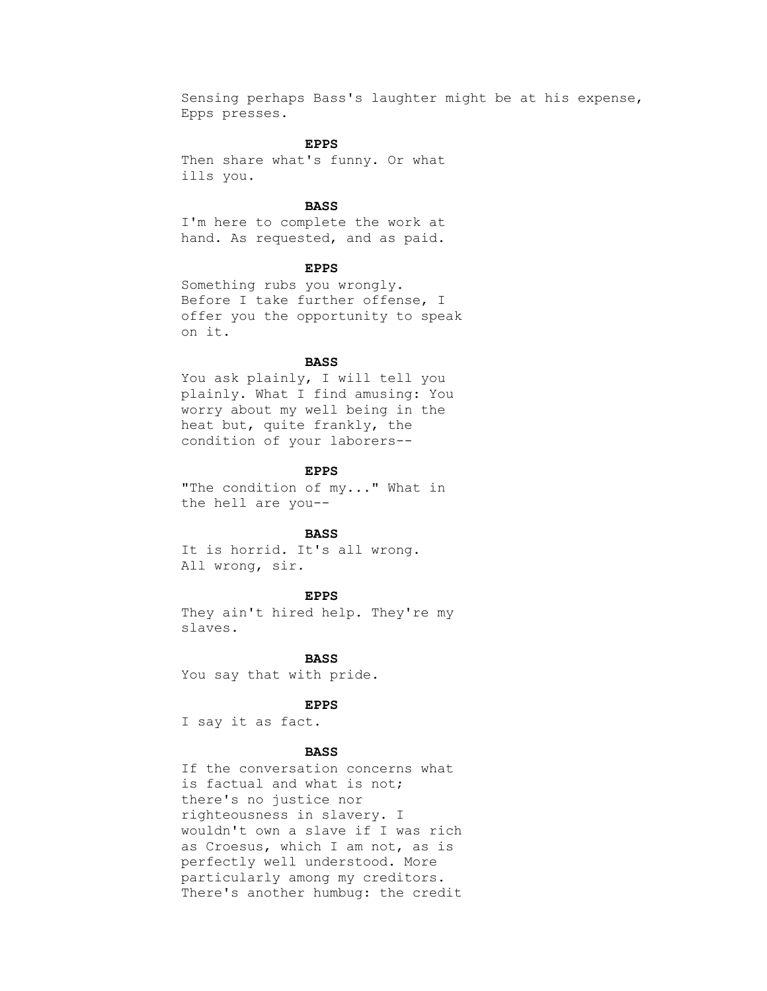Sensing perhaps Bass's laughter might be at his expense, Epps presses.

# **EPPS**

 Then share what's funny. Or what ills you.

# **BASS**

 I'm here to complete the work at hand. As requested, and as paid.

#### **EPPS**

 Something rubs you wrongly. Before I take further offense, I offer you the opportunity to speak on it.

# **BASS**

You ask plainly, I will tell you plainly. What I find amusing: You worry about my well being in the heat but, quite frankly, the condition of your laborers--

### **EPPS**

 "The condition of my..." What in the hell are you--

# **BASS**

 It is horrid. It's all wrong. All wrong, sir.

# **EPPS**

 They ain't hired help. They're my slaves.

 **BASS** You say that with pride.

## **EPPS**

I say it as fact.

# **BASS**

 If the conversation concerns what is factual and what is not; there's no justice nor righteousness in slavery. I wouldn't own a slave if I was rich as Croesus, which I am not, as is perfectly well understood. More particularly among my creditors. There's another humbug: the credit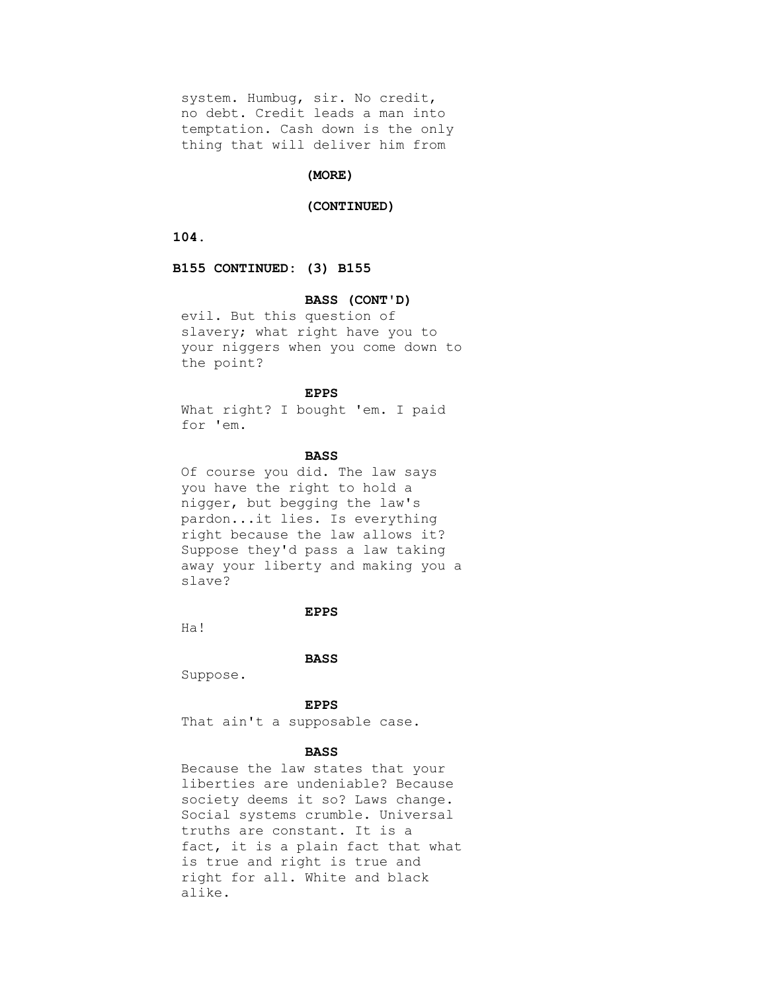system. Humbug, sir. No credit, no debt. Credit leads a man into temptation. Cash down is the only thing that will deliver him from

## **(MORE)**

# **(CONTINUED)**

 **104.**

 **B155 CONTINUED: (3) B155**

#### **BASS (CONT'D)**

 evil. But this question of slavery; what right have you to your niggers when you come down to the point?

# **EPPS**

 What right? I bought 'em. I paid for 'em.

# **BASS**

 Of course you did. The law says you have the right to hold a nigger, but begging the law's pardon...it lies. Is everything right because the law allows it? Suppose they'd pass a law taking away your liberty and making you a slave?

# **EPPS**

Ha!

#### **BASS**

Suppose.

 **EPPS**

That ain't a supposable case.

# **BASS**

 Because the law states that your liberties are undeniable? Because society deems it so? Laws change. Social systems crumble. Universal truths are constant. It is a fact, it is a plain fact that what is true and right is true and right for all. White and black alike.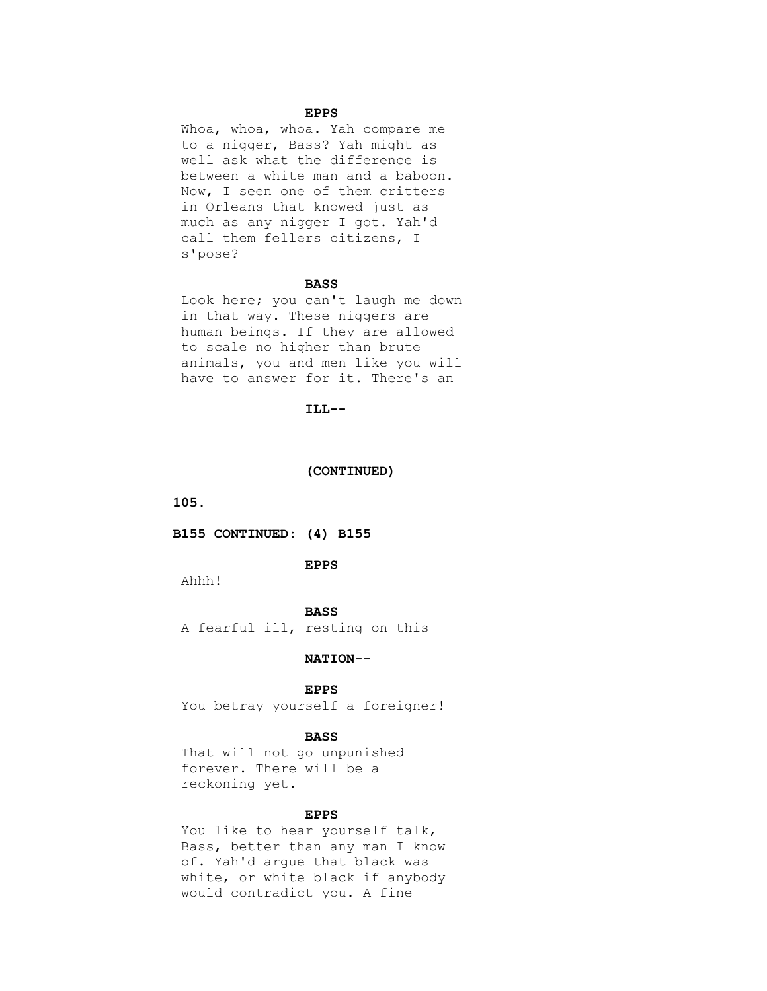# **EPPS**

 Whoa, whoa, whoa. Yah compare me to a nigger, Bass? Yah might as well ask what the difference is between a white man and a baboon. Now, I seen one of them critters in Orleans that knowed just as much as any nigger I got. Yah'd call them fellers citizens, I s'pose?

#### **BASS**

 Look here; you can't laugh me down in that way. These niggers are human beings. If they are allowed to scale no higher than brute animals, you and men like you will have to answer for it. There's an

# **ILL--**

#### **(CONTINUED)**

 **105.**

#### **B155 CONTINUED: (4) B155**

## **EPPS**

Ahhh!

# **BASS**

A fearful ill, resting on this

## **NATION--**

## **EPPS**

You betray yourself a foreigner!

#### **BASS**

 That will not go unpunished forever. There will be a reckoning yet.

# **EPPS**

You like to hear yourself talk, Bass, better than any man I know of. Yah'd argue that black was white, or white black if anybody would contradict you. A fine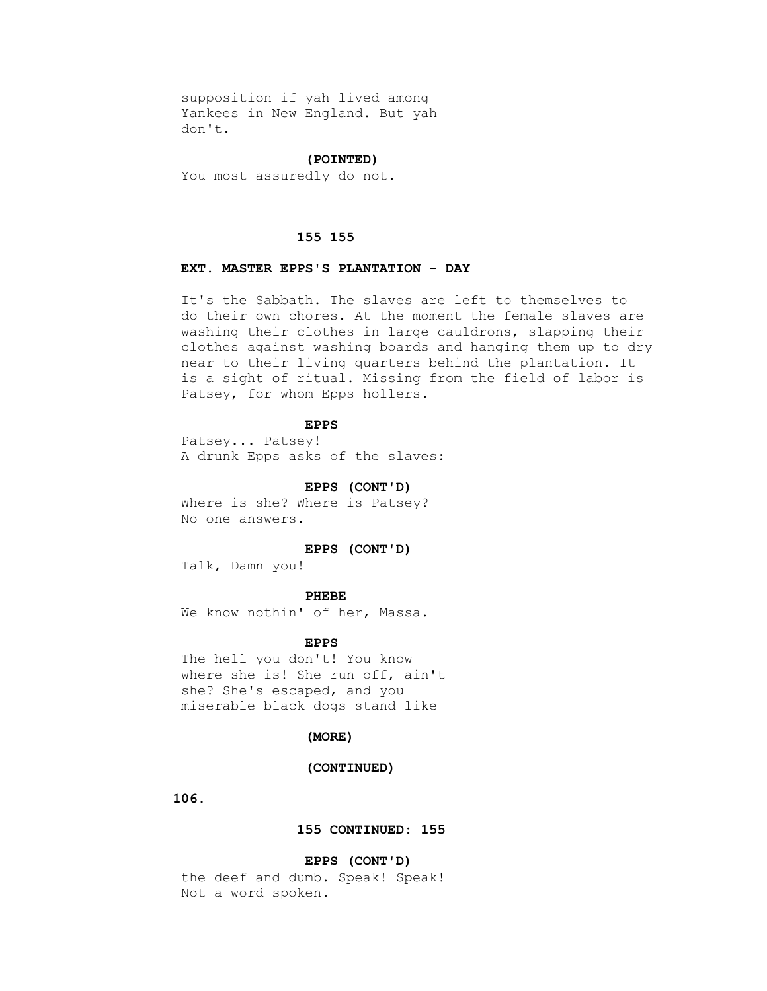supposition if yah lived among Yankees in New England. But yah don't.

# **(POINTED)**

You most assuredly do not.

### **155 155**

# **EXT. MASTER EPPS'S PLANTATION - DAY**

 It's the Sabbath. The slaves are left to themselves to do their own chores. At the moment the female slaves are washing their clothes in large cauldrons, slapping their clothes against washing boards and hanging them up to dry near to their living quarters behind the plantation. It is a sight of ritual. Missing from the field of labor is Patsey, for whom Epps hollers.

# **EPPS**

 Patsey... Patsey! A drunk Epps asks of the slaves:

# **EPPS (CONT'D)**

 Where is she? Where is Patsey? No one answers.

# **EPPS (CONT'D)**

Talk, Damn you!

#### **PHEBE**

We know nothin' of her, Massa.

#### **EPPS**

 The hell you don't! You know where she is! She run off, ain't she? She's escaped, and you miserable black dogs stand like

# **(MORE)**

#### **(CONTINUED)**

 **106.**

# **155 CONTINUED: 155**

 **EPPS (CONT'D)**

 the deef and dumb. Speak! Speak! Not a word spoken.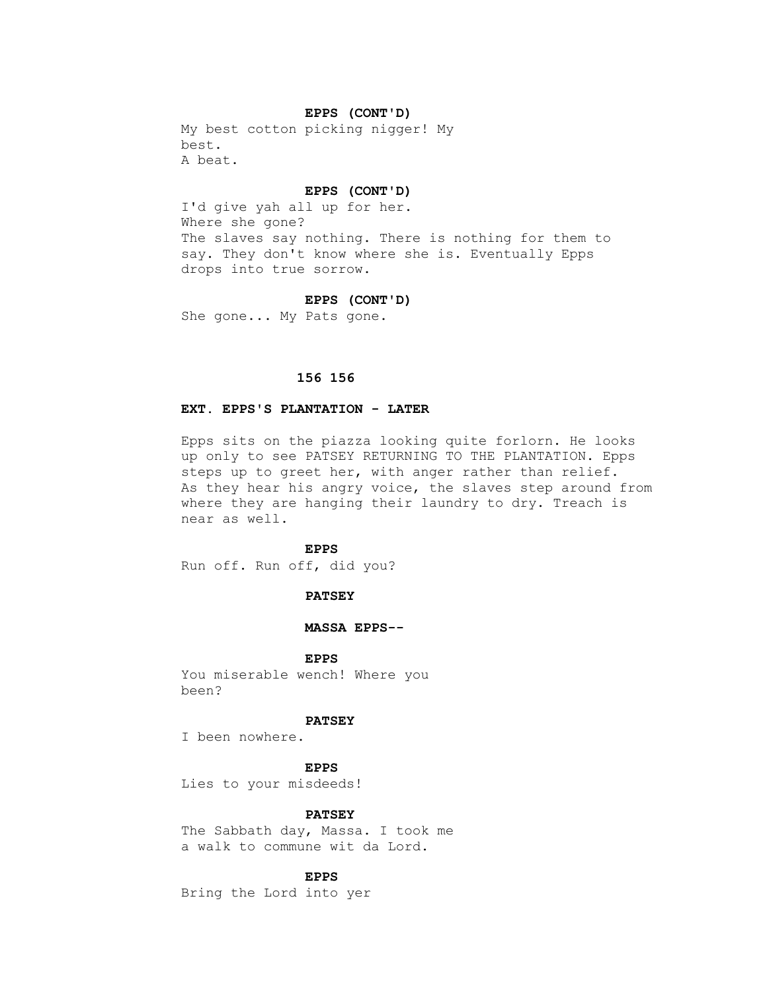# **EPPS (CONT'D)**

 My best cotton picking nigger! My best. A beat.

#### **EPPS (CONT'D)**

 I'd give yah all up for her. Where she gone? The slaves say nothing. There is nothing for them to say. They don't know where she is. Eventually Epps drops into true sorrow.

#### **EPPS (CONT'D)**

She gone... My Pats gone.

# **156 156**

## **EXT. EPPS'S PLANTATION - LATER**

 Epps sits on the piazza looking quite forlorn. He looks up only to see PATSEY RETURNING TO THE PLANTATION. Epps steps up to greet her, with anger rather than relief. As they hear his angry voice, the slaves step around from where they are hanging their laundry to dry. Treach is near as well.

# **EPPS**

Run off. Run off, did you?

# **PATSEY**

## **MASSA EPPS--**

 **EPPS**

 You miserable wench! Where you been?

# **PATSEY**

I been nowhere.

 **EPPS**

Lies to your misdeeds!

# **PATSEY**

 The Sabbath day, Massa. I took me a walk to commune wit da Lord.

# **EPPS**

Bring the Lord into yer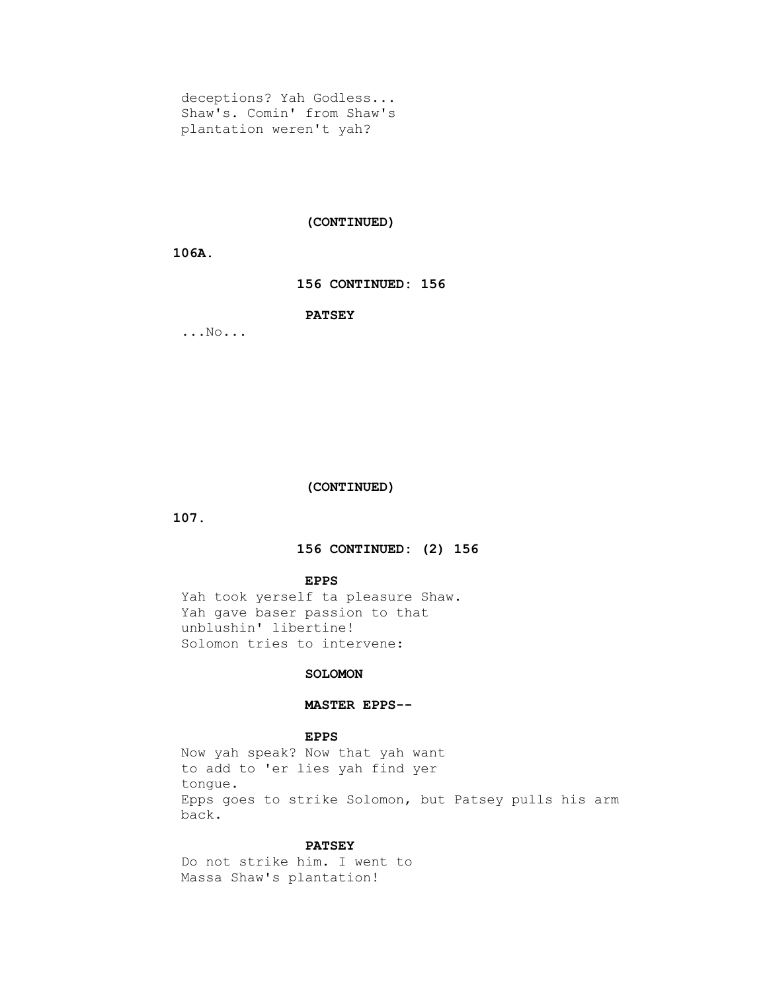deceptions? Yah Godless... Shaw's. Comin' from Shaw's plantation weren't yah?

# **(CONTINUED)**

# **106A.**

# **156 CONTINUED: 156**

# **PATSEY**

...No...

# **(CONTINUED)**

 **107.**

# **156 CONTINUED: (2) 156**

#### **EPPS**

 Yah took yerself ta pleasure Shaw. Yah gave baser passion to that unblushin' libertine! Solomon tries to intervene:

# **SOLOMON**

# **MASTER EPPS--**

# **EPPS**

 Now yah speak? Now that yah want to add to 'er lies yah find yer tongue. Epps goes to strike Solomon, but Patsey pulls his arm back.

#### **PATSEY**

 Do not strike him. I went to Massa Shaw's plantation!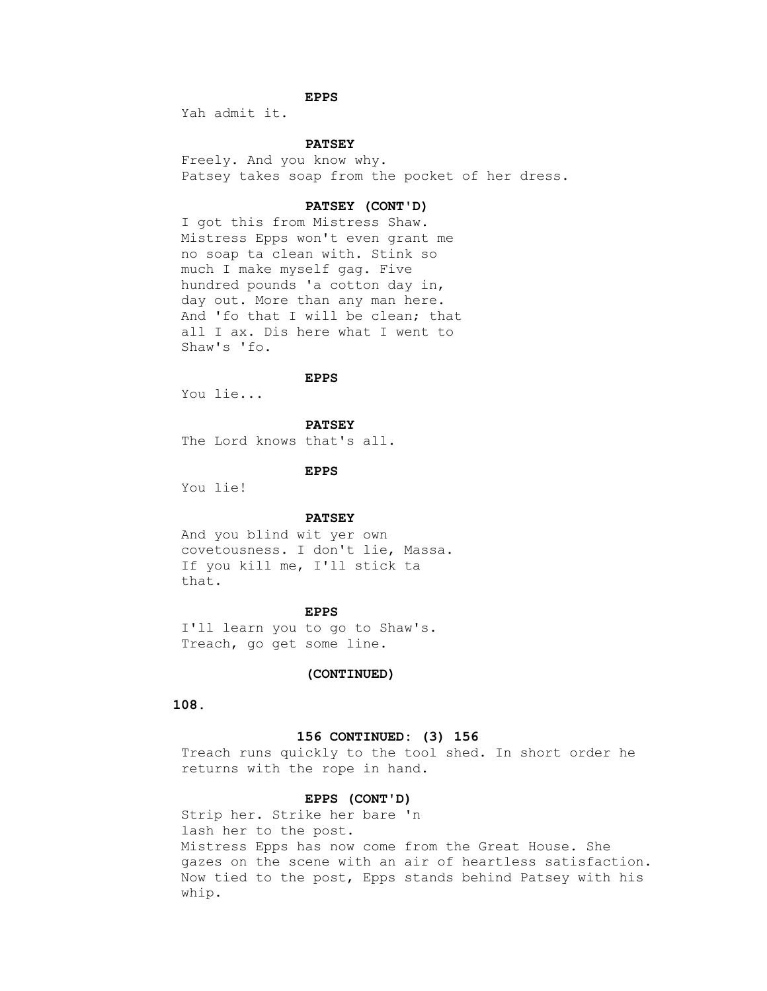# **EPPS**

Yah admit it.

# **PATSEY**

 Freely. And you know why. Patsey takes soap from the pocket of her dress.

# **PATSEY (CONT'D)**

 I got this from Mistress Shaw. Mistress Epps won't even grant me no soap ta clean with. Stink so much I make myself gag. Five hundred pounds 'a cotton day in, day out. More than any man here. And 'fo that I will be clean; that all I ax. Dis here what I went to Shaw's 'fo.

# **EPPS**

You lie...

 **PATSEY**

The Lord knows that's all.

 **EPPS**

You lie!

## **PATSEY**

 And you blind wit yer own covetousness. I don't lie, Massa. If you kill me, I'll stick ta that.

## **EPPS**

 I'll learn you to go to Shaw's. Treach, go get some line.

## **(CONTINUED)**

 **108.**

# **156 CONTINUED: (3) 156**

 Treach runs quickly to the tool shed. In short order he returns with the rope in hand.

# **EPPS (CONT'D)**

 Strip her. Strike her bare 'n lash her to the post. Mistress Epps has now come from the Great House. She gazes on the scene with an air of heartless satisfaction. Now tied to the post, Epps stands behind Patsey with his whip.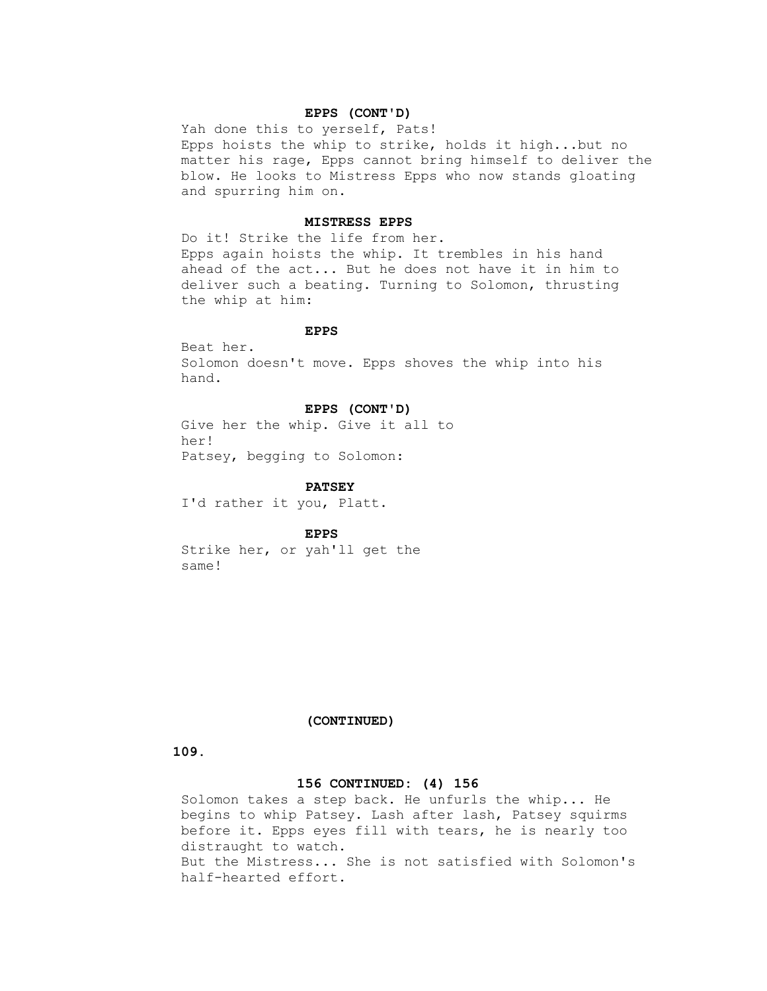# **EPPS (CONT'D)**

 Yah done this to yerself, Pats! Epps hoists the whip to strike, holds it high...but no matter his rage, Epps cannot bring himself to deliver the blow. He looks to Mistress Epps who now stands gloating and spurring him on.

# **MISTRESS EPPS**

 Do it! Strike the life from her. Epps again hoists the whip. It trembles in his hand ahead of the act... But he does not have it in him to deliver such a beating. Turning to Solomon, thrusting the whip at him:

# **EPPS**

 Beat her. Solomon doesn't move. Epps shoves the whip into his hand.

# **EPPS (CONT'D)**

 Give her the whip. Give it all to her! Patsey, begging to Solomon:

## **PATSEY**

I'd rather it you, Platt.

 **EPPS**

 Strike her, or yah'll get the same!

# **(CONTINUED)**

# **109.**

# **156 CONTINUED: (4) 156**

 Solomon takes a step back. He unfurls the whip... He begins to whip Patsey. Lash after lash, Patsey squirms before it. Epps eyes fill with tears, he is nearly too distraught to watch. But the Mistress... She is not satisfied with Solomon's half-hearted effort.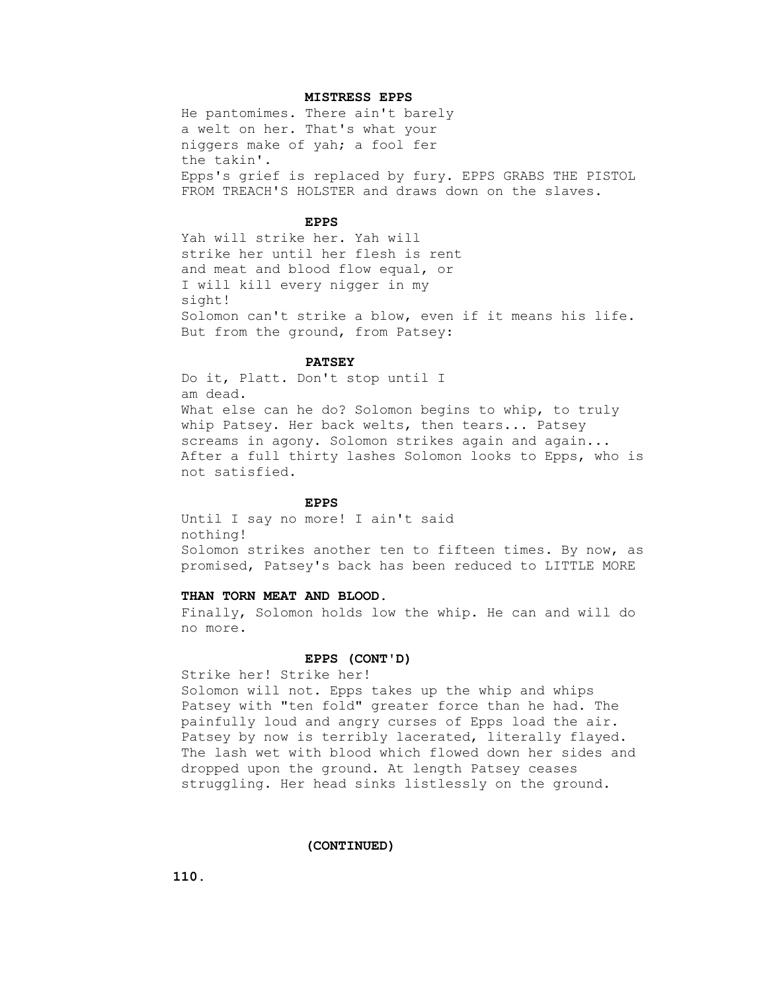## **MISTRESS EPPS**

 He pantomimes. There ain't barely a welt on her. That's what your niggers make of yah; a fool fer the takin'. Epps's grief is replaced by fury. EPPS GRABS THE PISTOL FROM TREACH'S HOLSTER and draws down on the slaves.

### **EPPS**

 Yah will strike her. Yah will strike her until her flesh is rent and meat and blood flow equal, or I will kill every nigger in my sight! Solomon can't strike a blow, even if it means his life. But from the ground, from Patsey:

### **PATSEY**

 Do it, Platt. Don't stop until I am dead. What else can he do? Solomon begins to whip, to truly whip Patsey. Her back welts, then tears... Patsey screams in agony. Solomon strikes again and again... After a full thirty lashes Solomon looks to Epps, who is not satisfied.

## **EPPS**

 Until I say no more! I ain't said nothing! Solomon strikes another ten to fifteen times. By now, as promised, Patsey's back has been reduced to LITTLE MORE

# **THAN TORN MEAT AND BLOOD.**

 Finally, Solomon holds low the whip. He can and will do no more.

### **EPPS (CONT'D)**

Strike her! Strike her!

 Solomon will not. Epps takes up the whip and whips Patsey with "ten fold" greater force than he had. The painfully loud and angry curses of Epps load the air. Patsey by now is terribly lacerated, literally flayed. The lash wet with blood which flowed down her sides and dropped upon the ground. At length Patsey ceases struggling. Her head sinks listlessly on the ground.

 **(CONTINUED)**

 **110.**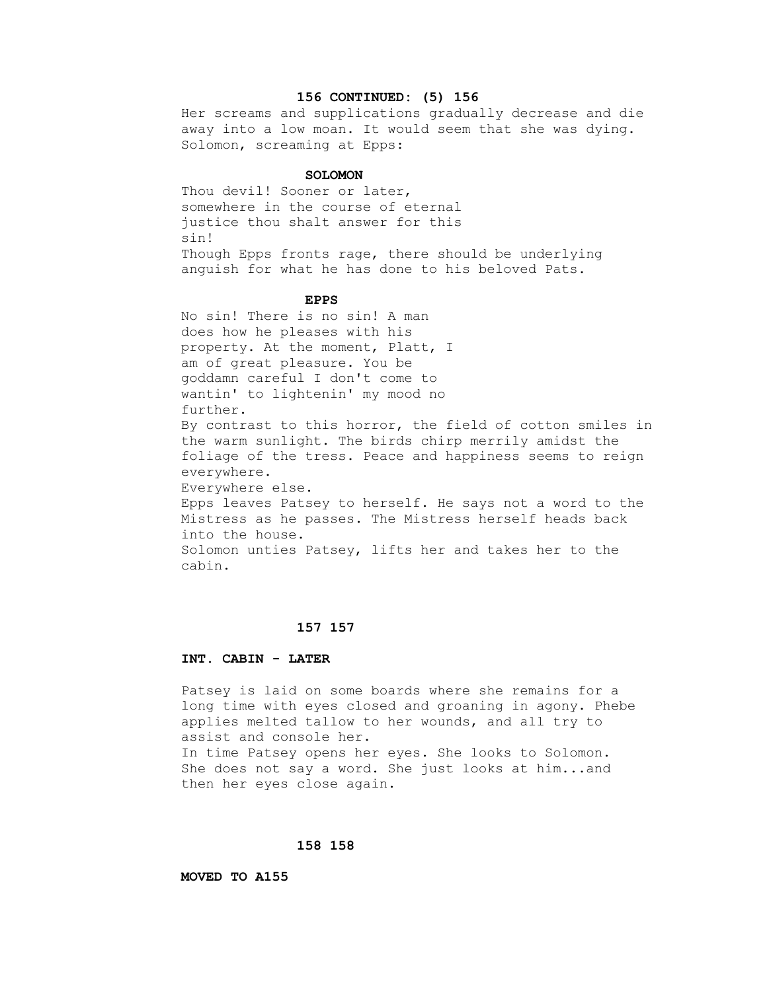## **156 CONTINUED: (5) 156**

 Her screams and supplications gradually decrease and die away into a low moan. It would seem that she was dying. Solomon, screaming at Epps:

## **SOLOMON**

 Thou devil! Sooner or later, somewhere in the course of eternal justice thou shalt answer for this sin! Though Epps fronts rage, there should be underlying anguish for what he has done to his beloved Pats.

### **EPPS**

 No sin! There is no sin! A man does how he pleases with his property. At the moment, Platt, I am of great pleasure. You be goddamn careful I don't come to wantin' to lightenin' my mood no further. By contrast to this horror, the field of cotton smiles in the warm sunlight. The birds chirp merrily amidst the foliage of the tress. Peace and happiness seems to reign everywhere. Everywhere else. Epps leaves Patsey to herself. He says not a word to the Mistress as he passes. The Mistress herself heads back into the house. Solomon unties Patsey, lifts her and takes her to the cabin.

## **157 157**

#### **INT. CABIN - LATER**

 Patsey is laid on some boards where she remains for a long time with eyes closed and groaning in agony. Phebe applies melted tallow to her wounds, and all try to assist and console her. In time Patsey opens her eyes. She looks to Solomon. She does not say a word. She just looks at him...and

## **158 158**

then her eyes close again.

## **MOVED TO A155**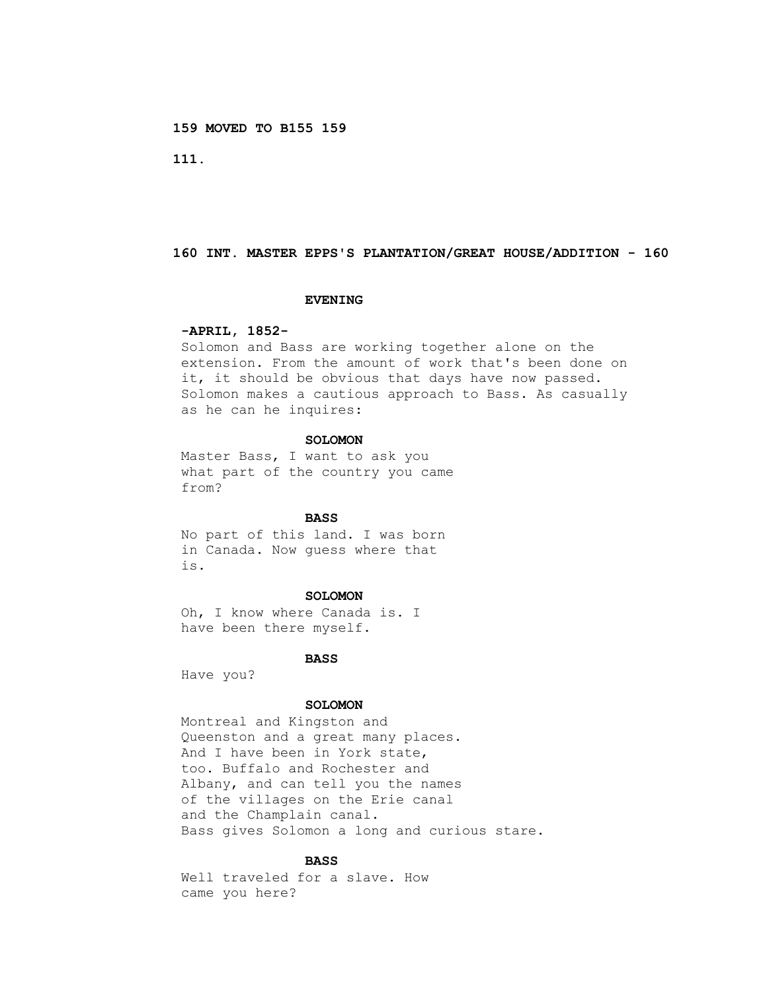**159 MOVED TO B155 159**

 **111.**

## **160 INT. MASTER EPPS'S PLANTATION/GREAT HOUSE/ADDITION - 160**

#### **EVENING**

## **-APRIL, 1852-**

 Solomon and Bass are working together alone on the extension. From the amount of work that's been done on it, it should be obvious that days have now passed. Solomon makes a cautious approach to Bass. As casually as he can he inquires:

# **SOLOMON**

 Master Bass, I want to ask you what part of the country you came from?

### **BASS**

 No part of this land. I was born in Canada. Now guess where that is.

## **SOLOMON**

 Oh, I know where Canada is. I have been there myself.

#### **BASS**

Have you?

## **SOLOMON**

 Montreal and Kingston and Queenston and a great many places. And I have been in York state, too. Buffalo and Rochester and Albany, and can tell you the names of the villages on the Erie canal and the Champlain canal. Bass gives Solomon a long and curious stare.

## **BASS**

 Well traveled for a slave. How came you here?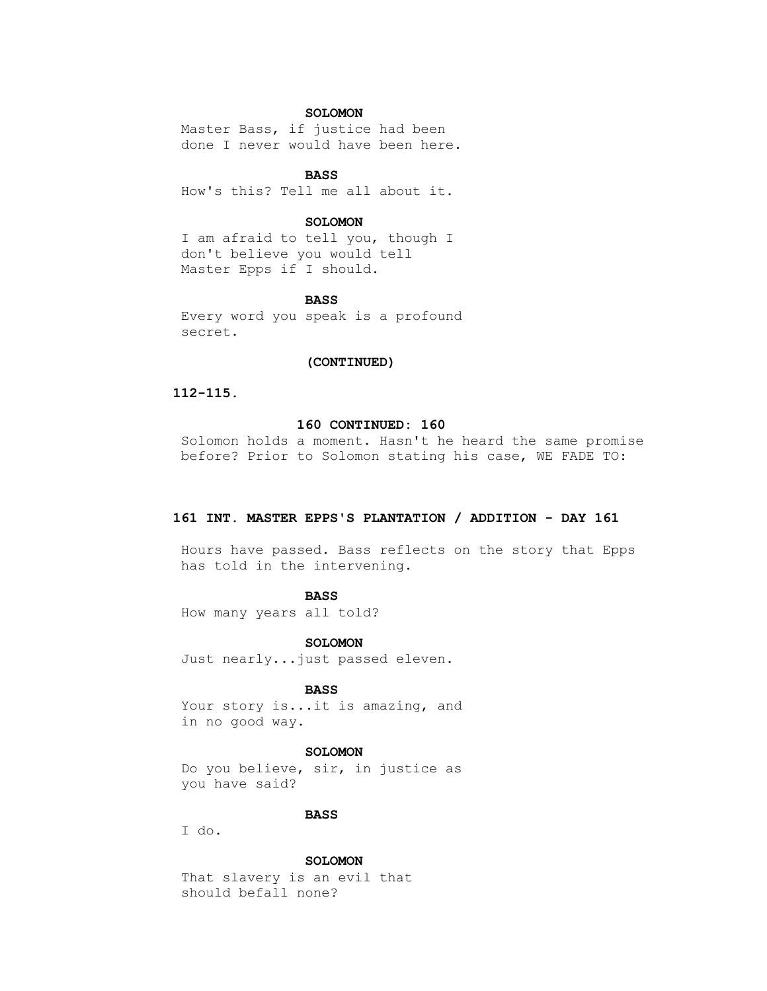## **SOLOMON**

 Master Bass, if justice had been done I never would have been here.

# **BASS**

How's this? Tell me all about it.

# **SOLOMON**

 I am afraid to tell you, though I don't believe you would tell Master Epps if I should.

### **BASS**

 Every word you speak is a profound secret.

## **(CONTINUED)**

## **112-115.**

### **160 CONTINUED: 160**

 Solomon holds a moment. Hasn't he heard the same promise before? Prior to Solomon stating his case, WE FADE TO:

### **161 INT. MASTER EPPS'S PLANTATION / ADDITION - DAY 161**

 Hours have passed. Bass reflects on the story that Epps has told in the intervening.

### **BASS**

How many years all told?

#### **SOLOMON**

Just nearly...just passed eleven.

# **BASS**

Your story is...it is amazing, and in no good way.

# **SOLOMON**

 Do you believe, sir, in justice as you have said?

# **BASS**

I do.

## **SOLOMON**

 That slavery is an evil that should befall none?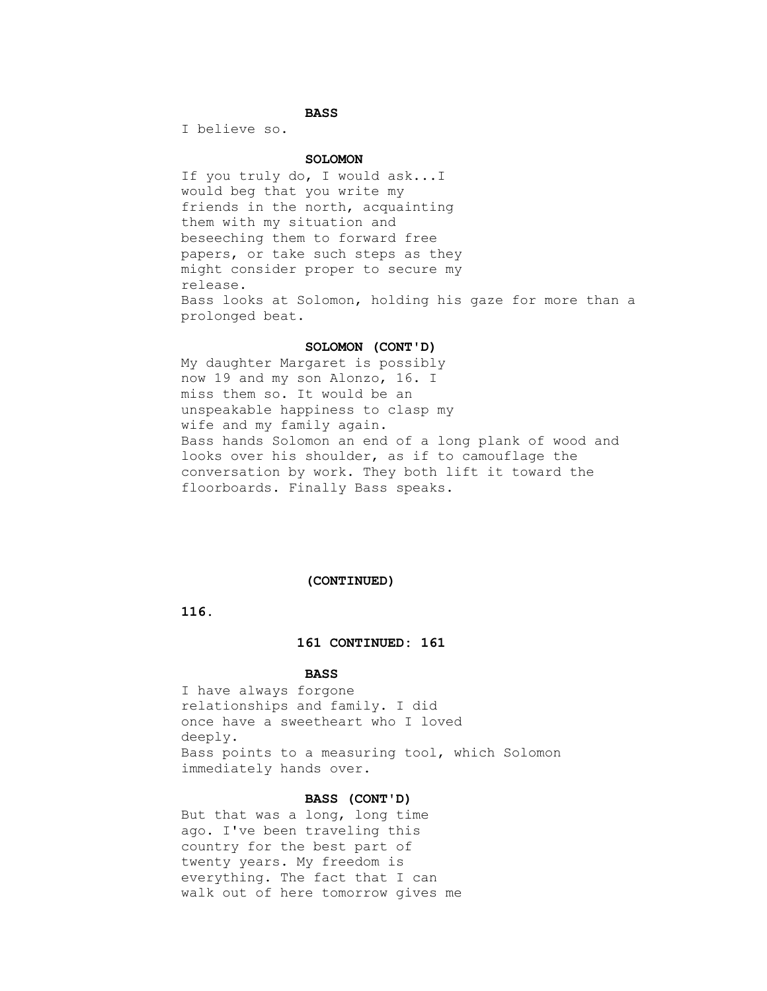# **BASS**

I believe so.

# **SOLOMON**

 If you truly do, I would ask...I would beg that you write my friends in the north, acquainting them with my situation and beseeching them to forward free papers, or take such steps as they might consider proper to secure my release. Bass looks at Solomon, holding his gaze for more than a prolonged beat.

### **SOLOMON (CONT'D)**

 My daughter Margaret is possibly now 19 and my son Alonzo, 16. I miss them so. It would be an unspeakable happiness to clasp my wife and my family again. Bass hands Solomon an end of a long plank of wood and looks over his shoulder, as if to camouflage the conversation by work. They both lift it toward the floorboards. Finally Bass speaks.

### **(CONTINUED)**

 **116.**

## **161 CONTINUED: 161**

## **BASS**

 I have always forgone relationships and family. I did once have a sweetheart who I loved deeply. Bass points to a measuring tool, which Solomon immediately hands over.

## **BASS (CONT'D)**

 But that was a long, long time ago. I've been traveling this country for the best part of twenty years. My freedom is everything. The fact that I can walk out of here tomorrow gives me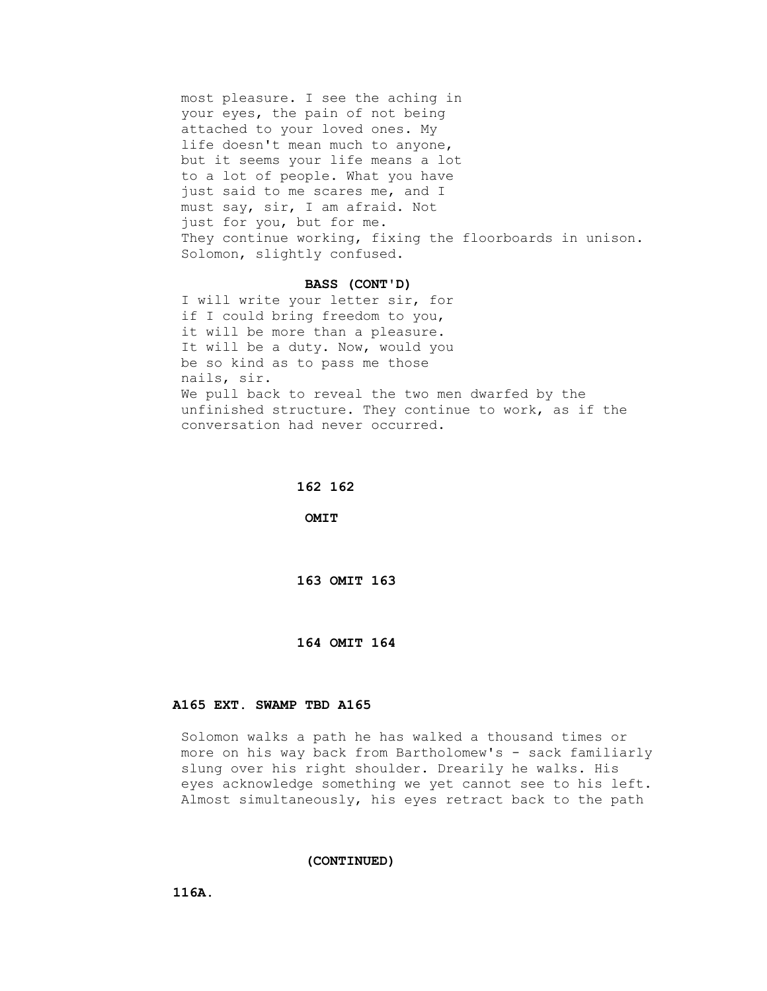most pleasure. I see the aching in your eyes, the pain of not being attached to your loved ones. My life doesn't mean much to anyone, but it seems your life means a lot to a lot of people. What you have just said to me scares me, and I must say, sir, I am afraid. Not just for you, but for me. They continue working, fixing the floorboards in unison. Solomon, slightly confused.

### **BASS (CONT'D)**

 I will write your letter sir, for if I could bring freedom to you, it will be more than a pleasure. It will be a duty. Now, would you be so kind as to pass me those nails, sir. We pull back to reveal the two men dwarfed by the unfinished structure. They continue to work, as if the conversation had never occurred.

### **162 162**

 **OMIT**

# **163 OMIT 163**

## **164 OMIT 164**

# **A165 EXT. SWAMP TBD A165**

 Solomon walks a path he has walked a thousand times or more on his way back from Bartholomew's - sack familiarly slung over his right shoulder. Drearily he walks. His eyes acknowledge something we yet cannot see to his left. Almost simultaneously, his eyes retract back to the path

## **(CONTINUED)**

 **116A.**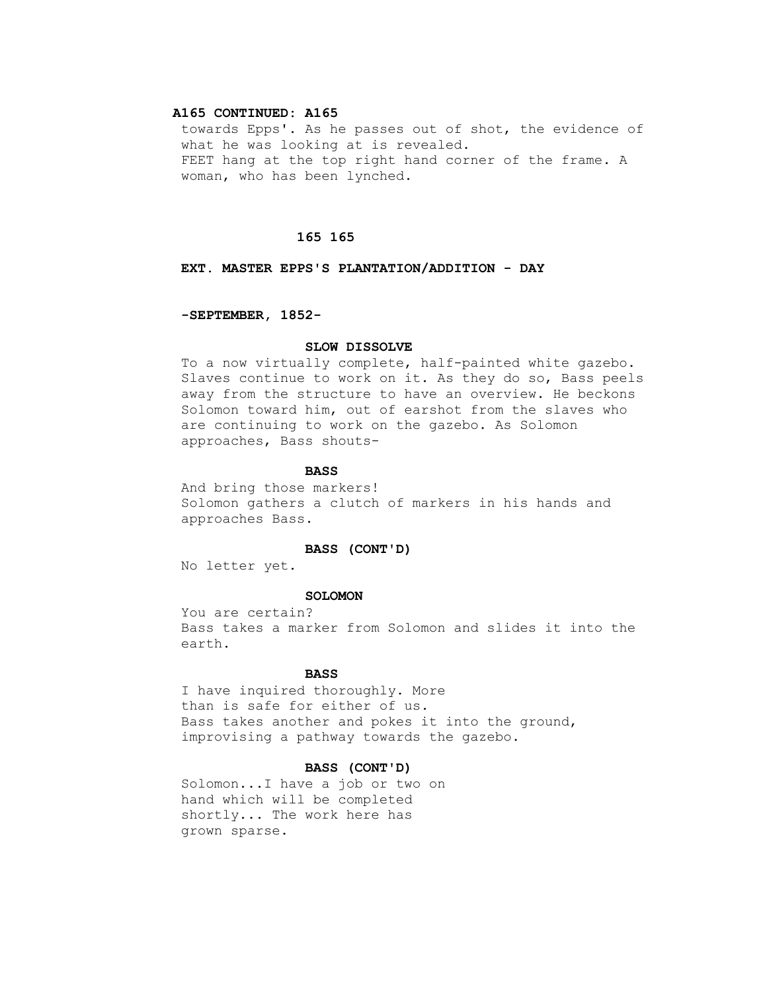# **A165 CONTINUED: A165**

 towards Epps'. As he passes out of shot, the evidence of what he was looking at is revealed. FEET hang at the top right hand corner of the frame. A woman, who has been lynched.

### **165 165**

# **EXT. MASTER EPPS'S PLANTATION/ADDITION - DAY**

# **-SEPTEMBER, 1852-**

### **SLOW DISSOLVE**

 To a now virtually complete, half-painted white gazebo. Slaves continue to work on it. As they do so, Bass peels away from the structure to have an overview. He beckons Solomon toward him, out of earshot from the slaves who are continuing to work on the gazebo. As Solomon approaches, Bass shouts-

### **BASS**

 And bring those markers! Solomon gathers a clutch of markers in his hands and approaches Bass.

## **BASS (CONT'D)**

No letter yet.

## **SOLOMON**

 You are certain? Bass takes a marker from Solomon and slides it into the earth.

## **BASS**

 I have inquired thoroughly. More than is safe for either of us. Bass takes another and pokes it into the ground, improvising a pathway towards the gazebo.

## **BASS (CONT'D)**

 Solomon...I have a job or two on hand which will be completed shortly... The work here has grown sparse.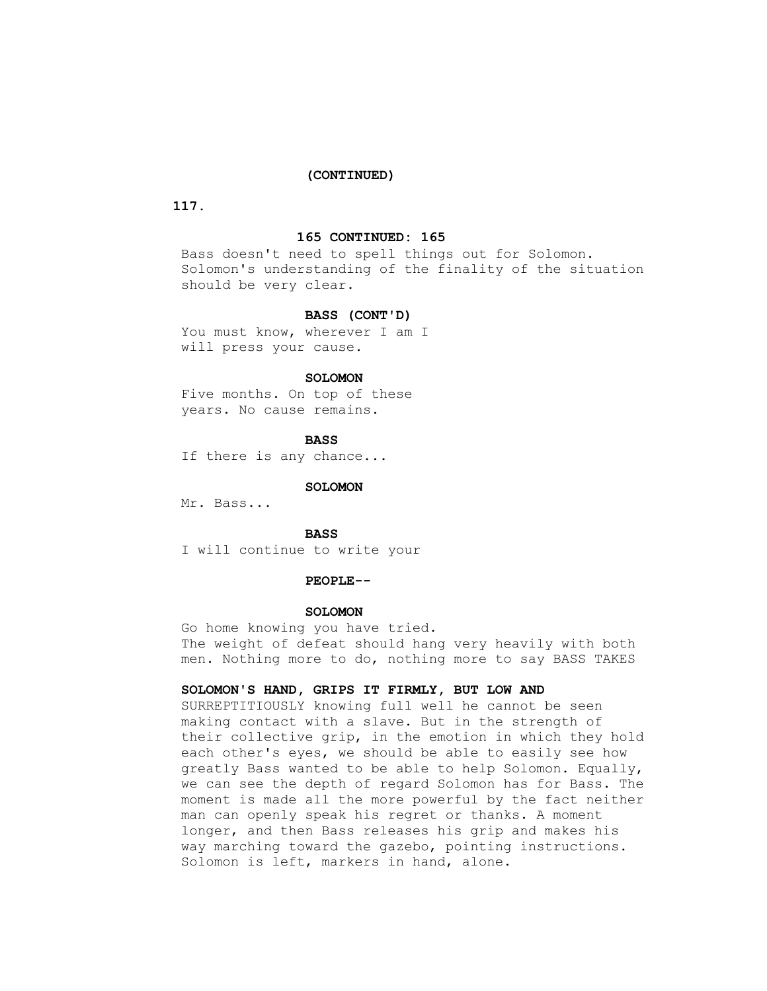### **(CONTINUED)**

# **117.**

#### **165 CONTINUED: 165**

 Bass doesn't need to spell things out for Solomon. Solomon's understanding of the finality of the situation should be very clear.

## **BASS (CONT'D)**

You must know, wherever I am I will press your cause.

## **SOLOMON**

 Five months. On top of these years. No cause remains.

## **BASS**

If there is any chance...

## **SOLOMON**

Mr. Bass...

# **BASS**

I will continue to write your

### **PEOPLE--**

#### **SOLOMON**

 Go home knowing you have tried. The weight of defeat should hang very heavily with both men. Nothing more to do, nothing more to say BASS TAKES

# **SOLOMON'S HAND, GRIPS IT FIRMLY, BUT LOW AND**

 SURREPTITIOUSLY knowing full well he cannot be seen making contact with a slave. But in the strength of their collective grip, in the emotion in which they hold each other's eyes, we should be able to easily see how greatly Bass wanted to be able to help Solomon. Equally, we can see the depth of regard Solomon has for Bass. The moment is made all the more powerful by the fact neither man can openly speak his regret or thanks. A moment longer, and then Bass releases his grip and makes his way marching toward the gazebo, pointing instructions. Solomon is left, markers in hand, alone.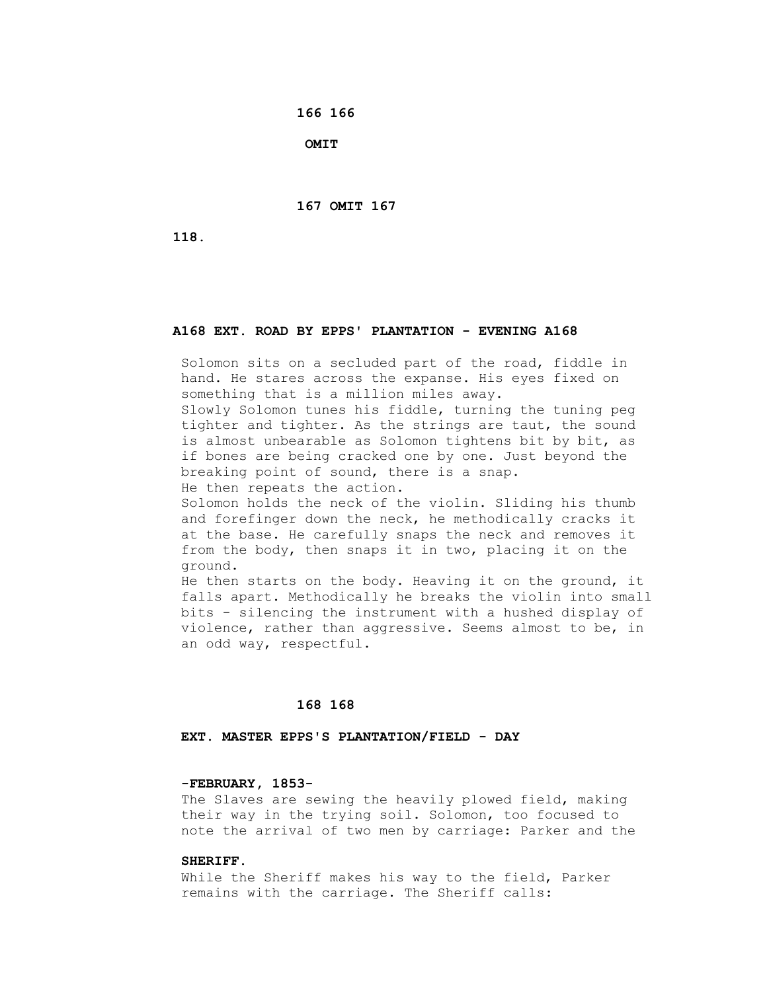**166 166**

 **OMIT**

 **167 OMIT 167**

 **118.**

# **A168 EXT. ROAD BY EPPS' PLANTATION - EVENING A168**

 Solomon sits on a secluded part of the road, fiddle in hand. He stares across the expanse. His eyes fixed on something that is a million miles away.

 Slowly Solomon tunes his fiddle, turning the tuning peg tighter and tighter. As the strings are taut, the sound is almost unbearable as Solomon tightens bit by bit, as if bones are being cracked one by one. Just beyond the breaking point of sound, there is a snap.

He then repeats the action.

 Solomon holds the neck of the violin. Sliding his thumb and forefinger down the neck, he methodically cracks it at the base. He carefully snaps the neck and removes it from the body, then snaps it in two, placing it on the ground.

 He then starts on the body. Heaving it on the ground, it falls apart. Methodically he breaks the violin into small bits - silencing the instrument with a hushed display of violence, rather than aggressive. Seems almost to be, in an odd way, respectful.

## **168 168**

## **EXT. MASTER EPPS'S PLANTATION/FIELD - DAY**

# **-FEBRUARY, 1853-**

The Slaves are sewing the heavily plowed field, making their way in the trying soil. Solomon, too focused to note the arrival of two men by carriage: Parker and the

## **SHERIFF.**

 While the Sheriff makes his way to the field, Parker remains with the carriage. The Sheriff calls: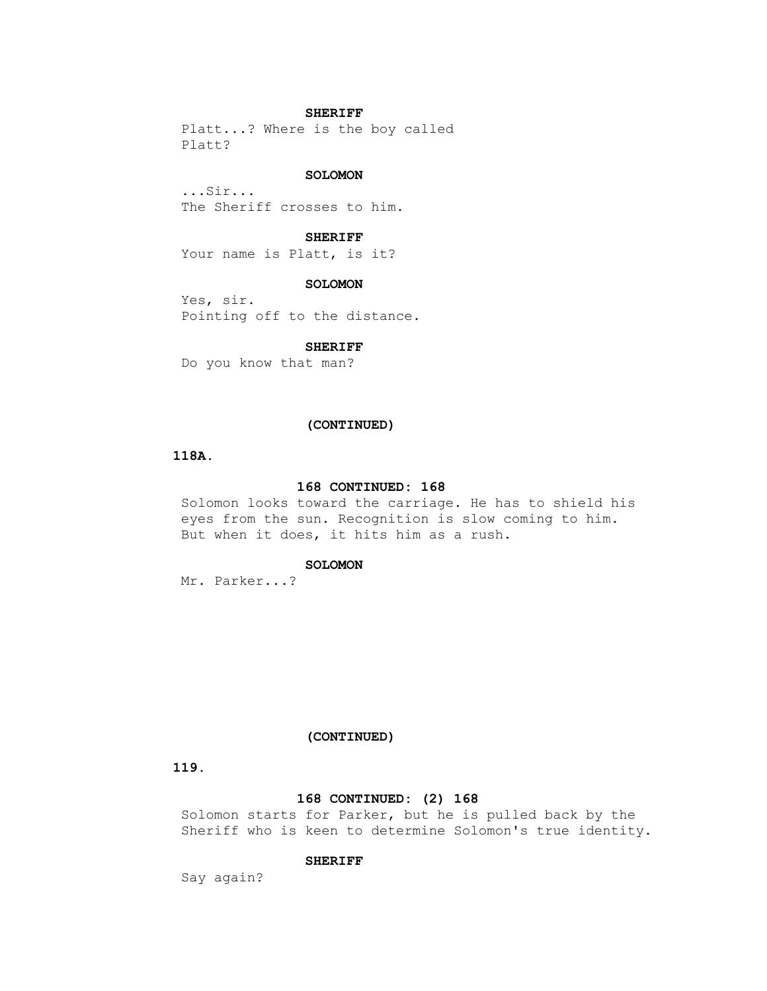## **SHERIFF**

 Platt...? Where is the boy called Platt?

## **SOLOMON**

 ...Sir... The Sheriff crosses to him.

### **SHERIFF**

Your name is Platt, is it?

## **SOLOMON**

 Yes, sir. Pointing off to the distance.

### **SHERIFF**

Do you know that man?

## **(CONTINUED)**

# **118A.**

## **168 CONTINUED: 168**

 Solomon looks toward the carriage. He has to shield his eyes from the sun. Recognition is slow coming to him. But when it does, it hits him as a rush.

# **SOLOMON**

Mr. Parker...?

## **(CONTINUED)**

 **119.**

## **168 CONTINUED: (2) 168**

 Solomon starts for Parker, but he is pulled back by the Sheriff who is keen to determine Solomon's true identity.

## **SHERIFF**

Say again?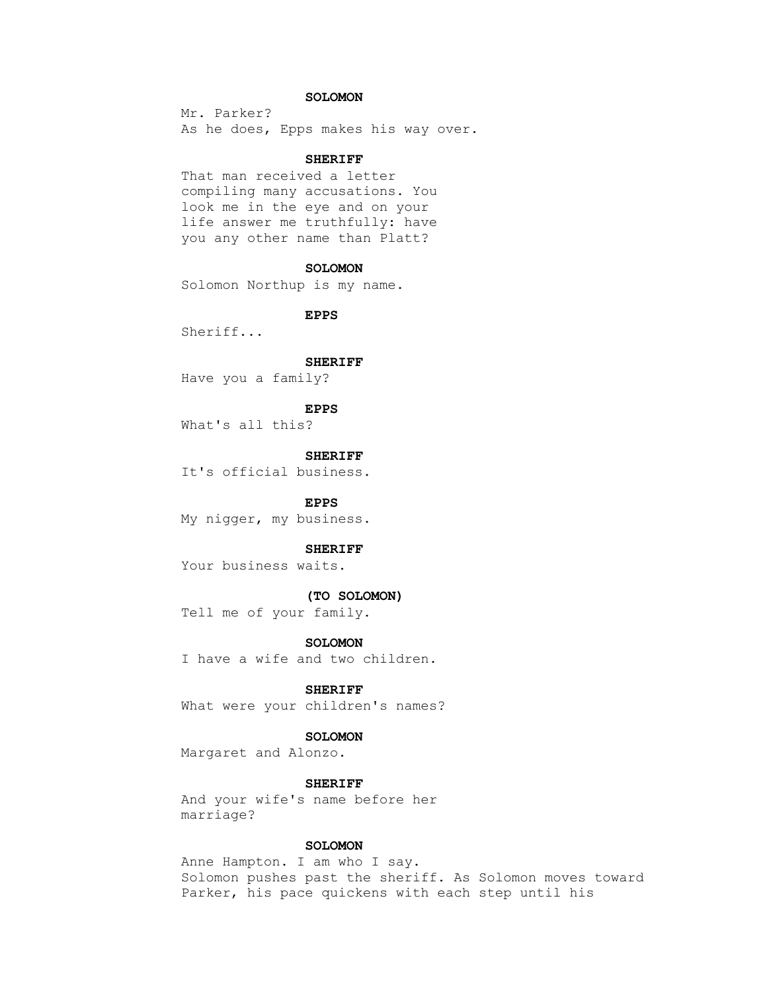# **SOLOMON**

 Mr. Parker? As he does, Epps makes his way over.

# **SHERIFF**

 That man received a letter compiling many accusations. You look me in the eye and on your life answer me truthfully: have you any other name than Platt?

### **SOLOMON**

Solomon Northup is my name.

 **EPPS**

Sheriff...

### **SHERIFF**

Have you a family?

#### **EPPS**

What's all this?

### **SHERIFF**

It's official business.

## **EPPS**

My nigger, my business.

### **SHERIFF**

Your business waits.

## **(TO SOLOMON)**

Tell me of your family.

#### **SOLOMON**

I have a wife and two children.

# **SHERIFF**

What were your children's names?

## **SOLOMON**

Margaret and Alonzo.

## **SHERIFF**

 And your wife's name before her marriage?

## **SOLOMON**

 Anne Hampton. I am who I say. Solomon pushes past the sheriff. As Solomon moves toward Parker, his pace quickens with each step until his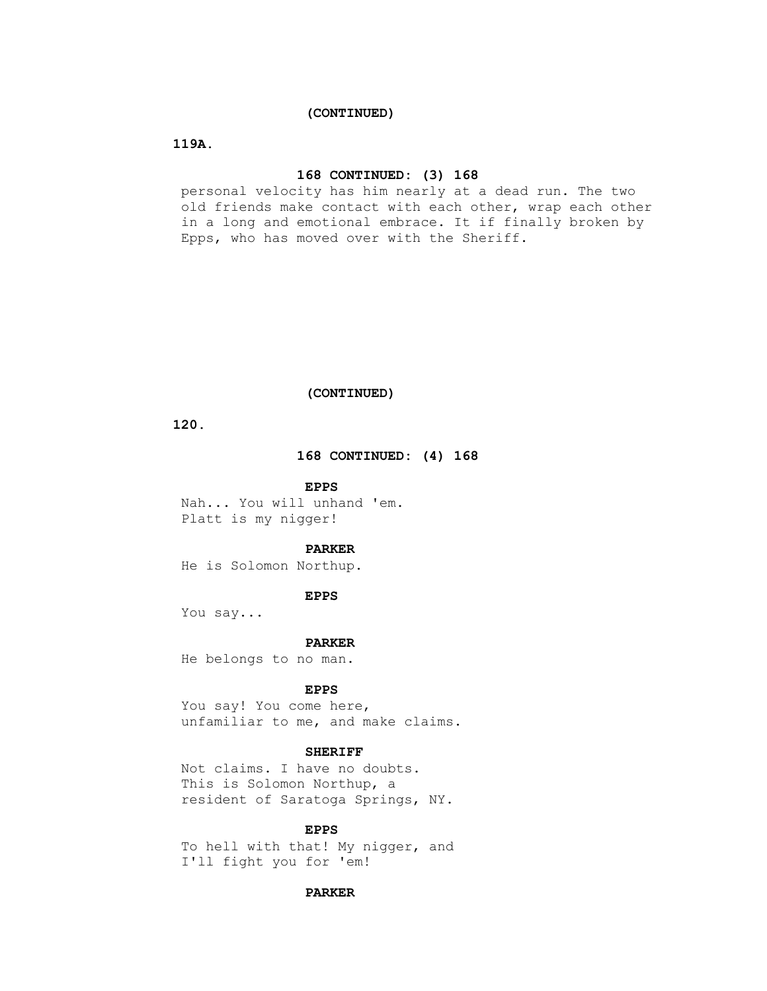## **(CONTINUED)**

# **119A.**

# **168 CONTINUED: (3) 168**

 personal velocity has him nearly at a dead run. The two old friends make contact with each other, wrap each other in a long and emotional embrace. It if finally broken by Epps, who has moved over with the Sheriff.

# **(CONTINUED)**

 **120.**

## **168 CONTINUED: (4) 168**

### **EPPS**

 Nah... You will unhand 'em. Platt is my nigger!

### **PARKER**

He is Solomon Northup.

# **EPPS**

You say...

#### **PARKER**

He belongs to no man.

## **EPPS**

 You say! You come here, unfamiliar to me, and make claims.

## **SHERIFF**

 Not claims. I have no doubts. This is Solomon Northup, a resident of Saratoga Springs, NY.

## **EPPS**

 To hell with that! My nigger, and I'll fight you for 'em!

## **PARKER**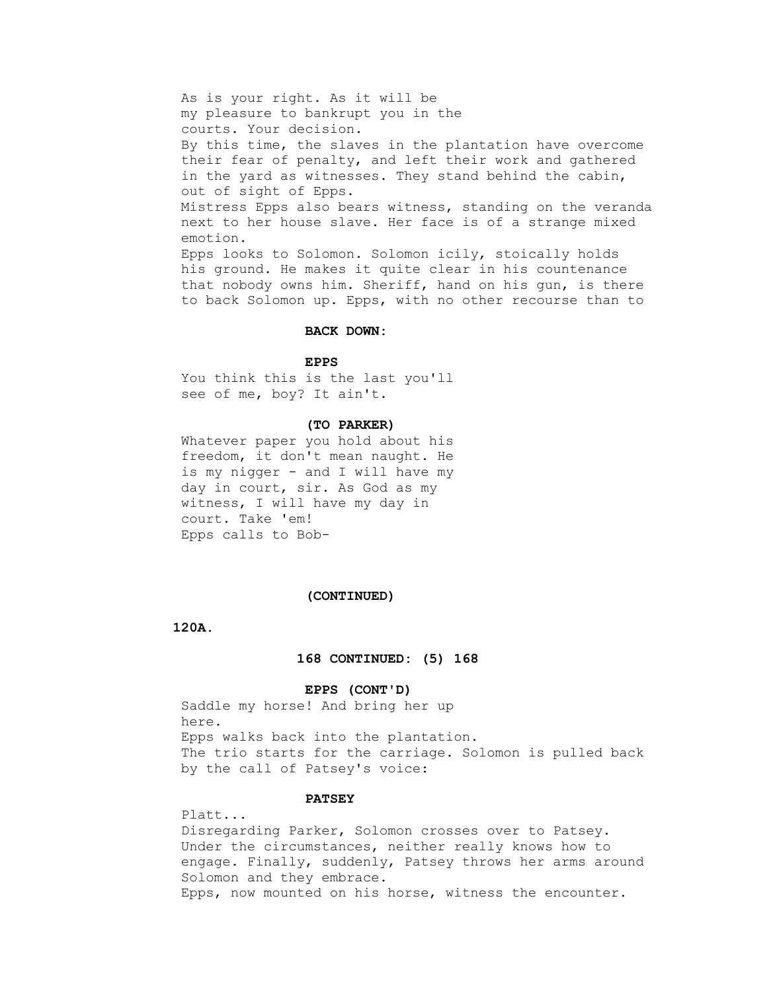As is your right. As it will be my pleasure to bankrupt you in the courts. Your decision. By this time, the slaves in the plantation have overcome their fear of penalty, and left their work and gathered in the yard as witnesses. They stand behind the cabin, out of sight of Epps. Mistress Epps also bears witness, standing on the veranda next to her house slave. Her face is of a strange mixed emotion. Epps looks to Solomon. Solomon icily, stoically holds his ground. He makes it quite clear in his countenance that nobody owns him. Sheriff, hand on his gun, is there to back Solomon up. Epps, with no other recourse than to

## **BACK DOWN:**

# **EPPS**

 You think this is the last you'll see of me, boy? It ain't.

### **(TO PARKER)**

 Whatever paper you hold about his freedom, it don't mean naught. He is my nigger - and I will have my day in court, sir. As God as my witness, I will have my day in court. Take 'em! Epps calls to Bob-

### **(CONTINUED)**

 **120A.**

### **168 CONTINUED: (5) 168**

### **EPPS (CONT'D)**

 Saddle my horse! And bring her up here. Epps walks back into the plantation. The trio starts for the carriage. Solomon is pulled back by the call of Patsey's voice:

## **PATSEY**

 Platt... Disregarding Parker, Solomon crosses over to Patsey. Under the circumstances, neither really knows how to engage. Finally, suddenly, Patsey throws her arms around Solomon and they embrace. Epps, now mounted on his horse, witness the encounter.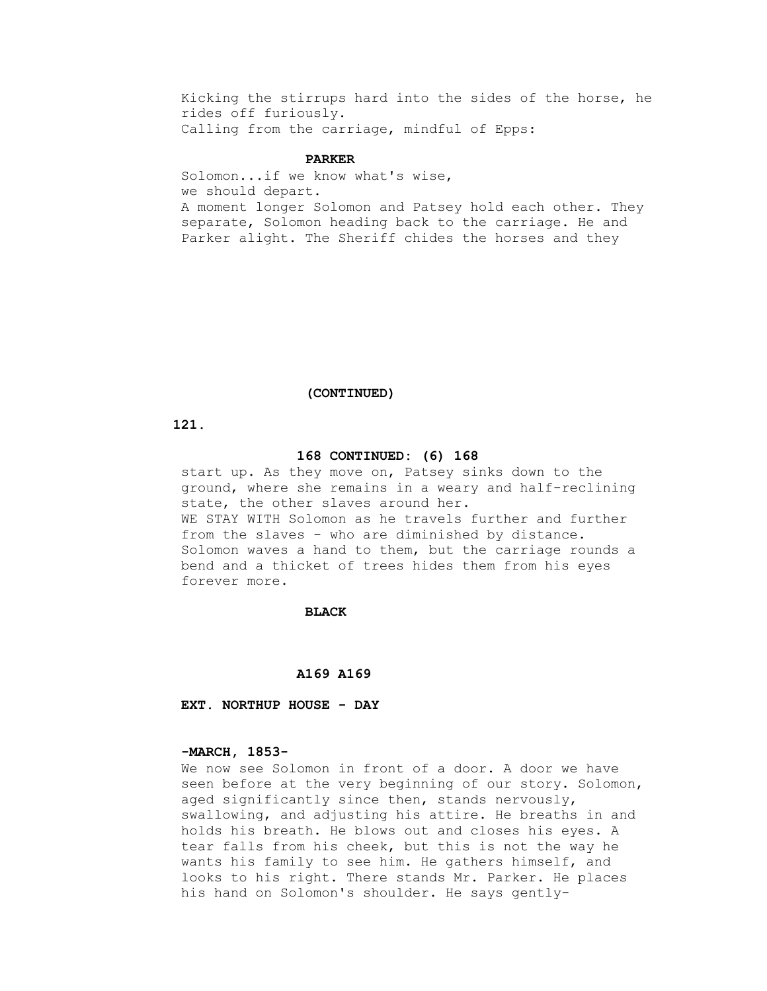Kicking the stirrups hard into the sides of the horse, he rides off furiously. Calling from the carriage, mindful of Epps:

## **PARKER**

 Solomon...if we know what's wise, we should depart. A moment longer Solomon and Patsey hold each other. They separate, Solomon heading back to the carriage. He and Parker alight. The Sheriff chides the horses and they

### **(CONTINUED)**

 **121.**

### **168 CONTINUED: (6) 168**

 start up. As they move on, Patsey sinks down to the ground, where she remains in a weary and half-reclining state, the other slaves around her. WE STAY WITH Solomon as he travels further and further from the slaves - who are diminished by distance. Solomon waves a hand to them, but the carriage rounds a bend and a thicket of trees hides them from his eyes forever more.

### **BLACK**

### **A169 A169**

 **EXT. NORTHUP HOUSE - DAY**

## **-MARCH, 1853-**

 We now see Solomon in front of a door. A door we have seen before at the very beginning of our story. Solomon, aged significantly since then, stands nervously, swallowing, and adjusting his attire. He breaths in and holds his breath. He blows out and closes his eyes. A tear falls from his cheek, but this is not the way he wants his family to see him. He gathers himself, and looks to his right. There stands Mr. Parker. He places his hand on Solomon's shoulder. He says gently-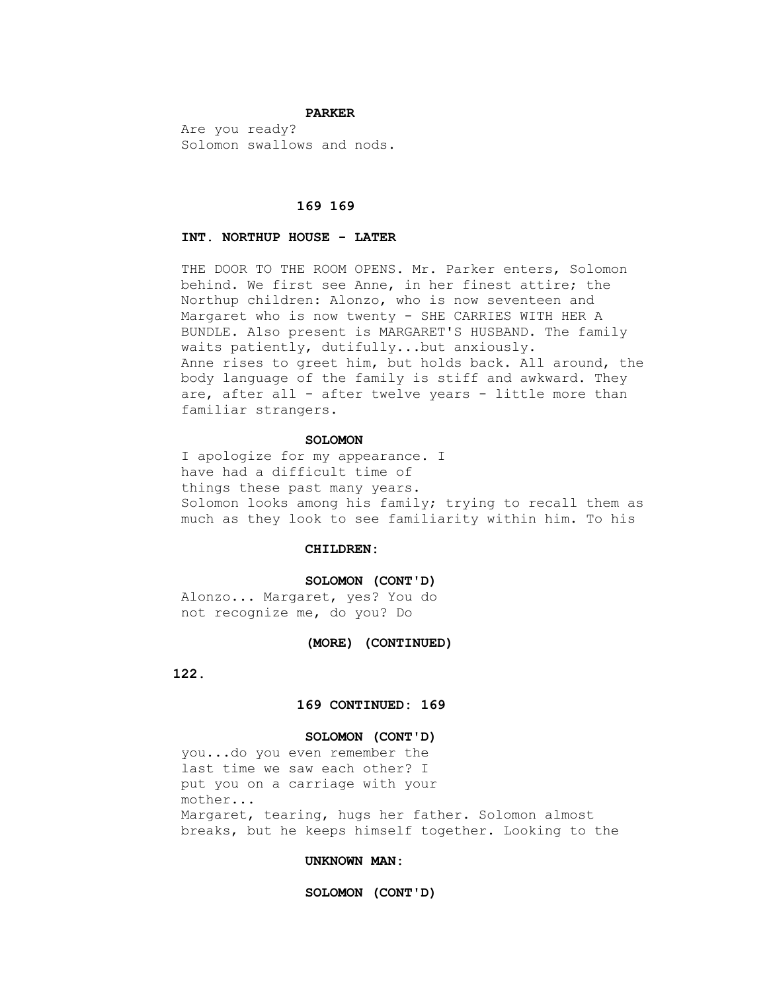### **PARKER**

 Are you ready? Solomon swallows and nods.

# **169 169**

## **INT. NORTHUP HOUSE - LATER**

THE DOOR TO THE ROOM OPENS. Mr. Parker enters, Solomon behind. We first see Anne, in her finest attire; the Northup children: Alonzo, who is now seventeen and Margaret who is now twenty - SHE CARRIES WITH HER A BUNDLE. Also present is MARGARET'S HUSBAND. The family waits patiently, dutifully...but anxiously. Anne rises to greet him, but holds back. All around, the body language of the family is stiff and awkward. They are, after all - after twelve years - little more than familiar strangers.

# **SOLOMON**

 I apologize for my appearance. I have had a difficult time of things these past many years. Solomon looks among his family; trying to recall them as much as they look to see familiarity within him. To his

# **CHILDREN:**

#### **SOLOMON (CONT'D)**

 Alonzo... Margaret, yes? You do not recognize me, do you? Do

### **(MORE) (CONTINUED)**

 **122.**

# **169 CONTINUED: 169**

## **SOLOMON (CONT'D)**

 you...do you even remember the last time we saw each other? I put you on a carriage with your mother... Margaret, tearing, hugs her father. Solomon almost breaks, but he keeps himself together. Looking to the

## **UNKNOWN MAN:**

 **SOLOMON (CONT'D)**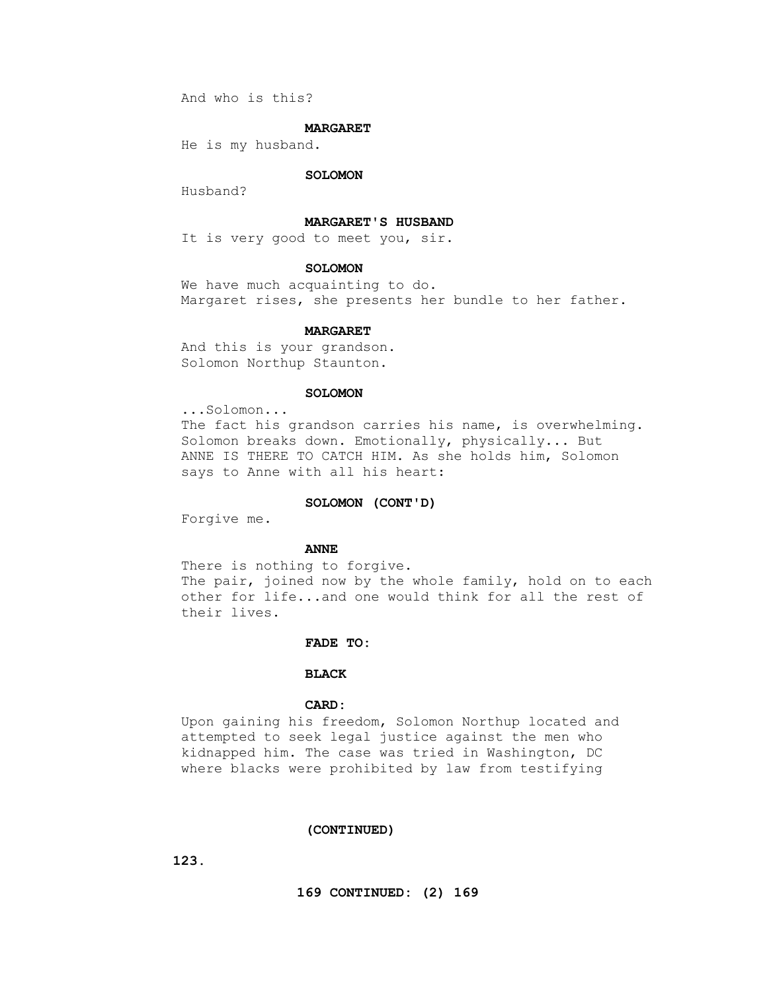And who is this?

### **MARGARET**

He is my husband.

## **SOLOMON**

Husband?

## **MARGARET'S HUSBAND**

It is very good to meet you, sir.

## **SOLOMON**

 We have much acquainting to do. Margaret rises, she presents her bundle to her father.

# **MARGARET**

 And this is your grandson. Solomon Northup Staunton.

## **SOLOMON**

 ...Solomon... The fact his grandson carries his name, is overwhelming. Solomon breaks down. Emotionally, physically... But ANNE IS THERE TO CATCH HIM. As she holds him, Solomon says to Anne with all his heart:

## **SOLOMON (CONT'D)**

Forgive me.

## **ANNE**

 There is nothing to forgive. The pair, joined now by the whole family, hold on to each other for life...and one would think for all the rest of their lives.

## **FADE TO:**

# **BLACK**

## **CARD:**

 Upon gaining his freedom, Solomon Northup located and attempted to seek legal justice against the men who kidnapped him. The case was tried in Washington, DC where blacks were prohibited by law from testifying

## **(CONTINUED)**

 **123.**

 **169 CONTINUED: (2) 169**